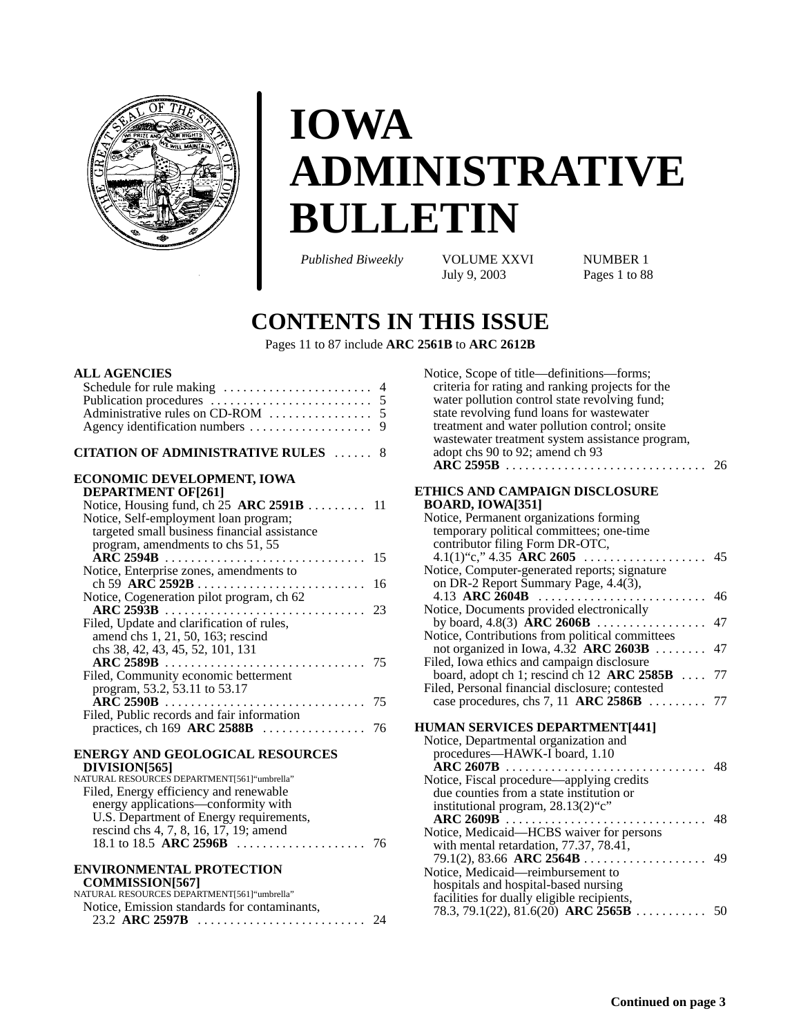

# **IOWA ADMINISTRATIVE BULLETIN**

*Published Biweekly* VOLUME XXVI NUMBER 1<br>July 9, 2003 Pages 1 to 88

Pages 1 to 88

## **CONTENTS IN THIS ISSUE**

Pages 11 to 87 include **ARC 2561B** to **ARC 2612B**

#### **ALL AGENCIES**

| Schedule for rule making<br>Publication procedures<br>Administrative rules on CD-ROM<br>5<br>Agency identification numbers                                                                                                         | 4<br>9 |
|------------------------------------------------------------------------------------------------------------------------------------------------------------------------------------------------------------------------------------|--------|
| <b>CITATION OF ADMINISTRATIVE RULES</b>                                                                                                                                                                                            | 8      |
| ECONOMIC DEVELOPMENT, IOWA<br><b>DEPARTMENT OF[261]</b>                                                                                                                                                                            |        |
| Notice, Housing fund, ch $25$ ARC $2591B$ 11<br>Notice, Self-employment loan program;<br>targeted small business financial assistance<br>program, amendments to chs 51, 55                                                         |        |
|                                                                                                                                                                                                                                    | 15     |
| Notice, Enterprise zones, amendments to                                                                                                                                                                                            | 16     |
| Notice, Cogeneration pilot program, ch 62<br>ARC 2593B<br>Filed, Update and clarification of rules,<br>amend chs 1, 21, 50, 163; rescind                                                                                           | 23     |
| chs 38, 42, 43, 45, 52, 101, 131<br>Filed, Community economic betterment<br>program, 53.2, 53.11 to 53.17                                                                                                                          |        |
| Filed, Public records and fair information                                                                                                                                                                                         |        |
| practices, ch $169$ ARC 2588B                                                                                                                                                                                                      | 76     |
| <b>ENERGY AND GEOLOGICAL RESOURCES</b><br>DIVISION[565]<br>NATURAL RESOURCES DEPARTMENT[561]"umbrella"<br>Filed, Energy efficiency and renewable<br>energy applications—conformity with<br>U.S. Department of Energy requirements, |        |
|                                                                                                                                                                                                                                    |        |

#### **ENVIRONMENTAL PROTECTION**

| <b>COMMISSION[567]</b>                       |  |
|----------------------------------------------|--|
| NATURAL RESOURCES DEPARTMENT[561] "umbrella" |  |
| Notice. Emission standards for contaminants. |  |
|                                              |  |

| Notice, Scope of title—definitions—forms;<br>criteria for rating and ranking projects for the<br>water pollution control state revolving fund;<br>state revolving fund loans for wastewater<br>treatment and water pollution control; onsite<br>wastewater treatment system assistance program,<br>adopt chs 90 to 92; amend ch 93<br>$\overline{\text{ARC}}$ 2595B | 26 |
|---------------------------------------------------------------------------------------------------------------------------------------------------------------------------------------------------------------------------------------------------------------------------------------------------------------------------------------------------------------------|----|
| ETHICS AND CAMPAIGN DISCLOSURE                                                                                                                                                                                                                                                                                                                                      |    |
| <b>BOARD, IOWA[351]</b>                                                                                                                                                                                                                                                                                                                                             |    |
| Notice, Permanent organizations forming                                                                                                                                                                                                                                                                                                                             |    |
| temporary political committees; one-time                                                                                                                                                                                                                                                                                                                            |    |
| contributor filing Form DR-OTC,                                                                                                                                                                                                                                                                                                                                     |    |
| 4.1(1)"c," 4.35 ARC 2605                                                                                                                                                                                                                                                                                                                                            | 45 |
| Notice, Computer-generated reports; signature                                                                                                                                                                                                                                                                                                                       |    |
| on DR-2 Report Summary Page, 4.4(3),                                                                                                                                                                                                                                                                                                                                |    |
| 4.13 ARC 2604B<br>Notice, Documents provided electronically                                                                                                                                                                                                                                                                                                         | 46 |
| by board, 4.8(3) $\angle$ ARC 2606B                                                                                                                                                                                                                                                                                                                                 | 47 |
| Notice, Contributions from political committees                                                                                                                                                                                                                                                                                                                     |    |
| not organized in Iowa, 4.32 ARC 2603B<br>.                                                                                                                                                                                                                                                                                                                          | 47 |
| Filed, Iowa ethics and campaign disclosure                                                                                                                                                                                                                                                                                                                          |    |
| board, adopt ch 1; rescind ch 12 ARC $2585B$                                                                                                                                                                                                                                                                                                                        | 77 |
| Filed, Personal financial disclosure; contested                                                                                                                                                                                                                                                                                                                     |    |
| case procedures, chs 7, 11 ARC $2586B$                                                                                                                                                                                                                                                                                                                              | 77 |
| <b>HUMAN SERVICES DEPARTMENT[441]</b>                                                                                                                                                                                                                                                                                                                               |    |
| Notice, Departmental organization and                                                                                                                                                                                                                                                                                                                               |    |
| procedures-HAWK-I board, 1.10                                                                                                                                                                                                                                                                                                                                       |    |
| $\widehat{A}RC$ 2607B                                                                                                                                                                                                                                                                                                                                               | 48 |
| Notice, Fiscal procedure—applying credits                                                                                                                                                                                                                                                                                                                           |    |
| due counties from a state institution or                                                                                                                                                                                                                                                                                                                            |    |
| institutional program, 28.13(2)"c"                                                                                                                                                                                                                                                                                                                                  |    |
|                                                                                                                                                                                                                                                                                                                                                                     | 48 |
| Notice, Medicaid-HCBS waiver for persons                                                                                                                                                                                                                                                                                                                            |    |
| with mental retardation, 77.37, 78.41,                                                                                                                                                                                                                                                                                                                              |    |
| $79.1(2)$ , 83.66 ARC 2564B                                                                                                                                                                                                                                                                                                                                         | 49 |
| Notice, Medicaid-reimbursement to<br>hospitals and hospital-based nursing                                                                                                                                                                                                                                                                                           |    |
| facilities for dually eligible recipients,                                                                                                                                                                                                                                                                                                                          |    |
| 78.3, 79.1(22), 81.6(20) ARC $\overline{2565B}$                                                                                                                                                                                                                                                                                                                     | 50 |
|                                                                                                                                                                                                                                                                                                                                                                     |    |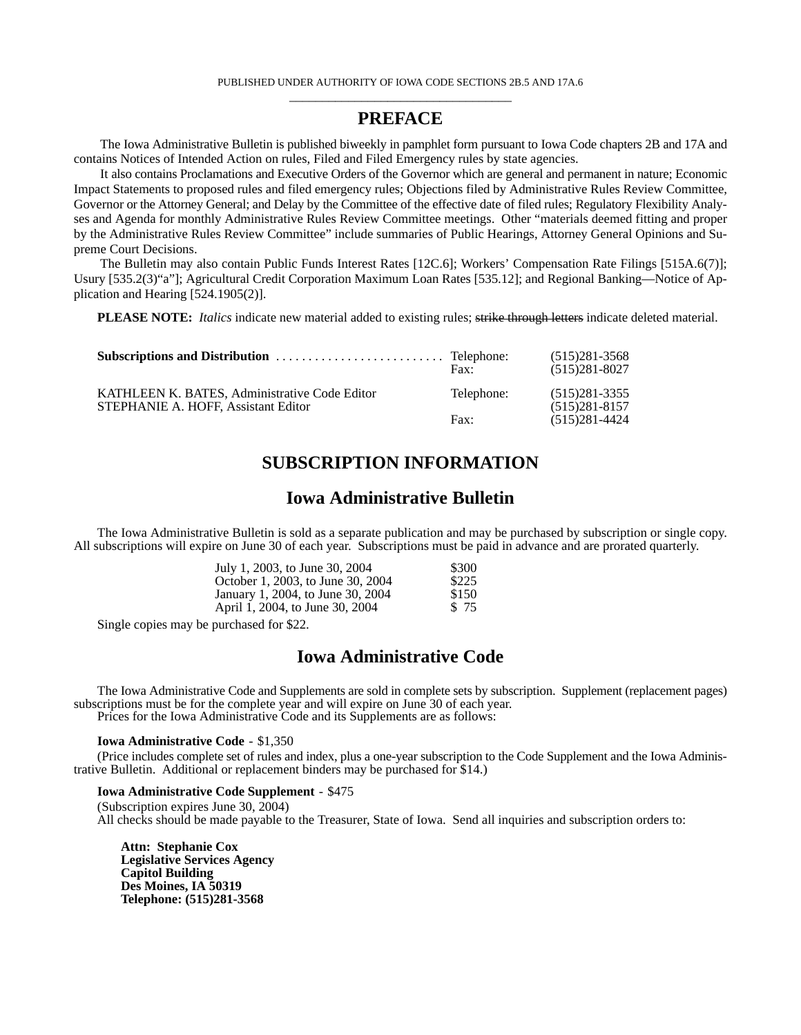#### **PREFACE**

The Iowa Administrative Bulletin is published biweekly in pamphlet form pursuant to Iowa Code chapters 2B and 17A and contains Notices of Intended Action on rules, Filed and Filed Emergency rules by state agencies.

It also contains Proclamations and Executive Orders of the Governor which are general and permanent in nature; Economic Impact Statements to proposed rules and filed emergency rules; Objections filed by Administrative Rules Review Committee, Governor or the Attorney General; and Delay by the Committee of the effective date of filed rules; Regulatory Flexibility Analyses and Agenda for monthly Administrative Rules Review Committee meetings. Other "materials deemed fitting and proper by the Administrative Rules Review Committee" include summaries of Public Hearings, Attorney General Opinions and Supreme Court Decisions.

The Bulletin may also contain Public Funds Interest Rates [12C.6]; Workers' Compensation Rate Filings [515A.6(7)]; Usury [535.2(3)"a"]; Agricultural Credit Corporation Maximum Loan Rates [535.12]; and Regional Banking—Notice of Application and Hearing [524.1905(2)].

**PLEASE NOTE:** *Italics* indicate new material added to existing rules; strike through letters indicate deleted material.

|                                                                                      | Fax:          | $(515)281 - 3568$<br>$(515)281 - 8027$ |
|--------------------------------------------------------------------------------------|---------------|----------------------------------------|
| KATHLEEN K. BATES, Administrative Code Editor<br>STEPHANIE A. HOFF. Assistant Editor | Telephone:    | $(515)281-3355$<br>$(515)281 - 8157$   |
|                                                                                      | $\text{Fax}:$ | $(515)281 - 4424$                      |

### **SUBSCRIPTION INFORMATION**

### **Iowa Administrative Bulletin**

The Iowa Administrative Bulletin is sold as a separate publication and may be purchased by subscription or single copy. All subscriptions will expire on June 30 of each year. Subscriptions must be paid in advance and are prorated quarterly.

| July 1, 2003, to June 30, 2004    | \$300 |
|-----------------------------------|-------|
| October 1, 2003, to June 30, 2004 | \$225 |
| January 1, 2004, to June 30, 2004 | \$150 |
| April 1, 2004, to June 30, 2004   | \$ 75 |

Single copies may be purchased for \$22.

### **Iowa Administrative Code**

The Iowa Administrative Code and Supplements are sold in complete sets by subscription. Supplement (replacement pages) subscriptions must be for the complete year and will expire on June 30 of each year. Prices for the Iowa Administrative Code and its Supplements are as follows:

**Iowa Administrative Code** - \$1,350

(Price includes complete set of rules and index, plus a one-year subscription to the Code Supplement and the Iowa Administrative Bulletin. Additional or replacement binders may be purchased for \$14.)

#### **Iowa Administrative Code Supplement** - \$475

(Subscription expires June 30, 2004) All checks should be made payable to the Treasurer, State of Iowa. Send all inquiries and subscription orders to:

**Attn: Stephanie Cox Legislative Services Agency Capitol Building Des Moines, IA 50319 Telephone: (515)281-3568**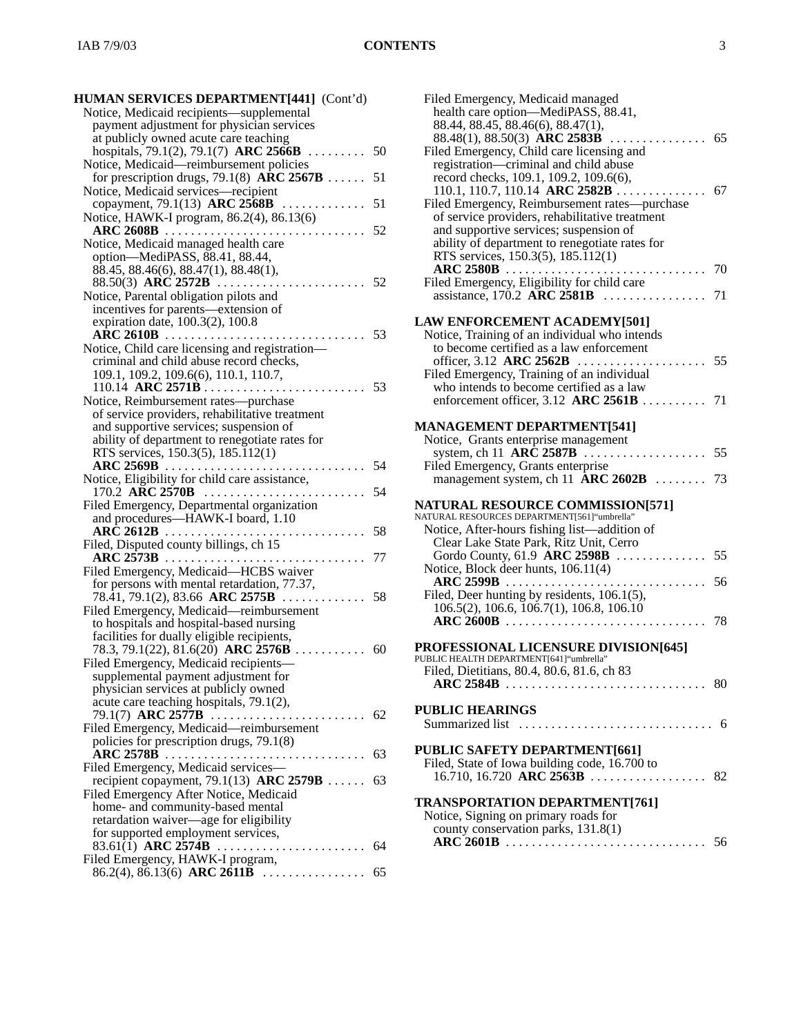| Notice, Medicaid recipients—supplemental                                        |    |
|---------------------------------------------------------------------------------|----|
| payment adjustment for physician services                                       |    |
| at publicly owned acute care teaching                                           |    |
| hospitals, 79.1(2), 79.1(7) ARC 2566B                                           | 50 |
| Notice, Medicaid-reimbursement policies                                         |    |
| for prescription drugs, 79.1(8) $\angle$ ARC 2567B                              | 51 |
| Notice, Medicaid services—recipient                                             |    |
| copayment, 79.1(13) ARC 2568B                                                   | 51 |
| Notice, HAWK-I program, 86.2(4), 86.13(6)                                       |    |
| $\text{ARC } 2608\text{B}$                                                      | 52 |
| Notice, Medicaid managed health care                                            |    |
| option—MediPASS, 88.41, 88.44,                                                  |    |
| 88.45, 88.46(6), 88.47(1), 88.48(1),                                            |    |
|                                                                                 | 52 |
| Notice, Parental obligation pilots and                                          |    |
| incentives for parents-extension of                                             |    |
| expiration date, 100.3(2), 100.8                                                |    |
|                                                                                 | 53 |
| Notice, Child care licensing and registration-                                  |    |
| criminal and child abuse record checks,                                         |    |
| 109.1, 109.2, 109.6(6), 110.1, 110.7,                                           |    |
|                                                                                 | 53 |
| Notice, Reimbursement rates—purchase                                            |    |
| of service providers, rehabilitative treatment                                  |    |
| and supportive services; suspension of                                          |    |
| ability of department to renegotiate rates for                                  |    |
| RTS services, 150.3(5), 185.112(1)                                              |    |
| ARC 2569B                                                                       | 54 |
| Notice, Eligibility for child care assistance,                                  |    |
| 170.2 $\angle$ ARC 2570B                                                        | 54 |
| Filed Emergency, Departmental organization<br>and procedures-HAWK-I board, 1.10 |    |
|                                                                                 | 58 |
| Filed, Disputed county billings, ch 15                                          |    |
| $\textbf{ARC } 2573\textbf{B}$                                                  | 77 |
| .<br>Filed Emergency, Medicaid-HCBS waiver                                      |    |
| for persons with mental retardation, 77.37,                                     |    |
| $78.\overline{4}1, 79.1(2), 83.66 \text{ ARC } 2575\text{B} \dots \dots \dots$  |    |
|                                                                                 |    |
|                                                                                 | 58 |
| Filed Emergency, Medicaid-reimbursement                                         |    |
| to hospitals and hospital-based nursing                                         |    |
| facilities for dually eligible recipients,                                      |    |
| 78.3, 79.1(22), 81.6(20) ARC 2576B                                              | 60 |
| Filed Emergency, Medicaid recipients-                                           |    |
| supplemental payment adjustment for                                             |    |
| physician services at publicly owned                                            |    |
| acute care teaching hospitals, 79.1(2),                                         |    |
| 79.1(7) ARC 2577B                                                               | 62 |
| Filed Emergency, Medicaid-reimbursement                                         |    |
| policies for prescription drugs, 79.1(8)                                        |    |
| <b>ARC 2578B</b>                                                                | 63 |
| Filed Emergency, Medicaid services-                                             |    |
| recipient copayment, 79.1(13) ARC 2579B                                         | 63 |
| Filed Emergency After Notice, Medicaid                                          |    |
| home- and community-based mental                                                |    |
| retardation waiver-age for eligibility                                          |    |
| for supported employment services,                                              | 64 |
| 83.61(1) ARC 2574B<br>Filed Emergency, HAWK-I program,                          |    |
| 86.2(4), 86.13(6) ARC 2611B $\ldots$                                            | 65 |

| Filed Emergency, Medicaid managed<br>health care option—MediPASS, 88.41,                 |    |
|------------------------------------------------------------------------------------------|----|
| 88.44, 88.45, 88.46(6), 88.47(1),                                                        |    |
| 88.48(1), 88.50(3) ARC 2583B<br>. 65                                                     |    |
| Filed Emergency, Child care licensing and<br>registration-criminal and child abuse       |    |
| record checks, 109.1, 109.2, 109.6(6),                                                   |    |
| 110.1, 110.7, 110.14 ARC 2582B                                                           | 67 |
| Filed Emergency, Reimbursement rates—purchase                                            |    |
| of service providers, rehabilitative treatment                                           |    |
| and supportive services; suspension of<br>ability of department to renegotiate rates for |    |
| RTS services, 150.3(5), 185.112(1)                                                       |    |
|                                                                                          | 70 |
| Filed Emergency, Eligibility for child care                                              |    |
| assistance, $170.2$ ARC $2581B$                                                          | 71 |
| <b>LAW ENFORCEMENT ACADEMY[501]</b>                                                      |    |
| Notice, Training of an individual who intends                                            |    |
| to become certified as a law enforcement                                                 |    |
| officer, $3.12$ ARC $2562B$<br>.                                                         | 55 |
| Filed Emergency, Training of an individual<br>who intends to become certified as a law   |    |
| enforcement officer, $3.12$ ARC $2561B$                                                  | 71 |
|                                                                                          |    |
| <b>MANAGEMENT DEPARTMENT[541]</b>                                                        |    |
| Notice, Grants enterprise management<br>system, ch 11 $AR\bar{C}$ 2587B                  | 55 |
| Filed Emergency, Grants enterprise                                                       |    |
| management system, ch 11 $\overline{A}RC$ 2602B                                          | 73 |
| <b>NATURAL RESOURCE COMMISSION[571]</b>                                                  |    |
| NATURAL RESOURCES DEPARTMENT[561] "umbrella"                                             |    |
| Notice, After-hours fishing list-addition of                                             |    |
| Clear Lake State Park, Ritz Unit, Cerro                                                  |    |
| Gordo County, 61.9 ARC 2598B $\ldots$<br>Notice, Block deer hunts, 106.11(4)             | 55 |
| <b>ARC 2599B</b>                                                                         | 56 |
| Filed, Deer hunting by residents, 106.1(5),                                              |    |
| 106.5(2), 106.6, 106.7(1), 106.8, 106.10                                                 |    |
| $\text{ARC } 2600 \text{B}$                                                              | 78 |
| <b>PROFESSIONAL LICENSURE DIVISION[645]</b>                                              |    |
| PUBLIC HEALTH DEPARTMENT[641] "umbrella"                                                 |    |
| Filed, Dietitians, 80.4, 80.6, 81.6, ch 83                                               |    |
|                                                                                          |    |
| <b>PUBLIC HEARINGS</b>                                                                   |    |
|                                                                                          |    |
| PUBLIC SAFETY DEPARTMENT[661]                                                            |    |
| Filed, State of Iowa building code, 16.700 to                                            |    |
|                                                                                          |    |
|                                                                                          |    |
| <b>TRANSPORTATION DEPARTMENT[761]</b><br>Notice, Signing on primary roads for            |    |
| county conservation parks, 131.8(1)                                                      |    |
|                                                                                          |    |
|                                                                                          |    |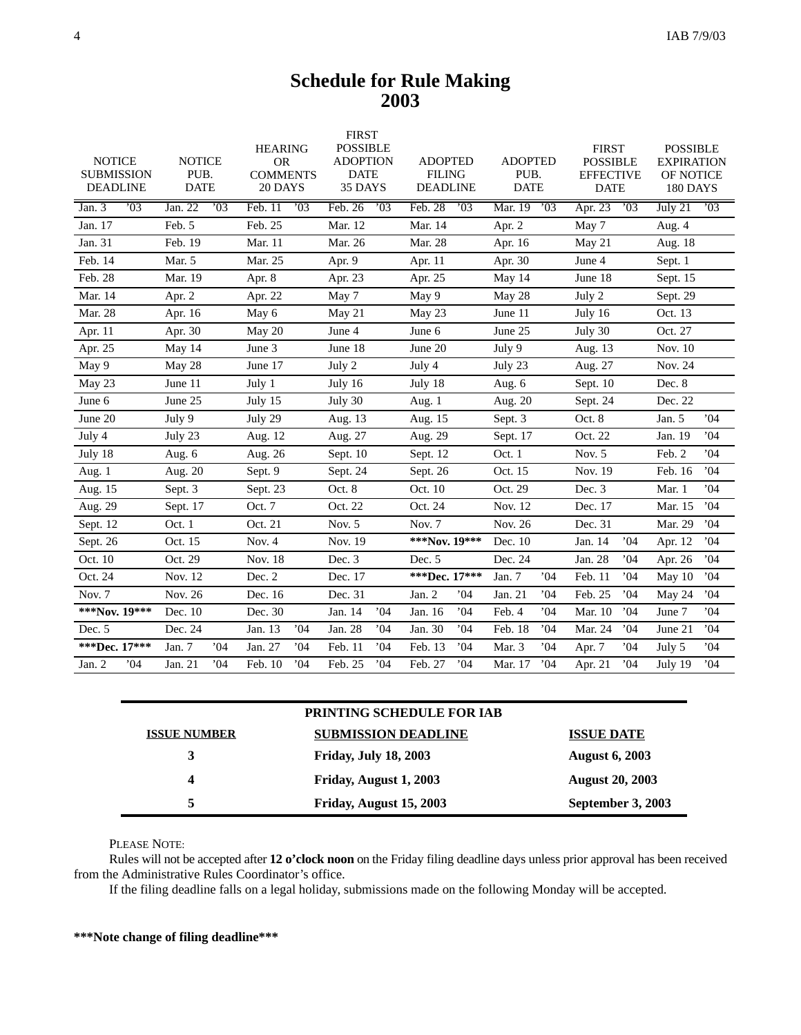## **Schedule for Rule Making 2003**

| <b>NOTICE</b><br><b>SUBMISSION</b><br><b>DEADLINE</b> | <b>NOTICE</b><br>PUB.<br><b>DATE</b> | <b>HEARING</b><br><b>OR</b><br><b>COMMENTS</b><br>20 DAYS | <b>FIRST</b><br><b>POSSIBLE</b><br><b>ADOPTION</b><br><b>DATE</b><br>35 DAYS | <b>ADOPTED</b><br><b>FILING</b><br><b>DEADLINE</b> | <b>ADOPTED</b><br>PUB.<br><b>DATE</b> | <b>FIRST</b><br><b>POSSIBLE</b><br><b>EFFECTIVE</b><br><b>DATE</b> | <b>POSSIBLE</b><br><b>EXPIRATION</b><br>OF NOTICE<br>180 DAYS |
|-------------------------------------------------------|--------------------------------------|-----------------------------------------------------------|------------------------------------------------------------------------------|----------------------------------------------------|---------------------------------------|--------------------------------------------------------------------|---------------------------------------------------------------|
| .03<br>Jan. $3$                                       | Jan. 22<br>$\overline{03}$           | 03<br>Feb. 11                                             | Feb. 26<br>$\cdot$ 03                                                        | Feb. 28<br>$\overline{03}$                         | 03<br>Mar. 19                         | Apr. 23<br>03                                                      | July 21<br>$\overline{03}$                                    |
| Jan. 17                                               | Feb. 5                               | Feb. 25                                                   | Mar. 12                                                                      | Mar. 14                                            | Apr. 2                                | May 7                                                              | Aug. 4                                                        |
| Jan. 31                                               | Feb. 19                              | Mar. 11                                                   | Mar. 26                                                                      | Mar. 28                                            | Apr. 16                               | May 21                                                             | Aug. 18                                                       |
| Feb. 14                                               | Mar. 5                               | Mar. 25                                                   | Apr. 9                                                                       | Apr. 11                                            | Apr. 30                               | June 4                                                             | Sept. 1                                                       |
| Feb. 28                                               | Mar. 19                              | Apr. 8                                                    | Apr. 23                                                                      | Apr. 25                                            | May 14                                | June 18                                                            | Sept. 15                                                      |
| Mar. 14                                               | Apr. 2                               | Apr. 22                                                   | May 7                                                                        | May 9                                              | May 28                                | July 2                                                             | Sept. 29                                                      |
| Mar. 28                                               | Apr. 16                              | May 6                                                     | May 21                                                                       | May 23                                             | June 11                               | July 16                                                            | Oct. 13                                                       |
| Apr. 11                                               | Apr. 30                              | May 20                                                    | June 4                                                                       | June 6                                             | June 25                               | July 30                                                            | Oct. 27                                                       |
| Apr. 25                                               | May 14                               | June 3                                                    | June 18                                                                      | June 20                                            | July 9                                | Aug. 13                                                            | Nov. 10                                                       |
| May 9                                                 | May 28                               | June 17                                                   | July 2                                                                       | July 4                                             | July 23                               | Aug. 27                                                            | Nov. 24                                                       |
| May 23                                                | June 11                              | July 1                                                    | July 16                                                                      | July 18                                            | Aug. 6                                | Sept. 10                                                           | Dec. 8                                                        |
| June 6                                                | June 25                              | July 15                                                   | July 30                                                                      | Aug. 1                                             | Aug. 20                               | Sept. 24                                                           | Dec. 22                                                       |
| June 20                                               | July 9                               | July 29                                                   | Aug. 13                                                                      | Aug. 15                                            | Sept. 3                               | Oct. 8                                                             | 04'<br>Jan. 5                                                 |
| July 4                                                | July 23                              | Aug. 12                                                   | Aug. 27                                                                      | Aug. 29                                            | Sept. 17                              | Oct. 22                                                            | Jan. 19<br>04'                                                |
| July 18                                               | Aug. 6                               | Aug. 26                                                   | Sept. 10                                                                     | Sept. 12                                           | Oct. 1                                | Nov. 5                                                             | .04<br>Feb. 2                                                 |
| Aug. 1                                                | Aug. 20                              | Sept. 9                                                   | Sept. 24                                                                     | Sept. 26                                           | Oct. 15                               | Nov. 19                                                            | 04'<br>Feb. 16                                                |
| Aug. 15                                               | Sept. 3                              | Sept. 23                                                  | Oct. 8                                                                       | Oct. 10                                            | Oct. 29                               | Dec. 3                                                             | 04'<br>Mar. 1                                                 |
| Aug. 29                                               | Sept. 17                             | Oct. 7                                                    | Oct. 22                                                                      | Oct. 24                                            | Nov. 12                               | Dec. 17                                                            | $^{\circ}$ 04<br>Mar. 15                                      |
| Sept. 12                                              | Oct. 1                               | Oct. 21                                                   | Nov. $5$                                                                     | Nov. 7                                             | Nov. 26                               | Dec. 31                                                            | Mar. 29<br>04'                                                |
| Sept. 26                                              | Oct. 15                              | Nov. $4$                                                  | Nov. 19                                                                      | ***Nov. 19***                                      | Dec. 10                               | Jan. 14<br>04'                                                     | 04'<br>Apr. 12                                                |
| Oct. 10                                               | Oct. 29                              | Nov. 18                                                   | Dec. 3                                                                       | Dec. 5                                             | Dec. 24                               | Jan. 28<br>04'                                                     | .04<br>Apr. 26                                                |
| Oct. 24                                               | Nov. 12                              | Dec. 2                                                    | Dec. 17                                                                      | ***Dec. 17***                                      | Jan. 7<br>.04                         | 04'<br>Feb. 11                                                     | .04<br>May 10                                                 |
| Nov. 7                                                | Nov. 26                              | Dec. 16                                                   | Dec. 31                                                                      | Jan. 2<br>04'                                      | Jan. 21<br>04'                        | Feb. 25<br>04'                                                     | 04'<br>May 24                                                 |
| ***Nov. 19***                                         | Dec. 10                              | Dec. 30                                                   | Jan. 14<br>04'                                                               | Jan. 16<br>.04                                     | Feb. 4<br>.04                         | Mar. 10<br>04'                                                     | 04'<br>June 7                                                 |
| Dec. 5                                                | Dec. 24                              | Jan. 13<br>04'                                            | Jan. 28<br>04'                                                               | Jan. 30<br>04'                                     | Feb. 18<br>04'                        | Mar. 24<br>04'                                                     | 04'<br>June 21                                                |
| ***Dec. 17***                                         | Jan. 7<br>04                         | Jan. 27<br>04'                                            | Feb. 11<br>04'                                                               | .04<br>Feb. 13                                     | Mar. 3<br>04'                         | 04'<br>Apr. 7                                                      | .04<br>July 5                                                 |
| .04<br>Jan. 2                                         | Jan. 21<br>04'                       | Feb. 10<br>04'                                            | Feb. 25<br>.04                                                               | Feb. 27<br>04'                                     | 04'<br>Mar. 17                        | .04<br>Apr. 21                                                     | .04<br>July 19                                                |

| <b>PRINTING SCHEDULE FOR IAB</b> |                              |                        |  |
|----------------------------------|------------------------------|------------------------|--|
| <b>ISSUE NUMBER</b>              | <b>SUBMISSION DEADLINE</b>   | <b>ISSUE DATE</b>      |  |
| 3                                | <b>Friday, July 18, 2003</b> | <b>August 6, 2003</b>  |  |
| 4                                | Friday, August 1, 2003       | <b>August 20, 2003</b> |  |
| 5                                | Friday, August 15, 2003      | September 3, 2003      |  |

PLEASE NOTE:

Rules will not be accepted after **12 o'clock noon** on the Friday filing deadline days unless prior approval has been received from the Administrative Rules Coordinator's office.

If the filing deadline falls on a legal holiday, submissions made on the following Monday will be accepted.

**\*\*\*Note change of filing deadline\*\*\***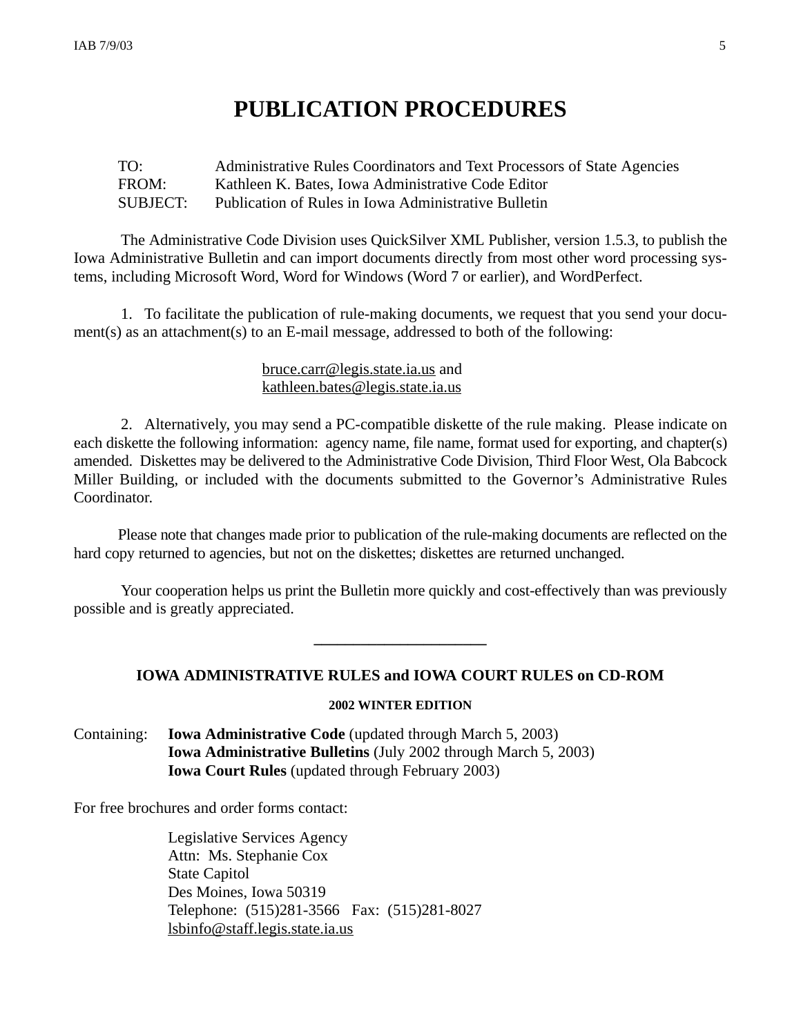## **PUBLICATION PROCEDURES**

### TO: Administrative Rules Coordinators and Text Processors of State Agencies FROM: Kathleen K. Bates, Iowa Administrative Code Editor SUBJECT: Publication of Rules in Iowa Administrative Bulletin

The Administrative Code Division uses QuickSilver XML Publisher, version 1.5.3, to publish the Iowa Administrative Bulletin and can import documents directly from most other word processing systems, including Microsoft Word, Word for Windows (Word 7 or earlier), and WordPerfect.

1. To facilitate the publication of rule-making documents, we request that you send your document(s) as an attachment(s) to an E-mail message, addressed to both of the following:

#### bruce.carr@legis.state.ia.us and kathleen.bates@legis.state.ia.us

2. Alternatively, you may send a PC-compatible diskette of the rule making. Please indicate on each diskette the following information: agency name, file name, format used for exporting, and chapter(s) amended. Diskettes may be delivered to the Administrative Code Division, Third Floor West, Ola Babcock Miller Building, or included with the documents submitted to the Governor's Administrative Rules Coordinator.

Please note that changes made prior to publication of the rule-making documents are reflected on the hard copy returned to agencies, but not on the diskettes; diskettes are returned unchanged.

Your cooperation helps us print the Bulletin more quickly and cost-effectively than was previously possible and is greatly appreciated.

### **IOWA ADMINISTRATIVE RULES and IOWA COURT RULES on CD-ROM**

**\_\_\_\_\_\_\_\_\_\_\_\_\_\_\_\_\_\_\_\_\_\_**

#### **2002 WINTER EDITION**

Containing: **Iowa Administrative Code** (updated through March 5, 2003) **Iowa Administrative Bulletins** (July 2002 through March 5, 2003) **Iowa Court Rules** (updated through February 2003)

For free brochures and order forms contact:

Legislative Services Agency Attn: Ms. Stephanie Cox State Capitol Des Moines, Iowa 50319 Telephone: (515)281-3566 Fax: (515)281-8027 lsbinfo@staff.legis.state.ia.us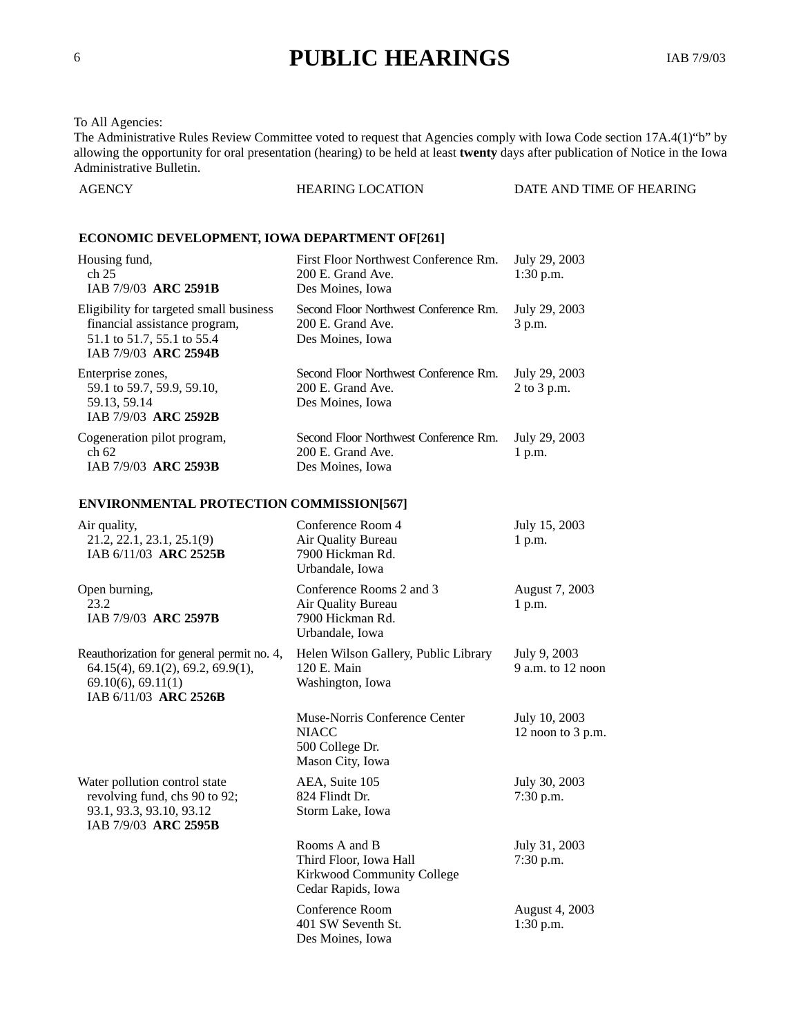## <sup>6</sup> **PUBLIC HEARINGS** IAB 7/9/03

#### To All Agencies:

The Administrative Rules Review Committee voted to request that Agencies comply with Iowa Code section 17A.4(1)"b" by allowing the opportunity for oral presentation (hearing) to be held at least **twenty** days after publication of Notice in the Iowa Administrative Bulletin.

| <b>HEARING LOCATION</b><br>DATE AND TIME OF HEARING<br>AGENCY |
|---------------------------------------------------------------|
|---------------------------------------------------------------|

#### **ECONOMIC DEVELOPMENT, IOWA DEPARTMENT OF[261]**

| Housing fund,<br>ch <sub>25</sub><br>IAB 7/9/03 ARC 2591B                                                                      | First Floor Northwest Conference Rm.<br>200 E. Grand Ave.<br>Des Moines, Iowa  | July 29, 2003<br>$1:30$ p.m. |
|--------------------------------------------------------------------------------------------------------------------------------|--------------------------------------------------------------------------------|------------------------------|
| Eligibility for targeted small business<br>financial assistance program,<br>51.1 to 51.7, 55.1 to 55.4<br>IAB 7/9/03 ARC 2594B | Second Floor Northwest Conference Rm.<br>200 E. Grand Ave.<br>Des Moines, Iowa | July 29, 2003<br>3 p.m.      |
| Enterprise zones,<br>59.1 to 59.7, 59.9, 59.10,<br>59.13, 59.14<br>IAB 7/9/03 ARC 2592B                                        | Second Floor Northwest Conference Rm.<br>200 E. Grand Ave.<br>Des Moines, Iowa | July 29, 2003<br>2 to 3 p.m. |
| Cogeneration pilot program,<br>ch 62<br>IAB 7/9/03 ARC 2593B                                                                   | Second Floor Northwest Conference Rm.<br>200 E. Grand Ave.<br>Des Moines, Iowa | July 29, 2003<br>1 p.m.      |
| <b>ENVIRONMENTAL PROTECTION COMMISSION[567]</b>                                                                                |                                                                                |                              |

| Air quality,<br>21.2, 22.1, 23.1, 25.1(9)<br>IAB 6/11/03 ARC 2525B                                                                 | Conference Room 4<br>Air Quality Bureau<br>7900 Hickman Rd.<br>Urbandale, Iowa              | July 15, 2003<br>1 p.m.             |
|------------------------------------------------------------------------------------------------------------------------------------|---------------------------------------------------------------------------------------------|-------------------------------------|
| Open burning,<br>23.2<br>IAB 7/9/03 ARC 2597B                                                                                      | Conference Rooms 2 and 3<br>Air Quality Bureau<br>7900 Hickman Rd.<br>Urbandale, Iowa       | August 7, 2003<br>1 p.m.            |
| Reauthorization for general permit no. 4,<br>64.15(4), 69.1(2), 69.2, 69.9(1),<br>$69.10(6)$ , $69.11(1)$<br>IAB 6/11/03 ARC 2526B | Helen Wilson Gallery, Public Library<br>120 E. Main<br>Washington, Iowa                     | July 9, 2003<br>$9$ a.m. to 12 noon |
|                                                                                                                                    | Muse-Norris Conference Center<br><b>NIACC</b><br>500 College Dr.<br>Mason City, Iowa        | July 10, 2003<br>12 noon to 3 p.m.  |
| Water pollution control state<br>revolving fund, chs 90 to 92;<br>93.1, 93.3, 93.10, 93.12<br>IAB 7/9/03 ARC 2595B                 | AEA, Suite 105<br>824 Flindt Dr.<br>Storm Lake, Iowa                                        | July 30, 2003<br>$7:30$ p.m.        |
|                                                                                                                                    | Rooms A and B<br>Third Floor, Iowa Hall<br>Kirkwood Community College<br>Cedar Rapids, Iowa | July 31, 2003<br>$7:30$ p.m.        |
|                                                                                                                                    | Conference Room<br>401 SW Seventh St.<br>Des Moines, Iowa                                   | August 4, 2003<br>$1:30$ p.m.       |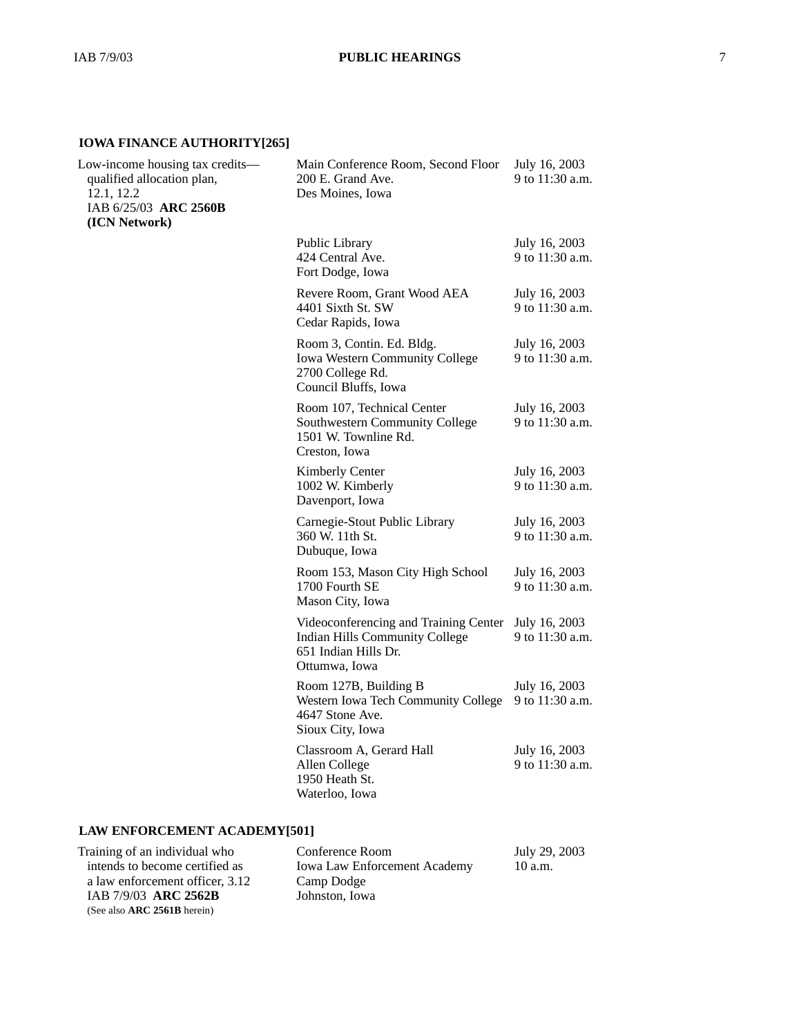#### **IOWA FINANCE AUTHORITY[265]**

| Low-income housing tax credits-<br>qualified allocation plan,<br>12.1, 12.2<br>IAB 6/25/03 ARC 2560B<br>(ICN Network) | Main Conference Room, Second Floor<br>200 E. Grand Ave.<br>Des Moines, Iowa                                      | July 16, 2003<br>9 to 11:30 a.m. |
|-----------------------------------------------------------------------------------------------------------------------|------------------------------------------------------------------------------------------------------------------|----------------------------------|
|                                                                                                                       | Public Library<br>424 Central Ave.<br>Fort Dodge, Iowa                                                           | July 16, 2003<br>9 to 11:30 a.m. |
|                                                                                                                       | Revere Room, Grant Wood AEA<br>4401 Sixth St. SW<br>Cedar Rapids, Iowa                                           | July 16, 2003<br>9 to 11:30 a.m. |
|                                                                                                                       | Room 3, Contin. Ed. Bldg.<br>Iowa Western Community College<br>2700 College Rd.<br>Council Bluffs, Iowa          | July 16, 2003<br>9 to 11:30 a.m. |
|                                                                                                                       | Room 107, Technical Center<br>Southwestern Community College<br>1501 W. Townline Rd.<br>Creston, Iowa            | July 16, 2003<br>9 to 11:30 a.m. |
|                                                                                                                       | Kimberly Center<br>1002 W. Kimberly<br>Davenport, Iowa                                                           | July 16, 2003<br>9 to 11:30 a.m. |
|                                                                                                                       | Carnegie-Stout Public Library<br>360 W. 11th St.<br>Dubuque, Iowa                                                | July 16, 2003<br>9 to 11:30 a.m. |
|                                                                                                                       | Room 153, Mason City High School<br>1700 Fourth SE<br>Mason City, Iowa                                           | July 16, 2003<br>9 to 11:30 a.m. |
|                                                                                                                       | Videoconferencing and Training Center<br>Indian Hills Community College<br>651 Indian Hills Dr.<br>Ottumwa, Iowa | July 16, 2003<br>9 to 11:30 a.m. |
|                                                                                                                       | Room 127B, Building B<br>Western Iowa Tech Community College<br>4647 Stone Ave.<br>Sioux City, Iowa              | July 16, 2003<br>9 to 11:30 a.m. |
|                                                                                                                       | Classroom A, Gerard Hall<br>Allen College<br>1950 Heath St.<br>Waterloo, Iowa                                    | July 16, 2003<br>9 to 11:30 a.m. |
|                                                                                                                       |                                                                                                                  |                                  |

### **LAW ENFORCEMENT ACADEMY[501]**

| Training of an individual who   | Conference Room                     | July 29, 2003 |
|---------------------------------|-------------------------------------|---------------|
| intends to become certified as  | <b>Iowa Law Enforcement Academy</b> | 10 a.m.       |
| a law enforcement officer, 3.12 | Camp Dodge                          |               |
| IAB 7/9/03 ARC 2562B            | Johnston, Iowa                      |               |
| (See also ARC 2561B herein)     |                                     |               |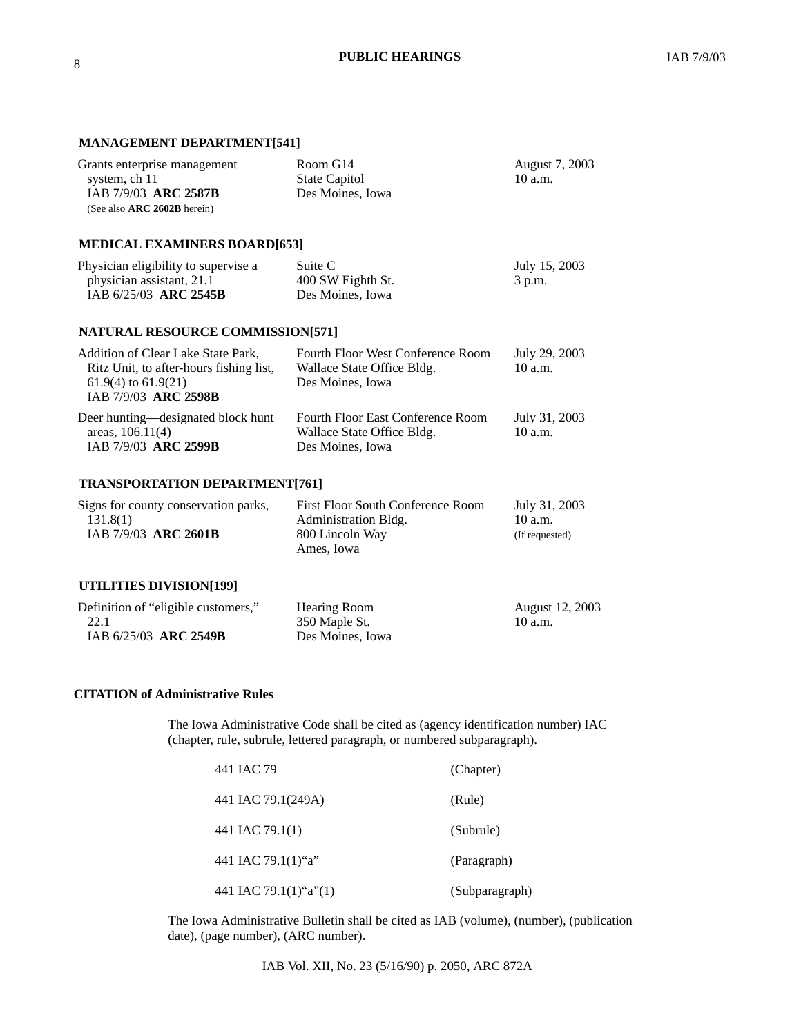#### **MANAGEMENT DEPARTMENT[541]**

| Grants enterprise management<br>system, ch 11<br>IAB 7/9/03 ARC 2587B<br>(See also ARC 2602B herein)                             | Room G14<br><b>State Capitol</b><br>Des Moines, Iowa                                       | August 7, 2003<br>$10$ a.m.                  |
|----------------------------------------------------------------------------------------------------------------------------------|--------------------------------------------------------------------------------------------|----------------------------------------------|
| <b>MEDICAL EXAMINERS BOARD[653]</b>                                                                                              |                                                                                            |                                              |
| Physician eligibility to supervise a<br>physician assistant, 21.1<br>IAB 6/25/03 ARC 2545B                                       | Suite C<br>400 SW Eighth St.<br>Des Moines, Iowa                                           | July 15, 2003<br>3 p.m.                      |
| <b>NATURAL RESOURCE COMMISSION[571]</b>                                                                                          |                                                                                            |                                              |
| Addition of Clear Lake State Park,<br>Ritz Unit, to after-hours fishing list,<br>$61.9(4)$ to $61.9(21)$<br>IAB 7/9/03 ARC 2598B | <b>Fourth Floor West Conference Room</b><br>Wallace State Office Bldg.<br>Des Moines, Iowa | July 29, 2003<br>$10$ a.m.                   |
| Deer hunting—designated block hunt<br>areas, 106.11(4)<br>IAB 7/9/03 ARC 2599B                                                   | Fourth Floor East Conference Room<br>Wallace State Office Bldg.<br>Des Moines, Iowa        | July 31, 2003<br>$10$ a.m.                   |
| <b>TRANSPORTATION DEPARTMENT[761]</b>                                                                                            |                                                                                            |                                              |
| Signs for county conservation parks,<br>131.8(1)<br>IAB 7/9/03 ARC 2601B                                                         | First Floor South Conference Room<br>Administration Bldg.<br>800 Lincoln Way<br>Ames, Iowa | July 31, 2003<br>$10$ a.m.<br>(If requested) |
| <b>UTILITIES DIVISION[199]</b>                                                                                                   |                                                                                            |                                              |
| Definition of "eligible customers,"<br>22.1<br>IAB 6/25/03 ARC 2549B                                                             | <b>Hearing Room</b><br>350 Maple St.<br>Des Moines, Iowa                                   | August 12, 2003<br>10 a.m.                   |

#### **CITATION of Administrative Rules**

The Iowa Administrative Code shall be cited as (agency identification number) IAC (chapter, rule, subrule, lettered paragraph, or numbered subparagraph).

| 441 IAC 79             | (Chapter)      |
|------------------------|----------------|
| 441 IAC 79.1(249A)     | (Rule)         |
| 441 IAC 79.1(1)        | (Subrule)      |
| 441 IAC 79.1 $(1)$ "a" | (Paragraph)    |
| 441 IAC 79.1(1)"a"(1)  | (Subparagraph) |

The Iowa Administrative Bulletin shall be cited as IAB (volume), (number), (publication date), (page number), (ARC number).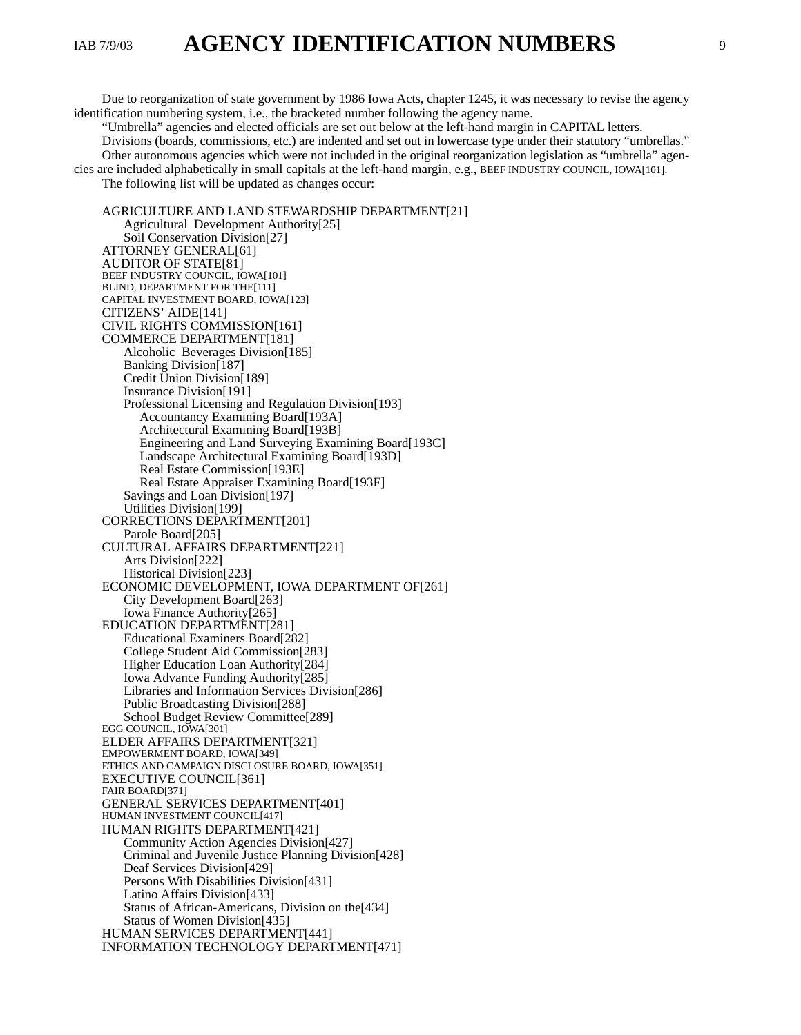IAB 7/9/03 **AGENCY IDENTIFICATION NUMBERS** 

Due to reorganization of state government by 1986 Iowa Acts, chapter 1245, it was necessary to revise the agency identification numbering system, i.e., the bracketed number following the agency name.

"Umbrella" agencies and elected officials are set out below at the left-hand margin in CAPITAL letters. Divisions (boards, commissions, etc.) are indented and set out in lowercase type under their statutory "umbrellas." Other autonomous agencies which were not included in the original reorganization legislation as "umbrella" agencies are included alphabetically in small capitals at the left-hand margin, e.g., BEEF INDUSTRY COUNCIL, IOWA[101].

The following list will be updated as changes occur:

AGRICULTURE AND LAND STEWARDSHIP DEPARTMENT[21] Agricultural Development Authority[25] Soil Conservation Division[27] ATTORNEY GENERAL[61] AUDITOR OF STATE[81] BEEF INDUSTRY COUNCIL, IOWA[101] BLIND, DEPARTMENT FOR THE[111] CAPITAL INVESTMENT BOARD, IOWA[123] CITIZENS' AIDE[141] CIVIL RIGHTS COMMISSION[161] COMMERCE DEPARTMENT[181] Alcoholic Beverages Division[185] Banking Division[187] Credit Union Division[189] Insurance Division[191] Professional Licensing and Regulation Division[193] Accountancy Examining Board[193A] Architectural Examining Board[193B] Engineering and Land Surveying Examining Board[193C] Landscape Architectural Examining Board[193D] Real Estate Commission[193E] Real Estate Appraiser Examining Board[193F] Savings and Loan Division[197] Utilities Division[199] CORRECTIONS DEPARTMENT[201] Parole Board[205] CULTURAL AFFAIRS DEPARTMENT[221] Arts Division[222] Historical Division[223] ECONOMIC DEVELOPMENT, IOWA DEPARTMENT OF[261] City Development Board[263] Iowa Finance Authority[265] EDUCATION DEPARTMENT[281] Educational Examiners Board[282] College Student Aid Commission[283] Higher Education Loan Authority[284] Iowa Advance Funding Authority[285] Libraries and Information Services Division[286] Public Broadcasting Division[288] School Budget Review Committee[289] EGG COUNCIL, IOWA[301] ELDER AFFAIRS DEPARTMENT[321] EMPOWERMENT BOARD, IOWA[349] ETHICS AND CAMPAIGN DISCLOSURE BOARD, IOWA[351] EXECUTIVE COUNCIL[361] FAIR BOARD[371] GENERAL SERVICES DEPARTMENT[401] HUMAN INVESTMENT COUNCIL[417] HUMAN RIGHTS DEPARTMENT[421] Community Action Agencies Division[427] Criminal and Juvenile Justice Planning Division[428] Deaf Services Division[429] Persons With Disabilities Division[431] Latino Affairs Division[433] Status of African-Americans, Division on the[434] Status of Women Division[435] HUMAN SERVICES DEPARTMENT[441] INFORMATION TECHNOLOGY DEPARTMENT[471]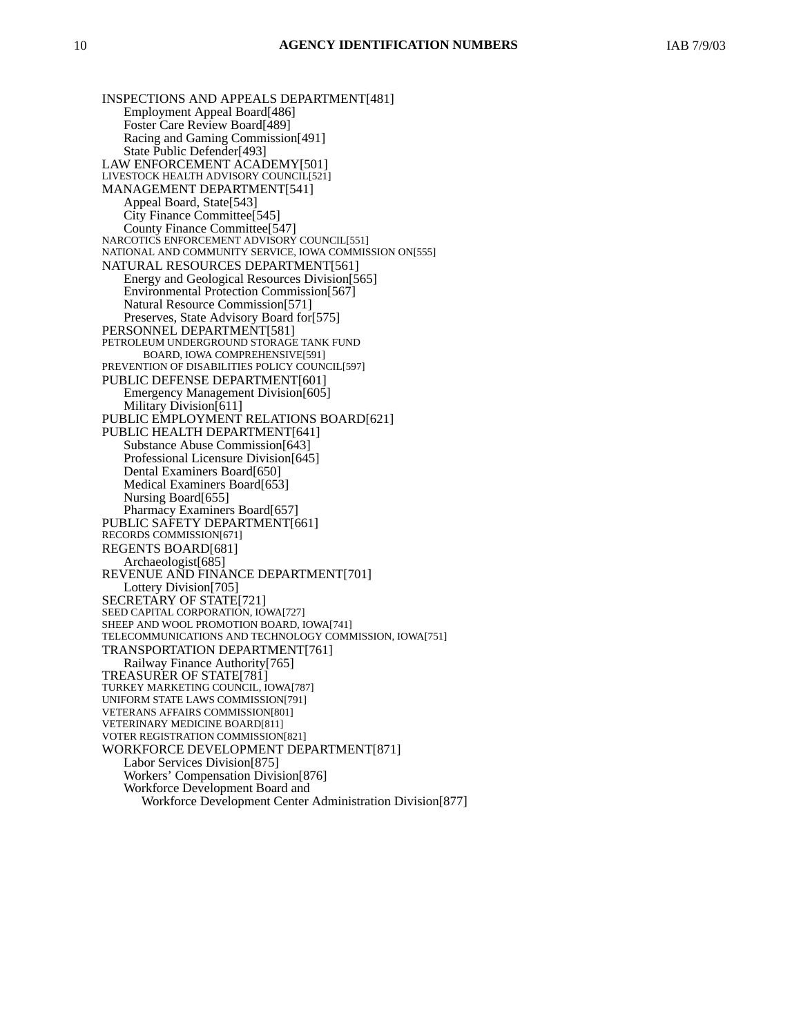INSPECTIONS AND APPEALS DEPARTMENT[481] Employment Appeal Board[486] Foster Care Review Board[489] Racing and Gaming Commission[491] State Public Defender[493] LAW ENFORCEMENT ACADEMY[501] LIVESTOCK HEALTH ADVISORY COUNCIL[521] MANAGEMENT DEPARTMENT[541] Appeal Board, State[543] City Finance Committee[545] County Finance Committee[547] NARCOTICS ENFORCEMENT ADVISORY COUNCIL[551] NATIONAL AND COMMUNITY SERVICE, IOWA COMMISSION ON[555] NATURAL RESOURCES DEPARTMENT[561] Energy and Geological Resources Division[565] Environmental Protection Commission[567] Natural Resource Commission[571] Preserves, State Advisory Board for[575] PERSONNEL DEPARTMENT[581] PETROLEUM UNDERGROUND STORAGE TANK FUND BOARD, IOWA COMPREHENSIVE[591] PREVENTION OF DISABILITIES POLICY COUNCIL[597] PUBLIC DEFENSE DEPARTMENT[601] Emergency Management Division[605] Military Division[611] PUBLIC EMPLOYMENT RELATIONS BOARD[621] PUBLIC HEALTH DEPARTMENT[641] Substance Abuse Commission[643] Professional Licensure Division[645] Dental Examiners Board[650] Medical Examiners Board[653] Nursing Board[655] Pharmacy Examiners Board[657] PUBLIC SAFETY DEPARTMENT[661] RECORDS COMMISSION[671] REGENTS BOARD[681] Archaeologist[685] REVENUE AND FINANCE DEPARTMENT[701] Lottery Division[705] SECRETARY OF STATE[721] SEED CAPITAL CORPORATION, IOWA[727] SHEEP AND WOOL PROMOTION BOARD, IOWA[741] TELECOMMUNICATIONS AND TECHNOLOGY COMMISSION, IOWA[751] TRANSPORTATION DEPARTMENT[761] Railway Finance Authority[765] TREASURER OF STATE[781] TURKEY MARKETING COUNCIL, IOWA[787] UNIFORM STATE LAWS COMMISSION[791] VETERANS AFFAIRS COMMISSION[801] VETERINARY MEDICINE BOARD[811] VOTER REGISTRATION COMMISSION[821] WORKFORCE DEVELOPMENT DEPARTMENT[871] Labor Services Division[875] Workers' Compensation Division[876] Workforce Development Board and Workforce Development Center Administration Division[877]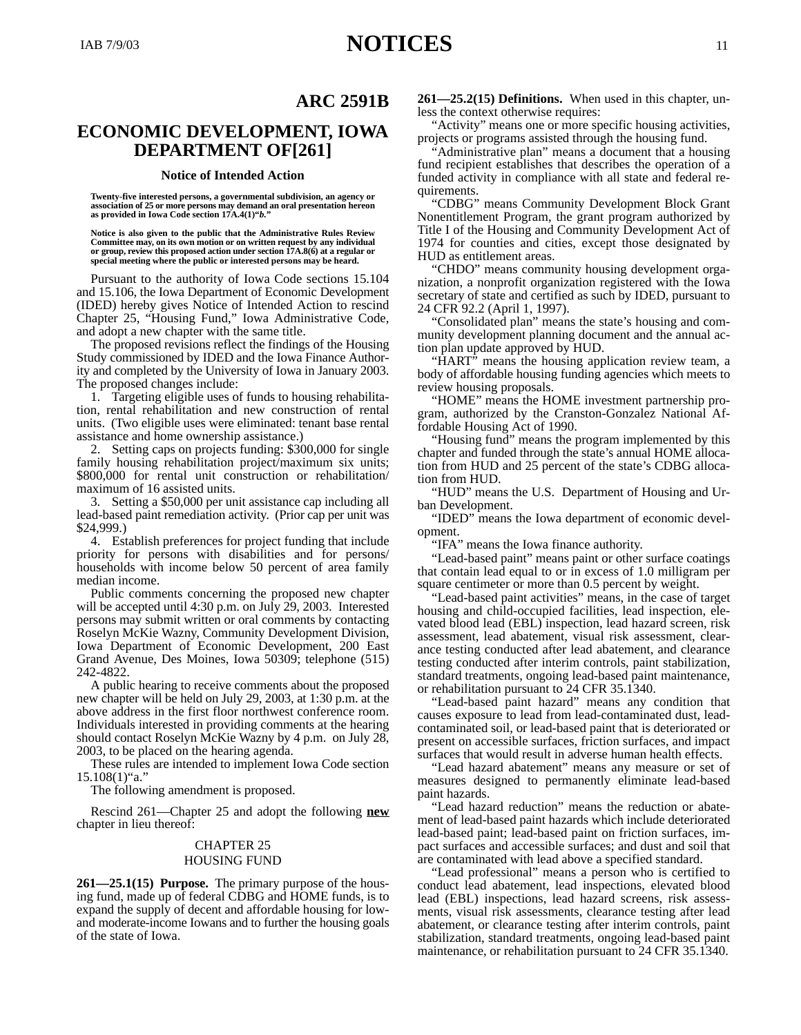#### **Notice of Intended Action**

**Twenty-five interested persons, a governmental subdivision, an agency or association of 25 or more persons may demand an oral presentation hereon as provided in Iowa Code section 17A.4(1)"***b.***"**

**Notice is also given to the public that the Administrative Rules Review Committee may, on its own motion or on written request by any individual or group, review this proposed action under section 17A.8(6) at a regular or special meeting where the public or interested persons may be heard.**

Pursuant to the authority of Iowa Code sections 15.104 and 15.106, the Iowa Department of Economic Development (IDED) hereby gives Notice of Intended Action to rescind Chapter 25, "Housing Fund," Iowa Administrative Code, and adopt a new chapter with the same title.

The proposed revisions reflect the findings of the Housing Study commissioned by IDED and the Iowa Finance Authority and completed by the University of Iowa in January 2003. The proposed changes include:

1. Targeting eligible uses of funds to housing rehabilitation, rental rehabilitation and new construction of rental units. (Two eligible uses were eliminated: tenant base rental assistance and home ownership assistance.)

2. Setting caps on projects funding: \$300,000 for single family housing rehabilitation project/maximum six units; \$800,000 for rental unit construction or rehabilitation/ maximum of 16 assisted units.

3. Setting a \$50,000 per unit assistance cap including all lead-based paint remediation activity. (Prior cap per unit was \$24,999.)

4. Establish preferences for project funding that include priority for persons with disabilities and for persons/ households with income below 50 percent of area family median income.

Public comments concerning the proposed new chapter will be accepted until 4:30 p.m. on July 29, 2003. Interested persons may submit written or oral comments by contacting Roselyn McKie Wazny, Community Development Division, Iowa Department of Economic Development, 200 East Grand Avenue, Des Moines, Iowa 50309; telephone (515) 242-4822.

A public hearing to receive comments about the proposed new chapter will be held on July 29, 2003, at 1:30 p.m. at the above address in the first floor northwest conference room. Individuals interested in providing comments at the hearing should contact Roselyn McKie Wazny by 4 p.m. on July 28, 2003, to be placed on the hearing agenda.

These rules are intended to implement Iowa Code section  $15.108(1)$ "a."

The following amendment is proposed.

Rescind 261—Chapter 25 and adopt the following **new** chapter in lieu thereof:

#### CHAPTER 25

#### HOUSING FUND

**261—25.1(15) Purpose.** The primary purpose of the housing fund, made up of federal CDBG and HOME funds, is to expand the supply of decent and affordable housing for lowand moderate-income Iowans and to further the housing goals of the state of Iowa.

**261—25.2(15) Definitions.** When used in this chapter, unless the context otherwise requires:

"Activity" means one or more specific housing activities, projects or programs assisted through the housing fund.

Administrative plan" means a document that a housing fund recipient establishes that describes the operation of a funded activity in compliance with all state and federal requirements.

"CDBG" means Community Development Block Grant Nonentitlement Program, the grant program authorized by Title I of the Housing and Community Development Act of 1974 for counties and cities, except those designated by HUD as entitlement areas.

"CHDO" means community housing development organization, a nonprofit organization registered with the Iowa secretary of state and certified as such by IDED, pursuant to 24 CFR 92.2 (April 1, 1997).

"Consolidated plan" means the state's housing and community development planning document and the annual action plan update approved by HUD.

"HART" means the housing application review team, a body of affordable housing funding agencies which meets to review housing proposals.

"HOME" means the HOME investment partnership program, authorized by the Cranston-Gonzalez National Affordable Housing Act of 1990.

"Housing fund" means the program implemented by this chapter and funded through the state's annual HOME allocation from HUD and 25 percent of the state's CDBG allocation from HUD.

"HUD" means the U.S. Department of Housing and Urban Development.

"IDED" means the Iowa department of economic development.

"IFA" means the Iowa finance authority.

"Lead-based paint" means paint or other surface coatings that contain lead equal to or in excess of 1.0 milligram per square centimeter or more than 0.5 percent by weight.

"Lead-based paint activities" means, in the case of target housing and child-occupied facilities, lead inspection, elevated blood lead (EBL) inspection, lead hazard screen, risk assessment, lead abatement, visual risk assessment, clearance testing conducted after lead abatement, and clearance testing conducted after interim controls, paint stabilization, standard treatments, ongoing lead-based paint maintenance, or rehabilitation pursuant to 24 CFR 35.1340.

"Lead-based paint hazard" means any condition that causes exposure to lead from lead-contaminated dust, leadcontaminated soil, or lead-based paint that is deteriorated or present on accessible surfaces, friction surfaces, and impact surfaces that would result in adverse human health effects.

"Lead hazard abatement" means any measure or set of measures designed to permanently eliminate lead-based paint hazards.

"Lead hazard reduction" means the reduction or abatement of lead-based paint hazards which include deteriorated lead-based paint; lead-based paint on friction surfaces, impact surfaces and accessible surfaces; and dust and soil that are contaminated with lead above a specified standard.

"Lead professional" means a person who is certified to conduct lead abatement, lead inspections, elevated blood lead (EBL) inspections, lead hazard screens, risk assessments, visual risk assessments, clearance testing after lead abatement, or clearance testing after interim controls, paint stabilization, standard treatments, ongoing lead-based paint maintenance, or rehabilitation pursuant to 24 CFR 35.1340.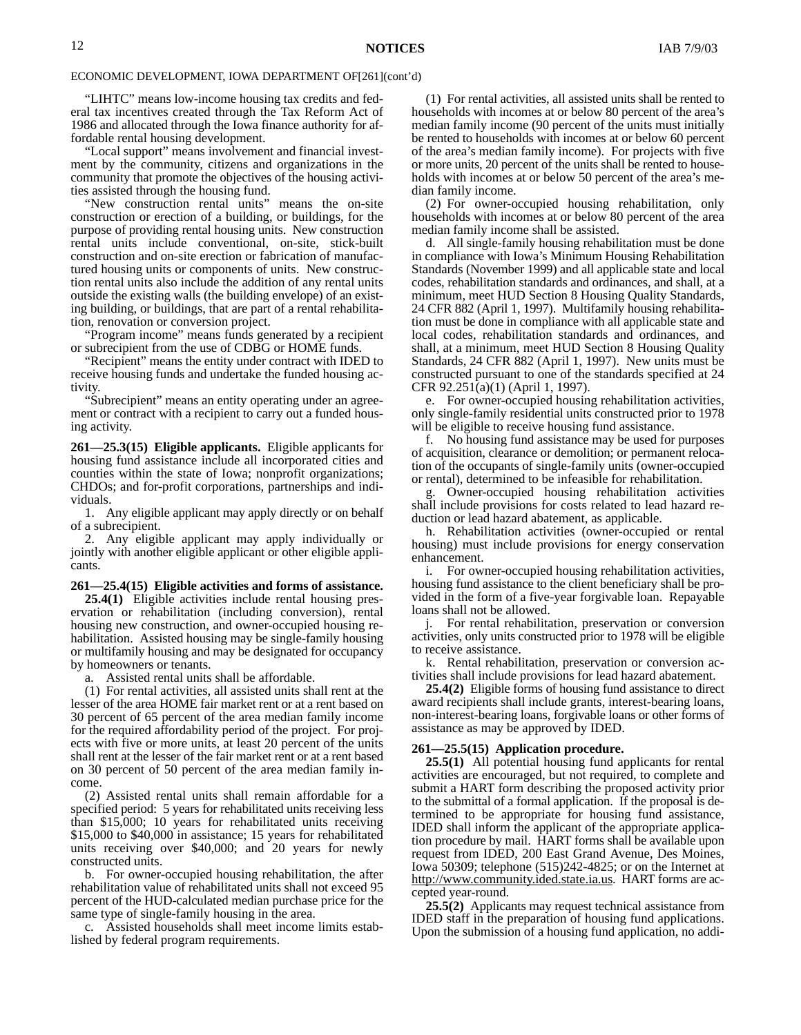"LIHTC" means low-income housing tax credits and federal tax incentives created through the Tax Reform Act of 1986 and allocated through the Iowa finance authority for affordable rental housing development.

"Local support" means involvement and financial investment by the community, citizens and organizations in the community that promote the objectives of the housing activities assisted through the housing fund.

"New construction rental units" means the on-site construction or erection of a building, or buildings, for the purpose of providing rental housing units. New construction rental units include conventional, on-site, stick-built construction and on-site erection or fabrication of manufactured housing units or components of units. New construction rental units also include the addition of any rental units outside the existing walls (the building envelope) of an existing building, or buildings, that are part of a rental rehabilitation, renovation or conversion project.

"Program income" means funds generated by a recipient or subrecipient from the use of CDBG or HOME funds.

"Recipient" means the entity under contract with IDED to receive housing funds and undertake the funded housing activity.

"Subrecipient" means an entity operating under an agreement or contract with a recipient to carry out a funded housing activity.

**261—25.3(15) Eligible applicants.** Eligible applicants for housing fund assistance include all incorporated cities and counties within the state of Iowa; nonprofit organizations; CHDOs; and for-profit corporations, partnerships and individuals.

1. Any eligible applicant may apply directly or on behalf of a subrecipient.

2. Any eligible applicant may apply individually or jointly with another eligible applicant or other eligible applicants.

**261—25.4(15) Eligible activities and forms of assistance.**

**25.4(1)** Eligible activities include rental housing preservation or rehabilitation (including conversion), rental housing new construction, and owner-occupied housing rehabilitation. Assisted housing may be single-family housing or multifamily housing and may be designated for occupancy by homeowners or tenants.

a. Assisted rental units shall be affordable.

(1) For rental activities, all assisted units shall rent at the lesser of the area HOME fair market rent or at a rent based on 30 percent of 65 percent of the area median family income for the required affordability period of the project. For projects with five or more units, at least 20 percent of the units shall rent at the lesser of the fair market rent or at a rent based on 30 percent of 50 percent of the area median family income.

(2) Assisted rental units shall remain affordable for a specified period: 5 years for rehabilitated units receiving less than \$15,000; 10 years for rehabilitated units receiving \$15,000 to \$40,000 in assistance; 15 years for rehabilitated units receiving over \$40,000; and 20 years for newly constructed units.

b. For owner-occupied housing rehabilitation, the after rehabilitation value of rehabilitated units shall not exceed 95 percent of the HUD-calculated median purchase price for the same type of single-family housing in the area.

c. Assisted households shall meet income limits established by federal program requirements.

(1) For rental activities, all assisted units shall be rented to households with incomes at or below 80 percent of the area's median family income (90 percent of the units must initially be rented to households with incomes at or below 60 percent of the area's median family income). For projects with five or more units, 20 percent of the units shall be rented to households with incomes at or below 50 percent of the area's median family income.

(2) For owner-occupied housing rehabilitation, only households with incomes at or below 80 percent of the area median family income shall be assisted.

d. All single-family housing rehabilitation must be done in compliance with Iowa's Minimum Housing Rehabilitation Standards (November 1999) and all applicable state and local codes, rehabilitation standards and ordinances, and shall, at a minimum, meet HUD Section 8 Housing Quality Standards, 24 CFR 882 (April 1, 1997). Multifamily housing rehabilitation must be done in compliance with all applicable state and local codes, rehabilitation standards and ordinances, and shall, at a minimum, meet HUD Section 8 Housing Quality Standards, 24 CFR 882 (April 1, 1997). New units must be constructed pursuant to one of the standards specified at 24 CFR 92.251(a)(1) (April 1, 1997).

e. For owner-occupied housing rehabilitation activities, only single-family residential units constructed prior to 1978 will be eligible to receive housing fund assistance.

f. No housing fund assistance may be used for purposes of acquisition, clearance or demolition; or permanent relocation of the occupants of single-family units (owner-occupied or rental), determined to be infeasible for rehabilitation.

g. Owner-occupied housing rehabilitation activities shall include provisions for costs related to lead hazard reduction or lead hazard abatement, as applicable.

h. Rehabilitation activities (owner-occupied or rental housing) must include provisions for energy conservation enhancement.

i. For owner-occupied housing rehabilitation activities, housing fund assistance to the client beneficiary shall be provided in the form of a five-year forgivable loan. Repayable loans shall not be allowed.

For rental rehabilitation, preservation or conversion activities, only units constructed prior to 1978 will be eligible to receive assistance.

k. Rental rehabilitation, preservation or conversion activities shall include provisions for lead hazard abatement.

**25.4(2)** Eligible forms of housing fund assistance to direct award recipients shall include grants, interest-bearing loans, non-interest-bearing loans, forgivable loans or other forms of assistance as may be approved by IDED.

#### **261—25.5(15) Application procedure.**

**25.5(1)** All potential housing fund applicants for rental activities are encouraged, but not required, to complete and submit a HART form describing the proposed activity prior to the submittal of a formal application. If the proposal is determined to be appropriate for housing fund assistance, IDED shall inform the applicant of the appropriate application procedure by mail. HART forms shall be available upon request from IDED, 200 East Grand Avenue, Des Moines, Iowa 50309; telephone (515)242-4825; or on the Internet at http://www.community.ided.state.ia.us. HART forms are accepted year-round.

**25.5(2)** Applicants may request technical assistance from IDED staff in the preparation of housing fund applications. Upon the submission of a housing fund application, no addi-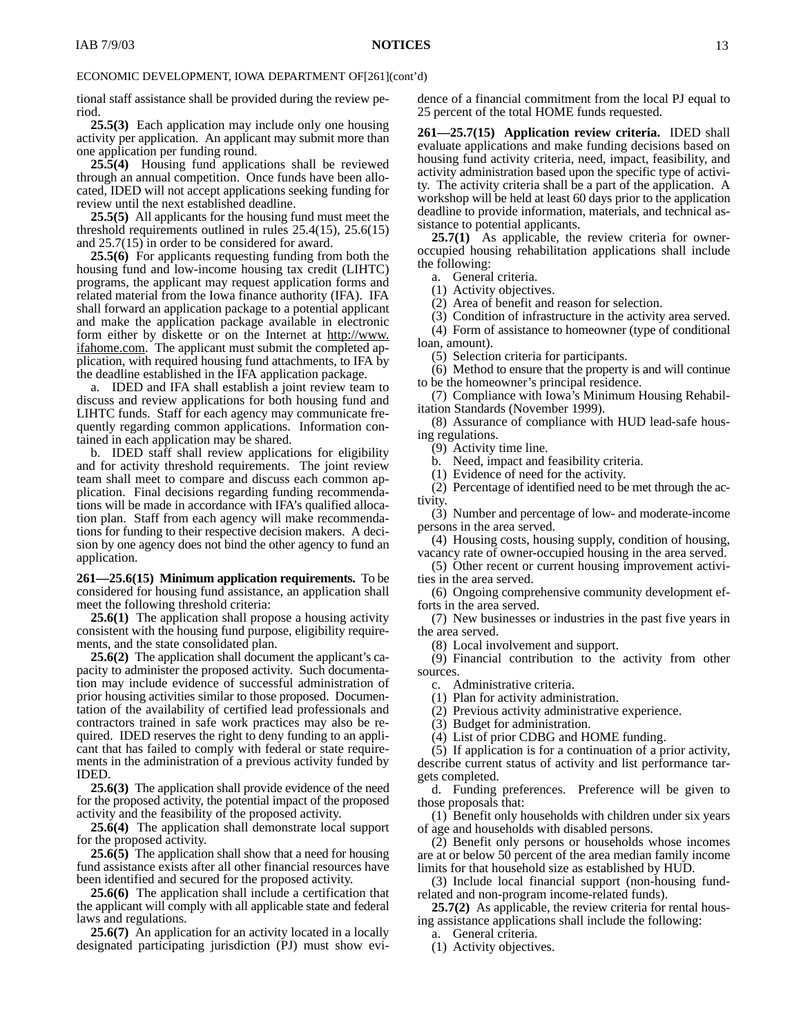tional staff assistance shall be provided during the review period.

**25.5(3)** Each application may include only one housing activity per application. An applicant may submit more than one application per funding round.

**25.5(4)** Housing fund applications shall be reviewed through an annual competition. Once funds have been allocated, IDED will not accept applications seeking funding for review until the next established deadline.

**25.5(5)** All applicants for the housing fund must meet the threshold requirements outlined in rules 25.4(15), 25.6(15) and 25.7(15) in order to be considered for award.

**25.5(6)** For applicants requesting funding from both the housing fund and low-income housing tax credit (LIHTC) programs, the applicant may request application forms and related material from the Iowa finance authority (IFA). IFA shall forward an application package to a potential applicant and make the application package available in electronic form either by diskette or on the Internet at http://www. ifahome.com. The applicant must submit the completed application, with required housing fund attachments, to IFA by the deadline established in the IFA application package.

a. IDED and IFA shall establish a joint review team to discuss and review applications for both housing fund and LIHTC funds. Staff for each agency may communicate frequently regarding common applications. Information contained in each application may be shared.

b. IDED staff shall review applications for eligibility and for activity threshold requirements. The joint review team shall meet to compare and discuss each common application. Final decisions regarding funding recommendations will be made in accordance with IFA's qualified allocation plan. Staff from each agency will make recommendations for funding to their respective decision makers. A decision by one agency does not bind the other agency to fund an application.

**261—25.6(15) Minimum application requirements.** To be considered for housing fund assistance, an application shall meet the following threshold criteria:

**25.6(1)** The application shall propose a housing activity consistent with the housing fund purpose, eligibility requirements, and the state consolidated plan.

**25.6(2)** The application shall document the applicant's capacity to administer the proposed activity. Such documentation may include evidence of successful administration of prior housing activities similar to those proposed. Documentation of the availability of certified lead professionals and contractors trained in safe work practices may also be required. IDED reserves the right to deny funding to an applicant that has failed to comply with federal or state requirements in the administration of a previous activity funded by IDED.

**25.6(3)** The application shall provide evidence of the need for the proposed activity, the potential impact of the proposed activity and the feasibility of the proposed activity.

**25.6(4)** The application shall demonstrate local support for the proposed activity.

**25.6(5)** The application shall show that a need for housing fund assistance exists after all other financial resources have been identified and secured for the proposed activity.

**25.6(6)** The application shall include a certification that the applicant will comply with all applicable state and federal laws and regulations.

**25.6(7)** An application for an activity located in a locally designated participating jurisdiction (PJ) must show evidence of a financial commitment from the local PJ equal to 25 percent of the total HOME funds requested.

**261—25.7(15) Application review criteria.** IDED shall evaluate applications and make funding decisions based on housing fund activity criteria, need, impact, feasibility, and activity administration based upon the specific type of activity. The activity criteria shall be a part of the application. A workshop will be held at least 60 days prior to the application deadline to provide information, materials, and technical assistance to potential applicants.

**25.7(1)** As applicable, the review criteria for owneroccupied housing rehabilitation applications shall include the following:

a. General criteria.

(1) Activity objectives.

(2) Area of benefit and reason for selection.

(3) Condition of infrastructure in the activity area served. (4) Form of assistance to homeowner (type of conditional

loan, amount).

(5) Selection criteria for participants.

(6) Method to ensure that the property is and will continue to be the homeowner's principal residence.

(7) Compliance with Iowa's Minimum Housing Rehabilitation Standards (November 1999).

(8) Assurance of compliance with HUD lead-safe housing regulations.

(9) Activity time line.

b. Need, impact and feasibility criteria.

(1) Evidence of need for the activity.

(2) Percentage of identified need to be met through the activity.

(3) Number and percentage of low- and moderate-income persons in the area served.

(4) Housing costs, housing supply, condition of housing, vacancy rate of owner-occupied housing in the area served.

(5) Other recent or current housing improvement activities in the area served.

(6) Ongoing comprehensive community development efforts in the area served.

(7) New businesses or industries in the past five years in the area served.

(8) Local involvement and support.

(9) Financial contribution to the activity from other sources.

c. Administrative criteria.

(1) Plan for activity administration.

(2) Previous activity administrative experience.

(3) Budget for administration.

(4) List of prior CDBG and HOME funding.

(5) If application is for a continuation of a prior activity, describe current status of activity and list performance targets completed.

d. Funding preferences. Preference will be given to those proposals that:

(1) Benefit only households with children under six years of age and households with disabled persons.

(2) Benefit only persons or households whose incomes are at or below 50 percent of the area median family income limits for that household size as established by HUD.

(3) Include local financial support (non-housing fundrelated and non-program income-related funds).

**25.7(2)** As applicable, the review criteria for rental housing assistance applications shall include the following:

a. General criteria.

(1) Activity objectives.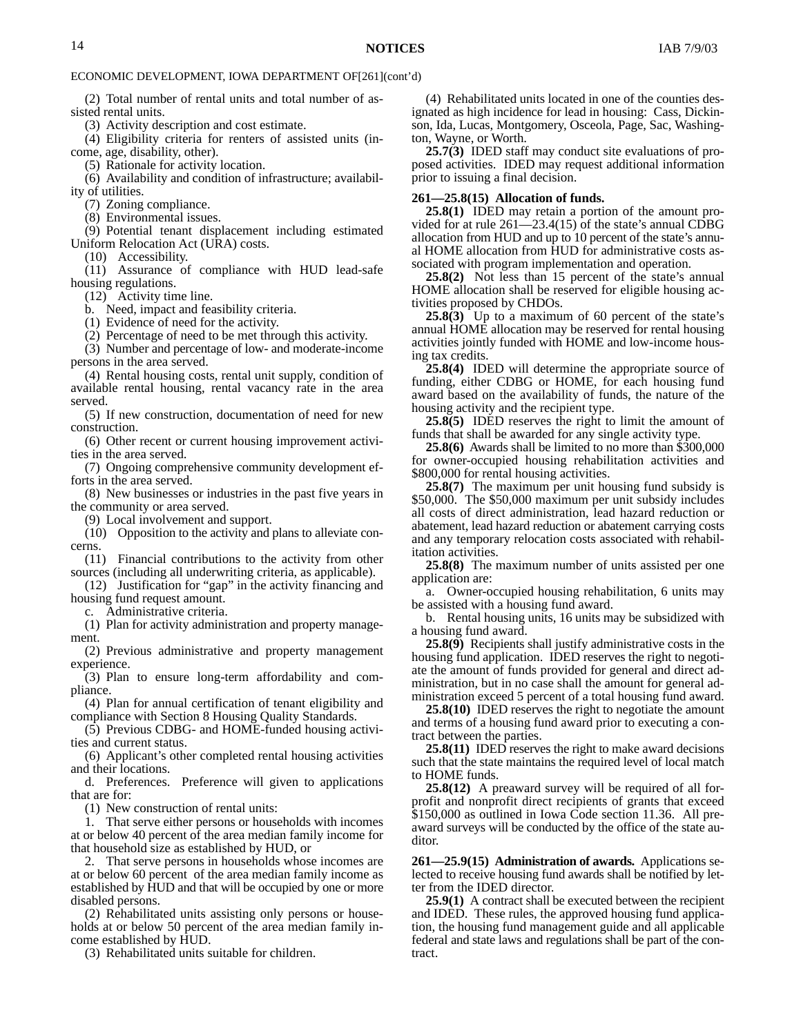(2) Total number of rental units and total number of assisted rental units.

(3) Activity description and cost estimate.

(4) Eligibility criteria for renters of assisted units (income, age, disability, other).

(5) Rationale for activity location.

(6) Availability and condition of infrastructure; availability of utilities.

(7) Zoning compliance.

(8) Environmental issues.

(9) Potential tenant displacement including estimated Uniform Relocation Act (URA) costs.

(10) Accessibility.

(11) Assurance of compliance with HUD lead-safe housing regulations.

(12) Activity time line.

b. Need, impact and feasibility criteria.

(1) Evidence of need for the activity.

(2) Percentage of need to be met through this activity.

(3) Number and percentage of low- and moderate-income persons in the area served.

(4) Rental housing costs, rental unit supply, condition of available rental housing, rental vacancy rate in the area served.

(5) If new construction, documentation of need for new construction.

(6) Other recent or current housing improvement activities in the area served.

(7) Ongoing comprehensive community development efforts in the area served.

(8) New businesses or industries in the past five years in the community or area served.

(9) Local involvement and support.

(10) Opposition to the activity and plans to alleviate concerns.

(11) Financial contributions to the activity from other sources (including all underwriting criteria, as applicable).

(12) Justification for "gap" in the activity financing and housing fund request amount.

c. Administrative criteria.

(1) Plan for activity administration and property management.

(2) Previous administrative and property management experience.

(3) Plan to ensure long-term affordability and compliance.

(4) Plan for annual certification of tenant eligibility and compliance with Section 8 Housing Quality Standards.

(5) Previous CDBG- and HOME-funded housing activities and current status.

(6) Applicant's other completed rental housing activities and their locations.

d. Preferences. Preference will given to applications that are for:

(1) New construction of rental units:

1. That serve either persons or households with incomes at or below 40 percent of the area median family income for that household size as established by HUD, or

2. That serve persons in households whose incomes are at or below 60 percent of the area median family income as established by HUD and that will be occupied by one or more disabled persons.

(2) Rehabilitated units assisting only persons or households at or below 50 percent of the area median family income established by HUD.

(3) Rehabilitated units suitable for children.

(4) Rehabilitated units located in one of the counties designated as high incidence for lead in housing: Cass, Dickinson, Ida, Lucas, Montgomery, Osceola, Page, Sac, Washington, Wayne, or Worth.

**25.7(3)** IDED staff may conduct site evaluations of proposed activities. IDED may request additional information prior to issuing a final decision.

#### **261—25.8(15) Allocation of funds.**

**25.8(1)** IDED may retain a portion of the amount provided for at rule 261—23.4(15) of the state's annual CDBG allocation from HUD and up to 10 percent of the state's annual HOME allocation from HUD for administrative costs associated with program implementation and operation.

**25.8(2)** Not less than 15 percent of the state's annual HOME allocation shall be reserved for eligible housing activities proposed by CHDOs.

**25.8(3)** Up to a maximum of 60 percent of the state's annual HOME allocation may be reserved for rental housing activities jointly funded with HOME and low-income housing tax credits.

**25.8(4)** IDED will determine the appropriate source of funding, either CDBG or HOME, for each housing fund award based on the availability of funds, the nature of the housing activity and the recipient type.

**25.8(5)** IDED reserves the right to limit the amount of funds that shall be awarded for any single activity type.

**25.8(6)** Awards shall be limited to no more than \$300,000 for owner-occupied housing rehabilitation activities and \$800,000 for rental housing activities.

**25.8(7)** The maximum per unit housing fund subsidy is \$50,000. The \$50,000 maximum per unit subsidy includes all costs of direct administration, lead hazard reduction or abatement, lead hazard reduction or abatement carrying costs and any temporary relocation costs associated with rehabilitation activities.

**25.8(8)** The maximum number of units assisted per one application are:

a. Owner-occupied housing rehabilitation, 6 units may be assisted with a housing fund award.

b. Rental housing units, 16 units may be subsidized with a housing fund award.

**25.8(9)** Recipients shall justify administrative costs in the housing fund application. IDED reserves the right to negotiate the amount of funds provided for general and direct administration, but in no case shall the amount for general administration exceed 5 percent of a total housing fund award.

**25.8(10)** IDED reserves the right to negotiate the amount and terms of a housing fund award prior to executing a contract between the parties.

**25.8(11)** IDED reserves the right to make award decisions such that the state maintains the required level of local match to HOME funds.

**25.8(12)** A preaward survey will be required of all forprofit and nonprofit direct recipients of grants that exceed \$150,000 as outlined in Iowa Code section 11.36. All preaward surveys will be conducted by the office of the state auditor.

**261—25.9(15) Administration of awards.** Applications selected to receive housing fund awards shall be notified by letter from the IDED director.

**25.9(1)** A contract shall be executed between the recipient and IDED. These rules, the approved housing fund application, the housing fund management guide and all applicable federal and state laws and regulations shall be part of the contract.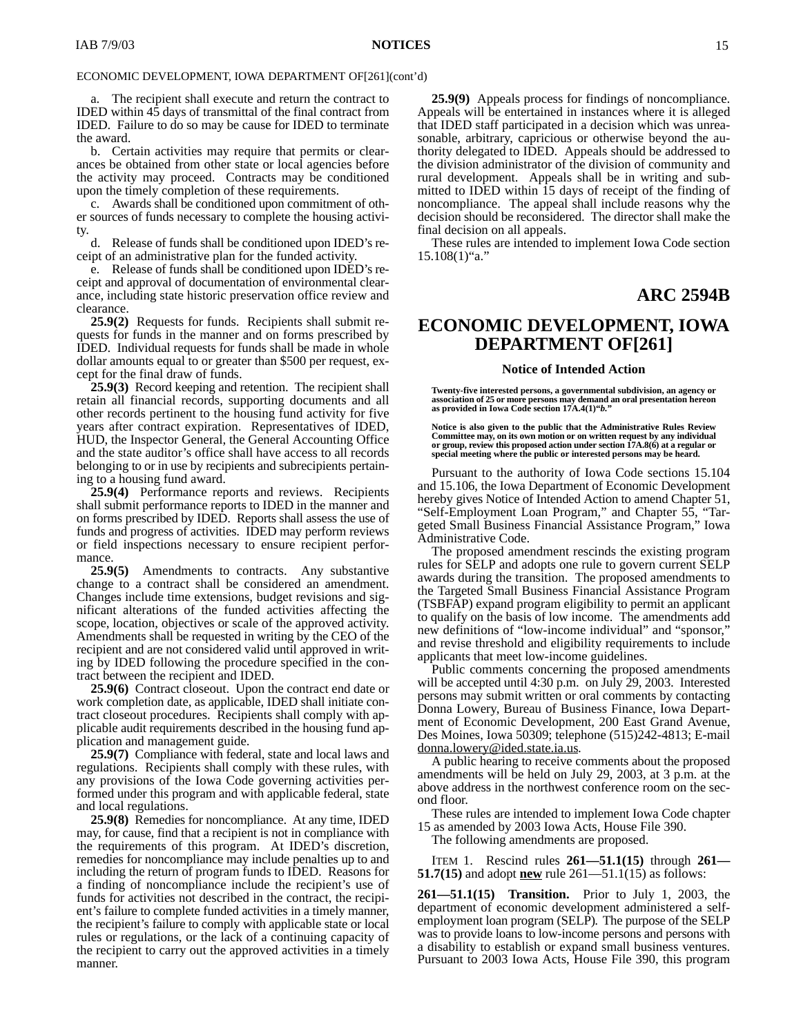a. The recipient shall execute and return the contract to IDED within 45 days of transmittal of the final contract from IDED. Failure to do so may be cause for IDED to terminate the award.

b. Certain activities may require that permits or clearances be obtained from other state or local agencies before the activity may proceed. Contracts may be conditioned upon the timely completion of these requirements.

c. Awards shall be conditioned upon commitment of other sources of funds necessary to complete the housing activity.

Release of funds shall be conditioned upon IDED's receipt of an administrative plan for the funded activity.

e. Release of funds shall be conditioned upon IDED's receipt and approval of documentation of environmental clearance, including state historic preservation office review and clearance.

**25.9(2)** Requests for funds. Recipients shall submit requests for funds in the manner and on forms prescribed by IDED. Individual requests for funds shall be made in whole dollar amounts equal to or greater than \$500 per request, except for the final draw of funds.

**25.9(3)** Record keeping and retention. The recipient shall retain all financial records, supporting documents and all other records pertinent to the housing fund activity for five years after contract expiration. Representatives of IDED, HUD, the Inspector General, the General Accounting Office and the state auditor's office shall have access to all records belonging to or in use by recipients and subrecipients pertaining to a housing fund award.

**25.9(4)** Performance reports and reviews. Recipients shall submit performance reports to IDED in the manner and on forms prescribed by IDED. Reports shall assess the use of funds and progress of activities. IDED may perform reviews or field inspections necessary to ensure recipient performance.

**25.9(5)** Amendments to contracts. Any substantive change to a contract shall be considered an amendment. Changes include time extensions, budget revisions and significant alterations of the funded activities affecting the scope, location, objectives or scale of the approved activity. Amendments shall be requested in writing by the CEO of the recipient and are not considered valid until approved in writing by IDED following the procedure specified in the contract between the recipient and IDED.

**25.9(6)** Contract closeout. Upon the contract end date or work completion date, as applicable, IDED shall initiate contract closeout procedures. Recipients shall comply with applicable audit requirements described in the housing fund application and management guide.

**25.9(7)** Compliance with federal, state and local laws and regulations. Recipients shall comply with these rules, with any provisions of the Iowa Code governing activities performed under this program and with applicable federal, state and local regulations.

**25.9(8)** Remedies for noncompliance. At any time, IDED may, for cause, find that a recipient is not in compliance with the requirements of this program. At IDED's discretion, remedies for noncompliance may include penalties up to and including the return of program funds to IDED. Reasons for a finding of noncompliance include the recipient's use of funds for activities not described in the contract, the recipient's failure to complete funded activities in a timely manner, the recipient's failure to comply with applicable state or local rules or regulations, or the lack of a continuing capacity of the recipient to carry out the approved activities in a timely manner.

**25.9(9)** Appeals process for findings of noncompliance. Appeals will be entertained in instances where it is alleged that IDED staff participated in a decision which was unreasonable, arbitrary, capricious or otherwise beyond the authority delegated to IDED. Appeals should be addressed to the division administrator of the division of community and rural development. Appeals shall be in writing and submitted to IDED within 15 days of receipt of the finding of noncompliance. The appeal shall include reasons why the decision should be reconsidered. The director shall make the final decision on all appeals.

These rules are intended to implement Iowa Code section  $15.108(1)$ "a."

#### **ARC 2594B**

#### **ECONOMIC DEVELOPMENT, IOWA DEPARTMENT OF[261]**

#### **Notice of Intended Action**

**Twenty-five interested persons, a governmental subdivision, an agency or association of 25 or more persons may demand an oral presentation hereon as provided in Iowa Code section 17A.4(1)"***b.***"**

**Notice is also given to the public that the Administrative Rules Review Committee may, on its own motion or on written request by any individual or group, review this proposed action under section 17A.8(6) at a regular or special meeting where the public or interested persons may be heard.**

Pursuant to the authority of Iowa Code sections 15.104 and 15.106, the Iowa Department of Economic Development hereby gives Notice of Intended Action to amend Chapter 51, "Self-Employment Loan Program," and Chapter 55, "Targeted Small Business Financial Assistance Program," Iowa Administrative Code.

The proposed amendment rescinds the existing program rules for SELP and adopts one rule to govern current SELP awards during the transition. The proposed amendments to the Targeted Small Business Financial Assistance Program (TSBFAP) expand program eligibility to permit an applicant to qualify on the basis of low income. The amendments add new definitions of "low-income individual" and "sponsor," and revise threshold and eligibility requirements to include applicants that meet low-income guidelines.

Public comments concerning the proposed amendments will be accepted until 4:30 p.m. on July 29, 2003. Interested persons may submit written or oral comments by contacting Donna Lowery, Bureau of Business Finance, Iowa Department of Economic Development, 200 East Grand Avenue, Des Moines, Iowa 50309; telephone (515)242-4813; E-mail donna.lowery@ided.state.ia.us.

A public hearing to receive comments about the proposed amendments will be held on July 29, 2003, at 3 p.m. at the above address in the northwest conference room on the second floor.

These rules are intended to implement Iowa Code chapter 15 as amended by 2003 Iowa Acts, House File 390.

The following amendments are proposed.

ITEM 1. Rescind rules **261—51.1(15)** through **261— 51.7(15)** and adopt **new** rule 261—51.1(15) as follows:

**261—51.1(15) Transition.** Prior to July 1, 2003, the department of economic development administered a selfemployment loan program (SELP)*.* The purpose of the SELP was to provide loans to low-income persons and persons with a disability to establish or expand small business ventures. Pursuant to 2003 Iowa Acts, House File 390, this program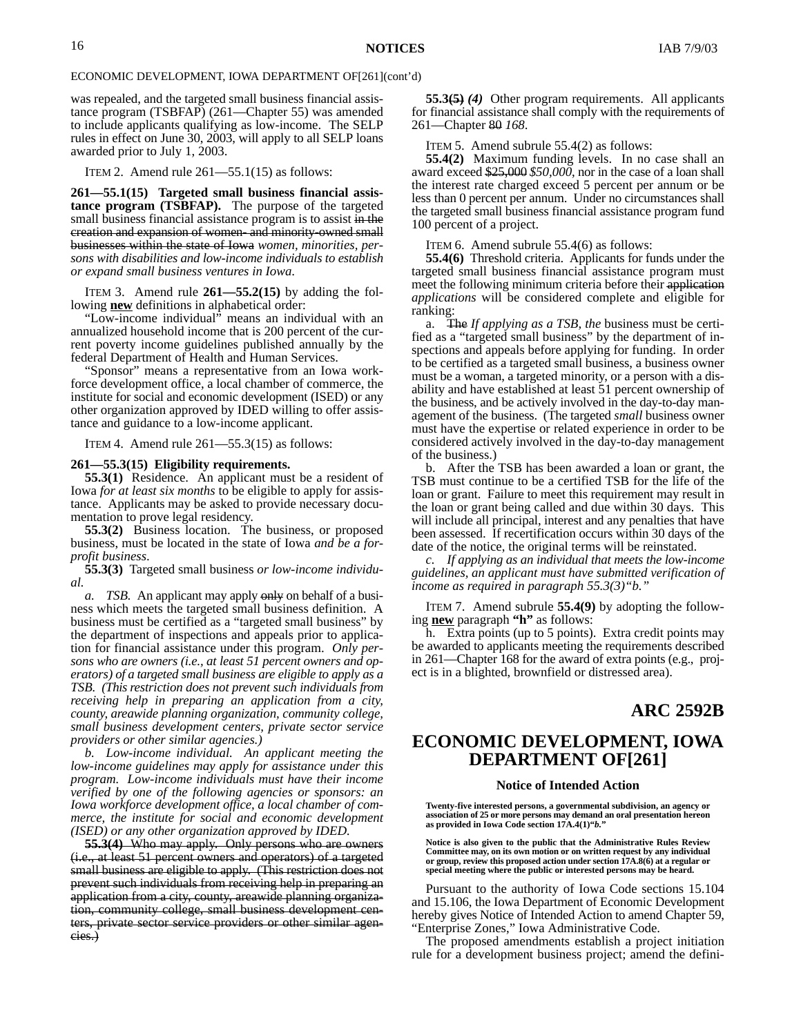was repealed, and the targeted small business financial assistance program (TSBFAP) (261—Chapter 55) was amended to include applicants qualifying as low-income. The SELP rules in effect on June 30, 2003, will apply to all SELP loans awarded prior to July 1, 2003.

ITEM 2. Amend rule  $261 - 55.1(15)$  as follows:

**261—55.1(15) Targeted small business financial assistance program (TSBFAP).** The purpose of the targeted small business financial assistance program is to assist in the creation and expansion of women- and minority-owned small businesses within the state of Iowa *women, minorities, persons with disabilities and low-income individuals to establish or expand small business ventures in Iowa*.

ITEM 3. Amend rule **261—55.2(15)** by adding the following **new** definitions in alphabetical order:

"Low-income individual" means an individual with an annualized household income that is 200 percent of the current poverty income guidelines published annually by the federal Department of Health and Human Services.

"Sponsor" means a representative from an Iowa workforce development office, a local chamber of commerce, the institute for social and economic development (ISED) or any other organization approved by IDED willing to offer assistance and guidance to a low-income applicant.

ITEM 4. Amend rule  $261 - 55.3(15)$  as follows:

#### **261—55.3(15) Eligibility requirements.**

**55.3(1)** Residence. An applicant must be a resident of Iowa *for at least six months* to be eligible to apply for assistance. Applicants may be asked to provide necessary documentation to prove legal residency.

**55.3(2)** Business location. The business, or proposed business, must be located in the state of Iowa *and be a forprofit business*.

**55.3(3)** Targeted small business *or low-income individual.*

*a. TSB.* An applicant may apply only on behalf of a business which meets the targeted small business definition. A business must be certified as a "targeted small business" by the department of inspections and appeals prior to application for financial assistance under this program. *Only persons who are owners (i.e., at least 51 percent owners and operators) of a targeted small business are eligible to apply as a TSB. (This restriction does not prevent such individuals from receiving help in preparing an application from a city, county, areawide planning organization, community college, small business development centers, private sector service providers or other similar agencies.)*

*b. Low-income individual. An applicant meeting the low-income guidelines may apply for assistance under this program. Low-income individuals must have their income verified by one of the following agencies or sponsors: an Iowa workforce development office, a local chamber of commerce, the institute for social and economic development (ISED) or any other organization approved by IDED.*

**55.3(4)** Who may apply. Only persons who are owners (i.e., at least 51 percent owners and operators) of a targeted small business are eligible to apply. (This restriction does not prevent such individuals from receiving help in preparing an application from a city, county, areawide planning organization, community college, small business development centers, private sector service providers or other similar agencies.)

**55.3(5)** *(4)* Other program requirements. All applicants for financial assistance shall comply with the requirements of 261—Chapter 80 *168*.

ITEM 5. Amend subrule 55.4(2) as follows:

**55.4(2)** Maximum funding levels. In no case shall an award exceed \$25,000 *\$50,000*, nor in the case of a loan shall the interest rate charged exceed 5 percent per annum or be less than 0 percent per annum. Under no circumstances shall the targeted small business financial assistance program fund 100 percent of a project.

ITEM 6. Amend subrule 55.4(6) as follows:

**55.4(6)** Threshold criteria. Applicants for funds under the targeted small business financial assistance program must meet the following minimum criteria before their application *applications* will be considered complete and eligible for ranking:

a. The *If applying as a TSB, the* business must be certified as a "targeted small business" by the department of inspections and appeals before applying for funding. In order to be certified as a targeted small business, a business owner must be a woman, a targeted minority, or a person with a disability and have established at least 51 percent ownership of the business, and be actively involved in the day-to-day management of the business. (The targeted *small* business owner must have the expertise or related experience in order to be considered actively involved in the day-to-day management of the business.)

b. After the TSB has been awarded a loan or grant, the TSB must continue to be a certified TSB for the life of the loan or grant. Failure to meet this requirement may result in the loan or grant being called and due within 30 days. This will include all principal, interest and any penalties that have been assessed. If recertification occurs within 30 days of the date of the notice, the original terms will be reinstated.

*c. If applying as an individual that meets the low-income guidelines, an applicant must have submitted verification of income as required in paragraph 55.3(3)"b."*

ITEM 7. Amend subrule **55.4(9)** by adopting the following **new** paragraph **"h"** as follows:

h. Extra points (up to 5 points). Extra credit points may be awarded to applicants meeting the requirements described in 261—Chapter 168 for the award of extra points (e.g., project is in a blighted, brownfield or distressed area).

#### **ARC 2592B**

#### **ECONOMIC DEVELOPMENT, IOWA DEPARTMENT OF[261]**

#### **Notice of Intended Action**

**Twenty-five interested persons, a governmental subdivision, an agency or association of 25 or more persons may demand an oral presentation hereon as provided in Iowa Code section 17A.4(1)"***b.***"**

**Notice is also given to the public that the Administrative Rules Review Committee may, on its own motion or on written request by any individual or group, review this proposed action under section 17A.8(6) at a regular or special meeting where the public or interested persons may be heard.**

Pursuant to the authority of Iowa Code sections 15.104 and 15.106, the Iowa Department of Economic Development hereby gives Notice of Intended Action to amend Chapter 59, "Enterprise Zones," Iowa Administrative Code.

The proposed amendments establish a project initiation rule for a development business project; amend the defini-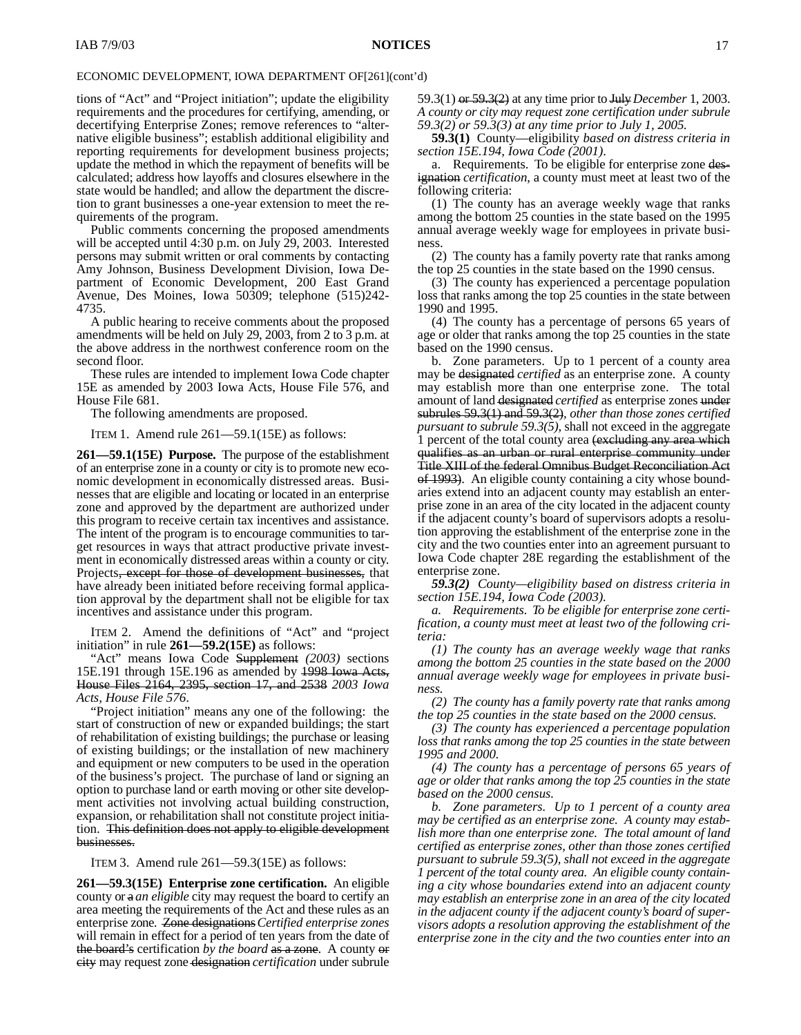tions of "Act" and "Project initiation"; update the eligibility requirements and the procedures for certifying, amending, or decertifying Enterprise Zones; remove references to "alternative eligible business"; establish additional eligibility and reporting requirements for development business projects; update the method in which the repayment of benefits will be calculated; address how layoffs and closures elsewhere in the state would be handled; and allow the department the discretion to grant businesses a one-year extension to meet the requirements of the program.

Public comments concerning the proposed amendments will be accepted until 4:30 p.m. on July 29, 2003. Interested persons may submit written or oral comments by contacting Amy Johnson, Business Development Division, Iowa Department of Economic Development, 200 East Grand Avenue, Des Moines, Iowa 50309; telephone (515)242- 4735.

A public hearing to receive comments about the proposed amendments will be held on July 29, 2003, from 2 to 3 p.m. at the above address in the northwest conference room on the second floor.

These rules are intended to implement Iowa Code chapter 15E as amended by 2003 Iowa Acts, House File 576, and House File 681.

The following amendments are proposed.

ITEM 1. Amend rule 261—59.1(15E) as follows:

**261—59.1(15E) Purpose.** The purpose of the establishment of an enterprise zone in a county or city is to promote new economic development in economically distressed areas. Businesses that are eligible and locating or located in an enterprise zone and approved by the department are authorized under this program to receive certain tax incentives and assistance. The intent of the program is to encourage communities to target resources in ways that attract productive private investment in economically distressed areas within a county or city. Projects, except for those of development businesses, that have already been initiated before receiving formal application approval by the department shall not be eligible for tax incentives and assistance under this program.

ITEM 2. Amend the definitions of "Act" and "project initiation" in rule **261—59.2(15E)** as follows:

"Act" means Iowa Code Supplement *(2003)* sections 15E.191 through 15E.196 as amended by 1998 Iowa Acts, House Files 2164, 2395, section 17, and 2538 *2003 Iowa Acts, House File 576*.

"Project initiation" means any one of the following: the start of construction of new or expanded buildings; the start of rehabilitation of existing buildings; the purchase or leasing of existing buildings; or the installation of new machinery and equipment or new computers to be used in the operation of the business's project. The purchase of land or signing an option to purchase land or earth moving or other site development activities not involving actual building construction, expansion, or rehabilitation shall not constitute project initiation. This definition does not apply to eligible development businesses.

ITEM 3. Amend rule 261—59.3(15E) as follows:

**261—59.3(15E) Enterprise zone certification.** An eligible county or a *an eligible* city may request the board to certify an area meeting the requirements of the Act and these rules as an enterprise zone. Zone designations*Certified enterprise zones* will remain in effect for a period of ten years from the date of the board's certification *by the board* as a zone. A county or city may request zone designation *certification* under subrule

59.3(1) or 59.3(2) at any time prior to July*December* 1, 2003. *A county or city may request zone certification under subrule 59.3(2) or 59.3(3) at any time prior to July 1, 2005.*

**59.3(1)** County—eligibility *based on distress criteria in section 15E.194, Iowa Code (2001)*.

a. Requirements. To be eligible for enterprise zone designation *certification*, a county must meet at least two of the following criteria:

(1) The county has an average weekly wage that ranks among the bottom 25 counties in the state based on the 1995 annual average weekly wage for employees in private business.

(2) The county has a family poverty rate that ranks among the top 25 counties in the state based on the 1990 census.

(3) The county has experienced a percentage population loss that ranks among the top 25 counties in the state between 1990 and 1995.

(4) The county has a percentage of persons 65 years of age or older that ranks among the top 25 counties in the state based on the 1990 census.

b. Zone parameters. Up to 1 percent of a county area may be designated *certified* as an enterprise zone. A county may establish more than one enterprise zone. The total amount of land designated *certified* as enterprise zones under subrules 59.3(1) and 59.3(2)*, other than those zones certified pursuant to subrule 59.3(5),* shall not exceed in the aggregate 1 percent of the total county area (excluding any area which qualifies as an urban or rural enterprise community under Title XIII of the federal Omnibus Budget Reconciliation Act of 1993). An eligible county containing a city whose boundaries extend into an adjacent county may establish an enterprise zone in an area of the city located in the adjacent county if the adjacent county's board of supervisors adopts a resolution approving the establishment of the enterprise zone in the city and the two counties enter into an agreement pursuant to Iowa Code chapter 28E regarding the establishment of the enterprise zone.

*59.3(2) County—eligibility based on distress criteria in section 15E.194, Iowa Code (2003).*

*a. Requirements. To be eligible for enterprise zone certification, a county must meet at least two of the following criteria:*

*(1) The county has an average weekly wage that ranks among the bottom 25 counties in the state based on the 2000 annual average weekly wage for employees in private business.*

*(2) The county has a family poverty rate that ranks among the top 25 counties in the state based on the 2000 census.*

*(3) The county has experienced a percentage population loss that ranks among the top 25 counties in the state between 1995 and 2000.*

*(4) The county has a percentage of persons 65 years of age or older that ranks among the top 25 counties in the state based on the 2000 census.*

*b. Zone parameters. Up to 1 percent of a county area may be certified as an enterprise zone. A county may establish more than one enterprise zone. The total amount of land certified as enterprise zones, other than those zones certified pursuant to subrule 59.3(5), shall not exceed in the aggregate 1 percent of the total county area. An eligible county containing a city whose boundaries extend into an adjacent county may establish an enterprise zone in an area of the city located in the adjacent county if the adjacent county's board of supervisors adopts a resolution approving the establishment of the enterprise zone in the city and the two counties enter into an*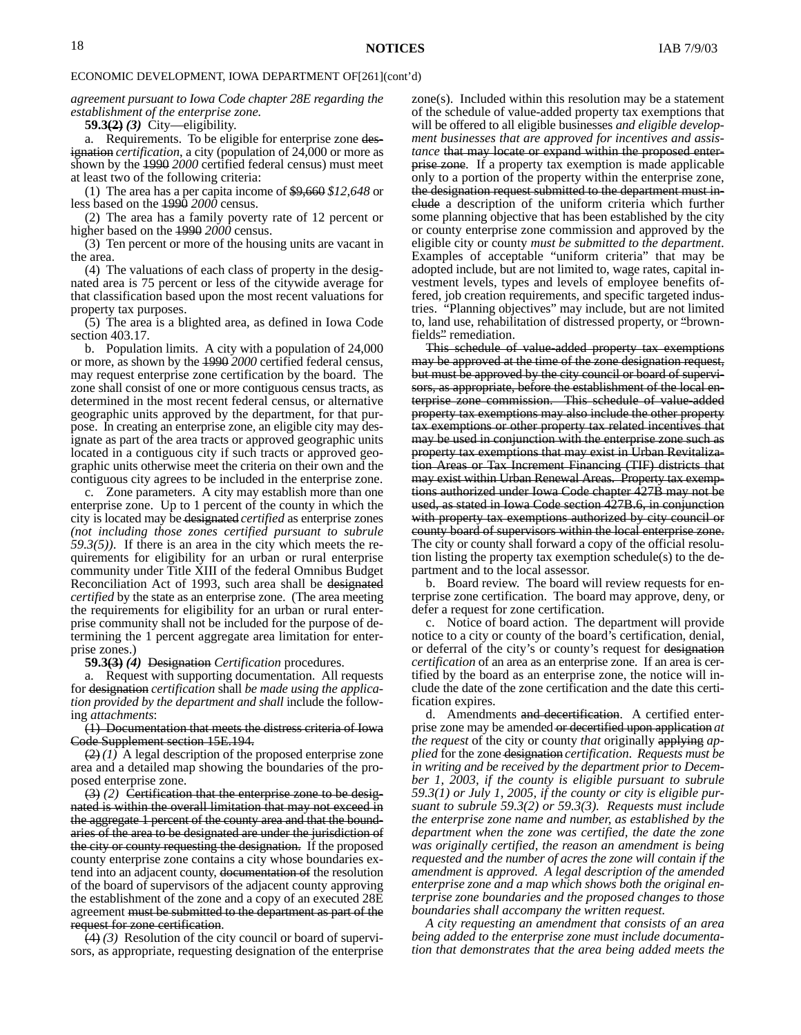*agreement pursuant to Iowa Code chapter 28E regarding the establishment of the enterprise zone.*

**59.3(2)** *(3)* City—eligibility.

a. Requirements. To be eligible for enterprise zone designation *certification*, a city (population of 24,000 or more as shown by the 1990 *2000* certified federal census) must meet at least two of the following criteria:

(1) The area has a per capita income of \$9,660 *\$12,648* or less based on the 1990 *2000* census.

(2) The area has a family poverty rate of 12 percent or higher based on the 1990 *2000* census.

(3) Ten percent or more of the housing units are vacant in the area.

(4) The valuations of each class of property in the designated area is 75 percent or less of the citywide average for that classification based upon the most recent valuations for property tax purposes.

(5) The area is a blighted area, as defined in Iowa Code section 403.17.

b. Population limits. A city with a population of 24,000 or more, as shown by the 1990 *2000* certified federal census, may request enterprise zone certification by the board. The zone shall consist of one or more contiguous census tracts, as determined in the most recent federal census, or alternative geographic units approved by the department, for that purpose. In creating an enterprise zone, an eligible city may designate as part of the area tracts or approved geographic units located in a contiguous city if such tracts or approved geographic units otherwise meet the criteria on their own and the contiguous city agrees to be included in the enterprise zone.

c. Zone parameters. A city may establish more than one enterprise zone. Up to 1 percent of the county in which the city is located may be designated *certified* as enterprise zones *(not including those zones certified pursuant to subrule 59.3(5))*. If there is an area in the city which meets the requirements for eligibility for an urban or rural enterprise community under Title XIII of the federal Omnibus Budget Reconciliation Act of 1993, such area shall be designated *certified* by the state as an enterprise zone. (The area meeting the requirements for eligibility for an urban or rural enterprise community shall not be included for the purpose of determining the 1 percent aggregate area limitation for enterprise zones.)

**59.3(3)** *(4)* Designation *Certification* procedures.

a. Request with supporting documentation. All requests for designation *certification* shall *be made using the application provided by the department and shall* include the following *attachments*:

(1) Documentation that meets the distress criteria of Iowa Code Supplement section 15E.194.

(2) *(1)* A legal description of the proposed enterprise zone area and a detailed map showing the boundaries of the proposed enterprise zone.

(3) *(2)* Certification that the enterprise zone to be designated is within the overall limitation that may not exceed in the aggregate 1 percent of the county area and that the boundaries of the area to be designated are under the jurisdiction of the city or county requesting the designation. If the proposed county enterprise zone contains a city whose boundaries extend into an adjacent county, documentation of the resolution of the board of supervisors of the adjacent county approving the establishment of the zone and a copy of an executed 28E agreement must be submitted to the department as part of the request for zone certification.

(4) *(3)* Resolution of the city council or board of supervisors, as appropriate, requesting designation of the enterprise

zone(s). Included within this resolution may be a statement of the schedule of value-added property tax exemptions that will be offered to all eligible businesses *and eligible development businesses that are approved for incentives and assistance* that may locate or expand within the proposed enterprise zone. If a property tax exemption is made applicable only to a portion of the property within the enterprise zone, the designation request submitted to the department must include a description of the uniform criteria which further some planning objective that has been established by the city or county enterprise zone commission and approved by the eligible city or county *must be submitted to the department*. Examples of acceptable "uniform criteria" that may be adopted include, but are not limited to, wage rates, capital investment levels, types and levels of employee benefits offered, job creation requirements, and specific targeted industries. "Planning objectives" may include, but are not limited to, land use, rehabilitation of distressed property, or "brownfields" remediation.

This schedule of value-added property tax exemptions may be approved at the time of the zone designation request, but must be approved by the city council or board of supervisors, as appropriate, before the establishment of the local enterprise zone commission. This schedule of value-added property tax exemptions may also include the other property tax exemptions or other property tax related incentives that may be used in conjunction with the enterprise zone such as property tax exemptions that may exist in Urban Revitalization Areas or Tax Increment Financing (TIF) districts that may exist within Urban Renewal Areas. Property tax exemptions authorized under Iowa Code chapter 427B may not be used, as stated in Iowa Code section 427B.6, in conjunction with property tax exemptions authorized by city council or county board of supervisors within the local enterprise zone. The city or county shall forward a copy of the official resolution listing the property tax exemption schedule(s) to the department and to the local assessor.

b. Board review. The board will review requests for enterprise zone certification. The board may approve, deny, or defer a request for zone certification.

c. Notice of board action. The department will provide notice to a city or county of the board's certification, denial, or deferral of the city's or county's request for designation *certification* of an area as an enterprise zone. If an area is certified by the board as an enterprise zone, the notice will include the date of the zone certification and the date this certification expires.

d. Amendments and decertification. A certified enterprise zone may be amended or decertified upon application *at the request* of the city or county *that* originally applying *applied* for the zone designation *certification*. *Requests must be in writing and be received by the department prior to December 1, 2003, if the county is eligible pursuant to subrule 59.3(1) or July 1, 2005, if the county or city is eligible pursuant to subrule 59.3(2) or 59.3(3). Requests must include the enterprise zone name and number, as established by the department when the zone was certified, the date the zone was originally certified, the reason an amendment is being requested and the number of acres the zone will contain if the amendment is approved. A legal description of the amended enterprise zone and a map which shows both the original enterprise zone boundaries and the proposed changes to those boundaries shall accompany the written request.*

*A city requesting an amendment that consists of an area being added to the enterprise zone must include documentation that demonstrates that the area being added meets the*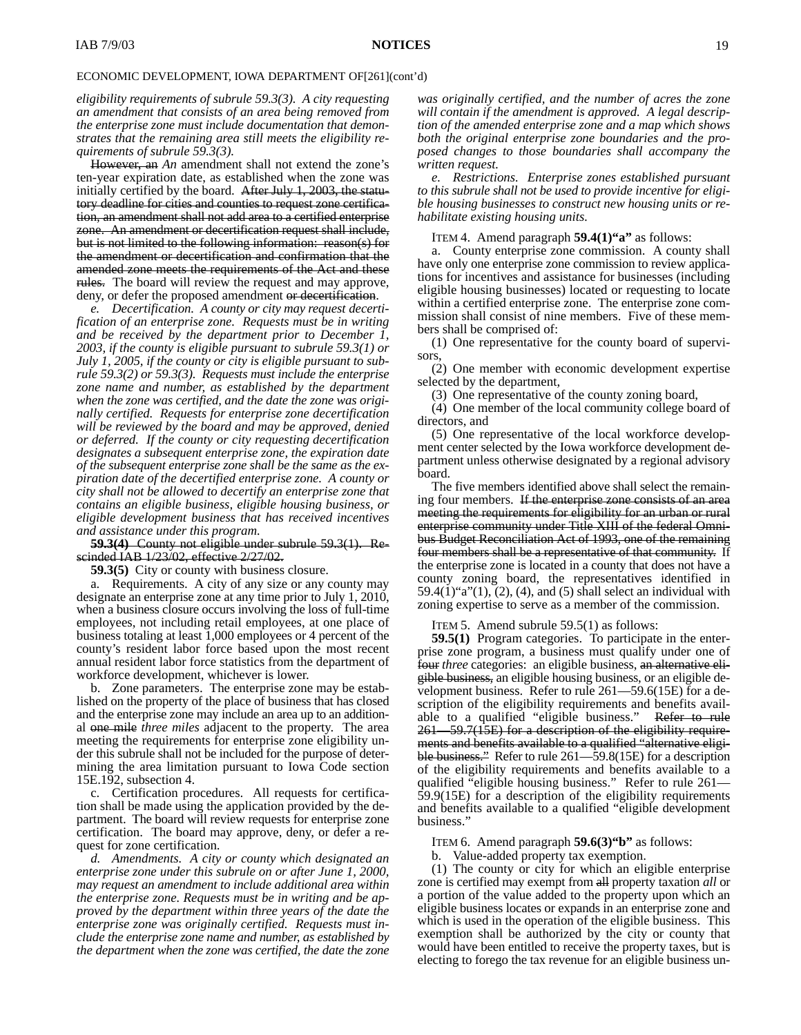*eligibility requirements of subrule 59.3(3). A city requesting an amendment that consists of an area being removed from the enterprise zone must include documentation that demonstrates that the remaining area still meets the eligibility requirements of subrule 59.3(3).*

However, an *An* amendment shall not extend the zone's ten-year expiration date, as established when the zone was initially certified by the board. After July 1, 2003, the statutory deadline for cities and counties to request zone certification, an amendment shall not add area to a certified enterprise zone. An amendment or decertification request shall include, but is not limited to the following information: reason(s) for the amendment or decertification and confirmation that the amended zone meets the requirements of the Act and these rules. The board will review the request and may approve, deny, or defer the proposed amendment or decertification.

*e. Decertification. A county or city may request decertification of an enterprise zone. Requests must be in writing and be received by the department prior to December 1, 2003, if the county is eligible pursuant to subrule 59.3(1) or July 1, 2005, if the county or city is eligible pursuant to subrule 59.3(2) or 59.3(3). Requests must include the enterprise zone name and number, as established by the department when the zone was certified, and the date the zone was originally certified. Requests for enterprise zone decertification will be reviewed by the board and may be approved, denied or deferred. If the county or city requesting decertification designates a subsequent enterprise zone, the expiration date of the subsequent enterprise zone shall be the same as the expiration date of the decertified enterprise zone. A county or city shall not be allowed to decertify an enterprise zone that contains an eligible business, eligible housing business, or eligible development business that has received incentives and assistance under this program.*

**59.3(4)** County not eligible under subrule 59.3(1). Rescinded IAB 1/23/02, effective 2/27/02.

**59.3(5)** City or county with business closure.

a. Requirements. A city of any size or any county may designate an enterprise zone at any time prior to July 1, 2010, when a business closure occurs involving the loss of full-time employees, not including retail employees, at one place of business totaling at least 1,000 employees or 4 percent of the county's resident labor force based upon the most recent annual resident labor force statistics from the department of workforce development, whichever is lower.

b. Zone parameters. The enterprise zone may be established on the property of the place of business that has closed and the enterprise zone may include an area up to an additional one mile *three miles* adjacent to the property. The area meeting the requirements for enterprise zone eligibility under this subrule shall not be included for the purpose of determining the area limitation pursuant to Iowa Code section 15E.192, subsection 4.

c. Certification procedures. All requests for certification shall be made using the application provided by the department. The board will review requests for enterprise zone certification. The board may approve, deny, or defer a request for zone certification.

*d. Amendments. A city or county which designated an enterprise zone under this subrule on or after June 1, 2000, may request an amendment to include additional area within the enterprise zone. Requests must be in writing and be approved by the department within three years of the date the enterprise zone was originally certified. Requests must include the enterprise zone name and number, as established by the department when the zone was certified, the date the zone*

*was originally certified, and the number of acres the zone will contain if the amendment is approved. A legal description of the amended enterprise zone and a map which shows both the original enterprise zone boundaries and the proposed changes to those boundaries shall accompany the written request.*

*e. Restrictions. Enterprise zones established pursuant to this subrule shall not be used to provide incentive for eligible housing businesses to construct new housing units or rehabilitate existing housing units.*

ITEM 4. Amend paragraph **59.4(1)"a"** as follows:

a. County enterprise zone commission. A county shall have only one enterprise zone commission to review applications for incentives and assistance for businesses (including eligible housing businesses) located or requesting to locate within a certified enterprise zone. The enterprise zone commission shall consist of nine members. Five of these members shall be comprised of:

(1) One representative for the county board of supervisors,

(2) One member with economic development expertise selected by the department,

(3) One representative of the county zoning board,

(4) One member of the local community college board of directors, and

(5) One representative of the local workforce development center selected by the Iowa workforce development department unless otherwise designated by a regional advisory board.

The five members identified above shall select the remaining four members. If the enterprise zone consists of an area meeting the requirements for eligibility for an urban or rural enterprise community under Title XIII of the federal Omnibus Budget Reconciliation Act of 1993, one of the remaining four members shall be a representative of that community. If the enterprise zone is located in a county that does not have a county zoning board, the representatives identified in  $59.4(1)$ "a" $(1)$ ,  $(2)$ ,  $(4)$ , and  $(5)$  shall select an individual with zoning expertise to serve as a member of the commission.

ITEM 5. Amend subrule 59.5(1) as follows:

**59.5(1)** Program categories. To participate in the enterprise zone program, a business must qualify under one of four *three* categories: an eligible business, an alternative eligible business, an eligible housing business, or an eligible development business. Refer to rule 261—59.6(15E) for a description of the eligibility requirements and benefits available to a qualified "eligible business." Refer to rule 261—59.7(15E) for a description of the eligibility requirements and benefits available to a qualified "alternative eligible business." Refer to rule 261—59.8(15E) for a description of the eligibility requirements and benefits available to a qualified "eligible housing business." Refer to rule 261— 59.9(15E) for a description of the eligibility requirements and benefits available to a qualified "eligible development business."

ITEM 6. Amend paragraph **59.6(3)"b"** as follows:

b. Value-added property tax exemption.

(1) The county or city for which an eligible enterprise zone is certified may exempt from all property taxation *all* or a portion of the value added to the property upon which an eligible business locates or expands in an enterprise zone and which is used in the operation of the eligible business. This exemption shall be authorized by the city or county that would have been entitled to receive the property taxes, but is electing to forego the tax revenue for an eligible business un-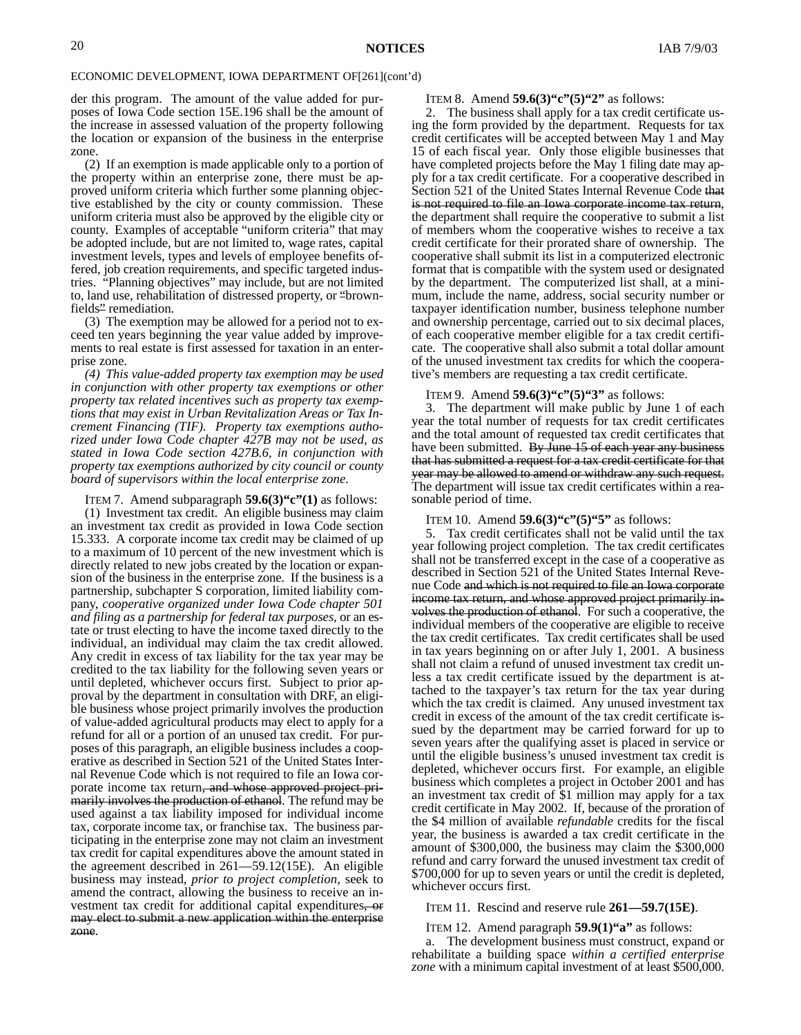der this program. The amount of the value added for purposes of Iowa Code section 15E.196 shall be the amount of the increase in assessed valuation of the property following the location or expansion of the business in the enterprise zone.

(2) If an exemption is made applicable only to a portion of the property within an enterprise zone, there must be approved uniform criteria which further some planning objective established by the city or county commission. These uniform criteria must also be approved by the eligible city or county. Examples of acceptable "uniform criteria" that may be adopted include, but are not limited to, wage rates, capital investment levels, types and levels of employee benefits offered, job creation requirements, and specific targeted industries. "Planning objectives" may include, but are not limited to, land use, rehabilitation of distressed property, or "brownfields" remediation.

(3) The exemption may be allowed for a period not to exceed ten years beginning the year value added by improvements to real estate is first assessed for taxation in an enterprise zone.

*(4) This value-added property tax exemption may be used in conjunction with other property tax exemptions or other property tax related incentives such as property tax exemptions that may exist in Urban Revitalization Areas or Tax Increment Financing (TIF). Property tax exemptions authorized under Iowa Code chapter 427B may not be used, as stated in Iowa Code section 427B.6, in conjunction with property tax exemptions authorized by city council or county board of supervisors within the local enterprise zone.*

ITEM 7. Amend subparagraph **59.6(3)"c"(1)** as follows:

(1) Investment tax credit. An eligible business may claim an investment tax credit as provided in Iowa Code section 15.333. A corporate income tax credit may be claimed of up to a maximum of 10 percent of the new investment which is directly related to new jobs created by the location or expansion of the business in the enterprise zone. If the business is a partnership, subchapter S corporation, limited liability company, *cooperative organized under Iowa Code chapter 501 and filing as a partnership for federal tax purposes,* or an estate or trust electing to have the income taxed directly to the individual, an individual may claim the tax credit allowed. Any credit in excess of tax liability for the tax year may be credited to the tax liability for the following seven years or until depleted, whichever occurs first. Subject to prior approval by the department in consultation with DRF, an eligible business whose project primarily involves the production of value-added agricultural products may elect to apply for a refund for all or a portion of an unused tax credit. For purposes of this paragraph, an eligible business includes a cooperative as described in Section 521 of the United States Internal Revenue Code which is not required to file an Iowa corporate income tax return, and whose approved project primarily involves the production of ethanol. The refund may be used against a tax liability imposed for individual income tax, corporate income tax, or franchise tax. The business participating in the enterprise zone may not claim an investment tax credit for capital expenditures above the amount stated in the agreement described in 261—59.12(15E). An eligible business may instead*, prior to project completion,* seek to amend the contract, allowing the business to receive an investment tax credit for additional capital expenditures, or may elect to submit a new application within the enterprise zone.

#### ITEM 8. Amend **59.6(3)"c"(5)"2"** as follows:

2. The business shall apply for a tax credit certificate using the form provided by the department. Requests for tax credit certificates will be accepted between May 1 and May 15 of each fiscal year. Only those eligible businesses that have completed projects before the May 1 filing date may apply for a tax credit certificate. For a cooperative described in Section 521 of the United States Internal Revenue Code that is not required to file an Iowa corporate income tax return, the department shall require the cooperative to submit a list of members whom the cooperative wishes to receive a tax credit certificate for their prorated share of ownership. The cooperative shall submit its list in a computerized electronic format that is compatible with the system used or designated by the department. The computerized list shall, at a minimum, include the name, address, social security number or taxpayer identification number, business telephone number and ownership percentage, carried out to six decimal places, of each cooperative member eligible for a tax credit certificate. The cooperative shall also submit a total dollar amount of the unused investment tax credits for which the cooperative's members are requesting a tax credit certificate.

#### ITEM 9. Amend **59.6(3)"c"(5)"3"** as follows:

3. The department will make public by June 1 of each year the total number of requests for tax credit certificates and the total amount of requested tax credit certificates that have been submitted. By June 15 of each year any business that has submitted a request for a tax credit certificate for that year may be allowed to amend or withdraw any such request. The department will issue tax credit certificates within a reasonable period of time.

#### ITEM 10. Amend **59.6(3)"c"(5)"5"** as follows:

5. Tax credit certificates shall not be valid until the tax year following project completion. The tax credit certificates shall not be transferred except in the case of a cooperative as described in Section 521 of the United States Internal Revenue Code and which is not required to file an Iowa corporate income tax return, and whose approved project primarily involves the production of ethanol. For such a cooperative, the individual members of the cooperative are eligible to receive the tax credit certificates. Tax credit certificates shall be used in tax years beginning on or after July 1, 2001. A business shall not claim a refund of unused investment tax credit unless a tax credit certificate issued by the department is attached to the taxpayer's tax return for the tax year during which the tax credit is claimed. Any unused investment tax credit in excess of the amount of the tax credit certificate issued by the department may be carried forward for up to seven years after the qualifying asset is placed in service or until the eligible business's unused investment tax credit is depleted, whichever occurs first. For example, an eligible business which completes a project in October 2001 and has an investment tax credit of \$1 million may apply for a tax credit certificate in May 2002. If, because of the proration of the \$4 million of available *refundable* credits for the fiscal year, the business is awarded a tax credit certificate in the amount of \$300,000, the business may claim the \$300,000 refund and carry forward the unused investment tax credit of \$700,000 for up to seven years or until the credit is depleted, whichever occurs first.

ITEM 11. Rescind and reserve rule **261—59.7(15E)**.

#### ITEM 12. Amend paragraph **59.9(1)"a"** as follows:

a. The development business must construct, expand or rehabilitate a building space *within a certified enterprise zone* with a minimum capital investment of at least \$500,000.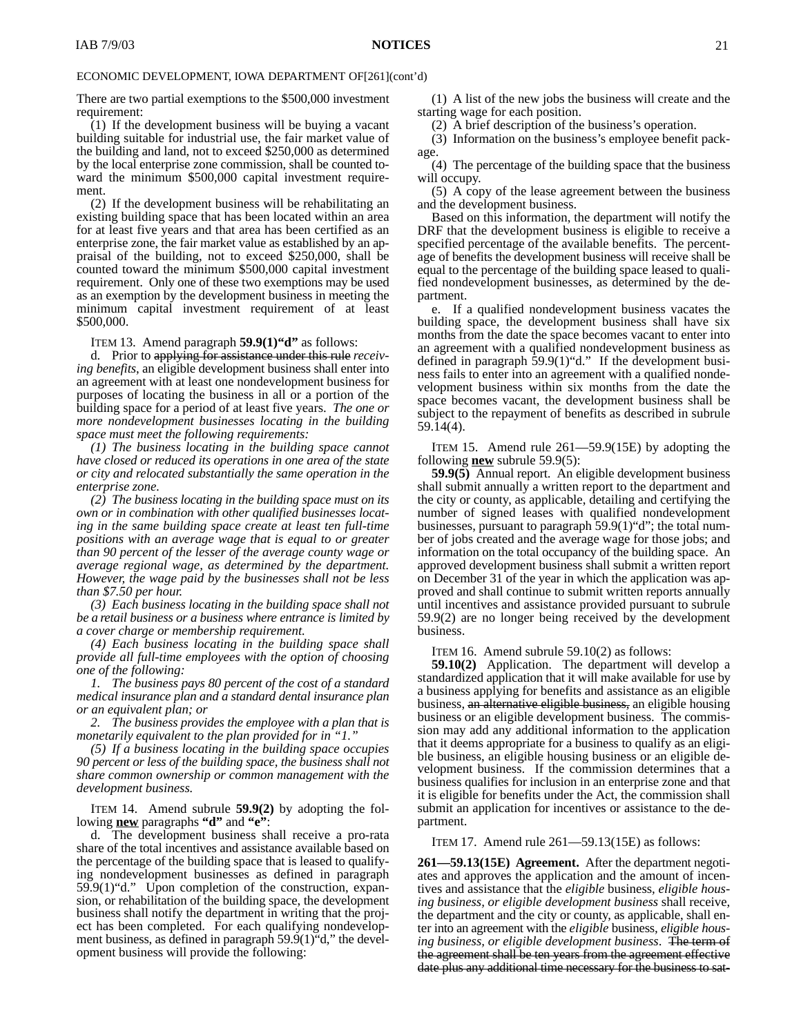There are two partial exemptions to the \$500,000 investment requirement:

(1) If the development business will be buying a vacant building suitable for industrial use, the fair market value of the building and land, not to exceed \$250,000 as determined by the local enterprise zone commission, shall be counted toward the minimum \$500,000 capital investment requirement.

(2) If the development business will be rehabilitating an existing building space that has been located within an area for at least five years and that area has been certified as an enterprise zone, the fair market value as established by an appraisal of the building, not to exceed \$250,000, shall be counted toward the minimum \$500,000 capital investment requirement. Only one of these two exemptions may be used as an exemption by the development business in meeting the minimum capital investment requirement of at least \$500,000.

ITEM 13. Amend paragraph **59.9(1)"d"** as follows:

d. Prior to applying for assistance under this rule *receiving benefits*, an eligible development business shall enter into an agreement with at least one nondevelopment business for purposes of locating the business in all or a portion of the building space for a period of at least five years. *The one or more nondevelopment businesses locating in the building space must meet the following requirements:*

*(1) The business locating in the building space cannot have closed or reduced its operations in one area of the state or city and relocated substantially the same operation in the enterprise zone.*

*(2) The business locating in the building space must on its own or in combination with other qualified businesses locating in the same building space create at least ten full-time positions with an average wage that is equal to or greater than 90 percent of the lesser of the average county wage or average regional wage, as determined by the department. However, the wage paid by the businesses shall not be less than \$7.50 per hour.*

*(3) Each business locating in the building space shall not be a retail business or a business where entrance is limited by a cover charge or membership requirement.*

*(4) Each business locating in the building space shall provide all full-time employees with the option of choosing one of the following:*

*1. The business pays 80 percent of the cost of a standard medical insurance plan and a standard dental insurance plan or an equivalent plan; or*

*2. The business provides the employee with a plan that is monetarily equivalent to the plan provided for in "1."*

*(5) If a business locating in the building space occupies 90 percent or less of the building space, the business shall not share common ownership or common management with the development business.*

ITEM 14. Amend subrule **59.9(2)** by adopting the following **new** paragraphs **"d"** and **"e"**:

d. The development business shall receive a pro-rata share of the total incentives and assistance available based on the percentage of the building space that is leased to qualifying nondevelopment businesses as defined in paragraph 59.9(1)"d." Upon completion of the construction, expansion, or rehabilitation of the building space, the development business shall notify the department in writing that the project has been completed. For each qualifying nondevelopment business, as defined in paragraph 59.9(1)"d," the development business will provide the following:

(1) A list of the new jobs the business will create and the starting wage for each position.

(2) A brief description of the business's operation.

(3) Information on the business's employee benefit package.

(4) The percentage of the building space that the business will occupy.

(5) A copy of the lease agreement between the business and the development business.

Based on this information, the department will notify the DRF that the development business is eligible to receive a specified percentage of the available benefits. The percentage of benefits the development business will receive shall be equal to the percentage of the building space leased to qualified nondevelopment businesses, as determined by the department.

e. If a qualified nondevelopment business vacates the building space, the development business shall have six months from the date the space becomes vacant to enter into an agreement with a qualified nondevelopment business as defined in paragraph 59.9(1)"d." If the development business fails to enter into an agreement with a qualified nondevelopment business within six months from the date the space becomes vacant, the development business shall be subject to the repayment of benefits as described in subrule 59.14(4).

ITEM 15. Amend rule 261—59.9(15E) by adopting the following **new** subrule 59.9(5):

**59.9(5)** Annual report. An eligible development business shall submit annually a written report to the department and the city or county, as applicable, detailing and certifying the number of signed leases with qualified nondevelopment businesses, pursuant to paragraph 59.9(1)"d"; the total number of jobs created and the average wage for those jobs; and information on the total occupancy of the building space. An approved development business shall submit a written report on December 31 of the year in which the application was approved and shall continue to submit written reports annually until incentives and assistance provided pursuant to subrule 59.9(2) are no longer being received by the development business.

ITEM 16. Amend subrule 59.10(2) as follows:

**59.10(2)** Application. The department will develop a standardized application that it will make available for use by a business applying for benefits and assistance as an eligible business, an alternative eligible business, an eligible housing business or an eligible development business. The commission may add any additional information to the application that it deems appropriate for a business to qualify as an eligible business, an eligible housing business or an eligible development business. If the commission determines that a business qualifies for inclusion in an enterprise zone and that it is eligible for benefits under the Act, the commission shall submit an application for incentives or assistance to the department.

ITEM 17. Amend rule 261—59.13(15E) as follows:

**261—59.13(15E) Agreement.** After the department negotiates and approves the application and the amount of incentives and assistance that the *eligible* business*, eligible housing business, or eligible development business* shall receive, the department and the city or county, as applicable, shall enter into an agreement with the *eligible* business*, eligible housing business, or eligible development business*. The term of the agreement shall be ten years from the agreement effective date plus any additional time necessary for the business to sat-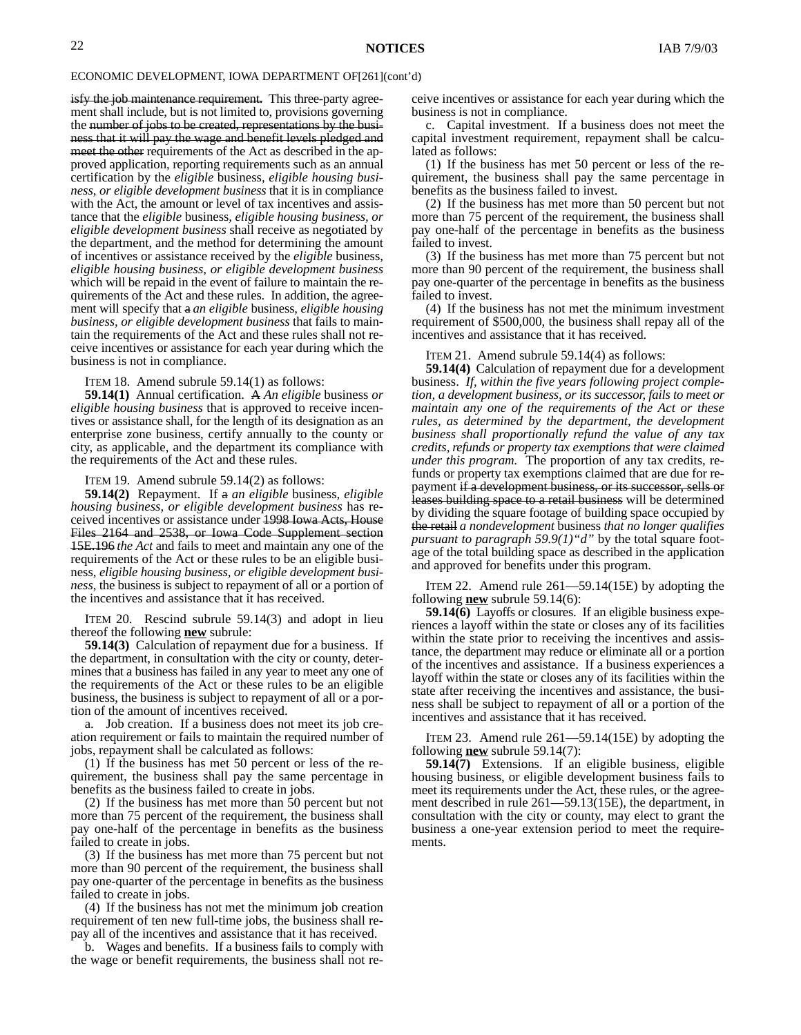isfy the job maintenance requirement. This three-party agreement shall include, but is not limited to, provisions governing the number of jobs to be created, representations by the business that it will pay the wage and benefit levels pledged and meet the other requirements of the Act as described in the approved application, reporting requirements such as an annual certification by the *eligible* business*, eligible housing business, or eligible development business* that it is in compliance with the Act, the amount or level of tax incentives and assistance that the *eligible* business*, eligible housing business, or eligible development business* shall receive as negotiated by the department, and the method for determining the amount of incentives or assistance received by the *eligible* business*, eligible housing business, or eligible development business* which will be repaid in the event of failure to maintain the requirements of the Act and these rules. In addition, the agreement will specify that a *an eligible* business*, eligible housing business, or eligible development business* that fails to maintain the requirements of the Act and these rules shall not receive incentives or assistance for each year during which the business is not in compliance.

ITEM 18. Amend subrule 59.14(1) as follows:

**59.14(1)** Annual certification. A *An eligible* business *or eligible housing business* that is approved to receive incentives or assistance shall, for the length of its designation as an enterprise zone business, certify annually to the county or city, as applicable, and the department its compliance with the requirements of the Act and these rules.

ITEM 19. Amend subrule 59.14(2) as follows:

**59.14(2)** Repayment. If a *an eligible* business*, eligible housing business, or eligible development business* has received incentives or assistance under 1998 Iowa Acts, House Files 2164 and 2538, or Iowa Code Supplement section 15E.196 *the Act* and fails to meet and maintain any one of the requirements of the Act or these rules to be an eligible business*, eligible housing business, or eligible development business*, the business is subject to repayment of all or a portion of the incentives and assistance that it has received.

ITEM 20. Rescind subrule 59.14(3) and adopt in lieu thereof the following **new** subrule:

**59.14(3)** Calculation of repayment due for a business. If the department, in consultation with the city or county, determines that a business has failed in any year to meet any one of the requirements of the Act or these rules to be an eligible business, the business is subject to repayment of all or a portion of the amount of incentives received.

a. Job creation. If a business does not meet its job creation requirement or fails to maintain the required number of jobs, repayment shall be calculated as follows:

(1) If the business has met 50 percent or less of the requirement, the business shall pay the same percentage in benefits as the business failed to create in jobs.

(2) If the business has met more than 50 percent but not more than 75 percent of the requirement, the business shall pay one-half of the percentage in benefits as the business failed to create in jobs.

(3) If the business has met more than 75 percent but not more than 90 percent of the requirement, the business shall pay one-quarter of the percentage in benefits as the business failed to create in jobs.

(4) If the business has not met the minimum job creation requirement of ten new full-time jobs, the business shall repay all of the incentives and assistance that it has received.

b. Wages and benefits. If a business fails to comply with the wage or benefit requirements, the business shall not receive incentives or assistance for each year during which the business is not in compliance.

c. Capital investment. If a business does not meet the capital investment requirement, repayment shall be calculated as follows:

(1) If the business has met 50 percent or less of the requirement, the business shall pay the same percentage in benefits as the business failed to invest.

(2) If the business has met more than 50 percent but not more than 75 percent of the requirement, the business shall pay one-half of the percentage in benefits as the business failed to invest.

(3) If the business has met more than 75 percent but not more than 90 percent of the requirement, the business shall pay one-quarter of the percentage in benefits as the business failed to invest.

(4) If the business has not met the minimum investment requirement of \$500,000, the business shall repay all of the incentives and assistance that it has received.

ITEM 21. Amend subrule 59.14(4) as follows:

**59.14(4)** Calculation of repayment due for a development business. *If, within the five years following project completion, a development business, or its successor, fails to meet or maintain any one of the requirements of the Act or these rules, as determined by the department, the development business shall proportionally refund the value of any tax credits, refunds or property tax exemptions that were claimed under this program.* The proportion of any tax credits, refunds or property tax exemptions claimed that are due for repayment if a development business, or its successor, sells or leases building space to a retail business will be determined by dividing the square footage of building space occupied by the retail *a nondevelopment* business *that no longer qualifies pursuant to paragraph 59.9(1)"d"* by the total square footage of the total building space as described in the application and approved for benefits under this program.

ITEM 22. Amend rule 261—59.14(15E) by adopting the following **new** subrule 59.14(6):

**59.14(6)** Layoffs or closures. If an eligible business experiences a layoff within the state or closes any of its facilities within the state prior to receiving the incentives and assistance, the department may reduce or eliminate all or a portion of the incentives and assistance. If a business experiences a layoff within the state or closes any of its facilities within the state after receiving the incentives and assistance, the business shall be subject to repayment of all or a portion of the incentives and assistance that it has received.

ITEM 23. Amend rule 261—59.14(15E) by adopting the following **new** subrule 59.14(7):

**59.14(7)** Extensions. If an eligible business, eligible housing business, or eligible development business fails to meet its requirements under the Act, these rules, or the agreement described in rule 261—59.13(15E), the department, in consultation with the city or county, may elect to grant the business a one-year extension period to meet the requirements.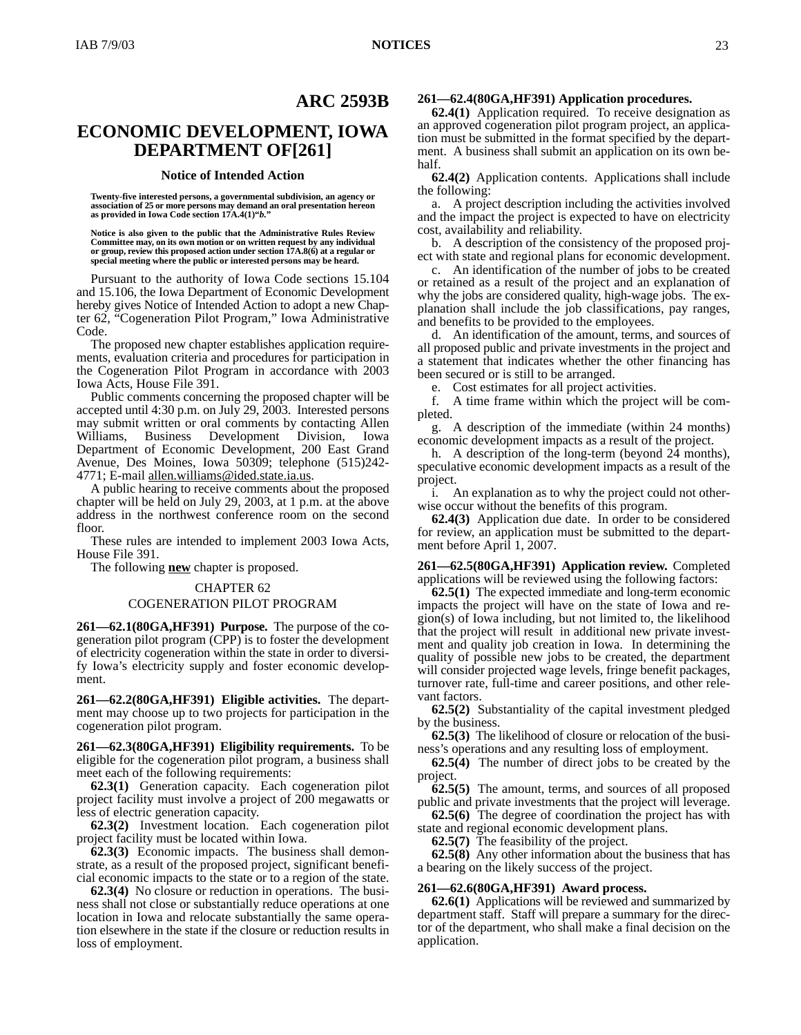#### **ARC 2593B**

#### **ECONOMIC DEVELOPMENT, IOWA DEPARTMENT OF[261]**

#### **Notice of Intended Action**

**Twenty-five interested persons, a governmental subdivision, an agency or association of 25 or more persons may demand an oral presentation hereon as provided in Iowa Code section 17A.4(1)"***b.***"**

**Notice is also given to the public that the Administrative Rules Review Committee may, on its own motion or on written request by any individual or group, review this proposed action under section 17A.8(6) at a regular or special meeting where the public or interested persons may be heard.**

Pursuant to the authority of Iowa Code sections 15.104 and 15.106, the Iowa Department of Economic Development hereby gives Notice of Intended Action to adopt a new Chapter 62, "Cogeneration Pilot Program," Iowa Administrative Code.

The proposed new chapter establishes application requirements, evaluation criteria and procedures for participation in the Cogeneration Pilot Program in accordance with 2003 Iowa Acts, House File 391.

Public comments concerning the proposed chapter will be accepted until 4:30 p.m. on July 29, 2003. Interested persons may submit written or oral comments by contacting Allen Williams, Business Development Division, Iowa Department of Economic Development, 200 East Grand Avenue, Des Moines, Iowa 50309; telephone (515)242- 4771; E-mail allen.williams@ided.state.ia.us.

A public hearing to receive comments about the proposed chapter will be held on July 29, 2003, at 1 p.m. at the above address in the northwest conference room on the second floor.

These rules are intended to implement 2003 Iowa Acts, House File 391.

The following **new** chapter is proposed.

#### CHAPTER 62 COGENERATION PILOT PROGRAM

**261—62.1(80GA,HF391) Purpose.** The purpose of the cogeneration pilot program (CPP) is to foster the development of electricity cogeneration within the state in order to diversify Iowa's electricity supply and foster economic development.

**261—62.2(80GA,HF391) Eligible activities.** The department may choose up to two projects for participation in the cogeneration pilot program.

**261—62.3(80GA,HF391) Eligibility requirements.** To be eligible for the cogeneration pilot program, a business shall meet each of the following requirements:

**62.3(1)** Generation capacity. Each cogeneration pilot project facility must involve a project of 200 megawatts or less of electric generation capacity.

**62.3(2)** Investment location. Each cogeneration pilot project facility must be located within Iowa.

**62.3(3)** Economic impacts. The business shall demonstrate, as a result of the proposed project, significant beneficial economic impacts to the state or to a region of the state.

**62.3(4)** No closure or reduction in operations. The business shall not close or substantially reduce operations at one location in Iowa and relocate substantially the same operation elsewhere in the state if the closure or reduction results in loss of employment.

#### **261—62.4(80GA,HF391) Application procedures.**

**62.4(1)** Application required. To receive designation as an approved cogeneration pilot program project, an application must be submitted in the format specified by the department. A business shall submit an application on its own behalf.

**62.4(2)** Application contents. Applications shall include the following:

a. A project description including the activities involved and the impact the project is expected to have on electricity cost, availability and reliability.

b. A description of the consistency of the proposed project with state and regional plans for economic development.

c. An identification of the number of jobs to be created or retained as a result of the project and an explanation of why the jobs are considered quality, high-wage jobs. The explanation shall include the job classifications, pay ranges, and benefits to be provided to the employees.

d. An identification of the amount, terms, and sources of all proposed public and private investments in the project and a statement that indicates whether the other financing has been secured or is still to be arranged.

e. Cost estimates for all project activities.

f. A time frame within which the project will be completed.

g. A description of the immediate (within 24 months) economic development impacts as a result of the project.

h. A description of the long-term (beyond 24 months), speculative economic development impacts as a result of the project.

i. An explanation as to why the project could not otherwise occur without the benefits of this program.

**62.4(3)** Application due date. In order to be considered for review, an application must be submitted to the department before April 1, 2007.

**261—62.5(80GA,HF391) Application review.** Completed applications will be reviewed using the following factors:

**62.5(1)** The expected immediate and long-term economic impacts the project will have on the state of Iowa and region(s) of Iowa including, but not limited to, the likelihood that the project will result in additional new private investment and quality job creation in Iowa. In determining the quality of possible new jobs to be created, the department will consider projected wage levels, fringe benefit packages, turnover rate, full-time and career positions, and other relevant factors.

**62.5(2)** Substantiality of the capital investment pledged by the business.

**62.5(3)** The likelihood of closure or relocation of the business's operations and any resulting loss of employment.

**62.5(4)** The number of direct jobs to be created by the project.

**62.5(5)** The amount, terms, and sources of all proposed public and private investments that the project will leverage.

**62.5(6)** The degree of coordination the project has with

state and regional economic development plans.

**62.5(7)** The feasibility of the project.

**62.5(8)** Any other information about the business that has a bearing on the likely success of the project.

#### **261—62.6(80GA,HF391) Award process.**

**62.6(1)** Applications will be reviewed and summarized by department staff. Staff will prepare a summary for the director of the department, who shall make a final decision on the application.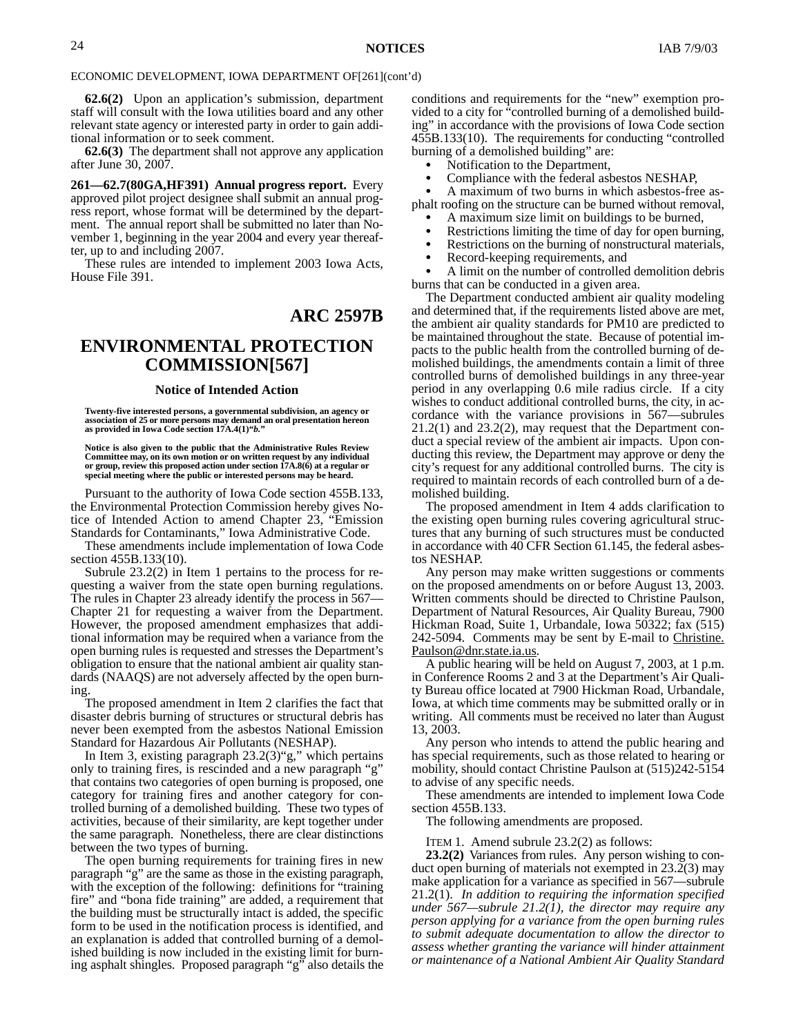**62.6(2)** Upon an application's submission, department staff will consult with the Iowa utilities board and any other relevant state agency or interested party in order to gain additional information or to seek comment.

**62.6(3)** The department shall not approve any application after June 30, 2007.

**261—62.7(80GA,HF391) Annual progress report.** Every approved pilot project designee shall submit an annual progress report, whose format will be determined by the department. The annual report shall be submitted no later than November 1, beginning in the year 2004 and every year thereafter, up to and including 2007.

These rules are intended to implement 2003 Iowa Acts, House File 391.

#### **ARC 2597B**

#### **ENVIRONMENTAL PROTECTION COMMISSION[567]**

#### **Notice of Intended Action**

**Twenty-five interested persons, a governmental subdivision, an agency or association of 25 or more persons may demand an oral presentation hereon as provided in Iowa Code section 17A.4(1)"***b.***"**

**Notice is also given to the public that the Administrative Rules Review Committee may, on its own motion or on written request by any individual or group, review this proposed action under section 17A.8(6) at a regular or special meeting where the public or interested persons may be heard.**

Pursuant to the authority of Iowa Code section 455B.133, the Environmental Protection Commission hereby gives Notice of Intended Action to amend Chapter 23, "Emission Standards for Contaminants," Iowa Administrative Code.

These amendments include implementation of Iowa Code section 455B.133(10).

Subrule 23.2(2) in Item 1 pertains to the process for requesting a waiver from the state open burning regulations. The rules in Chapter 23 already identify the process in 567— Chapter 21 for requesting a waiver from the Department. However, the proposed amendment emphasizes that additional information may be required when a variance from the open burning rules is requested and stresses the Department's obligation to ensure that the national ambient air quality standards (NAAQS) are not adversely affected by the open burning.

The proposed amendment in Item 2 clarifies the fact that disaster debris burning of structures or structural debris has never been exempted from the asbestos National Emission Standard for Hazardous Air Pollutants (NESHAP).

In Item 3, existing paragraph  $23.2(3)$ "g," which pertains only to training fires, is rescinded and a new paragraph "g" that contains two categories of open burning is proposed, one category for training fires and another category for controlled burning of a demolished building. These two types of activities, because of their similarity, are kept together under the same paragraph. Nonetheless, there are clear distinctions between the two types of burning.

The open burning requirements for training fires in new paragraph "g" are the same as those in the existing paragraph, with the exception of the following: definitions for "training" fire" and "bona fide training" are added, a requirement that the building must be structurally intact is added, the specific form to be used in the notification process is identified, and an explanation is added that controlled burning of a demolished building is now included in the existing limit for burning asphalt shingles. Proposed paragraph "g" also details the conditions and requirements for the "new" exemption provided to a city for "controlled burning of a demolished building" in accordance with the provisions of Iowa Code section 455B.133(10). The requirements for conducting "controlled burning of a demolished building" are:

- Notification to the Department,  $\bullet$
- Compliance with the federal asbestos NESHAP,  $\bullet$

 A maximum of two burns in which asbestos-free asphalt roofing on the structure can be burned without removal,

- A maximum size limit on buildings to be burned,  $\bullet$
- Restrictions limiting the time of day for open burning,  $\bullet$
- Restrictions on the burning of nonstructural materials,  $\bullet$
- Record-keeping requirements, and  $\bullet$

 A limit on the number of controlled demolition debris burns that can be conducted in a given area.

The Department conducted ambient air quality modeling and determined that, if the requirements listed above are met, the ambient air quality standards for PM10 are predicted to be maintained throughout the state. Because of potential impacts to the public health from the controlled burning of demolished buildings, the amendments contain a limit of three controlled burns of demolished buildings in any three-year period in any overlapping 0.6 mile radius circle. If a city wishes to conduct additional controlled burns, the city, in accordance with the variance provisions in 567—subrules 21.2(1) and 23.2(2), may request that the Department conduct a special review of the ambient air impacts. Upon conducting this review, the Department may approve or deny the city's request for any additional controlled burns. The city is required to maintain records of each controlled burn of a demolished building.

The proposed amendment in Item 4 adds clarification to the existing open burning rules covering agricultural structures that any burning of such structures must be conducted in accordance with 40 CFR Section 61.145, the federal asbestos NESHAP.

Any person may make written suggestions or comments on the proposed amendments on or before August 13, 2003. Written comments should be directed to Christine Paulson, Department of Natural Resources, Air Quality Bureau, 7900 Hickman Road, Suite 1, Urbandale, Iowa 50322; fax (515) 242-5094. Comments may be sent by E-mail to Christine. Paulson@dnr.state.ia.us.

A public hearing will be held on August 7, 2003, at 1 p.m. in Conference Rooms 2 and 3 at the Department's Air Quality Bureau office located at 7900 Hickman Road, Urbandale, Iowa, at which time comments may be submitted orally or in writing. All comments must be received no later than August 13, 2003.

Any person who intends to attend the public hearing and has special requirements, such as those related to hearing or mobility, should contact Christine Paulson at (515)242-5154 to advise of any specific needs.

These amendments are intended to implement Iowa Code section 455B.133.

The following amendments are proposed.

ITEM 1. Amend subrule 23.2(2) as follows:

**23.2(2)** Variances from rules. Any person wishing to conduct open burning of materials not exempted in 23.2(3) may make application for a variance as specified in 567—subrule 21.2(1). *In addition to requiring the information specified under 567—subrule 21.2(1), the director may require any person applying for a variance from the open burning rules to submit adequate documentation to allow the director to assess whether granting the variance will hinder attainment or maintenance of a National Ambient Air Quality Standard*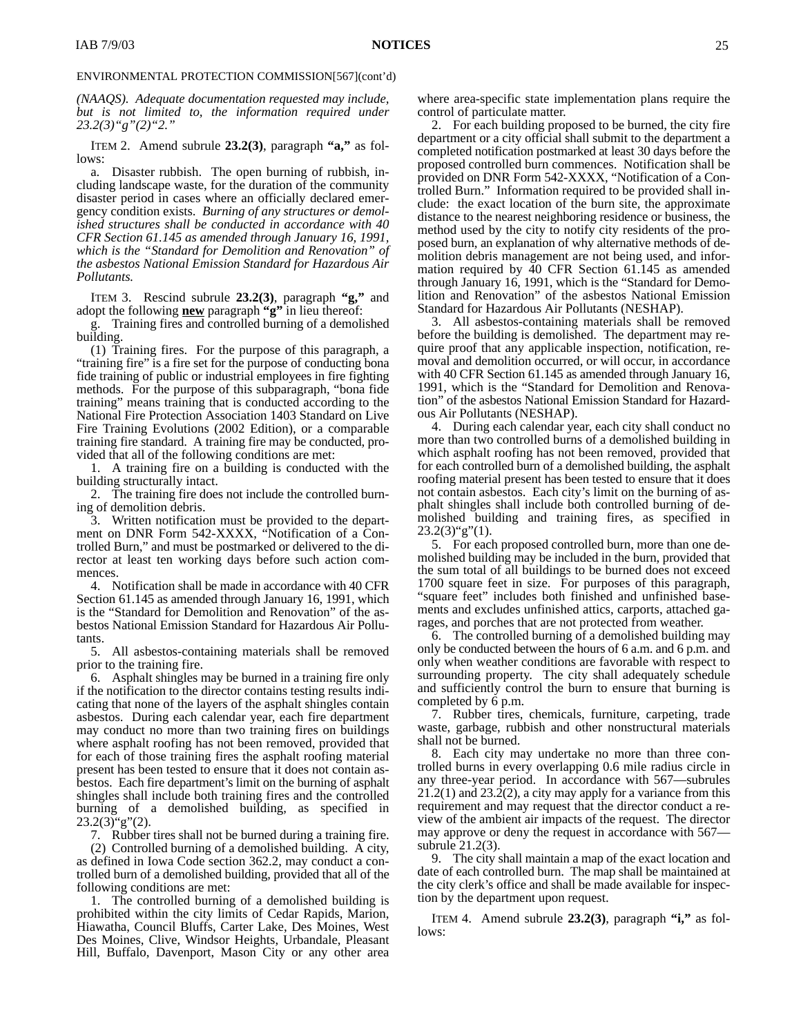*(NAAQS). Adequate documentation requested may include, but is not limited to, the information required under 23.2(3)"g"(2)"2."*

ITEM 2. Amend subrule **23.2(3)**, paragraph **"a,"** as follows:

a. Disaster rubbish. The open burning of rubbish, including landscape waste, for the duration of the community disaster period in cases where an officially declared emergency condition exists. *Burning of any structures or demolished structures shall be conducted in accordance with 40 CFR Section 61.145 as amended through January 16, 1991, which is the "Standard for Demolition and Renovation" of the asbestos National Emission Standard for Hazardous Air Pollutants.*

ITEM 3. Rescind subrule **23.2(3)**, paragraph **"g,"** and adopt the following **new** paragraph **"g"** in lieu thereof:

Training fires and controlled burning of a demolished building.

(1) Training fires. For the purpose of this paragraph, a "training fire" is a fire set for the purpose of conducting bona fide training of public or industrial employees in fire fighting methods. For the purpose of this subparagraph, "bona fide training" means training that is conducted according to the National Fire Protection Association 1403 Standard on Live Fire Training Evolutions (2002 Edition), or a comparable training fire standard. A training fire may be conducted, provided that all of the following conditions are met:

1. A training fire on a building is conducted with the building structurally intact.

2. The training fire does not include the controlled burning of demolition debris.

3. Written notification must be provided to the department on DNR Form 542-XXXX, "Notification of a Controlled Burn," and must be postmarked or delivered to the director at least ten working days before such action commences.

4. Notification shall be made in accordance with 40 CFR Section 61.145 as amended through January 16, 1991, which is the "Standard for Demolition and Renovation" of the asbestos National Emission Standard for Hazardous Air Pollutants.

5. All asbestos-containing materials shall be removed prior to the training fire.

6. Asphalt shingles may be burned in a training fire only if the notification to the director contains testing results indicating that none of the layers of the asphalt shingles contain asbestos. During each calendar year, each fire department may conduct no more than two training fires on buildings where asphalt roofing has not been removed, provided that for each of those training fires the asphalt roofing material present has been tested to ensure that it does not contain asbestos. Each fire department's limit on the burning of asphalt shingles shall include both training fires and the controlled burning of a demolished building, as specified in  $23.2(3)$ "g"(2).

7. Rubber tires shall not be burned during a training fire.

(2) Controlled burning of a demolished building. A city, as defined in Iowa Code section 362.2, may conduct a controlled burn of a demolished building, provided that all of the following conditions are met:

1. The controlled burning of a demolished building is prohibited within the city limits of Cedar Rapids, Marion, Hiawatha, Council Bluffs, Carter Lake, Des Moines, West Des Moines, Clive, Windsor Heights, Urbandale, Pleasant Hill, Buffalo, Davenport, Mason City or any other area

where area-specific state implementation plans require the control of particulate matter.

2. For each building proposed to be burned, the city fire department or a city official shall submit to the department a completed notification postmarked at least 30 days before the proposed controlled burn commences. Notification shall be provided on DNR Form 542-XXXX, "Notification of a Controlled Burn." Information required to be provided shall include: the exact location of the burn site, the approximate distance to the nearest neighboring residence or business, the method used by the city to notify city residents of the proposed burn, an explanation of why alternative methods of demolition debris management are not being used, and information required by 40 CFR Section 61.145 as amended through January 16, 1991, which is the "Standard for Demolition and Renovation" of the asbestos National Emission Standard for Hazardous Air Pollutants (NESHAP).

3. All asbestos-containing materials shall be removed before the building is demolished. The department may require proof that any applicable inspection, notification, removal and demolition occurred, or will occur, in accordance with 40 CFR Section 61.145 as amended through January 16, 1991, which is the "Standard for Demolition and Renovation" of the asbestos National Emission Standard for Hazardous Air Pollutants (NESHAP).

4. During each calendar year, each city shall conduct no more than two controlled burns of a demolished building in which asphalt roofing has not been removed, provided that for each controlled burn of a demolished building, the asphalt roofing material present has been tested to ensure that it does not contain asbestos. Each city's limit on the burning of asphalt shingles shall include both controlled burning of demolished building and training fires, as specified in  $23.2(3)$ "g"(1).

5. For each proposed controlled burn, more than one demolished building may be included in the burn, provided that the sum total of all buildings to be burned does not exceed 1700 square feet in size. For purposes of this paragraph, "square feet" includes both finished and unfinished basements and excludes unfinished attics, carports, attached garages, and porches that are not protected from weather.

6. The controlled burning of a demolished building may only be conducted between the hours of 6 a.m. and 6 p.m. and only when weather conditions are favorable with respect to surrounding property. The city shall adequately schedule and sufficiently control the burn to ensure that burning is completed by 6 p.m.

7. Rubber tires, chemicals, furniture, carpeting, trade waste, garbage, rubbish and other nonstructural materials shall not be burned.

8. Each city may undertake no more than three controlled burns in every overlapping 0.6 mile radius circle in any three-year period. In accordance with 567—subrules 21.2(1) and 23.2(2), a city may apply for a variance from this requirement and may request that the director conduct a review of the ambient air impacts of the request. The director may approve or deny the request in accordance with 567 subrule 21.2(3).

9. The city shall maintain a map of the exact location and date of each controlled burn. The map shall be maintained at the city clerk's office and shall be made available for inspection by the department upon request.

ITEM 4. Amend subrule **23.2(3)**, paragraph **"i,"** as follows: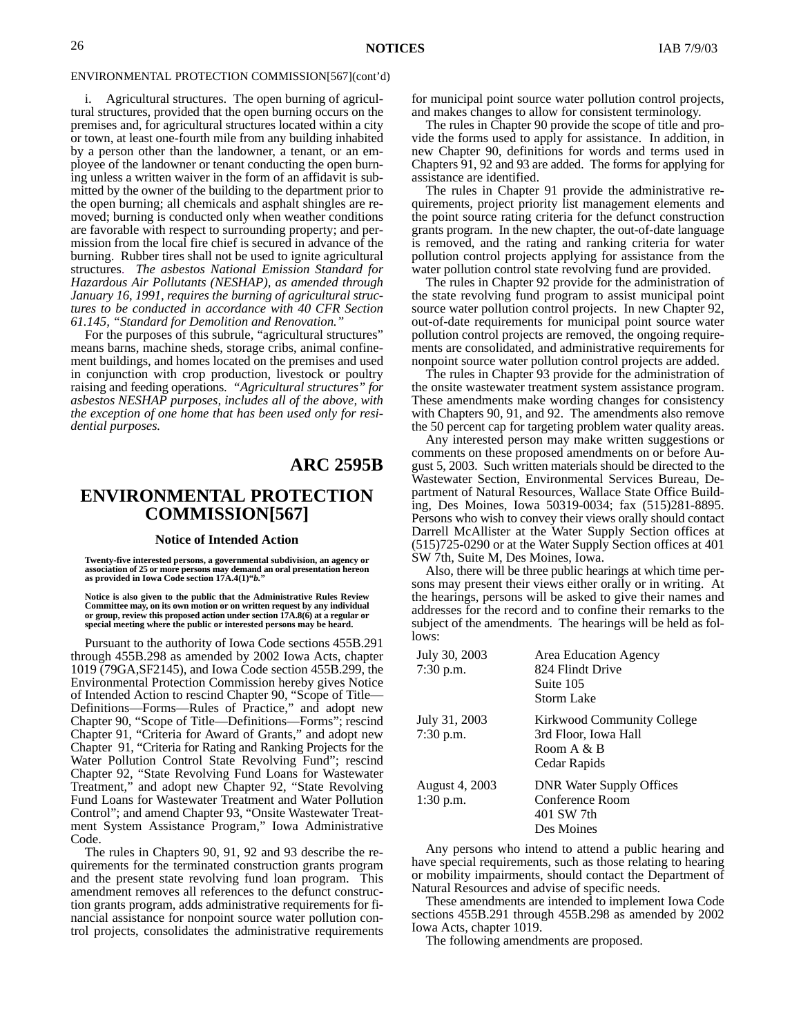i. Agricultural structures. The open burning of agricultural structures, provided that the open burning occurs on the premises and, for agricultural structures located within a city or town, at least one-fourth mile from any building inhabited by a person other than the landowner, a tenant, or an employee of the landowner or tenant conducting the open burning unless a written waiver in the form of an affidavit is submitted by the owner of the building to the department prior to the open burning; all chemicals and asphalt shingles are removed; burning is conducted only when weather conditions are favorable with respect to surrounding property; and permission from the local fire chief is secured in advance of the burning. Rubber tires shall not be used to ignite agricultural structures. *The asbestos National Emission Standard for Hazardous Air Pollutants (NESHAP), as amended through January 16, 1991, requires the burning of agricultural structures to be conducted in accordance with 40 CFR Section 61.145, "Standard for Demolition and Renovation."*

For the purposes of this subrule, "agricultural structures" means barns, machine sheds, storage cribs, animal confinement buildings, and homes located on the premises and used in conjunction with crop production, livestock or poultry raising and feeding operations. *"Agricultural structures" for asbestos NESHAP purposes, includes all of the above, with the exception of one home that has been used only for residential purposes.*

#### **ARC 2595B**

#### **ENVIRONMENTAL PROTECTION COMMISSION[567]**

#### **Notice of Intended Action**

Twenty-five interested persons, a governmental subdivision, an agency or<br>association of 25 or more persons may demand an oral presentation hereon<br>as provided in Iowa Code section 17A.4(1)"b."

**Notice is also given to the public that the Administrative Rules Review** Committee may, on its own motion or on written request by any individual<br>or group, review this proposed action under section 17A.8(6) at a regular or<br>special meeting where the public or interested persons may be heard.

Pursuant to the authority of Iowa Code sections 455B.291 through 455B.298 as amended by 2002 Iowa Acts, chapter 1019 (79GA,SF2145), and Iowa Code section 455B.299, the Environmental Protection Commission hereby gives Notice of Intended Action to rescind Chapter 90, "Scope of Title— Definitions—Forms—Rules of Practice," and adopt new Chapter 90, "Scope of Title—Definitions—Forms"; rescind Chapter 91, "Criteria for Award of Grants," and adopt new Chapter 91, "Criteria for Rating and Ranking Projects for the Water Pollution Control State Revolving Fund"; rescind Chapter 92, "State Revolving Fund Loans for Wastewater Treatment," and adopt new Chapter 92, "State Revolving Fund Loans for Wastewater Treatment and Water Pollution Control"; and amend Chapter 93, "Onsite Wastewater Treatment System Assistance Program," Iowa Administrative Code.

The rules in Chapters 90, 91, 92 and 93 describe the requirements for the terminated construction grants program and the present state revolving fund loan program. This amendment removes all references to the defunct construction grants program, adds administrative requirements for financial assistance for nonpoint source water pollution control projects, consolidates the administrative requirements for municipal point source water pollution control projects, and makes changes to allow for consistent terminology.

The rules in Chapter 90 provide the scope of title and provide the forms used to apply for assistance. In addition, in new Chapter 90, definitions for words and terms used in Chapters 91, 92 and 93 are added. The forms for applying for assistance are identified.

The rules in Chapter 91 provide the administrative requirements, project priority list management elements and the point source rating criteria for the defunct construction grants program. In the new chapter, the out-of-date language is removed, and the rating and ranking criteria for water pollution control projects applying for assistance from the water pollution control state revolving fund are provided.

The rules in Chapter 92 provide for the administration of the state revolving fund program to assist municipal point source water pollution control projects. In new Chapter 92, out-of-date requirements for municipal point source water pollution control projects are removed, the ongoing requirements are consolidated, and administrative requirements for nonpoint source water pollution control projects are added.

The rules in Chapter 93 provide for the administration of the onsite wastewater treatment system assistance program. These amendments make wording changes for consistency with Chapters 90, 91, and 92. The amendments also remove the 50 percent cap for targeting problem water quality areas.

Any interested person may make written suggestions or comments on these proposed amendments on or before August 5, 2003. Such written materials should be directed to the Wastewater Section, Environmental Services Bureau, Department of Natural Resources, Wallace State Office Building, Des Moines, Iowa 50319-0034; fax (515)281-8895. Persons who wish to convey their views orally should contact Darrell McAllister at the Water Supply Section offices at (515)725-0290 or at the Water Supply Section offices at 401 SW 7th, Suite M, Des Moines, Iowa.

Also, there will be three public hearings at which time persons may present their views either orally or in writing. At the hearings, persons will be asked to give their names and addresses for the record and to confine their remarks to the subject of the amendments. The hearings will be held as follows:

| July 30, 2003<br>$7:30$ p.m.  | Area Education Agency<br>824 Flindt Drive<br>Suite 105<br><b>Storm Lake</b>      |
|-------------------------------|----------------------------------------------------------------------------------|
| July 31, 2003<br>$7:30$ p.m.  | Kirkwood Community College<br>3rd Floor, Iowa Hall<br>Room A & B<br>Cedar Rapids |
| August 4, 2003<br>$1:30$ p.m. | <b>DNR Water Supply Offices</b><br>Conference Room<br>401 SW 7th<br>Des Moines   |

Any persons who intend to attend a public hearing and have special requirements, such as those relating to hearing or mobility impairments, should contact the Department of Natural Resources and advise of specific needs.

These amendments are intended to implement Iowa Code sections 455B.291 through 455B.298 as amended by 2002 Iowa Acts, chapter 1019.

The following amendments are proposed.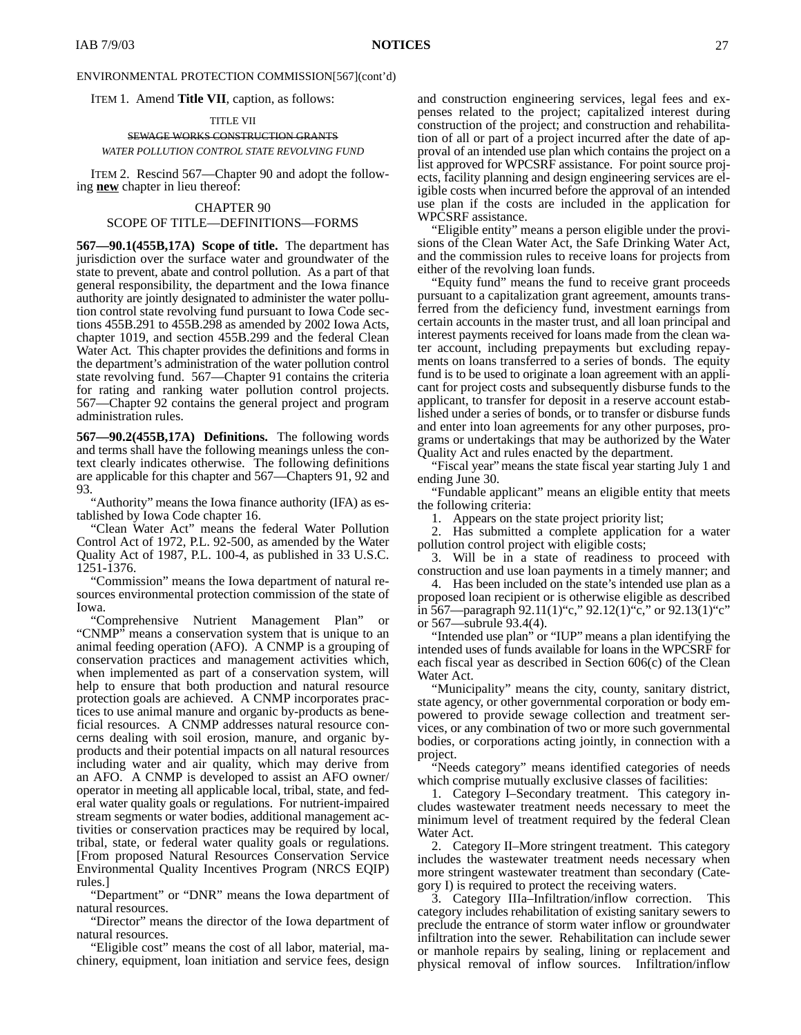ITEM 1. Amend **Title VII**, caption, as follows:

TITLE VII SEWAGE WORKS CONSTRUCTION GRANTS *WATER POLLUTION CONTROL STATE REVOLVING FUND*

ITEM 2. Rescind 567—Chapter 90 and adopt the following **new** chapter in lieu thereof:

#### CHAPTER 90

#### SCOPE OF TITLE—DEFINITIONS—FORMS

**567—90.1(455B,17A) Scope of title.** The department has jurisdiction over the surface water and groundwater of the state to prevent, abate and control pollution. As a part of that general responsibility, the department and the Iowa finance authority are jointly designated to administer the water pollution control state revolving fund pursuant to Iowa Code sections 455B.291 to 455B.298 as amended by 2002 Iowa Acts, chapter 1019, and section 455B.299 and the federal Clean Water Act. This chapter provides the definitions and forms in the department's administration of the water pollution control state revolving fund. 567—Chapter 91 contains the criteria for rating and ranking water pollution control projects. 567—Chapter 92 contains the general project and program administration rules.

**567—90.2(455B,17A) Definitions.** The following words and terms shall have the following meanings unless the context clearly indicates otherwise. The following definitions are applicable for this chapter and 567—Chapters 91, 92 and 93.

"Authority" means the Iowa finance authority (IFA) as established by Iowa Code chapter 16.

"Clean Water Act" means the federal Water Pollution Control Act of 1972, P.L. 92-500, as amended by the Water Quality Act of 1987, P.L. 100-4, as published in 33 U.S.C. 1251-1376.

"Commission" means the Iowa department of natural resources environmental protection commission of the state of Iowa.

"Comprehensive Nutrient Management Plan" or "CNMP" means a conservation system that is unique to an animal feeding operation (AFO). A CNMP is a grouping of conservation practices and management activities which, when implemented as part of a conservation system, will help to ensure that both production and natural resource protection goals are achieved. A CNMP incorporates practices to use animal manure and organic by-products as beneficial resources. A CNMP addresses natural resource concerns dealing with soil erosion, manure, and organic byproducts and their potential impacts on all natural resources including water and air quality, which may derive from an AFO. A CNMP is developed to assist an AFO owner/ operator in meeting all applicable local, tribal, state, and federal water quality goals or regulations. For nutrient-impaired stream segments or water bodies, additional management activities or conservation practices may be required by local, tribal, state, or federal water quality goals or regulations. [From proposed Natural Resources Conservation Service Environmental Quality Incentives Program (NRCS EQIP) rules.]

"Department" or "DNR" means the Iowa department of natural resources.

"Director" means the director of the Iowa department of natural resources.

"Eligible cost" means the cost of all labor, material, machinery, equipment, loan initiation and service fees, design and construction engineering services, legal fees and expenses related to the project; capitalized interest during construction of the project; and construction and rehabilitation of all or part of a project incurred after the date of approval of an intended use plan which contains the project on a list approved for WPCSRF assistance. For point source projects, facility planning and design engineering services are eligible costs when incurred before the approval of an intended use plan if the costs are included in the application for WPCSRF assistance.

"Eligible entity" means a person eligible under the provisions of the Clean Water Act, the Safe Drinking Water Act, and the commission rules to receive loans for projects from either of the revolving loan funds.

"Equity fund" means the fund to receive grant proceeds pursuant to a capitalization grant agreement, amounts transferred from the deficiency fund, investment earnings from certain accounts in the master trust, and all loan principal and interest payments received for loans made from the clean water account, including prepayments but excluding repayments on loans transferred to a series of bonds. The equity fund is to be used to originate a loan agreement with an applicant for project costs and subsequently disburse funds to the applicant, to transfer for deposit in a reserve account established under a series of bonds, or to transfer or disburse funds and enter into loan agreements for any other purposes, programs or undertakings that may be authorized by the Water Quality Act and rules enacted by the department.

"Fiscal year" means the state fiscal year starting July 1 and ending June 30.

"Fundable applicant" means an eligible entity that meets the following criteria:

1. Appears on the state project priority list;

2. Has submitted a complete application for a water pollution control project with eligible costs;

3. Will be in a state of readiness to proceed with construction and use loan payments in a timely manner; and

4. Has been included on the state's intended use plan as a proposed loan recipient or is otherwise eligible as described in 567—paragraph 92.11(1)"c," 92.12(1)"c," or 92.13(1)"c" or 567—subrule 93.4(4).

"Intended use plan" or "IUP" means a plan identifying the intended uses of funds available for loans in the WPCSRF for each fiscal year as described in Section 606(c) of the Clean Water Act.

"Municipality" means the city, county, sanitary district, state agency, or other governmental corporation or body empowered to provide sewage collection and treatment services, or any combination of two or more such governmental bodies, or corporations acting jointly, in connection with a project.

"Needs category" means identified categories of needs which comprise mutually exclusive classes of facilities:

1. Category I–Secondary treatment. This category includes wastewater treatment needs necessary to meet the minimum level of treatment required by the federal Clean Water Act.

2. Category II–More stringent treatment. This category includes the wastewater treatment needs necessary when more stringent wastewater treatment than secondary (Category I) is required to protect the receiving waters.

3. Category IIIa–Infiltration/inflow correction. This category includes rehabilitation of existing sanitary sewers to preclude the entrance of storm water inflow or groundwater infiltration into the sewer. Rehabilitation can include sewer or manhole repairs by sealing, lining or replacement and physical removal of inflow sources. Infiltration/inflow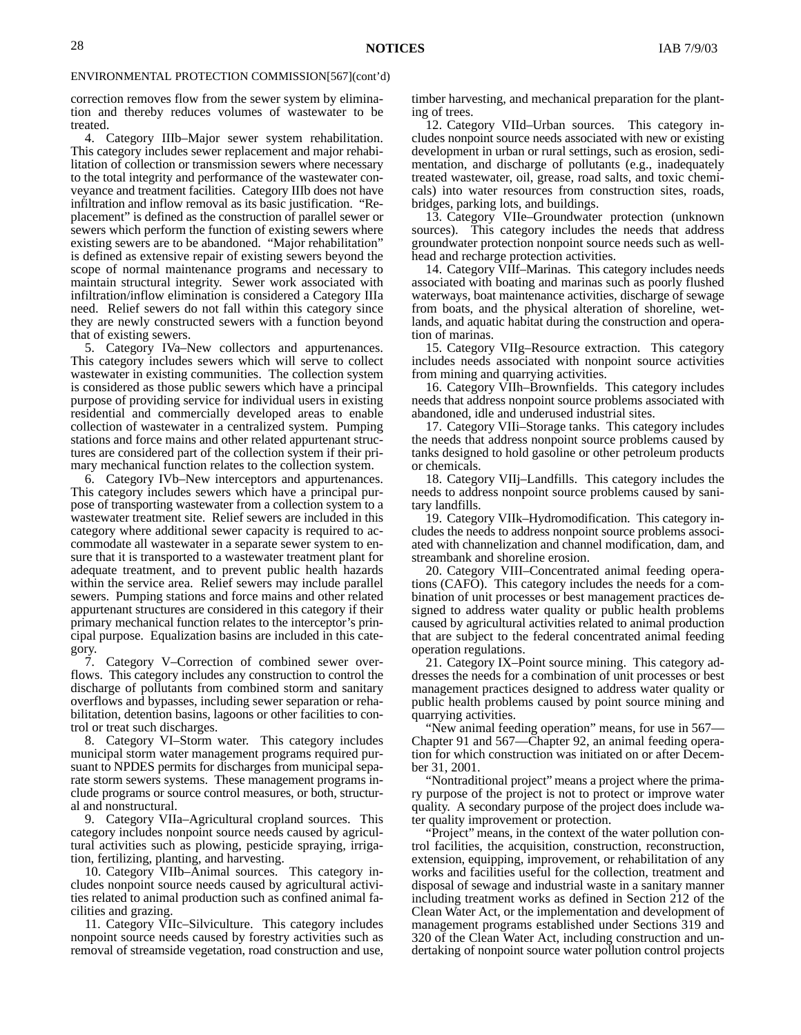correction removes flow from the sewer system by elimination and thereby reduces volumes of wastewater to be treated.

4. Category IIIb–Major sewer system rehabilitation. This category includes sewer replacement and major rehabilitation of collection or transmission sewers where necessary to the total integrity and performance of the wastewater conveyance and treatment facilities. Category IIIb does not have infiltration and inflow removal as its basic justification. "Replacement" is defined as the construction of parallel sewer or sewers which perform the function of existing sewers where existing sewers are to be abandoned. "Major rehabilitation" is defined as extensive repair of existing sewers beyond the scope of normal maintenance programs and necessary to maintain structural integrity. Sewer work associated with infiltration/inflow elimination is considered a Category IIIa need. Relief sewers do not fall within this category since they are newly constructed sewers with a function beyond that of existing sewers.

5. Category IVa–New collectors and appurtenances. This category includes sewers which will serve to collect wastewater in existing communities. The collection system is considered as those public sewers which have a principal purpose of providing service for individual users in existing residential and commercially developed areas to enable collection of wastewater in a centralized system. Pumping stations and force mains and other related appurtenant structures are considered part of the collection system if their primary mechanical function relates to the collection system.

6. Category IVb–New interceptors and appurtenances. This category includes sewers which have a principal purpose of transporting wastewater from a collection system to a wastewater treatment site. Relief sewers are included in this category where additional sewer capacity is required to accommodate all wastewater in a separate sewer system to ensure that it is transported to a wastewater treatment plant for adequate treatment, and to prevent public health hazards within the service area. Relief sewers may include parallel sewers. Pumping stations and force mains and other related appurtenant structures are considered in this category if their primary mechanical function relates to the interceptor's principal purpose. Equalization basins are included in this category.

7. Category V–Correction of combined sewer overflows. This category includes any construction to control the discharge of pollutants from combined storm and sanitary overflows and bypasses, including sewer separation or rehabilitation, detention basins, lagoons or other facilities to control or treat such discharges.

8. Category VI–Storm water. This category includes municipal storm water management programs required pursuant to NPDES permits for discharges from municipal separate storm sewers systems. These management programs include programs or source control measures, or both, structural and nonstructural.

9. Category VIIa–Agricultural cropland sources. This category includes nonpoint source needs caused by agricultural activities such as plowing, pesticide spraying, irrigation, fertilizing, planting, and harvesting.

10. Category VIIb–Animal sources. This category includes nonpoint source needs caused by agricultural activities related to animal production such as confined animal facilities and grazing.

11. Category VIIc–Silviculture. This category includes nonpoint source needs caused by forestry activities such as removal of streamside vegetation, road construction and use,

timber harvesting, and mechanical preparation for the planting of trees.

12. Category VIId–Urban sources. This category includes nonpoint source needs associated with new or existing development in urban or rural settings, such as erosion, sedimentation, and discharge of pollutants (e.g., inadequately treated wastewater, oil, grease, road salts, and toxic chemicals) into water resources from construction sites, roads, bridges, parking lots, and buildings.

13. Category VIIe–Groundwater protection (unknown sources). This category includes the needs that address groundwater protection nonpoint source needs such as wellhead and recharge protection activities.

14. Category VIIf–Marinas. This category includes needs associated with boating and marinas such as poorly flushed waterways, boat maintenance activities, discharge of sewage from boats, and the physical alteration of shoreline, wetlands, and aquatic habitat during the construction and operation of marinas.

15. Category VIIg–Resource extraction. This category includes needs associated with nonpoint source activities from mining and quarrying activities.

16. Category VIIh–Brownfields. This category includes needs that address nonpoint source problems associated with abandoned, idle and underused industrial sites.

17. Category VIIi–Storage tanks. This category includes the needs that address nonpoint source problems caused by tanks designed to hold gasoline or other petroleum products or chemicals.

18. Category VIIj–Landfills. This category includes the needs to address nonpoint source problems caused by sanitary landfills.

19. Category VIIk–Hydromodification. This category includes the needs to address nonpoint source problems associated with channelization and channel modification, dam, and streambank and shoreline erosion.

20. Category VIII–Concentrated animal feeding operations (CAFO). This category includes the needs for a combination of unit processes or best management practices designed to address water quality or public health problems caused by agricultural activities related to animal production that are subject to the federal concentrated animal feeding operation regulations.

21. Category IX–Point source mining. This category addresses the needs for a combination of unit processes or best management practices designed to address water quality or public health problems caused by point source mining and quarrying activities.

"New animal feeding operation" means, for use in 567— Chapter 91 and 567—Chapter 92, an animal feeding operation for which construction was initiated on or after December 31, 2001.

"Nontraditional project" means a project where the primary purpose of the project is not to protect or improve water quality. A secondary purpose of the project does include water quality improvement or protection.

"Project" means, in the context of the water pollution control facilities, the acquisition, construction, reconstruction, extension, equipping, improvement, or rehabilitation of any works and facilities useful for the collection, treatment and disposal of sewage and industrial waste in a sanitary manner including treatment works as defined in Section 212 of the Clean Water Act, or the implementation and development of management programs established under Sections 319 and 320 of the Clean Water Act, including construction and undertaking of nonpoint source water pollution control projects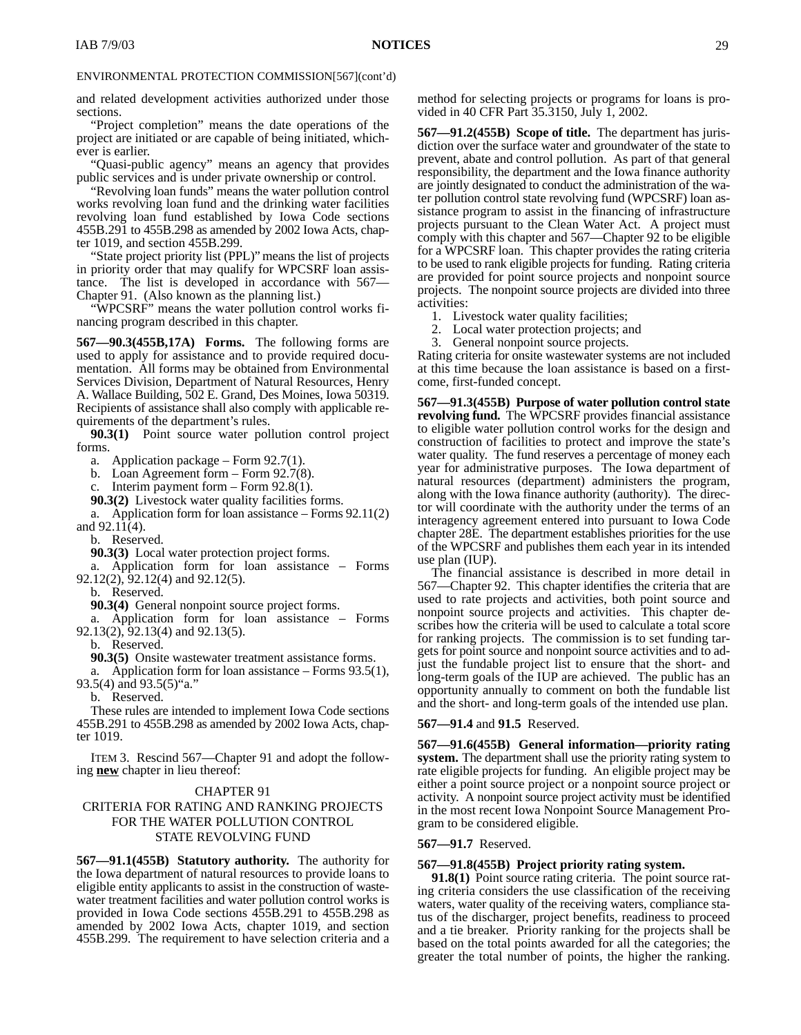and related development activities authorized under those sections.

"Project completion" means the date operations of the project are initiated or are capable of being initiated, whichever is earlier.

"Quasi-public agency" means an agency that provides public services and is under private ownership or control.

"Revolving loan funds" means the water pollution control works revolving loan fund and the drinking water facilities revolving loan fund established by Iowa Code sections 455B.291 to 455B.298 as amended by 2002 Iowa Acts, chapter 1019, and section 455B.299.

"State project priority list (PPL)" means the list of projects in priority order that may qualify for WPCSRF loan assistance. The list is developed in accordance with 567— Chapter 91. (Also known as the planning list.)

"WPCSRF" means the water pollution control works financing program described in this chapter.

**567—90.3(455B,17A) Forms.** The following forms are used to apply for assistance and to provide required documentation. All forms may be obtained from Environmental Services Division, Department of Natural Resources, Henry A. Wallace Building, 502 E. Grand, Des Moines, Iowa 50319. Recipients of assistance shall also comply with applicable requirements of the department's rules.

**90.3(1)** Point source water pollution control project forms.

a. Application package – Form 92.7(1).

b. Loan Agreement form – Form 92.7(8).

c. Interim payment form – Form 92.8(1).

**90.3(2)** Livestock water quality facilities forms.

a. Application form for loan assistance – Forms 92.11(2) and  $92.11(4)$ .

b. Reserved.

**90.3(3)** Local water protection project forms.

a. Application form for loan assistance – Forms 92.12(2), 92.12(4) and 92.12(5).

Reserved.

**90.3(4)** General nonpoint source project forms.

a. Application form for loan assistance – Forms 92.13(2), 92.13(4) and 92.13(5).

b. Reserved.

**90.3(5)** Onsite wastewater treatment assistance forms.

a. Application form for loan assistance – Forms 93.5(1), 93.5(4) and 93.5(5)"a."

b. Reserved.

These rules are intended to implement Iowa Code sections 455B.291 to 455B.298 as amended by 2002 Iowa Acts, chapter 1019.

ITEM 3. Rescind 567—Chapter 91 and adopt the following **new** chapter in lieu thereof:

#### CHAPTER 91

#### CRITERIA FOR RATING AND RANKING PROJECTS FOR THE WATER POLLUTION CONTROL STATE REVOLVING FUND

**567—91.1(455B) Statutory authority.** The authority for the Iowa department of natural resources to provide loans to eligible entity applicants to assist in the construction of wastewater treatment facilities and water pollution control works is provided in Iowa Code sections 455B.291 to 455B.298 as amended by 2002 Iowa Acts, chapter 1019, and section 455B.299. The requirement to have selection criteria and a

method for selecting projects or programs for loans is provided in 40 CFR Part 35.3150, July 1, 2002.

**567—91.2(455B) Scope of title.** The department has jurisdiction over the surface water and groundwater of the state to prevent, abate and control pollution. As part of that general responsibility, the department and the Iowa finance authority are jointly designated to conduct the administration of the water pollution control state revolving fund (WPCSRF) loan assistance program to assist in the financing of infrastructure projects pursuant to the Clean Water Act. A project must comply with this chapter and 567—Chapter 92 to be eligible for a WPCSRF loan. This chapter provides the rating criteria to be used to rank eligible projects for funding. Rating criteria are provided for point source projects and nonpoint source projects. The nonpoint source projects are divided into three activities:

- 1. Livestock water quality facilities;
- 2. Local water protection projects; and
- 3. General nonpoint source projects.

Rating criteria for onsite wastewater systems are not included at this time because the loan assistance is based on a firstcome, first-funded concept.

**567—91.3(455B) Purpose of water pollution control state revolving fund.** The WPCSRF provides financial assistance to eligible water pollution control works for the design and construction of facilities to protect and improve the state's water quality. The fund reserves a percentage of money each year for administrative purposes. The Iowa department of natural resources (department) administers the program, along with the Iowa finance authority (authority). The director will coordinate with the authority under the terms of an interagency agreement entered into pursuant to Iowa Code chapter 28E. The department establishes priorities for the use of the WPCSRF and publishes them each year in its intended use plan (IUP).

The financial assistance is described in more detail in 567—Chapter 92. This chapter identifies the criteria that are used to rate projects and activities, both point source and nonpoint source projects and activities. This chapter describes how the criteria will be used to calculate a total score for ranking projects. The commission is to set funding targets for point source and nonpoint source activities and to adjust the fundable project list to ensure that the short- and long-term goals of the IUP are achieved. The public has an opportunity annually to comment on both the fundable list and the short- and long-term goals of the intended use plan.

#### **567—91.4** and **91.5** Reserved.

**567—91.6(455B) General information—priority rating system.** The department shall use the priority rating system to rate eligible projects for funding. An eligible project may be either a point source project or a nonpoint source project or activity. A nonpoint source project activity must be identified in the most recent Iowa Nonpoint Source Management Program to be considered eligible.

#### **567—91.7** Reserved.

#### **567—91.8(455B) Project priority rating system.**

**91.8(1)** Point source rating criteria. The point source rating criteria considers the use classification of the receiving waters, water quality of the receiving waters, compliance status of the discharger, project benefits, readiness to proceed and a tie breaker. Priority ranking for the projects shall be based on the total points awarded for all the categories; the greater the total number of points, the higher the ranking.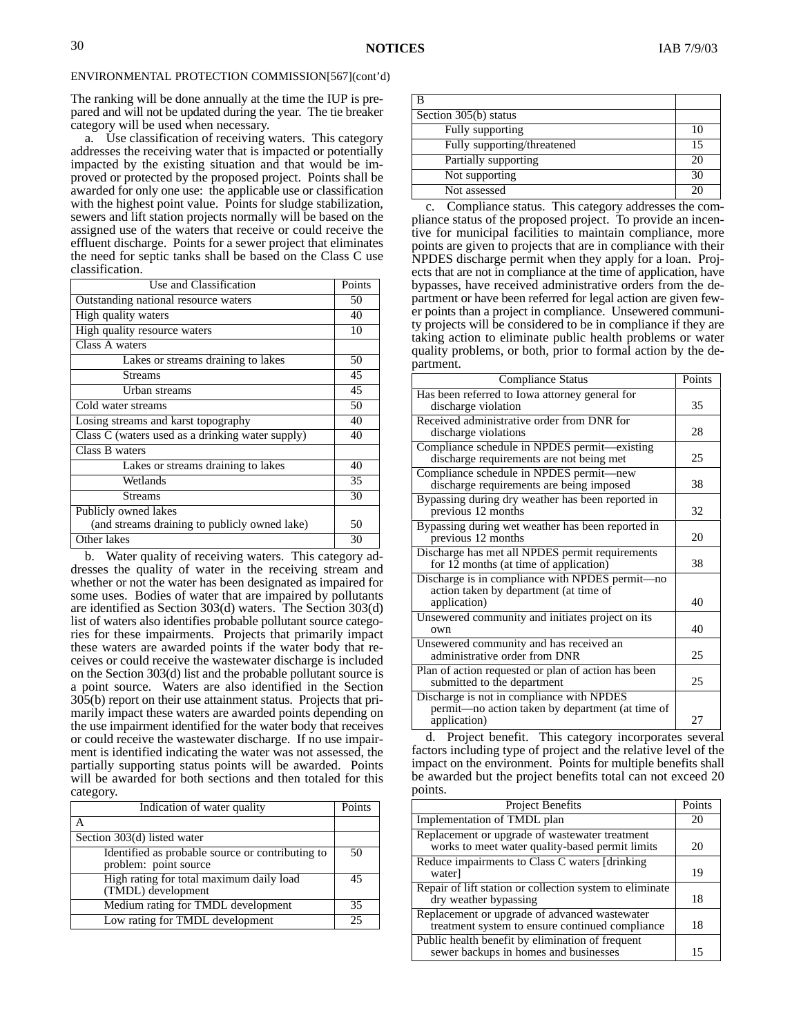The ranking will be done annually at the time the IUP is prepared and will not be updated during the year. The tie breaker category will be used when necessary.

a. Use classification of receiving waters. This category addresses the receiving water that is impacted or potentially impacted by the existing situation and that would be improved or protected by the proposed project. Points shall be awarded for only one use: the applicable use or classification with the highest point value. Points for sludge stabilization, sewers and lift station projects normally will be based on the assigned use of the waters that receive or could receive the effluent discharge. Points for a sewer project that eliminates the need for septic tanks shall be based on the Class C use classification.

| Use and Classification                           | Points |
|--------------------------------------------------|--------|
| Outstanding national resource waters             | 50     |
| High quality waters                              | 40     |
| High quality resource waters                     | 10     |
| Class A waters                                   |        |
| Lakes or streams draining to lakes               | 50     |
| <b>Streams</b>                                   | 45     |
| Urban streams                                    | 45     |
| Cold water streams                               | 50     |
| Losing streams and karst topography              | 40     |
| Class C (waters used as a drinking water supply) | 40     |
| Class B waters                                   |        |
| Lakes or streams draining to lakes               | 40     |
| Wetlands                                         | 35     |
| <b>Streams</b>                                   | 30     |
| Publicly owned lakes                             |        |
| (and streams draining to publicly owned lake)    | 50     |
| Other lakes                                      | 30     |

b. Water quality of receiving waters. This category addresses the quality of water in the receiving stream and whether or not the water has been designated as impaired for some uses. Bodies of water that are impaired by pollutants are identified as Section 303(d) waters. The Section 303(d) list of waters also identifies probable pollutant source categories for these impairments. Projects that primarily impact these waters are awarded points if the water body that receives or could receive the wastewater discharge is included on the Section 303(d) list and the probable pollutant source is a point source. Waters are also identified in the Section 305(b) report on their use attainment status. Projects that primarily impact these waters are awarded points depending on the use impairment identified for the water body that receives or could receive the wastewater discharge. If no use impairment is identified indicating the water was not assessed, the partially supporting status points will be awarded. Points will be awarded for both sections and then totaled for this category.

| Indication of water quality                                               | Points |
|---------------------------------------------------------------------------|--------|
|                                                                           |        |
| Section 303(d) listed water                                               |        |
| Identified as probable source or contributing to<br>problem: point source | 50     |
| High rating for total maximum daily load<br>(TMDL) development            | 45     |
| Medium rating for TMDL development                                        | 35     |
| Low rating for TMDL development                                           | 25     |

| Section 305(b) status       |    |
|-----------------------------|----|
| Fully supporting            |    |
| Fully supporting/threatened | 15 |
| Partially supporting        |    |
| Not supporting              |    |
| Not assessed                |    |

c. Compliance status. This category addresses the compliance status of the proposed project. To provide an incentive for municipal facilities to maintain compliance, more points are given to projects that are in compliance with their NPDES discharge permit when they apply for a loan. Projects that are not in compliance at the time of application, have bypasses, have received administrative orders from the department or have been referred for legal action are given fewer points than a project in compliance. Unsewered community projects will be considered to be in compliance if they are taking action to eliminate public health problems or water quality problems, or both, prior to formal action by the department.

| Compliance Status                                                                                             | Points |
|---------------------------------------------------------------------------------------------------------------|--------|
| Has been referred to Iowa attorney general for<br>discharge violation                                         | 35     |
| Received administrative order from DNR for<br>discharge violations                                            | 28     |
| Compliance schedule in NPDES permit—existing<br>discharge requirements are not being met                      | 25     |
| Compliance schedule in NPDES permit-new<br>discharge requirements are being imposed                           | 38     |
| Bypassing during dry weather has been reported in<br>previous 12 months                                       | 32     |
| Bypassing during wet weather has been reported in<br>previous 12 months                                       | 20     |
| Discharge has met all NPDES permit requirements<br>for $12$ months (at time of application)                   | 38     |
| Discharge is in compliance with NPDES permit-no<br>action taken by department (at time of<br>application)     | 40     |
| Unsewered community and initiates project on its<br>own                                                       | 40     |
| Unsewered community and has received an<br>administrative order from DNR                                      | 25     |
| Plan of action requested or plan of action has been<br>submitted to the department                            | 25     |
| Discharge is not in compliance with NPDES<br>permit—no action taken by department (at time of<br>application) | 27     |

d. Project benefit. This category incorporates several factors including type of project and the relative level of the impact on the environment. Points for multiple benefits shall be awarded but the project benefits total can not exceed 20 points.

| <b>Project Benefits</b>                                                                           | Points |
|---------------------------------------------------------------------------------------------------|--------|
| Implementation of TMDL plan                                                                       | 20     |
| Replacement or upgrade of wastewater treatment<br>works to meet water quality-based permit limits | 20     |
| Reduce impairments to Class C waters [drinking]<br>water]                                         | 19     |
| Repair of lift station or collection system to eliminate<br>dry weather bypassing                 | 18     |
| Replacement or upgrade of advanced wastewater<br>treatment system to ensure continued compliance  | 18     |
| Public health benefit by elimination of frequent<br>sewer backups in homes and businesses         | 15     |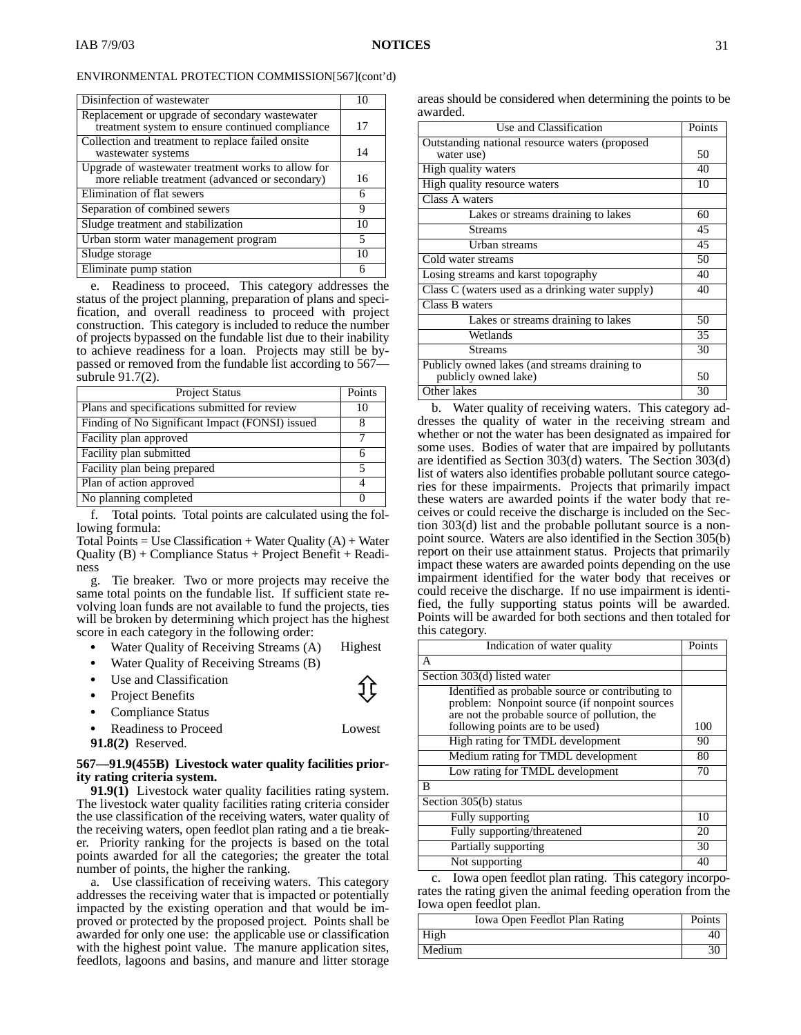| Disinfection of wastewater                                                                            | 10 |
|-------------------------------------------------------------------------------------------------------|----|
| Replacement or upgrade of secondary wastewater<br>treatment system to ensure continued compliance     | 17 |
| Collection and treatment to replace failed onsite<br>wastewater systems                               | 14 |
| Upgrade of wastewater treatment works to allow for<br>more reliable treatment (advanced or secondary) | 16 |
| Elimination of flat sewers                                                                            | 6  |
| Separation of combined sewers                                                                         | 9  |
| Sludge treatment and stabilization                                                                    | 10 |
| Urban storm water management program                                                                  | 5  |
| Sludge storage                                                                                        | 10 |
| Eliminate pump station                                                                                | n  |

e. Readiness to proceed. This category addresses the status of the project planning, preparation of plans and specification, and overall readiness to proceed with project construction. This category is included to reduce the number of projects bypassed on the fundable list due to their inability to achieve readiness for a loan. Projects may still be bypassed or removed from the fundable list according to 567 subrule 91.7(2).

| <b>Project Status</b>                           | Points |
|-------------------------------------------------|--------|
| Plans and specifications submitted for review   | 10     |
| Finding of No Significant Impact (FONSI) issued |        |
| Facility plan approved                          |        |
| Facility plan submitted                         |        |
| Facility plan being prepared                    |        |
| Plan of action approved                         |        |
| No planning completed                           |        |

f. Total points. Total points are calculated using the following formula:

Total Points = Use Classification + Water Quality  $(A)$  + Water Quality (B) + Compliance Status + Project Benefit + Readiness

g. Tie breaker. Two or more projects may receive the same total points on the fundable list. If sufficient state revolving loan funds are not available to fund the projects, ties will be broken by determining which project has the highest score in each category in the following order:

- Water Quality of Receiving Streams (A) Highest Ī
- Water Quality of Receiving Streams (B)
- Ī Use and Classification Project Benefits Ī
- 

- Compliance Status Ī
- Readiness to Proceed Lowest

**91.8(2)** Reserved.

#### **567—91.9(455B) Livestock water quality facilities priority rating criteria system.**

**91.9(1)** Livestock water quality facilities rating system. The livestock water quality facilities rating criteria consider the use classification of the receiving waters, water quality of the receiving waters, open feedlot plan rating and a tie breaker. Priority ranking for the projects is based on the total points awarded for all the categories; the greater the total number of points, the higher the ranking.

a. Use classification of receiving waters. This category addresses the receiving water that is impacted or potentially impacted by the existing operation and that would be improved or protected by the proposed project. Points shall be awarded for only one use: the applicable use or classification with the highest point value. The manure application sites, feedlots, lagoons and basins, and manure and litter storage

areas should be considered when determining the points to be awarded.

| Use and Classification                           | Points |
|--------------------------------------------------|--------|
| Outstanding national resource waters (proposed   |        |
| water use)                                       | 50     |
| High quality waters                              | 40     |
| High quality resource waters                     | 10     |
| Class A waters                                   |        |
| Lakes or streams draining to lakes               | 60     |
| <b>Streams</b>                                   | 45     |
| Urban streams                                    | 45     |
| Cold water streams                               | 50     |
| Losing streams and karst topography              | 40     |
| Class C (waters used as a drinking water supply) | 40     |
| Class B waters                                   |        |
| Lakes or streams draining to lakes               | 50     |
| Wetlands                                         | 35     |
| Streams                                          | 30     |
| Publicly owned lakes (and streams draining to    |        |
| publicly owned lake)                             | 50     |
| Other lakes                                      | 30     |

b. Water quality of receiving waters. This category addresses the quality of water in the receiving stream and whether or not the water has been designated as impaired for some uses. Bodies of water that are impaired by pollutants are identified as Section 303(d) waters. The Section 303(d) list of waters also identifies probable pollutant source categories for these impairments. Projects that primarily impact these waters are awarded points if the water body that receives or could receive the discharge is included on the Section 303(d) list and the probable pollutant source is a nonpoint source. Waters are also identified in the Section 305(b) report on their use attainment status. Projects that primarily impact these waters are awarded points depending on the use impairment identified for the water body that receives or could receive the discharge. If no use impairment is identified, the fully supporting status points will be awarded. Points will be awarded for both sections and then totaled for this category.

| Indication of water quality                                                                                                                        | Points |
|----------------------------------------------------------------------------------------------------------------------------------------------------|--------|
| A                                                                                                                                                  |        |
| Section 303(d) listed water                                                                                                                        |        |
| Identified as probable source or contributing to<br>problem: Nonpoint source (if nonpoint sources<br>are not the probable source of pollution, the |        |
| following points are to be used)                                                                                                                   | 100    |
| High rating for TMDL development                                                                                                                   | 90     |
| Medium rating for TMDL development                                                                                                                 | 80     |
| Low rating for TMDL development                                                                                                                    | 70     |
| B                                                                                                                                                  |        |
| Section 305(b) status                                                                                                                              |        |
| Fully supporting                                                                                                                                   | 10     |
| Fully supporting/threatened                                                                                                                        | 20     |
| Partially supporting                                                                                                                               | 30     |
| Not supporting                                                                                                                                     | 40     |

c. Iowa open feedlot plan rating. This category incorporates the rating given the animal feeding operation from the Iowa open feedlot plan.

| Iowa Open Feedlot Plan Rating | Points |
|-------------------------------|--------|
| High                          |        |
| Medium                        |        |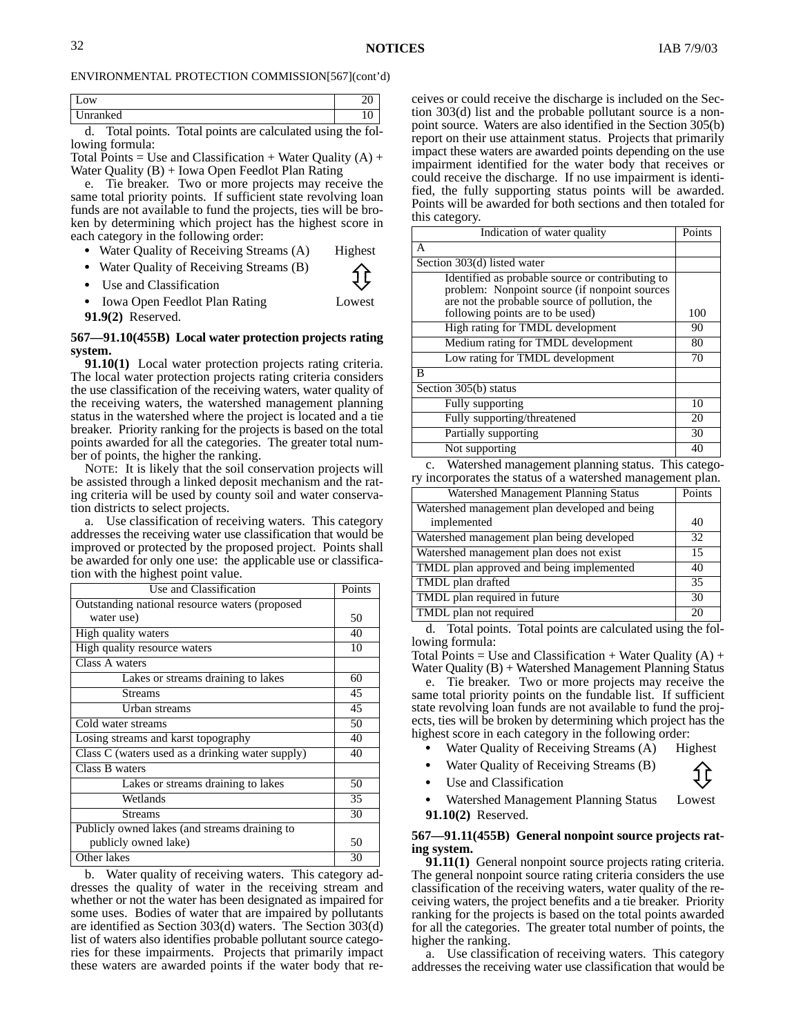| эw                                                 | ∼      |
|----------------------------------------------------|--------|
| nranked                                            | ◡<br>- |
| $\mathbf{r}$<br>m.<br>$\sim$ 1<br>. .<br>. .<br>-- | . .    |

d. Total points. Total points are calculated using the following formula:

Total Points = Use and Classification + Water Quality  $(A)$  + Water Quality (B) + Iowa Open Feedlot Plan Rating

e. Tie breaker. Two or more projects may receive the same total priority points. If sufficient state revolving loan funds are not available to fund the projects, ties will be broken by determining which project has the highest score in each category in the following order:

- Water Quality of Receiving Streams (A) Highest
- Water Quality of Receiving Streams (B)<br>
 Use and Classification<br>
 Use and Classification

Iowa Open Feedlot Plan Rating Lowest

**91.9(2)** Reserved.

#### **567—91.10(455B) Local water protection projects rating system.**

**91.10(1)** Local water protection projects rating criteria. The local water protection projects rating criteria considers the use classification of the receiving waters, water quality of the receiving waters, the watershed management planning status in the watershed where the project is located and a tie breaker. Priority ranking for the projects is based on the total points awarded for all the categories. The greater total number of points, the higher the ranking.

NOTE: It is likely that the soil conservation projects will be assisted through a linked deposit mechanism and the rating criteria will be used by county soil and water conservation districts to select projects.

a. Use classification of receiving waters. This category addresses the receiving water use classification that would be improved or protected by the proposed project. Points shall be awarded for only one use: the applicable use or classification with the highest point value.

| Use and Classification                           | Points |
|--------------------------------------------------|--------|
| Outstanding national resource waters (proposed   |        |
| water use)                                       | 50     |
| High quality waters                              | 40     |
| High quality resource waters                     | 10     |
| Class A waters                                   |        |
| Lakes or streams draining to lakes               | 60     |
| <b>Streams</b>                                   | 45     |
| Urban streams                                    | 45     |
| Cold water streams                               | 50     |
| Losing streams and karst topography              | 40     |
| Class C (waters used as a drinking water supply) | 40     |
| Class B waters                                   |        |
| Lakes or streams draining to lakes               | 50     |
| Wetlands                                         | 35     |
| <b>Streams</b>                                   | 30     |
| Publicly owned lakes (and streams draining to    |        |
| publicly owned lake)                             | 50     |
| Other lakes                                      | 30     |

b. Water quality of receiving waters. This category addresses the quality of water in the receiving stream and whether or not the water has been designated as impaired for some uses. Bodies of water that are impaired by pollutants are identified as Section 303(d) waters. The Section 303(d) list of waters also identifies probable pollutant source categories for these impairments. Projects that primarily impact these waters are awarded points if the water body that receives or could receive the discharge is included on the Section 303(d) list and the probable pollutant source is a nonpoint source. Waters are also identified in the Section 305(b) report on their use attainment status. Projects that primarily impact these waters are awarded points depending on the use impairment identified for the water body that receives or could receive the discharge. If no use impairment is identified, the fully supporting status points will be awarded. Points will be awarded for both sections and then totaled for this category.

| Indication of water quality                                                                                                                        | Points |
|----------------------------------------------------------------------------------------------------------------------------------------------------|--------|
| А                                                                                                                                                  |        |
| Section 303(d) listed water                                                                                                                        |        |
| Identified as probable source or contributing to<br>problem: Nonpoint source (if nonpoint sources<br>are not the probable source of pollution, the |        |
| following points are to be used)                                                                                                                   | 100    |
| High rating for TMDL development                                                                                                                   | 90     |
| Medium rating for TMDL development                                                                                                                 | 80     |
| Low rating for TMDL development                                                                                                                    | 70     |
| B                                                                                                                                                  |        |
| Section 305(b) status                                                                                                                              |        |
| Fully supporting                                                                                                                                   | 10     |
| Fully supporting/threatened                                                                                                                        | 20     |
| Partially supporting                                                                                                                               | 30     |
| Not supporting                                                                                                                                     | 40     |

c. Watershed management planning status. This category incorporates the status of a watershed management plan.

| Watershed Management Planning Status                         | Points |
|--------------------------------------------------------------|--------|
| Watershed management plan developed and being<br>implemented | 40     |
| Watershed management plan being developed                    | 32     |
| Watershed management plan does not exist                     | 15     |
| TMDL plan approved and being implemented                     | 40     |
| TMDL plan drafted                                            | 35     |
| TMDL plan required in future                                 | 30     |
| TMDL plan not required                                       | 2(     |

d. Total points. Total points are calculated using the following formula:

Total Points = Use and Classification + Water Quality  $(A)$  + Water Quality (B) + Watershed Management Planning Status

e. Tie breaker. Two or more projects may receive the same total priority points on the fundable list. If sufficient state revolving loan funds are not available to fund the projects, ties will be broken by determining which project has the highest score in each category in the following order:

- Water Quality of Receiving Streams (A) Highest Ī
- Water Quality of Receiving Streams (B)<br>
 Use and Classification<br>
 Use and Classification Ī
- 

 Watershed Management Planning Status Lowest **91.10(2)** Reserved.

#### **567—91.11(455B) General nonpoint source projects rating system.**

**91.11(1)** General nonpoint source projects rating criteria. The general nonpoint source rating criteria considers the use classification of the receiving waters, water quality of the receiving waters, the project benefits and a tie breaker. Priority ranking for the projects is based on the total points awarded for all the categories. The greater total number of points, the higher the ranking.

a. Use classification of receiving waters. This category addresses the receiving water use classification that would be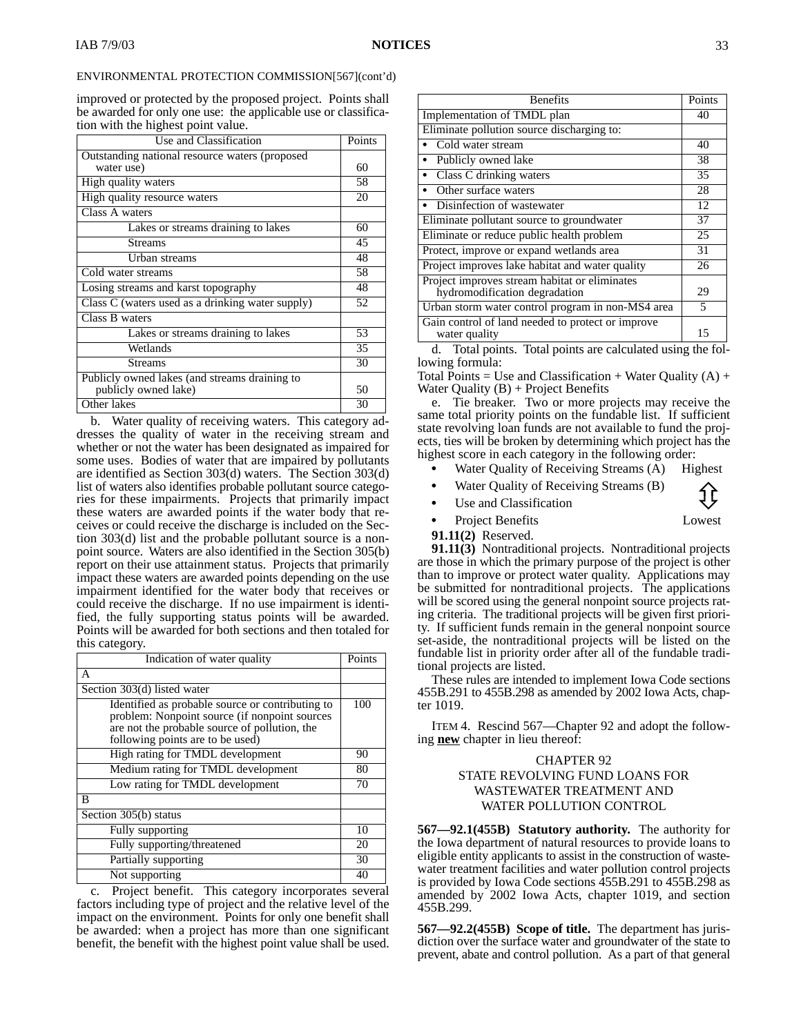improved or protected by the proposed project. Points shall be awarded for only one use: the applicable use or classification with the highest point value.

| Use and Classification                           | Points |
|--------------------------------------------------|--------|
| Outstanding national resource waters (proposed   |        |
| water use)                                       | 60     |
| High quality waters                              | 58     |
| High quality resource waters                     | 20     |
| Class A waters                                   |        |
| Lakes or streams draining to lakes               | 60     |
| <b>Streams</b>                                   | 45     |
| Urban streams                                    | 48     |
| Cold water streams                               | 58     |
| Losing streams and karst topography              | 48     |
| Class C (waters used as a drinking water supply) | 52     |
| Class B waters                                   |        |
| Lakes or streams draining to lakes               | 53     |
| Wetlands                                         | 35     |
| <b>Streams</b>                                   | 30     |
| Publicly owned lakes (and streams draining to    |        |
| publicly owned lake)                             | 50     |
| Other lakes                                      | 30     |

b. Water quality of receiving waters. This category addresses the quality of water in the receiving stream and whether or not the water has been designated as impaired for some uses. Bodies of water that are impaired by pollutants are identified as Section 303(d) waters. The Section 303(d) list of waters also identifies probable pollutant source categories for these impairments. Projects that primarily impact these waters are awarded points if the water body that receives or could receive the discharge is included on the Section 303(d) list and the probable pollutant source is a nonpoint source. Waters are also identified in the Section 305(b) report on their use attainment status. Projects that primarily impact these waters are awarded points depending on the use impairment identified for the water body that receives or could receive the discharge. If no use impairment is identified, the fully supporting status points will be awarded. Points will be awarded for both sections and then totaled for this category.

| Indication of water quality                                                                                                                                                            | Points |
|----------------------------------------------------------------------------------------------------------------------------------------------------------------------------------------|--------|
| A                                                                                                                                                                                      |        |
| Section 303(d) listed water                                                                                                                                                            |        |
| Identified as probable source or contributing to<br>problem: Nonpoint source (if nonpoint sources<br>are not the probable source of pollution, the<br>following points are to be used) | 100    |
| High rating for TMDL development                                                                                                                                                       | 90     |
| Medium rating for TMDL development                                                                                                                                                     | 80     |
| Low rating for TMDL development                                                                                                                                                        | 70     |
| B                                                                                                                                                                                      |        |
| Section 305(b) status                                                                                                                                                                  |        |
| Fully supporting                                                                                                                                                                       | 10     |
| Fully supporting/threatened                                                                                                                                                            | 20     |
| Partially supporting                                                                                                                                                                   | 30     |
| Not supporting                                                                                                                                                                         | 40     |

c. Project benefit. This category incorporates several factors including type of project and the relative level of the impact on the environment. Points for only one benefit shall be awarded: when a project has more than one significant benefit, the benefit with the highest point value shall be used.

| <b>Benefits</b>                                                                | Points                   |
|--------------------------------------------------------------------------------|--------------------------|
| Implementation of TMDL plan                                                    | 40                       |
| Eliminate pollution source discharging to:                                     |                          |
| Cold water stream                                                              | 40                       |
| Publicly owned lake<br>$\bullet$                                               | 38                       |
| • Class C drinking waters                                                      | 35                       |
| Other surface waters                                                           | 28                       |
| • Disinfection of wastewater                                                   | 12                       |
| Eliminate pollutant source to groundwater                                      | 37                       |
| Eliminate or reduce public health problem                                      | 25                       |
| Protect, improve or expand wetlands area                                       | 31                       |
| Project improves lake habitat and water quality                                | 26                       |
| Project improves stream habitat or eliminates<br>hydromodification degradation | 29                       |
| Urban storm water control program in non-MS4 area                              | $\overline{\phantom{0}}$ |
| Gain control of land needed to protect or improve<br>water quality             | 15                       |

d. Total points. Total points are calculated using the following formula:

Total Points = Use and Classification + Water Quality  $(A)$  + Water Quality  $(B)$  + Project Benefits

e. Tie breaker. Two or more projects may receive the same total priority points on the fundable list. If sufficient state revolving loan funds are not available to fund the projects, ties will be broken by determining which project has the highest score in each category in the following order:

- Water Quality of Receiving Streams (A) Highest
- $\bullet$ • Water Quality of Receiving Streams (B)<br>
Use and Classification<br>
Use and Classification Ī
- - Project Benefits Lowest
- **91.11(2)** Reserved.

**91.11(3)** Nontraditional projects. Nontraditional projects are those in which the primary purpose of the project is other than to improve or protect water quality. Applications may be submitted for nontraditional projects. The applications will be scored using the general nonpoint source projects rating criteria. The traditional projects will be given first priority. If sufficient funds remain in the general nonpoint source set-aside, the nontraditional projects will be listed on the fundable list in priority order after all of the fundable traditional projects are listed.

These rules are intended to implement Iowa Code sections 455B.291 to 455B.298 as amended by 2002 Iowa Acts, chapter 1019.

ITEM 4. Rescind 567—Chapter 92 and adopt the following **new** chapter in lieu thereof:

#### CHAPTER 92 STATE REVOLVING FUND LOANS FOR WASTEWATER TREATMENT AND WATER POLLUTION CONTROL

**567—92.1(455B) Statutory authority.** The authority for the Iowa department of natural resources to provide loans to eligible entity applicants to assist in the construction of wastewater treatment facilities and water pollution control projects is provided by Iowa Code sections 455B.291 to 455B.298 as amended by 2002 Iowa Acts, chapter 1019, and section 455B.299.

**567—92.2(455B) Scope of title.** The department has jurisdiction over the surface water and groundwater of the state to prevent, abate and control pollution. As a part of that general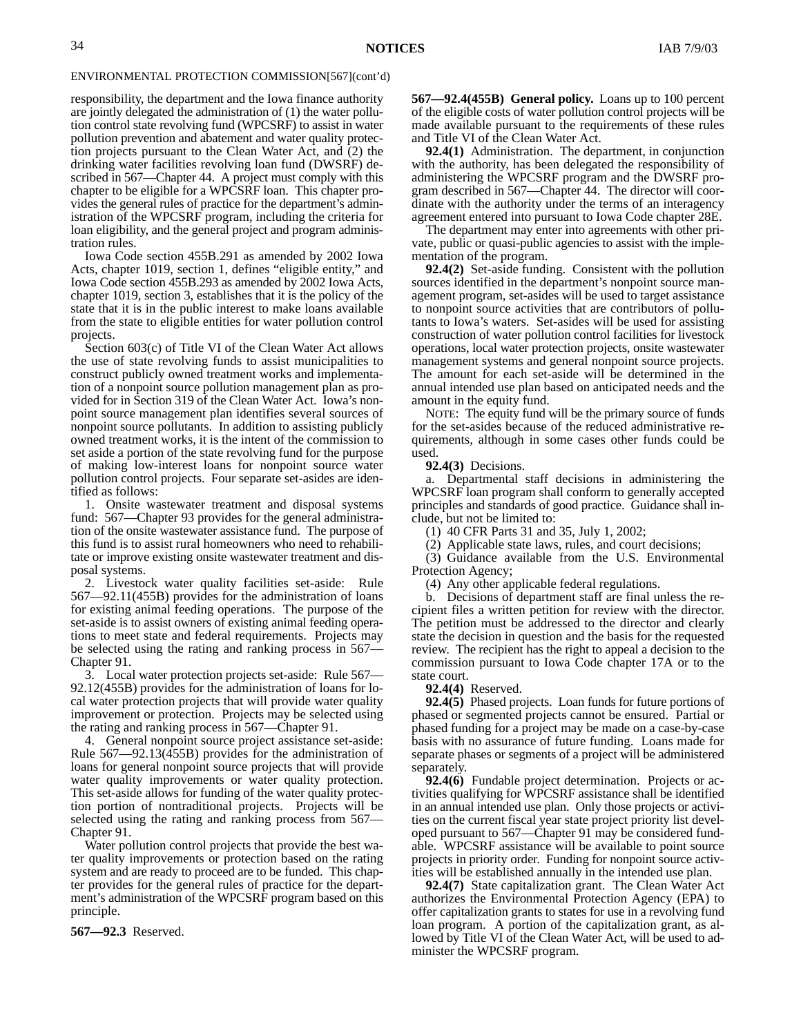responsibility, the department and the Iowa finance authority are jointly delegated the administration of (1) the water pollution control state revolving fund (WPCSRF) to assist in water pollution prevention and abatement and water quality protection projects pursuant to the Clean Water Act, and (2) the drinking water facilities revolving loan fund (DWSRF) described in 567—Chapter 44. A project must comply with this chapter to be eligible for a WPCSRF loan. This chapter provides the general rules of practice for the department's administration of the WPCSRF program, including the criteria for loan eligibility, and the general project and program administration rules.

Iowa Code section 455B.291 as amended by 2002 Iowa Acts, chapter 1019, section 1, defines "eligible entity," and Iowa Code section 455B.293 as amended by 2002 Iowa Acts, chapter 1019, section 3, establishes that it is the policy of the state that it is in the public interest to make loans available from the state to eligible entities for water pollution control projects.

Section 603(c) of Title VI of the Clean Water Act allows the use of state revolving funds to assist municipalities to construct publicly owned treatment works and implementation of a nonpoint source pollution management plan as provided for in Section 319 of the Clean Water Act. Iowa's nonpoint source management plan identifies several sources of nonpoint source pollutants. In addition to assisting publicly owned treatment works, it is the intent of the commission to set aside a portion of the state revolving fund for the purpose of making low-interest loans for nonpoint source water pollution control projects. Four separate set-asides are identified as follows:

1. Onsite wastewater treatment and disposal systems fund: 567—Chapter 93 provides for the general administration of the onsite wastewater assistance fund. The purpose of this fund is to assist rural homeowners who need to rehabilitate or improve existing onsite wastewater treatment and disposal systems.

2. Livestock water quality facilities set-aside: Rule 567—92.11(455B) provides for the administration of loans for existing animal feeding operations. The purpose of the set-aside is to assist owners of existing animal feeding operations to meet state and federal requirements. Projects may be selected using the rating and ranking process in 567— Chapter 91.

3. Local water protection projects set-aside: Rule 567— 92.12(455B) provides for the administration of loans for local water protection projects that will provide water quality improvement or protection. Projects may be selected using the rating and ranking process in 567—Chapter 91.

4. General nonpoint source project assistance set-aside: Rule 567—92.13(455B) provides for the administration of loans for general nonpoint source projects that will provide water quality improvements or water quality protection. This set-aside allows for funding of the water quality protection portion of nontraditional projects. Projects will be selected using the rating and ranking process from 567— Chapter 91.

Water pollution control projects that provide the best water quality improvements or protection based on the rating system and are ready to proceed are to be funded. This chapter provides for the general rules of practice for the department's administration of the WPCSRF program based on this principle.

**567—92.3** Reserved.

**567—92.4(455B) General policy.** Loans up to 100 percent of the eligible costs of water pollution control projects will be made available pursuant to the requirements of these rules and Title VI of the Clean Water Act.

**92.4(1)** Administration. The department, in conjunction with the authority, has been delegated the responsibility of administering the WPCSRF program and the DWSRF program described in 567—Chapter 44. The director will coordinate with the authority under the terms of an interagency agreement entered into pursuant to Iowa Code chapter 28E.

The department may enter into agreements with other private, public or quasi-public agencies to assist with the implementation of the program.

**92.4(2)** Set-aside funding. Consistent with the pollution sources identified in the department's nonpoint source management program, set-asides will be used to target assistance to nonpoint source activities that are contributors of pollutants to Iowa's waters. Set-asides will be used for assisting construction of water pollution control facilities for livestock operations, local water protection projects, onsite wastewater management systems and general nonpoint source projects. The amount for each set-aside will be determined in the annual intended use plan based on anticipated needs and the amount in the equity fund.

NOTE: The equity fund will be the primary source of funds for the set-asides because of the reduced administrative requirements, although in some cases other funds could be used.

**92.4(3)** Decisions.

a. Departmental staff decisions in administering the WPCSRF loan program shall conform to generally accepted principles and standards of good practice. Guidance shall include, but not be limited to:

(1) 40 CFR Parts 31 and 35, July 1, 2002;

(2) Applicable state laws, rules, and court decisions;

(3) Guidance available from the U.S. Environmental Protection Agency;

(4) Any other applicable federal regulations.

b. Decisions of department staff are final unless the recipient files a written petition for review with the director. The petition must be addressed to the director and clearly state the decision in question and the basis for the requested review. The recipient has the right to appeal a decision to the commission pursuant to Iowa Code chapter 17A or to the state court.

**92.4(4)** Reserved.

**92.4(5)** Phased projects. Loan funds for future portions of phased or segmented projects cannot be ensured. Partial or phased funding for a project may be made on a case-by-case basis with no assurance of future funding. Loans made for separate phases or segments of a project will be administered separately.

**92.4(6)** Fundable project determination. Projects or activities qualifying for WPCSRF assistance shall be identified in an annual intended use plan. Only those projects or activities on the current fiscal year state project priority list developed pursuant to 567—Chapter 91 may be considered fundable. WPCSRF assistance will be available to point source projects in priority order. Funding for nonpoint source activities will be established annually in the intended use plan.

**92.4(7)** State capitalization grant. The Clean Water Act authorizes the Environmental Protection Agency (EPA) to offer capitalization grants to states for use in a revolving fund loan program. A portion of the capitalization grant, as allowed by Title VI of the Clean Water Act, will be used to administer the WPCSRF program.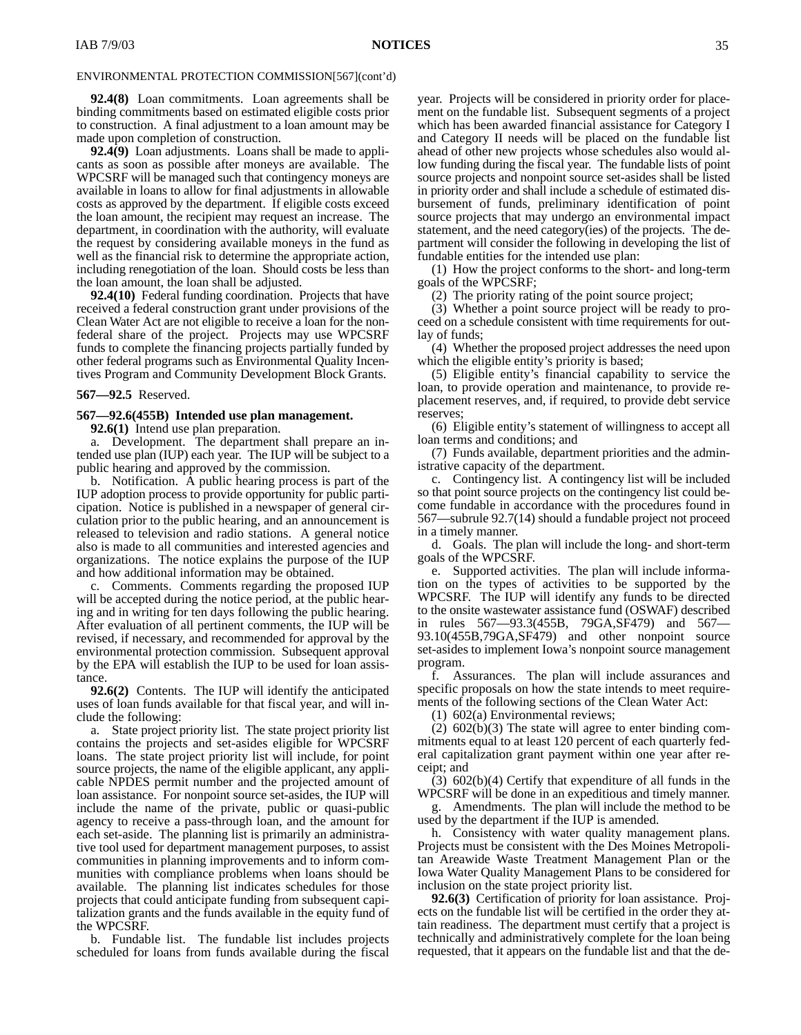**92.4(8)** Loan commitments. Loan agreements shall be binding commitments based on estimated eligible costs prior to construction. A final adjustment to a loan amount may be made upon completion of construction.

**92.4(9)** Loan adjustments. Loans shall be made to applicants as soon as possible after moneys are available. The WPCSRF will be managed such that contingency moneys are available in loans to allow for final adjustments in allowable costs as approved by the department. If eligible costs exceed the loan amount, the recipient may request an increase. The department, in coordination with the authority, will evaluate the request by considering available moneys in the fund as well as the financial risk to determine the appropriate action, including renegotiation of the loan. Should costs be less than the loan amount, the loan shall be adjusted.

**92.4(10)** Federal funding coordination. Projects that have received a federal construction grant under provisions of the Clean Water Act are not eligible to receive a loan for the nonfederal share of the project. Projects may use WPCSRF funds to complete the financing projects partially funded by other federal programs such as Environmental Quality Incentives Program and Community Development Block Grants.

**567—92.5** Reserved.

#### **567—92.6(455B) Intended use plan management.**

**92.6(1)** Intend use plan preparation.

a. Development. The department shall prepare an intended use plan (IUP) each year. The IUP will be subject to a public hearing and approved by the commission.

b. Notification. A public hearing process is part of the IUP adoption process to provide opportunity for public participation. Notice is published in a newspaper of general circulation prior to the public hearing, and an announcement is released to television and radio stations. A general notice also is made to all communities and interested agencies and organizations. The notice explains the purpose of the IUP and how additional information may be obtained.

c. Comments. Comments regarding the proposed IUP will be accepted during the notice period, at the public hearing and in writing for ten days following the public hearing. After evaluation of all pertinent comments, the IUP will be revised, if necessary, and recommended for approval by the environmental protection commission. Subsequent approval by the EPA will establish the IUP to be used for loan assistance.

**92.6(2)** Contents. The IUP will identify the anticipated uses of loan funds available for that fiscal year, and will include the following:

a. State project priority list. The state project priority list contains the projects and set-asides eligible for WPCSRF loans. The state project priority list will include, for point source projects, the name of the eligible applicant, any applicable NPDES permit number and the projected amount of loan assistance. For nonpoint source set-asides, the IUP will include the name of the private, public or quasi-public agency to receive a pass-through loan, and the amount for each set-aside. The planning list is primarily an administrative tool used for department management purposes, to assist communities in planning improvements and to inform communities with compliance problems when loans should be available. The planning list indicates schedules for those projects that could anticipate funding from subsequent capitalization grants and the funds available in the equity fund of the WPCSRF.

b. Fundable list. The fundable list includes projects scheduled for loans from funds available during the fiscal year. Projects will be considered in priority order for placement on the fundable list. Subsequent segments of a project which has been awarded financial assistance for Category I and Category II needs will be placed on the fundable list ahead of other new projects whose schedules also would allow funding during the fiscal year. The fundable lists of point source projects and nonpoint source set-asides shall be listed in priority order and shall include a schedule of estimated disbursement of funds, preliminary identification of point source projects that may undergo an environmental impact statement, and the need category(ies) of the projects. The department will consider the following in developing the list of fundable entities for the intended use plan:

(1) How the project conforms to the short- and long-term goals of the WPCSRF;

(2) The priority rating of the point source project;

(3) Whether a point source project will be ready to proceed on a schedule consistent with time requirements for outlay of funds;

(4) Whether the proposed project addresses the need upon which the eligible entity's priority is based;

(5) Eligible entity's financial capability to service the loan, to provide operation and maintenance, to provide replacement reserves, and, if required, to provide debt service reserves;

(6) Eligible entity's statement of willingness to accept all loan terms and conditions; and

(7) Funds available, department priorities and the administrative capacity of the department.

c. Contingency list. A contingency list will be included so that point source projects on the contingency list could become fundable in accordance with the procedures found in 567—subrule 92.7(14) should a fundable project not proceed in a timely manner.

d. Goals. The plan will include the long- and short-term goals of the WPCSRF.

e. Supported activities. The plan will include information on the types of activities to be supported by the WPCSRF. The IUP will identify any funds to be directed to the onsite wastewater assistance fund (OSWAF) described in rules 567—93.3(455B, 79GA,SF479) and 567— 93.10(455B,79GA,SF479) and other nonpoint source set-asides to implement Iowa's nonpoint source management program.

f. Assurances. The plan will include assurances and specific proposals on how the state intends to meet requirements of the following sections of the Clean Water Act:

(1) 602(a) Environmental reviews;

(2) 602(b)(3) The state will agree to enter binding commitments equal to at least 120 percent of each quarterly federal capitalization grant payment within one year after receipt; and

(3) 602(b)(4) Certify that expenditure of all funds in the WPCSRF will be done in an expeditious and timely manner.

g. Amendments. The plan will include the method to be used by the department if the IUP is amended.

h. Consistency with water quality management plans. Projects must be consistent with the Des Moines Metropolitan Areawide Waste Treatment Management Plan or the Iowa Water Quality Management Plans to be considered for inclusion on the state project priority list.

**92.6(3)** Certification of priority for loan assistance. Projects on the fundable list will be certified in the order they attain readiness. The department must certify that a project is technically and administratively complete for the loan being requested, that it appears on the fundable list and that the de-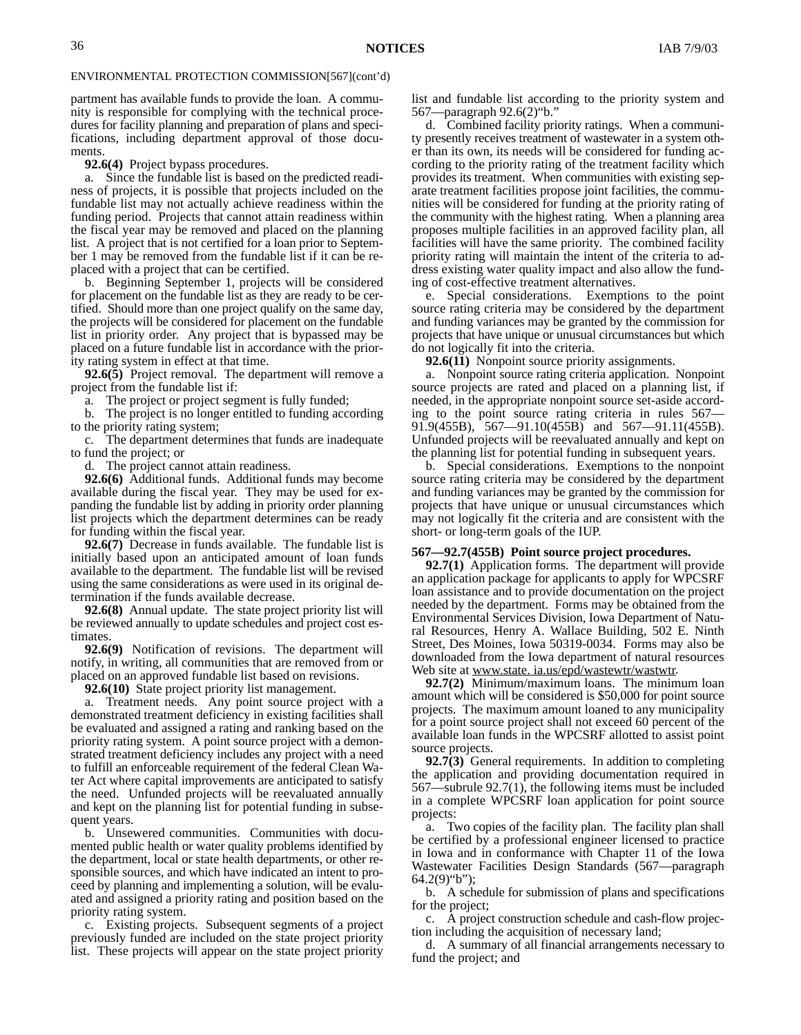partment has available funds to provide the loan. A community is responsible for complying with the technical procedures for facility planning and preparation of plans and specifications, including department approval of those documents.

**92.6(4)** Project bypass procedures.

a. Since the fundable list is based on the predicted readiness of projects, it is possible that projects included on the fundable list may not actually achieve readiness within the funding period. Projects that cannot attain readiness within the fiscal year may be removed and placed on the planning list. A project that is not certified for a loan prior to September 1 may be removed from the fundable list if it can be replaced with a project that can be certified.

b. Beginning September 1, projects will be considered for placement on the fundable list as they are ready to be certified. Should more than one project qualify on the same day, the projects will be considered for placement on the fundable list in priority order. Any project that is bypassed may be placed on a future fundable list in accordance with the priority rating system in effect at that time.

**92.6(5)** Project removal. The department will remove a project from the fundable list if:

a. The project or project segment is fully funded;

b. The project is no longer entitled to funding according to the priority rating system;

c. The department determines that funds are inadequate to fund the project; or

d. The project cannot attain readiness.

**92.6(6)** Additional funds. Additional funds may become available during the fiscal year. They may be used for expanding the fundable list by adding in priority order planning list projects which the department determines can be ready for funding within the fiscal year.

**92.6(7)** Decrease in funds available. The fundable list is initially based upon an anticipated amount of loan funds available to the department. The fundable list will be revised using the same considerations as were used in its original determination if the funds available decrease.

**92.6(8)** Annual update. The state project priority list will be reviewed annually to update schedules and project cost estimates.

**92.6(9)** Notification of revisions. The department will notify, in writing, all communities that are removed from or placed on an approved fundable list based on revisions.

**92.6(10)** State project priority list management.

a. Treatment needs. Any point source project with a demonstrated treatment deficiency in existing facilities shall be evaluated and assigned a rating and ranking based on the priority rating system. A point source project with a demonstrated treatment deficiency includes any project with a need to fulfill an enforceable requirement of the federal Clean Water Act where capital improvements are anticipated to satisfy the need. Unfunded projects will be reevaluated annually and kept on the planning list for potential funding in subsequent years.

b. Unsewered communities. Communities with documented public health or water quality problems identified by the department, local or state health departments, or other responsible sources, and which have indicated an intent to proceed by planning and implementing a solution, will be evaluated and assigned a priority rating and position based on the priority rating system.

c. Existing projects. Subsequent segments of a project previously funded are included on the state project priority list. These projects will appear on the state project priority list and fundable list according to the priority system and 567—paragraph 92.6(2)"b."

d. Combined facility priority ratings. When a community presently receives treatment of wastewater in a system other than its own, its needs will be considered for funding according to the priority rating of the treatment facility which provides its treatment. When communities with existing separate treatment facilities propose joint facilities, the communities will be considered for funding at the priority rating of the community with the highest rating. When a planning area proposes multiple facilities in an approved facility plan, all facilities will have the same priority. The combined facility priority rating will maintain the intent of the criteria to address existing water quality impact and also allow the funding of cost-effective treatment alternatives.

e. Special considerations. Exemptions to the point source rating criteria may be considered by the department and funding variances may be granted by the commission for projects that have unique or unusual circumstances but which do not logically fit into the criteria.

**92.6(11)** Nonpoint source priority assignments.

a. Nonpoint source rating criteria application. Nonpoint source projects are rated and placed on a planning list, if needed, in the appropriate nonpoint source set-aside according to the point source rating criteria in rules 567-91.9(455B), 567—91.10(455B) and 567—91.11(455B). Unfunded projects will be reevaluated annually and kept on the planning list for potential funding in subsequent years.

b. Special considerations. Exemptions to the nonpoint source rating criteria may be considered by the department and funding variances may be granted by the commission for projects that have unique or unusual circumstances which may not logically fit the criteria and are consistent with the short- or long-term goals of the IUP.

#### **567—92.7(455B) Point source project procedures.**

**92.7(1)** Application forms. The department will provide an application package for applicants to apply for WPCSRF loan assistance and to provide documentation on the project needed by the department. Forms may be obtained from the Environmental Services Division, Iowa Department of Natural Resources, Henry A. Wallace Building, 502 E. Ninth Street, Des Moines, Iowa 50319-0034. Forms may also be downloaded from the Iowa department of natural resources Web site at www.state. ia.us/epd/wastewtr/wastwtr.

**92.7(2)** Minimum/maximum loans. The minimum loan amount which will be considered is \$50,000 for point source projects. The maximum amount loaned to any municipality for a point source project shall not exceed 60 percent of the available loan funds in the WPCSRF allotted to assist point source projects.

**92.7(3)** General requirements. In addition to completing the application and providing documentation required in 567—subrule 92.7(1), the following items must be included in a complete WPCSRF loan application for point source projects:

a. Two copies of the facility plan. The facility plan shall be certified by a professional engineer licensed to practice in Iowa and in conformance with Chapter 11 of the Iowa Wastewater Facilities Design Standards (567—paragraph  $64.2(9)$ "b");

b. A schedule for submission of plans and specifications for the project;

c. A project construction schedule and cash-flow projection including the acquisition of necessary land;

d. A summary of all financial arrangements necessary to fund the project; and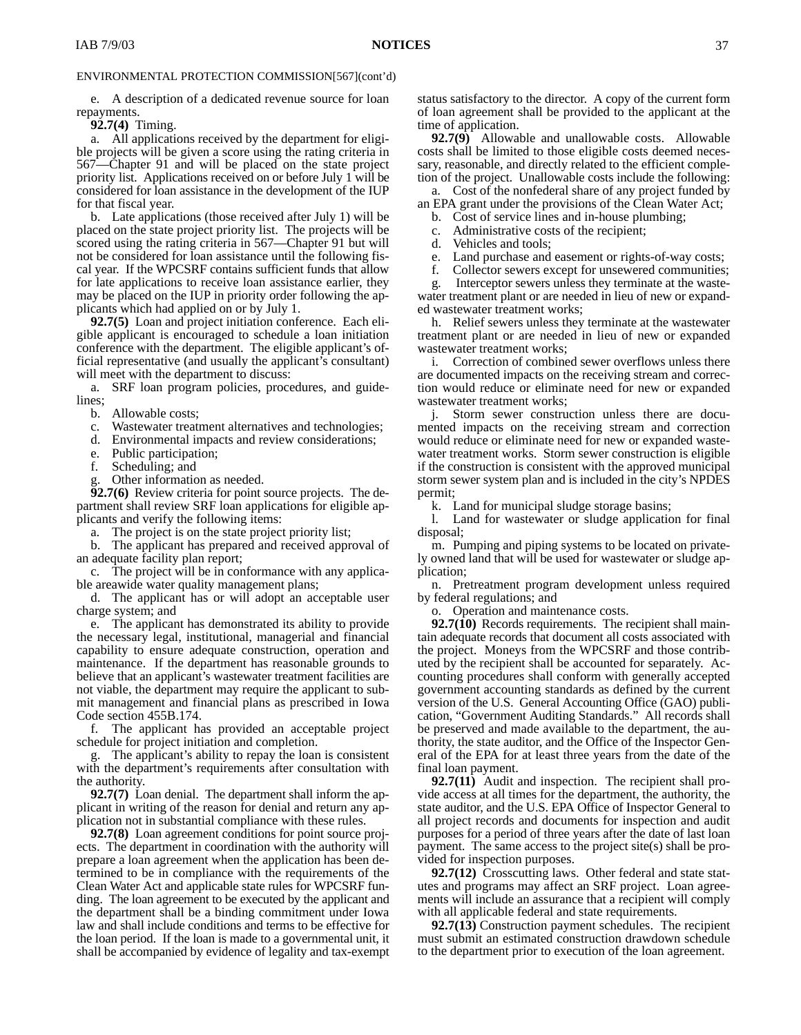e. A description of a dedicated revenue source for loan repayments.

**92.7(4)** Timing.

a. All applications received by the department for eligible projects will be given a score using the rating criteria in 567—Chapter 91 and will be placed on the state project priority list. Applications received on or before July 1 will be considered for loan assistance in the development of the IUP for that fiscal year.

b. Late applications (those received after July 1) will be placed on the state project priority list. The projects will be scored using the rating criteria in 567—Chapter 91 but will not be considered for loan assistance until the following fiscal year. If the WPCSRF contains sufficient funds that allow for late applications to receive loan assistance earlier, they may be placed on the IUP in priority order following the applicants which had applied on or by July 1.

**92.7(5)** Loan and project initiation conference. Each eligible applicant is encouraged to schedule a loan initiation conference with the department. The eligible applicant's official representative (and usually the applicant's consultant) will meet with the department to discuss:

a. SRF loan program policies, procedures, and guidelines;

b. Allowable costs;

c. Wastewater treatment alternatives and technologies;

d. Environmental impacts and review considerations;

Public participation;

f. Scheduling; and

Other information as needed.

**92.7(6)** Review criteria for point source projects. The department shall review SRF loan applications for eligible applicants and verify the following items:

a. The project is on the state project priority list;

b. The applicant has prepared and received approval of an adequate facility plan report;

c. The project will be in conformance with any applicable areawide water quality management plans;

d. The applicant has or will adopt an acceptable user charge system; and

e. The applicant has demonstrated its ability to provide the necessary legal, institutional, managerial and financial capability to ensure adequate construction, operation and maintenance. If the department has reasonable grounds to believe that an applicant's wastewater treatment facilities are not viable, the department may require the applicant to submit management and financial plans as prescribed in Iowa Code section 455B.174.

f. The applicant has provided an acceptable project schedule for project initiation and completion.

The applicant's ability to repay the loan is consistent with the department's requirements after consultation with the authority.

**92.7(7)** Loan denial. The department shall inform the applicant in writing of the reason for denial and return any application not in substantial compliance with these rules.

**92.7(8)** Loan agreement conditions for point source projects. The department in coordination with the authority will prepare a loan agreement when the application has been determined to be in compliance with the requirements of the Clean Water Act and applicable state rules for WPCSRF funding. The loan agreement to be executed by the applicant and the department shall be a binding commitment under Iowa law and shall include conditions and terms to be effective for the loan period. If the loan is made to a governmental unit, it shall be accompanied by evidence of legality and tax-exempt

status satisfactory to the director. A copy of the current form of loan agreement shall be provided to the applicant at the time of application.

**92.7(9)** Allowable and unallowable costs. Allowable costs shall be limited to those eligible costs deemed necessary, reasonable, and directly related to the efficient completion of the project. Unallowable costs include the following:

a. Cost of the nonfederal share of any project funded by an EPA grant under the provisions of the Clean Water Act;

b. Cost of service lines and in-house plumbing;

c. Administrative costs of the recipient;

d. Vehicles and tools;

e. Land purchase and easement or rights-of-way costs;

f. Collector sewers except for unsewered communities;

g*.* Interceptor sewers unless they terminate at the wastewater treatment plant or are needed in lieu of new or expanded wastewater treatment works;

h. Relief sewers unless they terminate at the wastewater treatment plant or are needed in lieu of new or expanded wastewater treatment works;

i. Correction of combined sewer overflows unless there are documented impacts on the receiving stream and correction would reduce or eliminate need for new or expanded wastewater treatment works;

j. Storm sewer construction unless there are documented impacts on the receiving stream and correction would reduce or eliminate need for new or expanded wastewater treatment works. Storm sewer construction is eligible if the construction is consistent with the approved municipal storm sewer system plan and is included in the city's NPDES permit;

k. Land for municipal sludge storage basins;

l. Land for wastewater or sludge application for final disposal;

m. Pumping and piping systems to be located on privately owned land that will be used for wastewater or sludge application;

n. Pretreatment program development unless required by federal regulations; and

Operation and maintenance costs.

**92.7(10)** Records requirements. The recipient shall maintain adequate records that document all costs associated with the project. Moneys from the WPCSRF and those contributed by the recipient shall be accounted for separately. Accounting procedures shall conform with generally accepted government accounting standards as defined by the current version of the U.S. General Accounting Office (GAO) publication, "Government Auditing Standards." All records shall be preserved and made available to the department, the authority, the state auditor, and the Office of the Inspector General of the EPA for at least three years from the date of the final loan payment.

**92.7(11)** Audit and inspection. The recipient shall provide access at all times for the department, the authority, the state auditor, and the U.S. EPA Office of Inspector General to all project records and documents for inspection and audit purposes for a period of three years after the date of last loan payment. The same access to the project site(s) shall be provided for inspection purposes.

**92.7(12)** Crosscutting laws. Other federal and state statutes and programs may affect an SRF project. Loan agreements will include an assurance that a recipient will comply with all applicable federal and state requirements.

**92.7(13)** Construction payment schedules. The recipient must submit an estimated construction drawdown schedule to the department prior to execution of the loan agreement.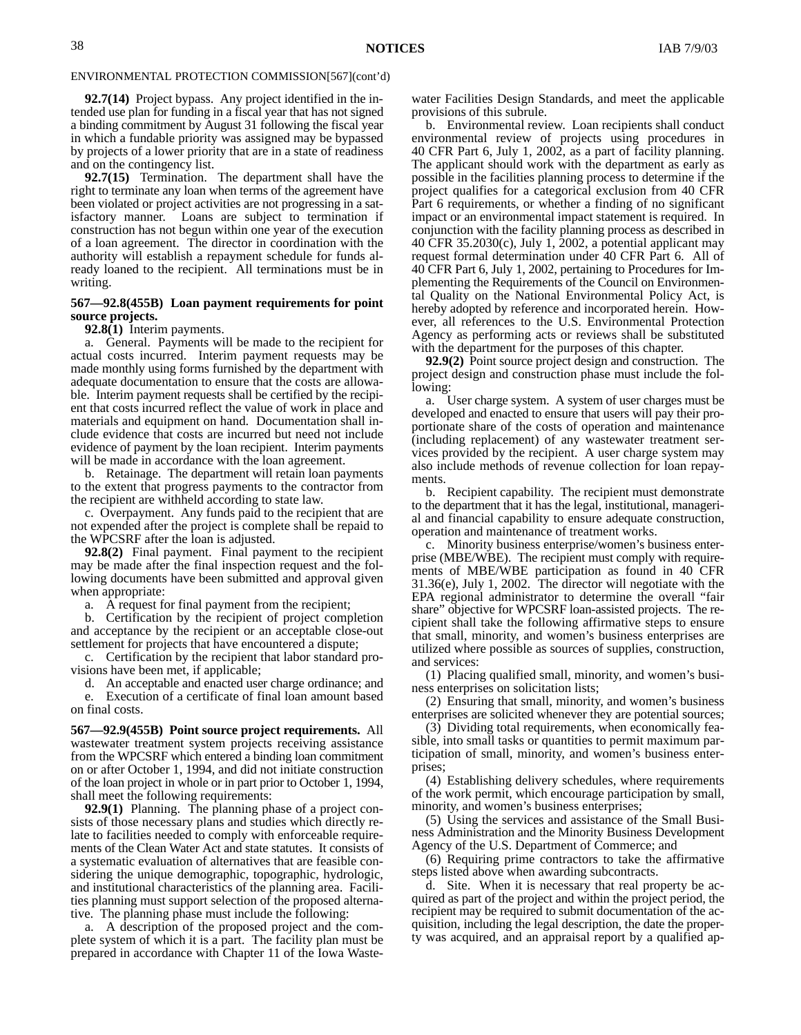**92.7(14)** Project bypass. Any project identified in the intended use plan for funding in a fiscal year that has not signed a binding commitment by August 31 following the fiscal year in which a fundable priority was assigned may be bypassed by projects of a lower priority that are in a state of readiness and on the contingency list.

**92.7(15)** Termination. The department shall have the right to terminate any loan when terms of the agreement have been violated or project activities are not progressing in a satisfactory manner. Loans are subject to termination if construction has not begun within one year of the execution of a loan agreement. The director in coordination with the authority will establish a repayment schedule for funds already loaned to the recipient. All terminations must be in writing.

### **567—92.8(455B) Loan payment requirements for point source projects.**

**92.8(1)** Interim payments.

General. Payments will be made to the recipient for actual costs incurred. Interim payment requests may be made monthly using forms furnished by the department with adequate documentation to ensure that the costs are allowable. Interim payment requests shall be certified by the recipient that costs incurred reflect the value of work in place and materials and equipment on hand. Documentation shall include evidence that costs are incurred but need not include evidence of payment by the loan recipient. Interim payments will be made in accordance with the loan agreement.

b. Retainage. The department will retain loan payments to the extent that progress payments to the contractor from the recipient are withheld according to state law.

c. Overpayment. Any funds paid to the recipient that are not expended after the project is complete shall be repaid to the WPCSRF after the loan is adjusted.

**92.8(2)** Final payment. Final payment to the recipient may be made after the final inspection request and the following documents have been submitted and approval given when appropriate:

a. A request for final payment from the recipient;

b. Certification by the recipient of project completion and acceptance by the recipient or an acceptable close-out settlement for projects that have encountered a dispute;

c. Certification by the recipient that labor standard provisions have been met, if applicable;

d. An acceptable and enacted user charge ordinance; and e. Execution of a certificate of final loan amount based on final costs.

**567—92.9(455B) Point source project requirements.** All wastewater treatment system projects receiving assistance from the WPCSRF which entered a binding loan commitment on or after October 1, 1994, and did not initiate construction of the loan project in whole or in part prior to October 1, 1994, shall meet the following requirements:

**92.9(1)** Planning. The planning phase of a project consists of those necessary plans and studies which directly relate to facilities needed to comply with enforceable requirements of the Clean Water Act and state statutes. It consists of a systematic evaluation of alternatives that are feasible considering the unique demographic, topographic, hydrologic, and institutional characteristics of the planning area. Facilities planning must support selection of the proposed alternative. The planning phase must include the following:

a. A description of the proposed project and the complete system of which it is a part. The facility plan must be prepared in accordance with Chapter 11 of the Iowa Wastewater Facilities Design Standards, and meet the applicable provisions of this subrule.

b. Environmental review. Loan recipients shall conduct environmental review of projects using procedures in 40 CFR Part 6, July 1, 2002, as a part of facility planning. The applicant should work with the department as early as possible in the facilities planning process to determine if the project qualifies for a categorical exclusion from 40 CFR Part 6 requirements, or whether a finding of no significant impact or an environmental impact statement is required. In conjunction with the facility planning process as described in 40 CFR 35.2030(c), July 1, 2002, a potential applicant may request formal determination under 40 CFR Part 6. All of 40 CFR Part 6, July 1, 2002, pertaining to Procedures for Implementing the Requirements of the Council on Environmental Quality on the National Environmental Policy Act, is hereby adopted by reference and incorporated herein. However, all references to the U.S. Environmental Protection Agency as performing acts or reviews shall be substituted with the department for the purposes of this chapter.

**92.9(2)** Point source project design and construction. The project design and construction phase must include the following:

a. User charge system. A system of user charges must be developed and enacted to ensure that users will pay their proportionate share of the costs of operation and maintenance (including replacement) of any wastewater treatment services provided by the recipient. A user charge system may also include methods of revenue collection for loan repayments.

b. Recipient capability. The recipient must demonstrate to the department that it has the legal, institutional, managerial and financial capability to ensure adequate construction, operation and maintenance of treatment works.

c. Minority business enterprise/women's business enterprise (MBE/WBE). The recipient must comply with requirements of MBE/WBE participation as found in 40 CFR 31.36(e), July 1, 2002. The director will negotiate with the EPA regional administrator to determine the overall "fair share" objective for WPCSRF loan-assisted projects. The recipient shall take the following affirmative steps to ensure that small, minority, and women's business enterprises are utilized where possible as sources of supplies, construction, and services:

(1) Placing qualified small, minority, and women's business enterprises on solicitation lists;

(2) Ensuring that small, minority, and women's business enterprises are solicited whenever they are potential sources;

(3) Dividing total requirements, when economically feasible, into small tasks or quantities to permit maximum participation of small, minority, and women's business enterprises;

(4) Establishing delivery schedules, where requirements of the work permit, which encourage participation by small, minority, and women's business enterprises;

(5) Using the services and assistance of the Small Business Administration and the Minority Business Development Agency of the U.S. Department of Commerce; and

(6) Requiring prime contractors to take the affirmative steps listed above when awarding subcontracts.

d. Site. When it is necessary that real property be acquired as part of the project and within the project period, the recipient may be required to submit documentation of the acquisition, including the legal description, the date the property was acquired, and an appraisal report by a qualified ap-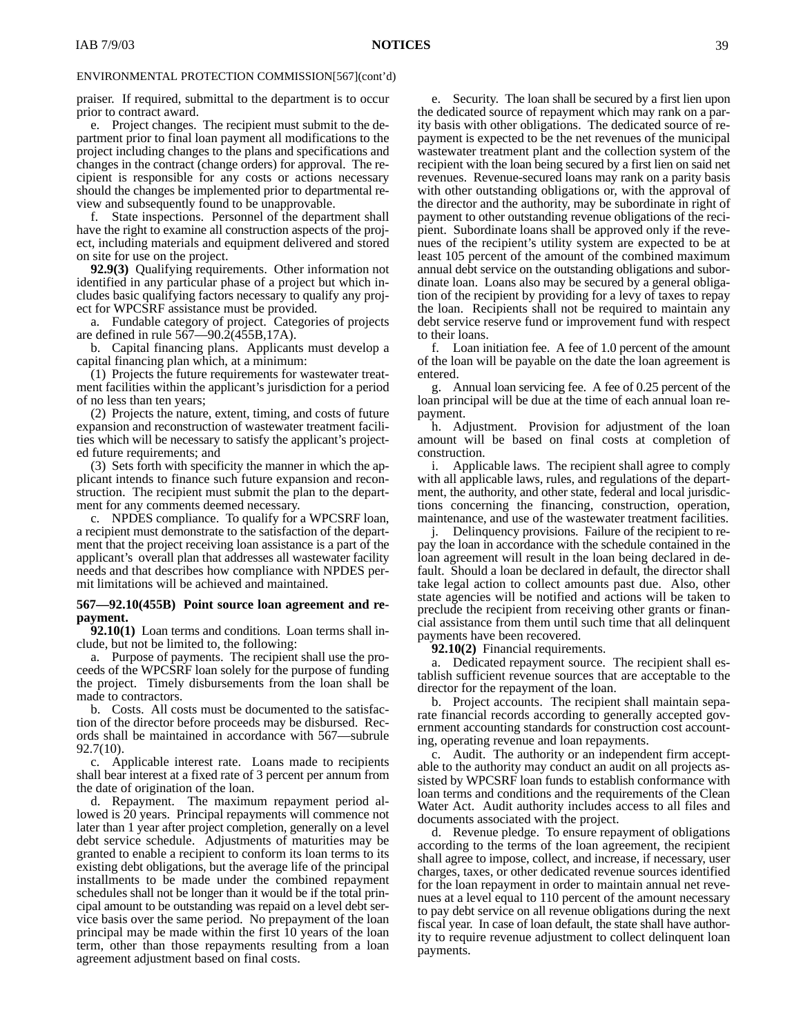praiser. If required, submittal to the department is to occur prior to contract award.

e. Project changes. The recipient must submit to the department prior to final loan payment all modifications to the project including changes to the plans and specifications and changes in the contract (change orders) for approval. The recipient is responsible for any costs or actions necessary should the changes be implemented prior to departmental review and subsequently found to be unapprovable.

f. State inspections. Personnel of the department shall have the right to examine all construction aspects of the project, including materials and equipment delivered and stored on site for use on the project.

**92.9(3)** Qualifying requirements. Other information not identified in any particular phase of a project but which includes basic qualifying factors necessary to qualify any project for WPCSRF assistance must be provided.

a. Fundable category of project. Categories of projects are defined in rule  $567 - 90.2(455B, 17A)$ .

b. Capital financing plans. Applicants must develop a capital financing plan which, at a minimum:

(1) Projects the future requirements for wastewater treatment facilities within the applicant's jurisdiction for a period of no less than ten years;

(2) Projects the nature, extent, timing, and costs of future expansion and reconstruction of wastewater treatment facilities which will be necessary to satisfy the applicant's projected future requirements; and

(3) Sets forth with specificity the manner in which the applicant intends to finance such future expansion and reconstruction. The recipient must submit the plan to the department for any comments deemed necessary.

c. NPDES compliance. To qualify for a WPCSRF loan, a recipient must demonstrate to the satisfaction of the department that the project receiving loan assistance is a part of the applicant's overall plan that addresses all wastewater facility needs and that describes how compliance with NPDES permit limitations will be achieved and maintained.

### **567—92.10(455B) Point source loan agreement and repayment.**

**92.10(1)** Loan terms and conditions*.* Loan terms shall include, but not be limited to, the following:

a. Purpose of payments. The recipient shall use the proceeds of the WPCSRF loan solely for the purpose of funding the project. Timely disbursements from the loan shall be made to contractors.

b. Costs. All costs must be documented to the satisfaction of the director before proceeds may be disbursed. Records shall be maintained in accordance with 567—subrule 92.7(10).

c. Applicable interest rate. Loans made to recipients shall bear interest at a fixed rate of 3 percent per annum from the date of origination of the loan.

d. Repayment. The maximum repayment period allowed is 20 years. Principal repayments will commence not later than 1 year after project completion, generally on a level debt service schedule. Adjustments of maturities may be granted to enable a recipient to conform its loan terms to its existing debt obligations, but the average life of the principal installments to be made under the combined repayment schedules shall not be longer than it would be if the total principal amount to be outstanding was repaid on a level debt service basis over the same period. No prepayment of the loan principal may be made within the first 10 years of the loan term, other than those repayments resulting from a loan agreement adjustment based on final costs.

e. Security. The loan shall be secured by a first lien upon the dedicated source of repayment which may rank on a parity basis with other obligations. The dedicated source of repayment is expected to be the net revenues of the municipal wastewater treatment plant and the collection system of the recipient with the loan being secured by a first lien on said net revenues. Revenue-secured loans may rank on a parity basis with other outstanding obligations or, with the approval of the director and the authority, may be subordinate in right of payment to other outstanding revenue obligations of the recipient. Subordinate loans shall be approved only if the revenues of the recipient's utility system are expected to be at least 105 percent of the amount of the combined maximum annual debt service on the outstanding obligations and subordinate loan. Loans also may be secured by a general obligation of the recipient by providing for a levy of taxes to repay the loan. Recipients shall not be required to maintain any debt service reserve fund or improvement fund with respect to their loans.

f. Loan initiation fee. A fee of 1.0 percent of the amount of the loan will be payable on the date the loan agreement is entered.

g. Annual loan servicing fee. A fee of 0.25 percent of the loan principal will be due at the time of each annual loan repayment.

h. Adjustment. Provision for adjustment of the loan amount will be based on final costs at completion of construction.

i. Applicable laws. The recipient shall agree to comply with all applicable laws, rules, and regulations of the department, the authority, and other state, federal and local jurisdictions concerning the financing, construction, operation, maintenance, and use of the wastewater treatment facilities.

j. Delinquency provisions. Failure of the recipient to repay the loan in accordance with the schedule contained in the loan agreement will result in the loan being declared in default. Should a loan be declared in default, the director shall take legal action to collect amounts past due. Also, other state agencies will be notified and actions will be taken to preclude the recipient from receiving other grants or financial assistance from them until such time that all delinquent payments have been recovered.

**92.10(2)** Financial requirements.

a. Dedicated repayment source. The recipient shall establish sufficient revenue sources that are acceptable to the director for the repayment of the loan.

b. Project accounts. The recipient shall maintain separate financial records according to generally accepted government accounting standards for construction cost accounting, operating revenue and loan repayments.

c. Audit. The authority or an independent firm acceptable to the authority may conduct an audit on all projects assisted by WPCSRF loan funds to establish conformance with loan terms and conditions and the requirements of the Clean Water Act. Audit authority includes access to all files and documents associated with the project.

d. Revenue pledge. To ensure repayment of obligations according to the terms of the loan agreement, the recipient shall agree to impose, collect, and increase, if necessary, user charges, taxes, or other dedicated revenue sources identified for the loan repayment in order to maintain annual net revenues at a level equal to 110 percent of the amount necessary to pay debt service on all revenue obligations during the next fiscal year. In case of loan default, the state shall have authority to require revenue adjustment to collect delinquent loan payments.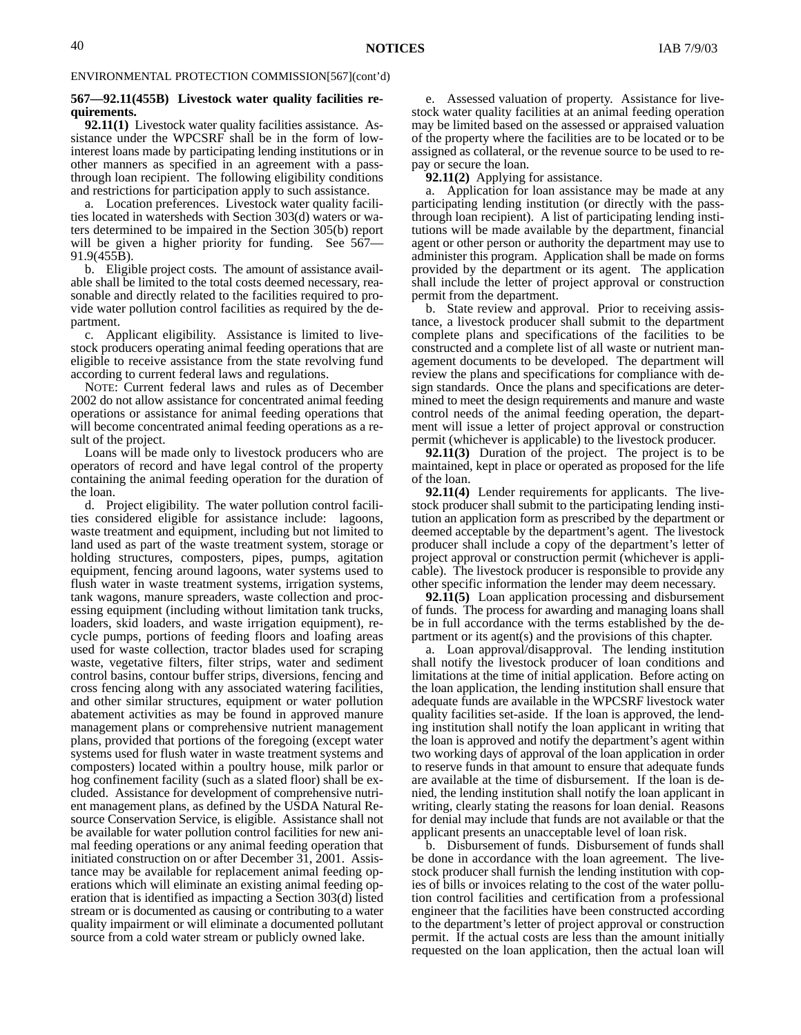#### **567—92.11(455B) Livestock water quality facilities requirements.**

**92.11(1)** Livestock water quality facilities assistance. Assistance under the WPCSRF shall be in the form of lowinterest loans made by participating lending institutions or in other manners as specified in an agreement with a passthrough loan recipient. The following eligibility conditions and restrictions for participation apply to such assistance.

a. Location preferences. Livestock water quality facilities located in watersheds with Section 303(d) waters or waters determined to be impaired in the Section 305(b) report will be given a higher priority for funding. See 567– 91.9(455B).

b. Eligible project costs. The amount of assistance available shall be limited to the total costs deemed necessary, reasonable and directly related to the facilities required to provide water pollution control facilities as required by the department.

c. Applicant eligibility. Assistance is limited to livestock producers operating animal feeding operations that are eligible to receive assistance from the state revolving fund according to current federal laws and regulations.

NOTE: Current federal laws and rules as of December 2002 do not allow assistance for concentrated animal feeding operations or assistance for animal feeding operations that will become concentrated animal feeding operations as a result of the project.

Loans will be made only to livestock producers who are operators of record and have legal control of the property containing the animal feeding operation for the duration of the loan.

d. Project eligibility. The water pollution control facilities considered eligible for assistance include: lagoons, waste treatment and equipment, including but not limited to land used as part of the waste treatment system, storage or holding structures, composters, pipes, pumps, agitation equipment, fencing around lagoons, water systems used to flush water in waste treatment systems, irrigation systems, tank wagons, manure spreaders, waste collection and processing equipment (including without limitation tank trucks, loaders, skid loaders, and waste irrigation equipment), recycle pumps, portions of feeding floors and loafing areas used for waste collection, tractor blades used for scraping waste, vegetative filters, filter strips, water and sediment control basins, contour buffer strips, diversions, fencing and cross fencing along with any associated watering facilities, and other similar structures, equipment or water pollution abatement activities as may be found in approved manure management plans or comprehensive nutrient management plans, provided that portions of the foregoing (except water systems used for flush water in waste treatment systems and composters) located within a poultry house, milk parlor or hog confinement facility (such as a slated floor) shall be excluded. Assistance for development of comprehensive nutrient management plans, as defined by the USDA Natural Resource Conservation Service, is eligible. Assistance shall not be available for water pollution control facilities for new animal feeding operations or any animal feeding operation that initiated construction on or after December 31, 2001. Assistance may be available for replacement animal feeding operations which will eliminate an existing animal feeding operation that is identified as impacting a Section 303(d) listed stream or is documented as causing or contributing to a water quality impairment or will eliminate a documented pollutant source from a cold water stream or publicly owned lake.

e. Assessed valuation of property. Assistance for livestock water quality facilities at an animal feeding operation may be limited based on the assessed or appraised valuation of the property where the facilities are to be located or to be assigned as collateral, or the revenue source to be used to repay or secure the loan.

**92.11(2)** Applying for assistance.

Application for loan assistance may be made at any participating lending institution (or directly with the passthrough loan recipient). A list of participating lending institutions will be made available by the department, financial agent or other person or authority the department may use to administer this program. Application shall be made on forms provided by the department or its agent. The application shall include the letter of project approval or construction permit from the department.

b. State review and approval. Prior to receiving assistance, a livestock producer shall submit to the department complete plans and specifications of the facilities to be constructed and a complete list of all waste or nutrient management documents to be developed. The department will review the plans and specifications for compliance with design standards. Once the plans and specifications are determined to meet the design requirements and manure and waste control needs of the animal feeding operation, the department will issue a letter of project approval or construction permit (whichever is applicable) to the livestock producer.

**92.11(3)** Duration of the project. The project is to be maintained, kept in place or operated as proposed for the life of the loan.

**92.11(4)** Lender requirements for applicants. The livestock producer shall submit to the participating lending institution an application form as prescribed by the department or deemed acceptable by the department's agent. The livestock producer shall include a copy of the department's letter of project approval or construction permit (whichever is applicable). The livestock producer is responsible to provide any other specific information the lender may deem necessary.

**92.11(5)** Loan application processing and disbursement of funds. The process for awarding and managing loans shall be in full accordance with the terms established by the department or its agent(s) and the provisions of this chapter.

a. Loan approval/disapproval. The lending institution shall notify the livestock producer of loan conditions and limitations at the time of initial application. Before acting on the loan application, the lending institution shall ensure that adequate funds are available in the WPCSRF livestock water quality facilities set-aside. If the loan is approved, the lending institution shall notify the loan applicant in writing that the loan is approved and notify the department's agent within two working days of approval of the loan application in order to reserve funds in that amount to ensure that adequate funds are available at the time of disbursement. If the loan is denied, the lending institution shall notify the loan applicant in writing, clearly stating the reasons for loan denial. Reasons for denial may include that funds are not available or that the applicant presents an unacceptable level of loan risk.

b. Disbursement of funds. Disbursement of funds shall be done in accordance with the loan agreement. The livestock producer shall furnish the lending institution with copies of bills or invoices relating to the cost of the water pollution control facilities and certification from a professional engineer that the facilities have been constructed according to the department's letter of project approval or construction permit. If the actual costs are less than the amount initially requested on the loan application, then the actual loan will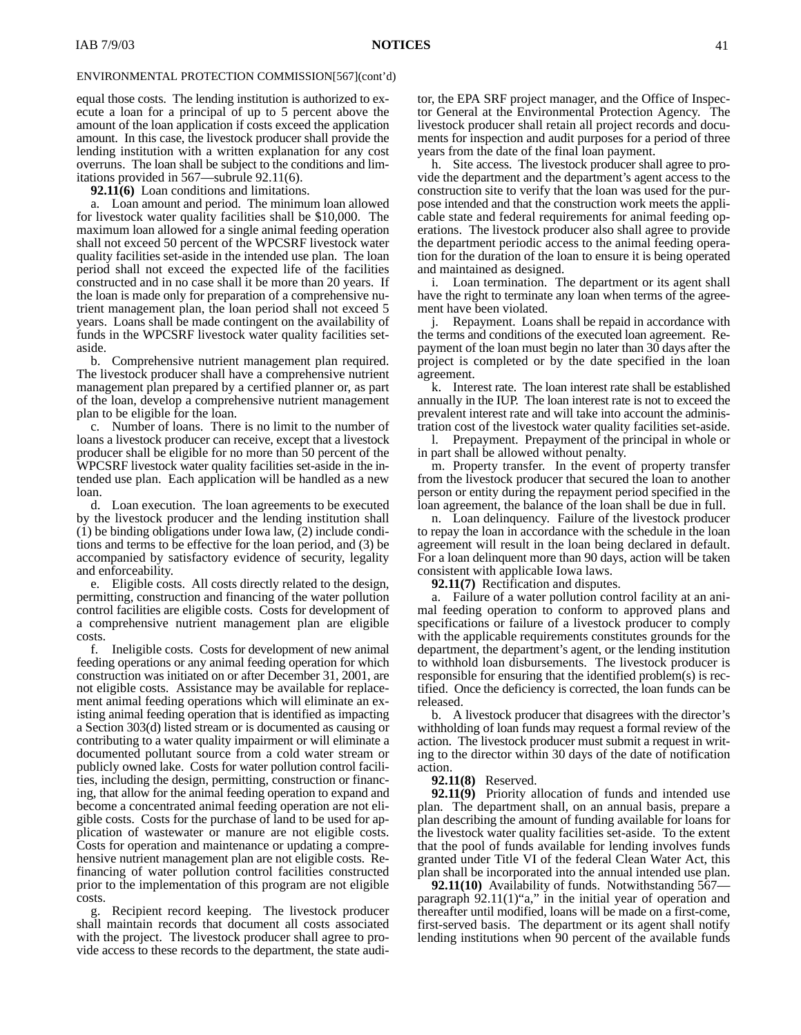equal those costs. The lending institution is authorized to execute a loan for a principal of up to 5 percent above the amount of the loan application if costs exceed the application amount. In this case, the livestock producer shall provide the lending institution with a written explanation for any cost overruns. The loan shall be subject to the conditions and limitations provided in 567—subrule 92.11(6).

**92.11(6)** Loan conditions and limitations.

a. Loan amount and period. The minimum loan allowed for livestock water quality facilities shall be \$10,000. The maximum loan allowed for a single animal feeding operation shall not exceed 50 percent of the WPCSRF livestock water quality facilities set-aside in the intended use plan. The loan period shall not exceed the expected life of the facilities constructed and in no case shall it be more than 20 years. If the loan is made only for preparation of a comprehensive nutrient management plan, the loan period shall not exceed 5 years. Loans shall be made contingent on the availability of funds in the WPCSRF livestock water quality facilities setaside.

b. Comprehensive nutrient management plan required. The livestock producer shall have a comprehensive nutrient management plan prepared by a certified planner or, as part of the loan, develop a comprehensive nutrient management plan to be eligible for the loan.

c. Number of loans. There is no limit to the number of loans a livestock producer can receive, except that a livestock producer shall be eligible for no more than 50 percent of the WPCSRF livestock water quality facilities set-aside in the intended use plan. Each application will be handled as a new loan.

d. Loan execution. The loan agreements to be executed by the livestock producer and the lending institution shall  $(1)$  be binding obligations under Iowa law,  $(2)$  include conditions and terms to be effective for the loan period, and (3) be accompanied by satisfactory evidence of security, legality and enforceability.

e. Eligible costs. All costs directly related to the design, permitting, construction and financing of the water pollution control facilities are eligible costs. Costs for development of a comprehensive nutrient management plan are eligible costs.

f. Ineligible costs. Costs for development of new animal feeding operations or any animal feeding operation for which construction was initiated on or after December 31, 2001, are not eligible costs. Assistance may be available for replacement animal feeding operations which will eliminate an existing animal feeding operation that is identified as impacting a Section 303(d) listed stream or is documented as causing or contributing to a water quality impairment or will eliminate a documented pollutant source from a cold water stream or publicly owned lake. Costs for water pollution control facilities, including the design, permitting, construction or financing, that allow for the animal feeding operation to expand and become a concentrated animal feeding operation are not eligible costs. Costs for the purchase of land to be used for application of wastewater or manure are not eligible costs. Costs for operation and maintenance or updating a comprehensive nutrient management plan are not eligible costs. Refinancing of water pollution control facilities constructed prior to the implementation of this program are not eligible costs.

g. Recipient record keeping. The livestock producer shall maintain records that document all costs associated with the project. The livestock producer shall agree to provide access to these records to the department, the state auditor, the EPA SRF project manager, and the Office of Inspector General at the Environmental Protection Agency. The livestock producer shall retain all project records and documents for inspection and audit purposes for a period of three years from the date of the final loan payment.

h. Site access. The livestock producer shall agree to provide the department and the department's agent access to the construction site to verify that the loan was used for the purpose intended and that the construction work meets the applicable state and federal requirements for animal feeding operations. The livestock producer also shall agree to provide the department periodic access to the animal feeding operation for the duration of the loan to ensure it is being operated and maintained as designed.

i. Loan termination. The department or its agent shall have the right to terminate any loan when terms of the agreement have been violated.

Repayment. Loans shall be repaid in accordance with the terms and conditions of the executed loan agreement. Repayment of the loan must begin no later than 30 days after the project is completed or by the date specified in the loan agreement.

k. Interest rate. The loan interest rate shall be established annually in the IUP. The loan interest rate is not to exceed the prevalent interest rate and will take into account the administration cost of the livestock water quality facilities set-aside.

l. Prepayment. Prepayment of the principal in whole or in part shall be allowed without penalty.

m. Property transfer. In the event of property transfer from the livestock producer that secured the loan to another person or entity during the repayment period specified in the loan agreement, the balance of the loan shall be due in full.

n. Loan delinquency. Failure of the livestock producer to repay the loan in accordance with the schedule in the loan agreement will result in the loan being declared in default. For a loan delinquent more than 90 days, action will be taken consistent with applicable Iowa laws.

**92.11(7)** Rectification and disputes.

a. Failure of a water pollution control facility at an animal feeding operation to conform to approved plans and specifications or failure of a livestock producer to comply with the applicable requirements constitutes grounds for the department, the department's agent, or the lending institution to withhold loan disbursements. The livestock producer is responsible for ensuring that the identified problem(s) is rectified. Once the deficiency is corrected, the loan funds can be released.

b. A livestock producer that disagrees with the director's withholding of loan funds may request a formal review of the action. The livestock producer must submit a request in writing to the director within 30 days of the date of notification action.

### **92.11(8)** Reserved.

**92.11(9)** Priority allocation of funds and intended use plan.The department shall, on an annual basis, prepare a plan describing the amount of funding available for loans for the livestock water quality facilities set-aside. To the extent that the pool of funds available for lending involves funds granted under Title VI of the federal Clean Water Act, this plan shall be incorporated into the annual intended use plan.

**92.11(10)** Availability of funds. Notwithstanding 567 paragraph 92.11(1)"a," in the initial year of operation and thereafter until modified, loans will be made on a first-come, first-served basis. The department or its agent shall notify lending institutions when 90 percent of the available funds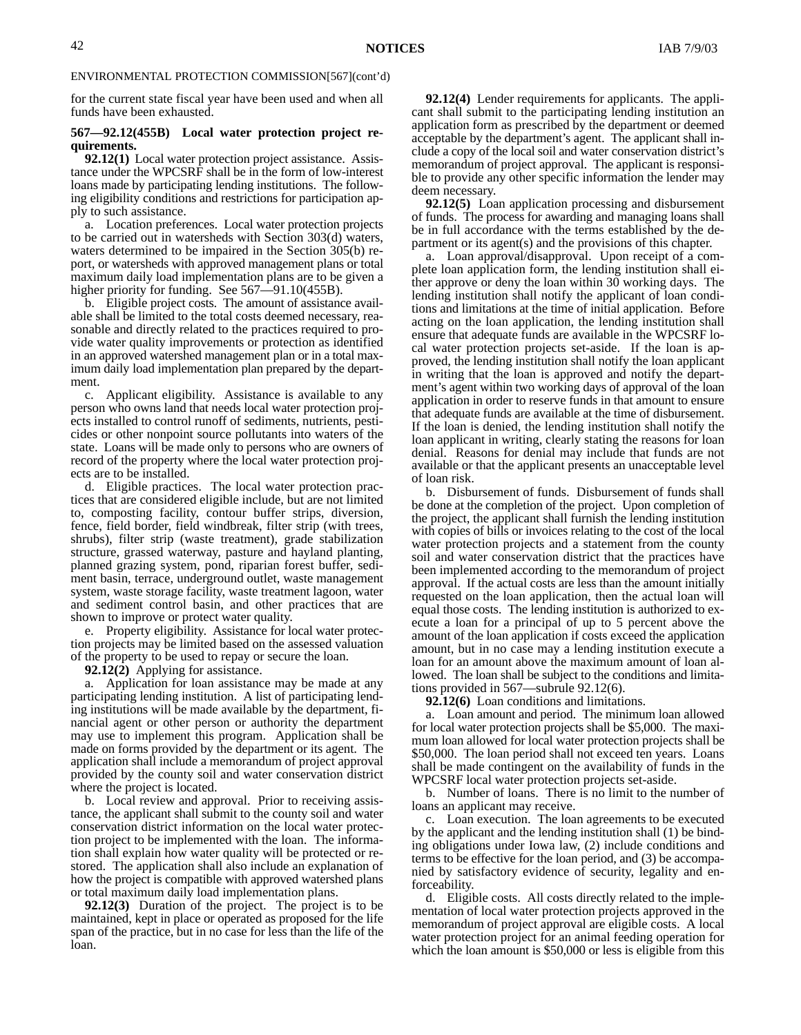for the current state fiscal year have been used and when all funds have been exhausted.

#### **567—92.12(455B) Local water protection project requirements.**

**92.12(1)** Local water protection project assistance. Assistance under the WPCSRF shall be in the form of low-interest loans made by participating lending institutions. The following eligibility conditions and restrictions for participation apply to such assistance.

a. Location preferences. Local water protection projects to be carried out in watersheds with Section 303(d) waters, waters determined to be impaired in the Section 305(b) report, or watersheds with approved management plans or total maximum daily load implementation plans are to be given a higher priority for funding. See 567-91.10(455B).

b. Eligible project costs. The amount of assistance available shall be limited to the total costs deemed necessary, reasonable and directly related to the practices required to provide water quality improvements or protection as identified in an approved watershed management plan or in a total maximum daily load implementation plan prepared by the department.

c. Applicant eligibility. Assistance is available to any person who owns land that needs local water protection projects installed to control runoff of sediments, nutrients, pesticides or other nonpoint source pollutants into waters of the state. Loans will be made only to persons who are owners of record of the property where the local water protection projects are to be installed.

d. Eligible practices. The local water protection practices that are considered eligible include, but are not limited to, composting facility, contour buffer strips, diversion, fence, field border, field windbreak, filter strip (with trees, shrubs), filter strip (waste treatment), grade stabilization structure, grassed waterway, pasture and hayland planting, planned grazing system, pond, riparian forest buffer, sediment basin, terrace, underground outlet, waste management system, waste storage facility, waste treatment lagoon, water and sediment control basin, and other practices that are shown to improve or protect water quality.

e. Property eligibility. Assistance for local water protection projects may be limited based on the assessed valuation of the property to be used to repay or secure the loan.

**92.12(2)** Applying for assistance.

a. Application for loan assistance may be made at any participating lending institution. A list of participating lending institutions will be made available by the department, financial agent or other person or authority the department may use to implement this program. Application shall be made on forms provided by the department or its agent. The application shall include a memorandum of project approval provided by the county soil and water conservation district where the project is located.

b. Local review and approval. Prior to receiving assistance, the applicant shall submit to the county soil and water conservation district information on the local water protection project to be implemented with the loan. The information shall explain how water quality will be protected or restored. The application shall also include an explanation of how the project is compatible with approved watershed plans or total maximum daily load implementation plans.

**92.12(3)** Duration of the project. The project is to be maintained, kept in place or operated as proposed for the life span of the practice, but in no case for less than the life of the loan.

**92.12(4)** Lender requirements for applicants. The applicant shall submit to the participating lending institution an application form as prescribed by the department or deemed acceptable by the department's agent. The applicant shall include a copy of the local soil and water conservation district's memorandum of project approval. The applicant is responsible to provide any other specific information the lender may deem necessary.

**92.12(5)** Loan application processing and disbursement of funds. The process for awarding and managing loans shall be in full accordance with the terms established by the department or its agent(s) and the provisions of this chapter.

a. Loan approval/disapproval. Upon receipt of a complete loan application form, the lending institution shall either approve or deny the loan within 30 working days. The lending institution shall notify the applicant of loan conditions and limitations at the time of initial application. Before acting on the loan application, the lending institution shall ensure that adequate funds are available in the WPCSRF local water protection projects set-aside. If the loan is approved, the lending institution shall notify the loan applicant in writing that the loan is approved and notify the department's agent within two working days of approval of the loan application in order to reserve funds in that amount to ensure that adequate funds are available at the time of disbursement. If the loan is denied, the lending institution shall notify the loan applicant in writing, clearly stating the reasons for loan denial. Reasons for denial may include that funds are not available or that the applicant presents an unacceptable level of loan risk.

b. Disbursement of funds. Disbursement of funds shall be done at the completion of the project. Upon completion of the project, the applicant shall furnish the lending institution with copies of bills or invoices relating to the cost of the local water protection projects and a statement from the county soil and water conservation district that the practices have been implemented according to the memorandum of project approval. If the actual costs are less than the amount initially requested on the loan application, then the actual loan will equal those costs. The lending institution is authorized to execute a loan for a principal of up to 5 percent above the amount of the loan application if costs exceed the application amount, but in no case may a lending institution execute a loan for an amount above the maximum amount of loan allowed. The loan shall be subject to the conditions and limitations provided in 567—subrule 92.12(6).

**92.12(6)** Loan conditions and limitations.

a. Loan amount and period. The minimum loan allowed for local water protection projects shall be \$5,000. The maximum loan allowed for local water protection projects shall be \$50,000. The loan period shall not exceed ten years. Loans shall be made contingent on the availability of funds in the WPCSRF local water protection projects set-aside.

b. Number of loans. There is no limit to the number of loans an applicant may receive.

c. Loan execution. The loan agreements to be executed by the applicant and the lending institution shall (1) be binding obligations under Iowa law, (2) include conditions and terms to be effective for the loan period, and (3) be accompanied by satisfactory evidence of security, legality and enforceability.

d. Eligible costs. All costs directly related to the implementation of local water protection projects approved in the memorandum of project approval are eligible costs. A local water protection project for an animal feeding operation for which the loan amount is \$50,000 or less is eligible from this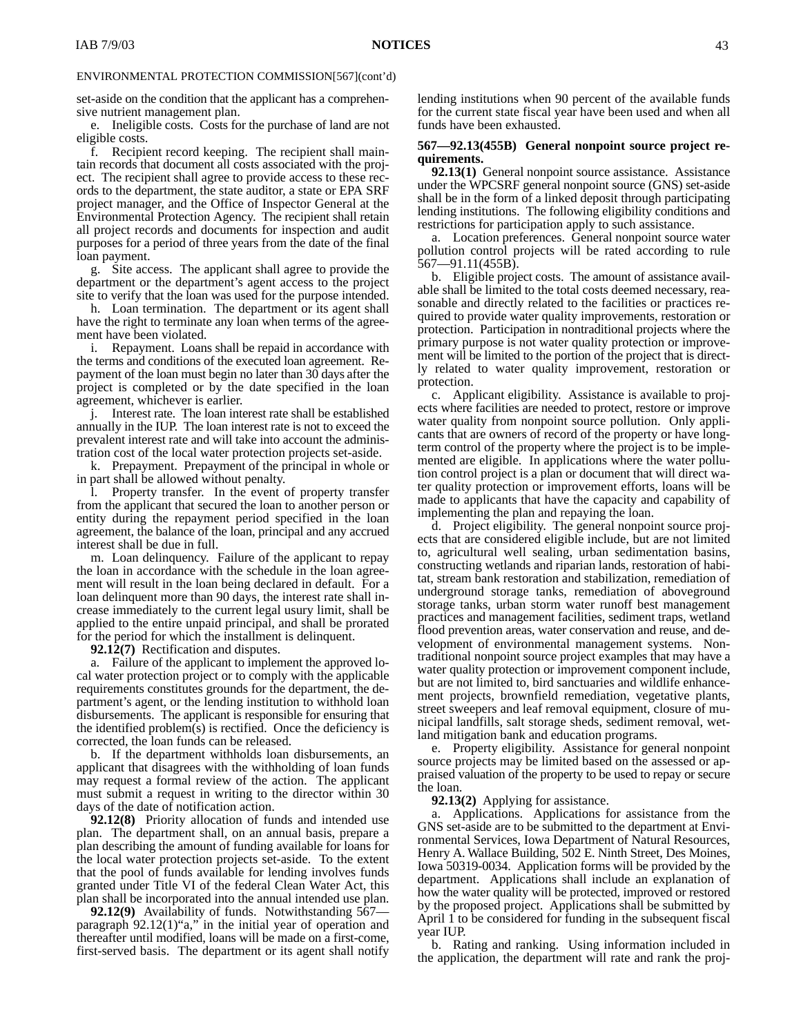set-aside on the condition that the applicant has a comprehensive nutrient management plan.

e. Ineligible costs. Costs for the purchase of land are not eligible costs.

f. Recipient record keeping. The recipient shall maintain records that document all costs associated with the project. The recipient shall agree to provide access to these records to the department, the state auditor, a state or EPA SRF project manager, and the Office of Inspector General at the Environmental Protection Agency. The recipient shall retain all project records and documents for inspection and audit purposes for a period of three years from the date of the final loan payment.

g. Site access. The applicant shall agree to provide the department or the department's agent access to the project site to verify that the loan was used for the purpose intended.

h. Loan termination. The department or its agent shall have the right to terminate any loan when terms of the agreement have been violated.

i. Repayment. Loans shall be repaid in accordance with the terms and conditions of the executed loan agreement. Repayment of the loan must begin no later than 30 days after the project is completed or by the date specified in the loan agreement, whichever is earlier.

j. Interest rate. The loan interest rate shall be established annually in the IUP. The loan interest rate is not to exceed the prevalent interest rate and will take into account the administration cost of the local water protection projects set-aside.

k. Prepayment. Prepayment of the principal in whole or in part shall be allowed without penalty.

l. Property transfer. In the event of property transfer from the applicant that secured the loan to another person or entity during the repayment period specified in the loan agreement, the balance of the loan, principal and any accrued interest shall be due in full.

m. Loan delinquency. Failure of the applicant to repay the loan in accordance with the schedule in the loan agreement will result in the loan being declared in default. For a loan delinquent more than 90 days, the interest rate shall increase immediately to the current legal usury limit, shall be applied to the entire unpaid principal, and shall be prorated for the period for which the installment is delinquent.

**92.12(7)** Rectification and disputes.

a. Failure of the applicant to implement the approved local water protection project or to comply with the applicable requirements constitutes grounds for the department, the department's agent, or the lending institution to withhold loan disbursements. The applicant is responsible for ensuring that the identified problem $(s)$  is rectified. Once the deficiency is corrected, the loan funds can be released.

b. If the department withholds loan disbursements, an applicant that disagrees with the withholding of loan funds may request a formal review of the action. The applicant must submit a request in writing to the director within 30 days of the date of notification action.

**92.12(8)** Priority allocation of funds and intended use plan.The department shall, on an annual basis, prepare a plan describing the amount of funding available for loans for the local water protection projects set-aside. To the extent that the pool of funds available for lending involves funds granted under Title VI of the federal Clean Water Act, this plan shall be incorporated into the annual intended use plan.

**92.12(9)** Availability of funds. Notwithstanding 567 paragraph 92.12(1)"a," in the initial year of operation and thereafter until modified, loans will be made on a first-come, first-served basis. The department or its agent shall notify

lending institutions when 90 percent of the available funds for the current state fiscal year have been used and when all funds have been exhausted.

### **567—92.13(455B) General nonpoint source project requirements.**

**92.13(1)** General nonpoint source assistance. Assistance under the WPCSRF general nonpoint source (GNS) set-aside shall be in the form of a linked deposit through participating lending institutions. The following eligibility conditions and restrictions for participation apply to such assistance.

a. Location preferences. General nonpoint source water pollution control projects will be rated according to rule 567—91.11(455B).

b. Eligible project costs. The amount of assistance available shall be limited to the total costs deemed necessary, reasonable and directly related to the facilities or practices required to provide water quality improvements, restoration or protection. Participation in nontraditional projects where the primary purpose is not water quality protection or improvement will be limited to the portion of the project that is directly related to water quality improvement, restoration or protection.

c. Applicant eligibility. Assistance is available to projects where facilities are needed to protect, restore or improve water quality from nonpoint source pollution. Only applicants that are owners of record of the property or have longterm control of the property where the project is to be implemented are eligible. In applications where the water pollution control project is a plan or document that will direct water quality protection or improvement efforts, loans will be made to applicants that have the capacity and capability of implementing the plan and repaying the loan.

d. Project eligibility. The general nonpoint source projects that are considered eligible include, but are not limited to, agricultural well sealing, urban sedimentation basins, constructing wetlands and riparian lands, restoration of habitat, stream bank restoration and stabilization, remediation of underground storage tanks, remediation of aboveground storage tanks, urban storm water runoff best management practices and management facilities, sediment traps, wetland flood prevention areas, water conservation and reuse, and development of environmental management systems. Nontraditional nonpoint source project examples that may have a water quality protection or improvement component include, but are not limited to, bird sanctuaries and wildlife enhancement projects, brownfield remediation, vegetative plants, street sweepers and leaf removal equipment, closure of municipal landfills, salt storage sheds, sediment removal, wetland mitigation bank and education programs.

e. Property eligibility. Assistance for general nonpoint source projects may be limited based on the assessed or appraised valuation of the property to be used to repay or secure the loan.

**92.13(2)** Applying for assistance.

a. Applications. Applications for assistance from the GNS set-aside are to be submitted to the department at Environmental Services, Iowa Department of Natural Resources, Henry A. Wallace Building, 502 E. Ninth Street, Des Moines, Iowa 50319-0034. Application forms will be provided by the department. Applications shall include an explanation of how the water quality will be protected, improved or restored by the proposed project. Applications shall be submitted by April 1 to be considered for funding in the subsequent fiscal year IUP.

b. Rating and ranking. Using information included in the application, the department will rate and rank the proj-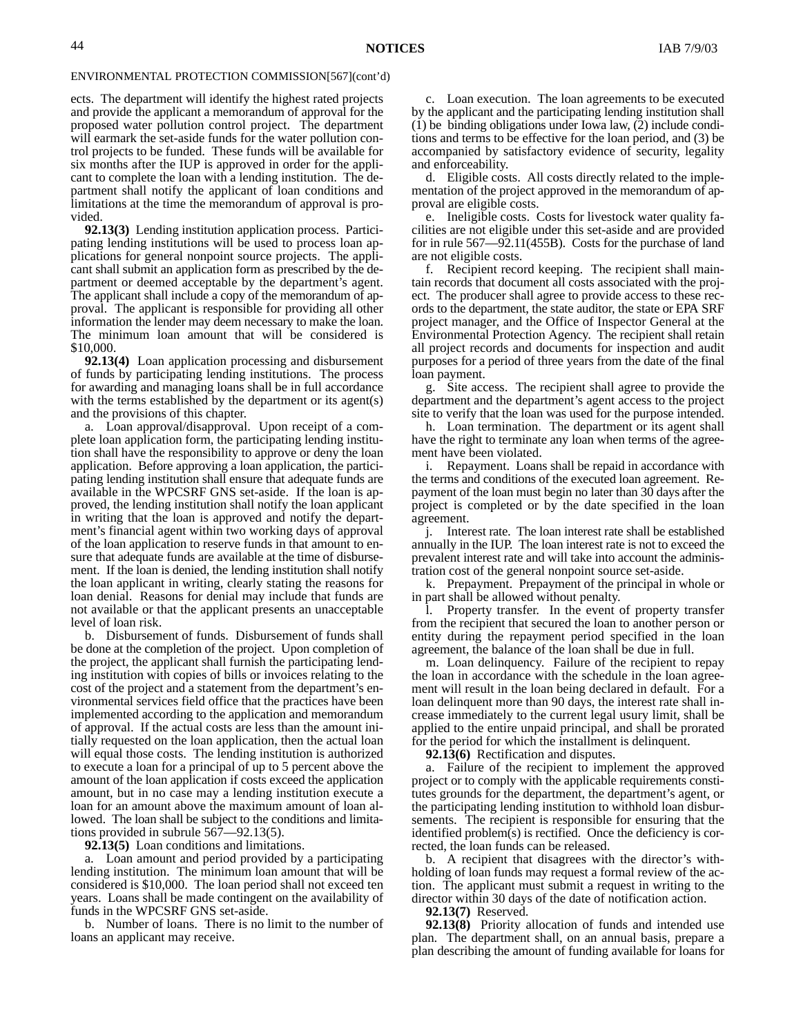ects. The department will identify the highest rated projects and provide the applicant a memorandum of approval for the proposed water pollution control project. The department will earmark the set-aside funds for the water pollution control projects to be funded. These funds will be available for six months after the IUP is approved in order for the applicant to complete the loan with a lending institution. The department shall notify the applicant of loan conditions and limitations at the time the memorandum of approval is provided.

**92.13(3)** Lending institution application process. Participating lending institutions will be used to process loan applications for general nonpoint source projects. The applicant shall submit an application form as prescribed by the department or deemed acceptable by the department's agent. The applicant shall include a copy of the memorandum of approval. The applicant is responsible for providing all other information the lender may deem necessary to make the loan. The minimum loan amount that will be considered is \$10,000.

**92.13(4)** Loan application processing and disbursement of funds by participating lending institutions. The process for awarding and managing loans shall be in full accordance with the terms established by the department or its agent(s) and the provisions of this chapter.

a. Loan approval/disapproval. Upon receipt of a complete loan application form, the participating lending institution shall have the responsibility to approve or deny the loan application. Before approving a loan application, the participating lending institution shall ensure that adequate funds are available in the WPCSRF GNS set-aside. If the loan is approved, the lending institution shall notify the loan applicant in writing that the loan is approved and notify the department's financial agent within two working days of approval of the loan application to reserve funds in that amount to ensure that adequate funds are available at the time of disbursement. If the loan is denied, the lending institution shall notify the loan applicant in writing, clearly stating the reasons for loan denial. Reasons for denial may include that funds are not available or that the applicant presents an unacceptable level of loan risk.

b. Disbursement of funds. Disbursement of funds shall be done at the completion of the project. Upon completion of the project, the applicant shall furnish the participating lending institution with copies of bills or invoices relating to the cost of the project and a statement from the department's environmental services field office that the practices have been implemented according to the application and memorandum of approval. If the actual costs are less than the amount initially requested on the loan application, then the actual loan will equal those costs. The lending institution is authorized to execute a loan for a principal of up to 5 percent above the amount of the loan application if costs exceed the application amount, but in no case may a lending institution execute a loan for an amount above the maximum amount of loan allowed. The loan shall be subject to the conditions and limitations provided in subrule 567—92.13(5).

**92.13(5)** Loan conditions and limitations.

a. Loan amount and period provided by a participating lending institution. The minimum loan amount that will be considered is \$10,000. The loan period shall not exceed ten years. Loans shall be made contingent on the availability of funds in the WPCSRF GNS set-aside.

b. Number of loans. There is no limit to the number of loans an applicant may receive.

c. Loan execution. The loan agreements to be executed by the applicant and the participating lending institution shall (1) be binding obligations under Iowa law, (2) include conditions and terms to be effective for the loan period, and (3) be accompanied by satisfactory evidence of security, legality and enforceability.

d. Eligible costs. All costs directly related to the implementation of the project approved in the memorandum of approval are eligible costs.

e. Ineligible costs. Costs for livestock water quality facilities are not eligible under this set-aside and are provided for in rule 567—92.11(455B). Costs for the purchase of land are not eligible costs.

f. Recipient record keeping. The recipient shall maintain records that document all costs associated with the project. The producer shall agree to provide access to these records to the department, the state auditor, the state or EPA SRF project manager, and the Office of Inspector General at the Environmental Protection Agency. The recipient shall retain all project records and documents for inspection and audit purposes for a period of three years from the date of the final loan payment.

g. Site access. The recipient shall agree to provide the department and the department's agent access to the project site to verify that the loan was used for the purpose intended.

h. Loan termination. The department or its agent shall have the right to terminate any loan when terms of the agreement have been violated.

i. Repayment. Loans shall be repaid in accordance with the terms and conditions of the executed loan agreement. Repayment of the loan must begin no later than 30 days after the project is completed or by the date specified in the loan agreement.

j. Interest rate. The loan interest rate shall be established annually in the IUP. The loan interest rate is not to exceed the prevalent interest rate and will take into account the administration cost of the general nonpoint source set-aside.

k. Prepayment. Prepayment of the principal in whole or in part shall be allowed without penalty.

l. Property transfer. In the event of property transfer from the recipient that secured the loan to another person or entity during the repayment period specified in the loan agreement, the balance of the loan shall be due in full.

m. Loan delinquency. Failure of the recipient to repay the loan in accordance with the schedule in the loan agreement will result in the loan being declared in default. For a loan delinquent more than 90 days, the interest rate shall increase immediately to the current legal usury limit, shall be applied to the entire unpaid principal, and shall be prorated for the period for which the installment is delinquent.

**92.13(6)** Rectification and disputes.

a. Failure of the recipient to implement the approved project or to comply with the applicable requirements constitutes grounds for the department, the department's agent, or the participating lending institution to withhold loan disbursements. The recipient is responsible for ensuring that the identified problem(s) is rectified. Once the deficiency is corrected, the loan funds can be released.

b. A recipient that disagrees with the director's withholding of loan funds may request a formal review of the action. The applicant must submit a request in writing to the director within 30 days of the date of notification action.

**92.13(7)** Reserved.

**92.13(8)** Priority allocation of funds and intended use plan. The department shall, on an annual basis, prepare a plan describing the amount of funding available for loans for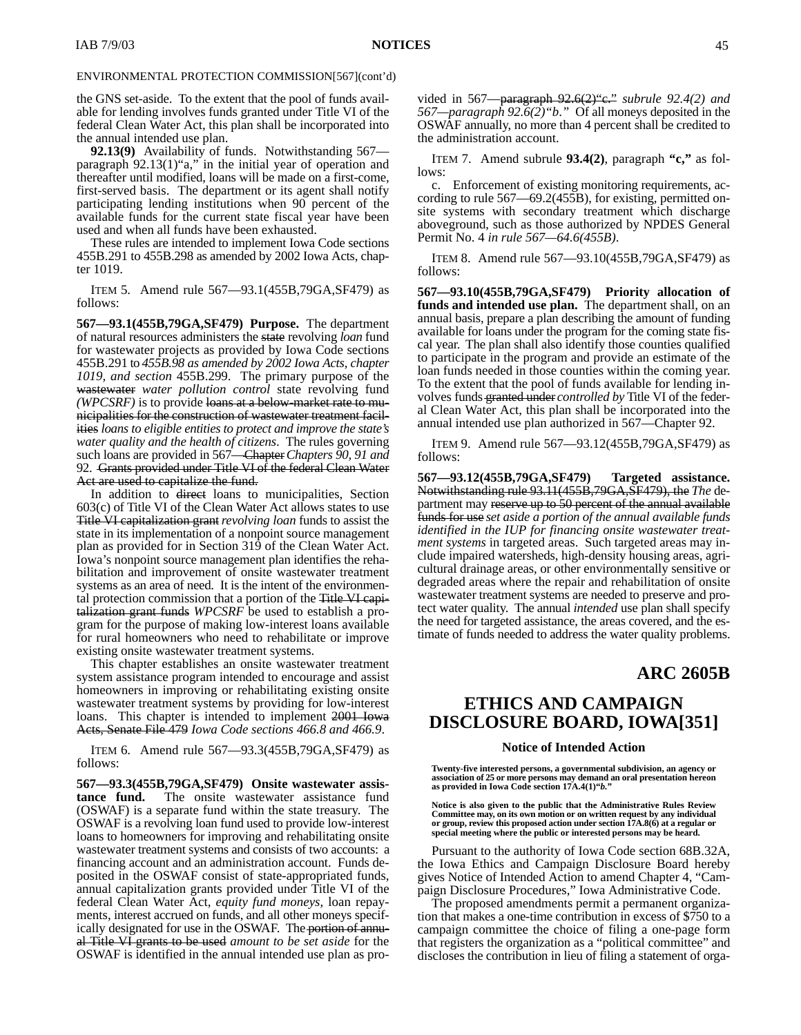the GNS set-aside. To the extent that the pool of funds available for lending involves funds granted under Title VI of the federal Clean Water Act, this plan shall be incorporated into the annual intended use plan.

**92.13(9)** Availability of funds. Notwithstanding 567 paragraph 92.13(1)"a," in the initial year of operation and thereafter until modified, loans will be made on a first-come, first-served basis. The department or its agent shall notify participating lending institutions when 90 percent of the available funds for the current state fiscal year have been used and when all funds have been exhausted.

These rules are intended to implement Iowa Code sections 455B.291 to 455B.298 as amended by 2002 Iowa Acts, chapter 1019.

ITEM 5. Amend rule 567—93.1(455B,79GA,SF479) as follows:

**567—93.1(455B,79GA,SF479) Purpose.** The department of natural resources administers the state revolving *loan* fund for wastewater projects as provided by Iowa Code sections 455B.291 to *455B.98 as amended by 2002 Iowa Acts, chapter 1019, and section* 455B.299. The primary purpose of the wastewater *water pollution control* state revolving fund *(WPCSRF)* is to provide loans at a below-market rate to municipalities for the construction of wastewater treatment facilities *loans to eligible entities to protect and improve the state's water quality and the health of citizens*. The rules governing such loans are provided in 567—Chapter*Chapters 90, 91 and* 92. Grants provided under Title VI of the federal Clean Water Act are used to capitalize the fund.

In addition to direct loans to municipalities, Section 603(c) of Title VI of the Clean Water Act allows states to use Title VI capitalization grant*revolving loan* funds to assist the state in its implementation of a nonpoint source management plan as provided for in Section 319 of the Clean Water Act. Iowa's nonpoint source management plan identifies the rehabilitation and improvement of onsite wastewater treatment systems as an area of need. It is the intent of the environmental protection commission that a portion of the Title VI capitalization grant funds *WPCSRF* be used to establish a program for the purpose of making low-interest loans available for rural homeowners who need to rehabilitate or improve existing onsite wastewater treatment systems.

This chapter establishes an onsite wastewater treatment system assistance program intended to encourage and assist homeowners in improving or rehabilitating existing onsite wastewater treatment systems by providing for low-interest loans. This chapter is intended to implement 2001 Iowa Acts, Senate File 479 *Iowa Code sections 466.8 and 466.9*.

ITEM 6. Amend rule 567—93.3(455B,79GA,SF479) as follows:

**567—93.3(455B,79GA,SF479) Onsite wastewater assistance fund.** The onsite wastewater assistance fund (OSWAF) is a separate fund within the state treasury. The OSWAF is a revolving loan fund used to provide low-interest loans to homeowners for improving and rehabilitating onsite wastewater treatment systems and consists of two accounts: a financing account and an administration account. Funds deposited in the OSWAF consist of state-appropriated funds, annual capitalization grants provided under Title VI of the federal Clean Water Act, *equity fund moneys,* loan repayments, interest accrued on funds, and all other moneys specifically designated for use in the OSWAF. The portion of annual Title VI grants to be used *amount to be set aside* for the OSWAF is identified in the annual intended use plan as provided in 567—paragraph 92.6(2)"c." *subrule 92.4(2) and 567—paragraph 92.6(2)"b*.*"* Of all moneys deposited in the OSWAF annually, no more than 4 percent shall be credited to the administration account.

ITEM 7. Amend subrule **93.4(2)**, paragraph **"c,"** as follows:

c. Enforcement of existing monitoring requirements, according to rule 567—69.2(455B), for existing, permitted onsite systems with secondary treatment which discharge aboveground, such as those authorized by NPDES General Permit No. 4 *in rule 567—64.6(455B)*.

ITEM 8. Amend rule 567—93.10(455B,79GA,SF479) as follows:

**567—93.10(455B,79GA,SF479) Priority allocation of funds and intended use plan.** The department shall, on an annual basis, prepare a plan describing the amount of funding available for loans under the program for the coming state fiscal year.The plan shall also identify those counties qualified to participate in the program and provide an estimate of the loan funds needed in those counties within the coming year. To the extent that the pool of funds available for lending involves funds granted under *controlled by* Title VI of the federal Clean Water Act, this plan shall be incorporated into the annual intended use plan authorized in 567—Chapter 92.

ITEM 9. Amend rule 567—93.12(455B,79GA,SF479) as follows:

**567—93.12(455B,79GA,SF479) Targeted assistance.** Notwithstanding rule 93.11(455B,79GA,SF479), the *The* department may reserve up to 50 percent of the annual available funds for use *set aside a portion of the annual available funds identified in the IUP for financing onsite wastewater treatment systems* in targeted areas. Such targeted areas may include impaired watersheds, high-density housing areas, agricultural drainage areas, or other environmentally sensitive or degraded areas where the repair and rehabilitation of onsite wastewater treatment systems are needed to preserve and protect water quality. The annual *intended* use plan shall specify the need for targeted assistance, the areas covered, and the estimate of funds needed to address the water quality problems.

### **ARC 2605B**

# **ETHICS AND CAMPAIGN DISCLOSURE BOARD, IOWA[351]**

#### **Notice of Intended Action**

**Twenty-five interested persons, a governmental subdivision, an agency or association of 25 or more persons may demand an oral presentation hereon as provided in Iowa Code section 17A.4(1)"***b.***"**

Notice is also given to the public that the Administrative Rules Review<br>Committee may, on its own motion or on written request by any individual<br>or group, review this proposed action under section 17A.8(6) at a regular or **special meeting where the public or interested persons may be heard.**

Pursuant to the authority of Iowa Code section 68B.32A, the Iowa Ethics and Campaign Disclosure Board hereby gives Notice of Intended Action to amend Chapter 4, "Campaign Disclosure Procedures," Iowa Administrative Code.

The proposed amendments permit a permanent organization that makes a one-time contribution in excess of \$750 to a campaign committee the choice of filing a one-page form that registers the organization as a "political committee" and discloses the contribution in lieu of filing a statement of orga-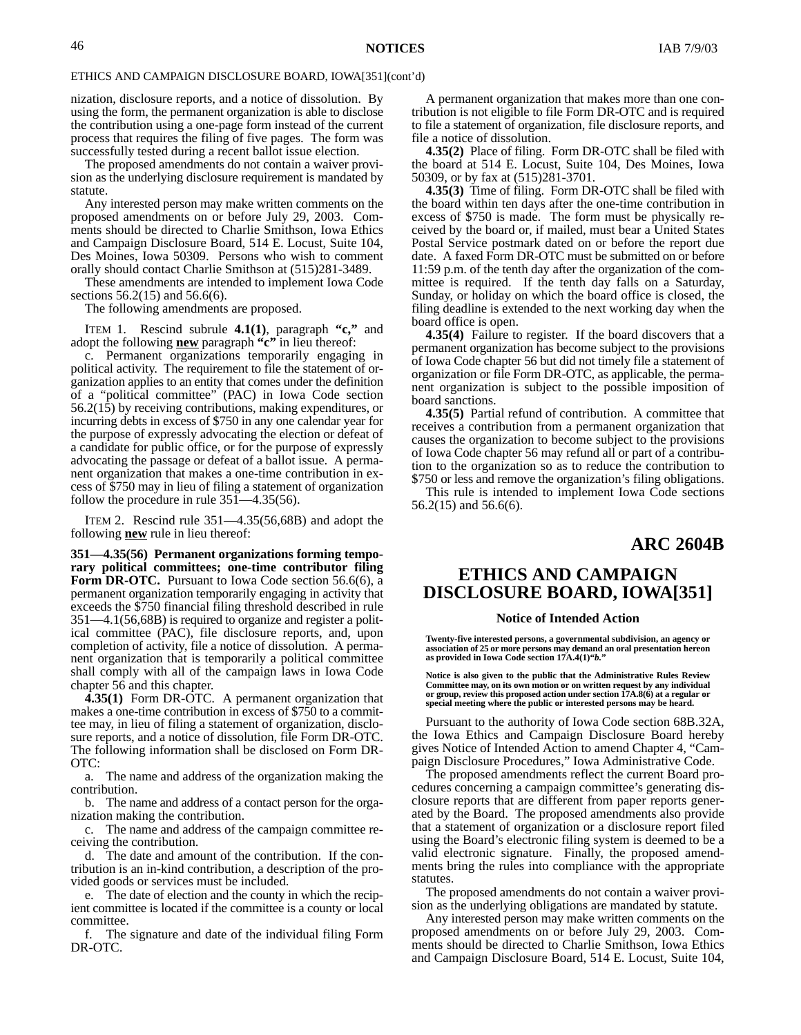#### ETHICS AND CAMPAIGN DISCLOSURE BOARD, IOWA[351](cont'd)

nization, disclosure reports, and a notice of dissolution. By using the form, the permanent organization is able to disclose the contribution using a one-page form instead of the current process that requires the filing of five pages. The form was successfully tested during a recent ballot issue election.

The proposed amendments do not contain a waiver provision as the underlying disclosure requirement is mandated by statute.

Any interested person may make written comments on the proposed amendments on or before July 29, 2003. Comments should be directed to Charlie Smithson, Iowa Ethics and Campaign Disclosure Board, 514 E. Locust, Suite 104, Des Moines, Iowa 50309. Persons who wish to comment orally should contact Charlie Smithson at (515)281-3489.

These amendments are intended to implement Iowa Code sections 56.2(15) and 56.6(6).

The following amendments are proposed.

ITEM 1. Rescind subrule **4.1(1)**, paragraph **"c,"** and adopt the following **new** paragraph **"c"** in lieu thereof:

c. Permanent organizations temporarily engaging in political activity. The requirement to file the statement of organization applies to an entity that comes under the definition of a "political committee" (PAC) in Iowa Code section 56.2(15) by receiving contributions, making expenditures, or incurring debts in excess of \$750 in any one calendar year for the purpose of expressly advocating the election or defeat of a candidate for public office, or for the purpose of expressly advocating the passage or defeat of a ballot issue. A permanent organization that makes a one-time contribution in excess of \$750 may in lieu of filing a statement of organization follow the procedure in rule  $35\overline{1}$ —4.35(56).

ITEM 2. Rescind rule 351—4.35(56,68B) and adopt the following **new** rule in lieu thereof:

**351—4.35(56) Permanent organizations forming temporary political committees; one-time contributor filing** Form DR-OTC. Pursuant to Iowa Code section 56.6(6), a permanent organization temporarily engaging in activity that exceeds the \$750 financial filing threshold described in rule 351—4.1(56,68B) is required to organize and register a political committee (PAC), file disclosure reports, and, upon completion of activity, file a notice of dissolution. A permanent organization that is temporarily a political committee shall comply with all of the campaign laws in Iowa Code chapter 56 and this chapter.

**4.35(1)** Form DR-OTC. A permanent organization that makes a one-time contribution in excess of \$750 to a committee may, in lieu of filing a statement of organization, disclosure reports, and a notice of dissolution, file Form DR-OTC. The following information shall be disclosed on Form DR-OTC:

a. The name and address of the organization making the contribution.

b. The name and address of a contact person for the organization making the contribution.

c. The name and address of the campaign committee receiving the contribution.

d. The date and amount of the contribution. If the contribution is an in-kind contribution, a description of the provided goods or services must be included.

e. The date of election and the county in which the recipient committee is located if the committee is a county or local committee.

f. The signature and date of the individual filing Form DR-OTC.

A permanent organization that makes more than one contribution is not eligible to file Form DR-OTC and is required to file a statement of organization, file disclosure reports, and file a notice of dissolution.

**4.35(2)** Place of filing. Form DR-OTC shall be filed with the board at 514 E. Locust, Suite 104, Des Moines, Iowa 50309, or by fax at (515)281-3701.

**4.35(3)** Time of filing. Form DR-OTC shall be filed with the board within ten days after the one-time contribution in excess of \$750 is made. The form must be physically received by the board or, if mailed, must bear a United States Postal Service postmark dated on or before the report due date. A faxed Form DR-OTC must be submitted on or before 11:59 p.m. of the tenth day after the organization of the committee is required. If the tenth day falls on a Saturday, Sunday, or holiday on which the board office is closed, the filing deadline is extended to the next working day when the board office is open.

**4.35(4)** Failure to register. If the board discovers that a permanent organization has become subject to the provisions of Iowa Code chapter 56 but did not timely file a statement of organization or file Form DR-OTC, as applicable, the permanent organization is subject to the possible imposition of board sanctions.

**4.35(5)** Partial refund of contribution. A committee that receives a contribution from a permanent organization that causes the organization to become subject to the provisions of Iowa Code chapter 56 may refund all or part of a contribution to the organization so as to reduce the contribution to \$750 or less and remove the organization's filing obligations.

This rule is intended to implement Iowa Code sections 56.2(15) and 56.6(6).

### **ARC 2604B**

# **ETHICS AND CAMPAIGN DISCLOSURE BOARD, IOWA[351]**

#### **Notice of Intended Action**

**Twenty-five interested persons, a governmental subdivision, an agency or association of 25 or more persons may demand an oral presentation hereon as provided in Iowa Code section 17A.4(1)"***b.***"**

**Notice is also given to the public that the Administrative Rules Review Committee may, on its own motion or on written request by any individual or group, review this proposed action under section 17A.8(6) at a regular or special meeting where the public or interested persons may be heard.**

Pursuant to the authority of Iowa Code section 68B.32A, the Iowa Ethics and Campaign Disclosure Board hereby gives Notice of Intended Action to amend Chapter 4, "Campaign Disclosure Procedures," Iowa Administrative Code.

The proposed amendments reflect the current Board procedures concerning a campaign committee's generating disclosure reports that are different from paper reports generated by the Board. The proposed amendments also provide that a statement of organization or a disclosure report filed using the Board's electronic filing system is deemed to be a valid electronic signature. Finally, the proposed amendments bring the rules into compliance with the appropriate statutes.

The proposed amendments do not contain a waiver provision as the underlying obligations are mandated by statute.

Any interested person may make written comments on the proposed amendments on or before July 29, 2003. Comments should be directed to Charlie Smithson, Iowa Ethics and Campaign Disclosure Board, 514 E. Locust, Suite 104,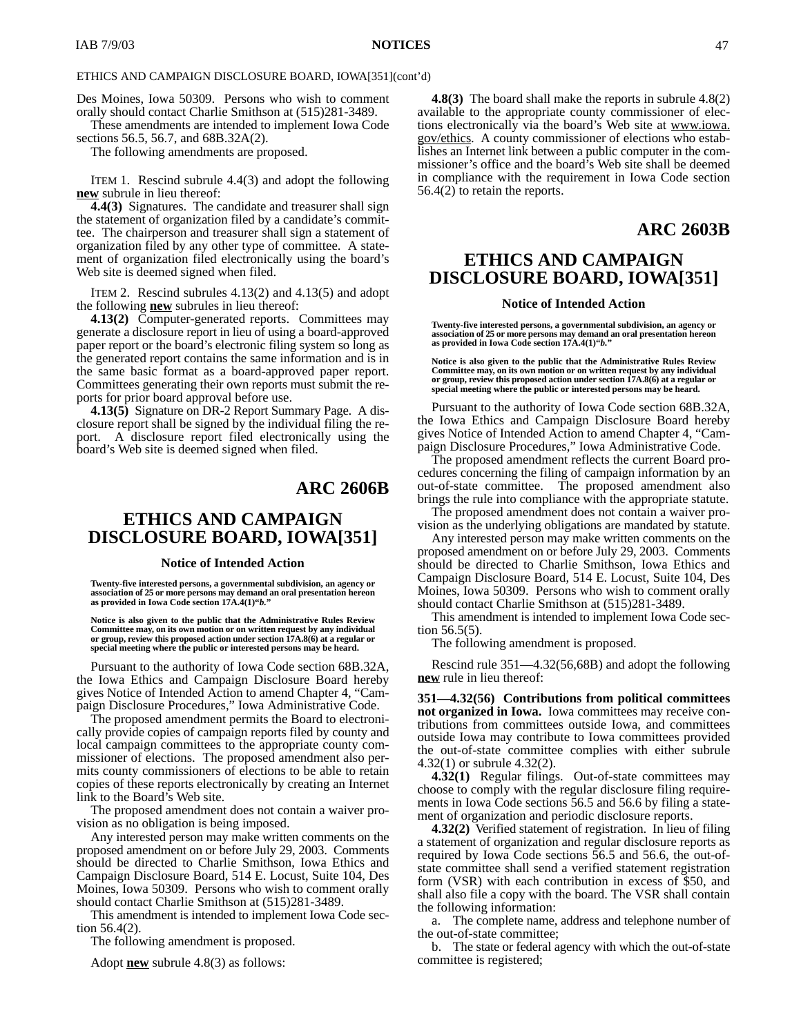### ETHICS AND CAMPAIGN DISCLOSURE BOARD, IOWA[351](cont'd)

Des Moines, Iowa 50309. Persons who wish to comment orally should contact Charlie Smithson at (515)281-3489.

These amendments are intended to implement Iowa Code sections 56.5, 56.7, and 68B.32A(2).

The following amendments are proposed.

ITEM 1. Rescind subrule 4.4(3) and adopt the following **new** subrule in lieu thereof:

**4.4(3)** Signatures. The candidate and treasurer shall sign the statement of organization filed by a candidate's committee. The chairperson and treasurer shall sign a statement of organization filed by any other type of committee. A statement of organization filed electronically using the board's Web site is deemed signed when filed.

ITEM 2. Rescind subrules 4.13(2) and 4.13(5) and adopt the following **new** subrules in lieu thereof:

**4.13(2)** Computer-generated reports. Committees may generate a disclosure report in lieu of using a board-approved paper report or the board's electronic filing system so long as the generated report contains the same information and is in the same basic format as a board-approved paper report. Committees generating their own reports must submit the reports for prior board approval before use.

**4.13(5)** Signature on DR-2 Report Summary Page. A disclosure report shall be signed by the individual filing the report. A disclosure report filed electronically using the board's Web site is deemed signed when filed.

### **ARC 2606B**

# **ETHICS AND CAMPAIGN DISCLOSURE BOARD, IOWA[351]**

#### **Notice of Intended Action**

**Twenty-five interested persons, a governmental subdivision, an agency or association of 25 or more persons may demand an oral presentation hereon as provided in Iowa Code section 17A.4(1)"***b.***"**

**Notice is also given to the public that the Administrative Rules Review Committee may, on its own motion or on written request by any individual or group, review this proposed action under section 17A.8(6) at a regular or** special meeting where the public or interested persons may be heard.

Pursuant to the authority of Iowa Code section 68B.32A, the Iowa Ethics and Campaign Disclosure Board hereby gives Notice of Intended Action to amend Chapter 4, "Campaign Disclosure Procedures," Iowa Administrative Code.

The proposed amendment permits the Board to electronically provide copies of campaign reports filed by county and local campaign committees to the appropriate county commissioner of elections. The proposed amendment also permits county commissioners of elections to be able to retain copies of these reports electronically by creating an Internet link to the Board's Web site.

The proposed amendment does not contain a waiver provision as no obligation is being imposed.

Any interested person may make written comments on the proposed amendment on or before July 29, 2003. Comments should be directed to Charlie Smithson, Iowa Ethics and Campaign Disclosure Board, 514 E. Locust, Suite 104, Des Moines, Iowa 50309. Persons who wish to comment orally should contact Charlie Smithson at (515)281-3489.

This amendment is intended to implement Iowa Code section 56.4(2).

The following amendment is proposed.

Adopt **new** subrule 4.8(3) as follows:

**4.8(3)** The board shall make the reports in subrule 4.8(2) available to the appropriate county commissioner of elections electronically via the board's Web site at www.iowa. gov/ethics. A county commissioner of elections who establishes an Internet link between a public computer in the commissioner's office and the board's Web site shall be deemed in compliance with the requirement in Iowa Code section 56.4(2) to retain the reports.

### **ARC 2603B**

# **ETHICS AND CAMPAIGN DISCLOSURE BOARD, IOWA[351]**

#### **Notice of Intended Action**

**Twenty-five interested persons, a governmental subdivision, an agency or association of 25 or more persons may demand an oral presentation hereon as provided in Iowa Code section 17A.4(1)"***b.***"**

**Notice is also given to the public that the Administrative Rules Review Committee may, on its own motion or on written request by any individual or group, review this proposed action under section 17A.8(6) at a regular or special meeting where the public or interested persons may be heard.**

Pursuant to the authority of Iowa Code section 68B.32A, the Iowa Ethics and Campaign Disclosure Board hereby gives Notice of Intended Action to amend Chapter 4, "Campaign Disclosure Procedures," Iowa Administrative Code.

The proposed amendment reflects the current Board procedures concerning the filing of campaign information by an out-of-state committee. The proposed amendment also brings the rule into compliance with the appropriate statute.

The proposed amendment does not contain a waiver provision as the underlying obligations are mandated by statute.

Any interested person may make written comments on the proposed amendment on or before July 29, 2003. Comments should be directed to Charlie Smithson, Iowa Ethics and Campaign Disclosure Board, 514 E. Locust, Suite 104, Des Moines, Iowa 50309. Persons who wish to comment orally should contact Charlie Smithson at (515)281-3489.

This amendment is intended to implement Iowa Code section 56.5(5).

The following amendment is proposed.

Rescind rule 351—4.32(56,68B) and adopt the following **new** rule in lieu thereof:

**351—4.32(56) Contributions from political committees not organized in Iowa.** Iowa committees may receive contributions from committees outside Iowa, and committees outside Iowa may contribute to Iowa committees provided the out-of-state committee complies with either subrule 4.32(1) or subrule 4.32(2).

**4.32(1)** Regular filings. Out-of-state committees may choose to comply with the regular disclosure filing requirements in Iowa Code sections 56.5 and 56.6 by filing a statement of organization and periodic disclosure reports.

**4.32(2)** Verified statement of registration. In lieu of filing a statement of organization and regular disclosure reports as required by Iowa Code sections 56.5 and 56.6, the out-ofstate committee shall send a verified statement registration form (VSR) with each contribution in excess of \$50, and shall also file a copy with the board. The VSR shall contain the following information:

a. The complete name, address and telephone number of the out-of-state committee;

b. The state or federal agency with which the out-of-state committee is registered;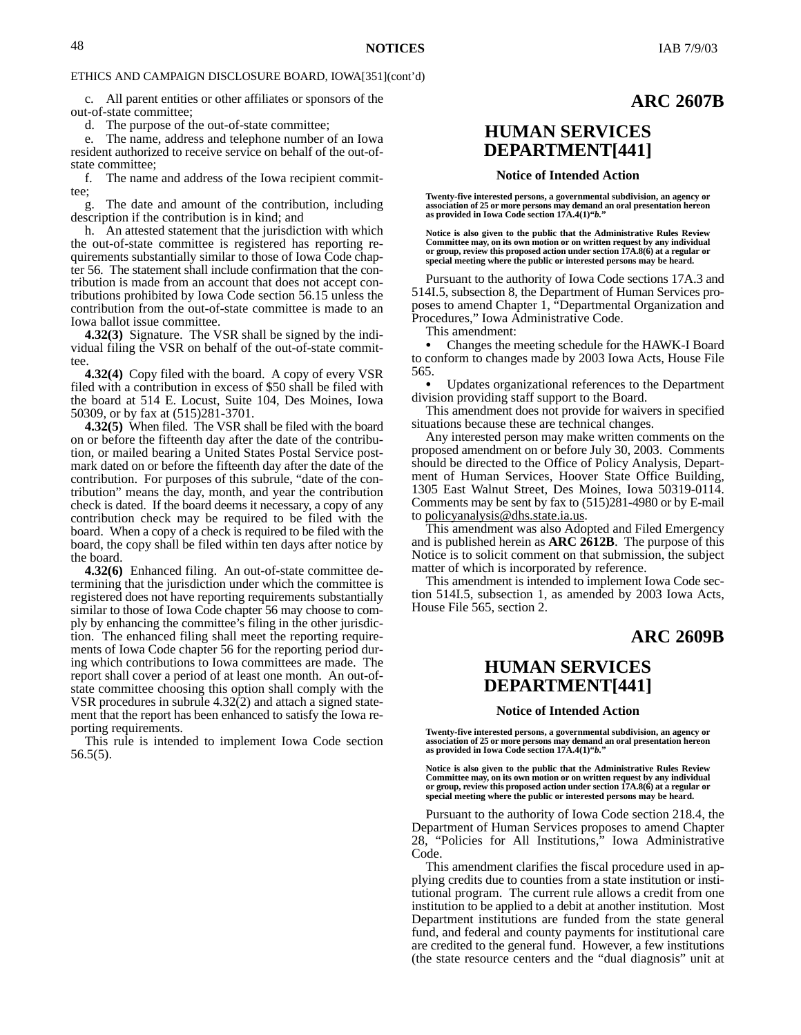**ARC 2607B**

### ETHICS AND CAMPAIGN DISCLOSURE BOARD, IOWA[351](cont'd)

c. All parent entities or other affiliates or sponsors of the out-of-state committee;

d. The purpose of the out-of-state committee;

e. The name, address and telephone number of an Iowa resident authorized to receive service on behalf of the out-ofstate committee;

f. The name and address of the Iowa recipient committee;

g. The date and amount of the contribution, including description if the contribution is in kind; and

h. An attested statement that the jurisdiction with which the out-of-state committee is registered has reporting requirements substantially similar to those of Iowa Code chapter 56. The statement shall include confirmation that the contribution is made from an account that does not accept contributions prohibited by Iowa Code section 56.15 unless the contribution from the out-of-state committee is made to an Iowa ballot issue committee.

**4.32(3)** Signature. The VSR shall be signed by the individual filing the VSR on behalf of the out-of-state committee

**4.32(4)** Copy filed with the board. A copy of every VSR filed with a contribution in excess of \$50 shall be filed with the board at 514 E. Locust, Suite 104, Des Moines, Iowa 50309, or by fax at (515)281-3701.

**4.32(5)** When filed. The VSR shall be filed with the board on or before the fifteenth day after the date of the contribution, or mailed bearing a United States Postal Service postmark dated on or before the fifteenth day after the date of the contribution. For purposes of this subrule, "date of the contribution" means the day, month, and year the contribution check is dated. If the board deems it necessary, a copy of any contribution check may be required to be filed with the board. When a copy of a check is required to be filed with the board, the copy shall be filed within ten days after notice by the board.

**4.32(6)** Enhanced filing. An out-of-state committee determining that the jurisdiction under which the committee is registered does not have reporting requirements substantially similar to those of Iowa Code chapter 56 may choose to comply by enhancing the committee's filing in the other jurisdiction. The enhanced filing shall meet the reporting requirements of Iowa Code chapter 56 for the reporting period during which contributions to Iowa committees are made. The report shall cover a period of at least one month. An out-ofstate committee choosing this option shall comply with the VSR procedures in subrule 4.32(2) and attach a signed statement that the report has been enhanced to satisfy the Iowa reporting requirements.

This rule is intended to implement Iowa Code section 56.5(5).

# **HUMAN SERVICES DEPARTMENT[441]**

#### **Notice of Intended Action**

**Twenty-five interested persons, a governmental subdivision, an agency or association of 25 or more persons may demand an oral presentation hereon as provided in Iowa Code section 17A.4(1)"***b.***"**

**Notice is also given to the public that the Administrative Rules Review Committee may, on its own motion or on written request by any individual or group, review this proposed action under section 17A.8(6) at a regular or special meeting where the public or interested persons may be heard.**

Pursuant to the authority of Iowa Code sections 17A.3 and 514I.5, subsection 8, the Department of Human Services proposes to amend Chapter 1, "Departmental Organization and Procedures," Iowa Administrative Code.

This amendment:

 Changes the meeting schedule for the HAWK-I Board to conform to changes made by 2003 Iowa Acts, House File 565.

 Updates organizational references to the Department division providing staff support to the Board.

This amendment does not provide for waivers in specified situations because these are technical changes.

Any interested person may make written comments on the proposed amendment on or before July 30, 2003. Comments should be directed to the Office of Policy Analysis, Department of Human Services, Hoover State Office Building, 1305 East Walnut Street, Des Moines, Iowa 50319-0114. Comments may be sent by fax to (515)281-4980 or by E-mail to policyanalysis@dhs.state.ia.us.

This amendment was also Adopted and Filed Emergency and is published herein as **ARC 2612B**. The purpose of this Notice is to solicit comment on that submission, the subject matter of which is incorporated by reference.

This amendment is intended to implement Iowa Code section 514I.5, subsection 1, as amended by 2003 Iowa Acts, House File 565, section 2.

### **ARC 2609B**

### **HUMAN SERVICES DEPARTMENT[441]**

#### **Notice of Intended Action**

**Twenty-five interested persons, a governmental subdivision, an agency or association of 25 or more persons may demand an oral presentation hereon as provided in Iowa Code section 17A.4(1)"***b.***"**

**Notice is also given to the public that the Administrative Rules Review Committee may, on its own motion or on written request by any individual or group, review this proposed action under section 17A.8(6) at a regular or special meeting where the public or interested persons may be heard.**

Pursuant to the authority of Iowa Code section 218.4, the Department of Human Services proposes to amend Chapter 28, "Policies for All Institutions," Iowa Administrative Code.

This amendment clarifies the fiscal procedure used in applying credits due to counties from a state institution or institutional program. The current rule allows a credit from one institution to be applied to a debit at another institution. Most Department institutions are funded from the state general fund, and federal and county payments for institutional care are credited to the general fund. However, a few institutions (the state resource centers and the "dual diagnosis" unit at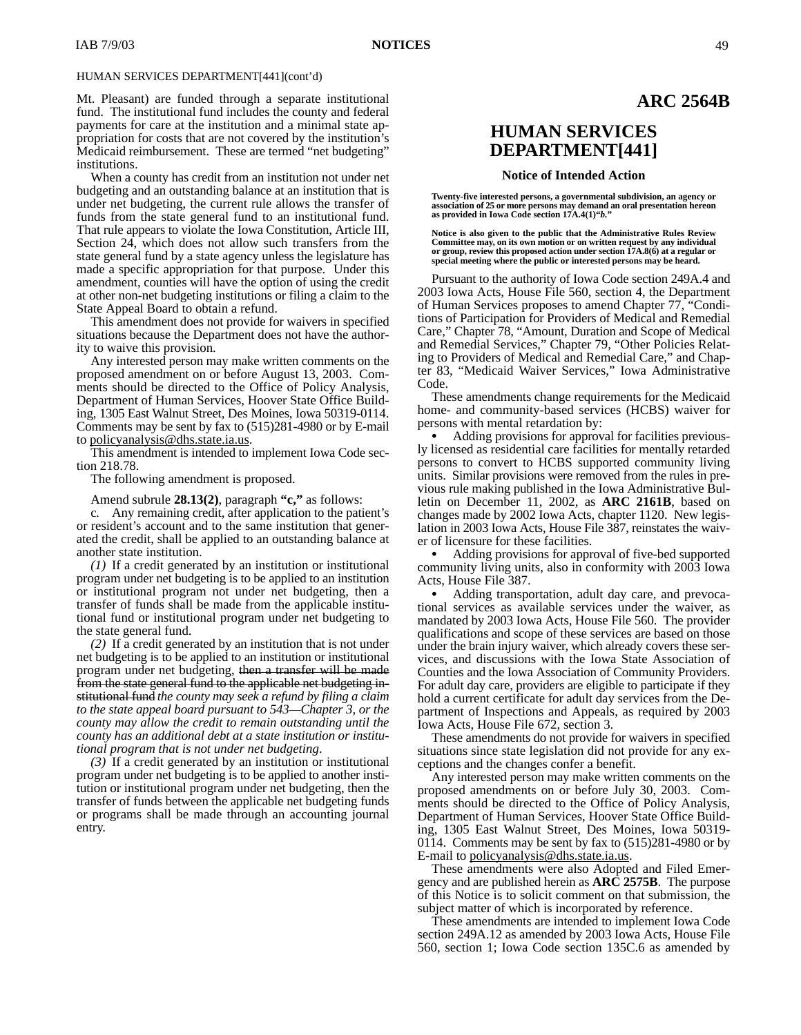Mt. Pleasant) are funded through a separate institutional fund. The institutional fund includes the county and federal payments for care at the institution and a minimal state appropriation for costs that are not covered by the institution's Medicaid reimbursement. These are termed "net budgeting" institutions.

When a county has credit from an institution not under net budgeting and an outstanding balance at an institution that is under net budgeting, the current rule allows the transfer of funds from the state general fund to an institutional fund. That rule appears to violate the Iowa Constitution, Article III, Section 24, which does not allow such transfers from the state general fund by a state agency unless the legislature has made a specific appropriation for that purpose. Under this amendment, counties will have the option of using the credit at other non-net budgeting institutions or filing a claim to the State Appeal Board to obtain a refund.

This amendment does not provide for waivers in specified situations because the Department does not have the authority to waive this provision.

Any interested person may make written comments on the proposed amendment on or before August 13, 2003. Comments should be directed to the Office of Policy Analysis, Department of Human Services, Hoover State Office Building, 1305 East Walnut Street, Des Moines, Iowa 50319-0114. Comments may be sent by fax to (515)281-4980 or by E-mail to <u>policyanalysis@dhs.state.ia.us</u>.

This amendment is intended to implement Iowa Code section 218.78.

The following amendment is proposed.

Amend subrule **28.13(2)**, paragraph **"c,"** as follows:

c*.* Any remaining credit, after application to the patient's or resident's account and to the same institution that generated the credit, shall be applied to an outstanding balance at another state institution.

*(1)* If a credit generated by an institution or institutional program under net budgeting is to be applied to an institution or institutional program not under net budgeting, then a transfer of funds shall be made from the applicable institutional fund or institutional program under net budgeting to the state general fund.

*(2)* If a credit generated by an institution that is not under net budgeting is to be applied to an institution or institutional program under net budgeting, then a transfer will be made from the state general fund to the applicable net budgeting institutional fund *the county may seek a refund by filing a claim to the state appeal board pursuant to 543—Chapter 3, or the county may allow the credit to remain outstanding until the county has an additional debt at a state institution or institutional program that is not under net budgeting*.

*(3)* If a credit generated by an institution or institutional program under net budgeting is to be applied to another institution or institutional program under net budgeting, then the transfer of funds between the applicable net budgeting funds or programs shall be made through an accounting journal entry.

### **ARC 2564B**

# **HUMAN SERVICES DEPARTMENT[441]**

#### **Notice of Intended Action**

**Twenty-five interested persons, a governmental subdivision, an agency or association of 25 or more persons may demand an oral presentation hereon as provided in Iowa Code section 17A.4(1)"***b.***"**

**Notice is also given to the public that the Administrative Rules Review Committee may, on its own motion or on written request by any individual or group, review this proposed action under section 17A.8(6) at a regular or special meeting where the public or interested persons may be heard.**

Pursuant to the authority of Iowa Code section 249A.4 and 2003 Iowa Acts, House File 560, section 4, the Department of Human Services proposes to amend Chapter 77, "Conditions of Participation for Providers of Medical and Remedial Care," Chapter 78, "Amount, Duration and Scope of Medical and Remedial Services," Chapter 79, "Other Policies Relating to Providers of Medical and Remedial Care," and Chapter 83, "Medicaid Waiver Services," Iowa Administrative Code.

These amendments change requirements for the Medicaid home- and community-based services (HCBS) waiver for persons with mental retardation by:

 Adding provisions for approval for facilities previously licensed as residential care facilities for mentally retarded persons to convert to HCBS supported community living units. Similar provisions were removed from the rules in previous rule making published in the Iowa Administrative Bulletin on December 11, 2002, as **ARC 2161B**, based on changes made by 2002 Iowa Acts, chapter 1120. New legislation in 2003 Iowa Acts, House File 387, reinstates the waiver of licensure for these facilities.

 Adding provisions for approval of five-bed supported community living units, also in conformity with 2003 Iowa Acts, House File 387.

 Adding transportation, adult day care, and prevocational services as available services under the waiver, as mandated by 2003 Iowa Acts, House File 560. The provider qualifications and scope of these services are based on those under the brain injury waiver, which already covers these services, and discussions with the Iowa State Association of Counties and the Iowa Association of Community Providers. For adult day care, providers are eligible to participate if they hold a current certificate for adult day services from the Department of Inspections and Appeals, as required by 2003 Iowa Acts, House File 672, section 3.

These amendments do not provide for waivers in specified situations since state legislation did not provide for any exceptions and the changes confer a benefit.

Any interested person may make written comments on the proposed amendments on or before July 30, 2003. Comments should be directed to the Office of Policy Analysis, Department of Human Services, Hoover State Office Building, 1305 East Walnut Street, Des Moines, Iowa 50319- 0114. Comments may be sent by fax to (515)281-4980 or by E-mail to policyanalysis@dhs.state.ia.us.

These amendments were also Adopted and Filed Emergency and are published herein as **ARC 2575B**. The purpose of this Notice is to solicit comment on that submission, the subject matter of which is incorporated by reference.

These amendments are intended to implement Iowa Code section 249A.12 as amended by 2003 Iowa Acts, House File 560, section 1; Iowa Code section 135C.6 as amended by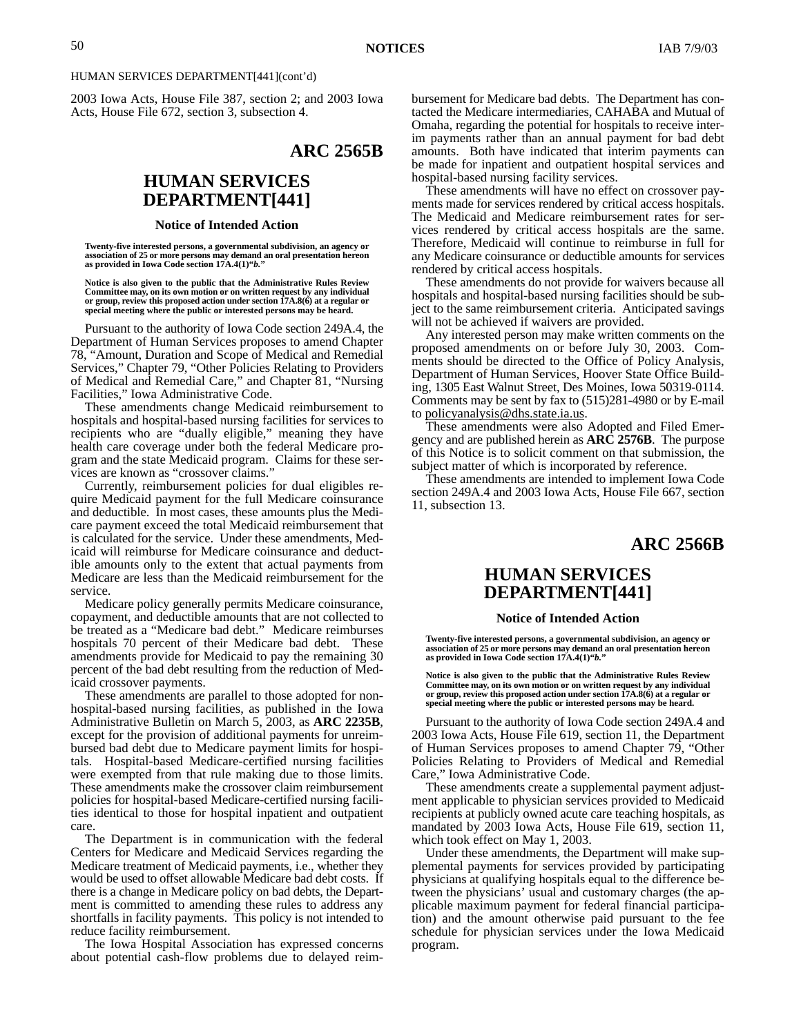2003 Iowa Acts, House File 387, section 2; and 2003 Iowa Acts, House File 672, section 3, subsection 4.

# **ARC 2565B**

# **HUMAN SERVICES DEPARTMENT[441]**

#### **Notice of Intended Action**

**Twenty-five interested persons, a governmental subdivision, an agency or association of 25 or more persons may demand an oral presentation hereon as provided in Iowa Code section 17A.4(1)"***b.***"**

**Notice is also given to the public that the Administrative Rules Review Committee may, on its own motion or on written request by any individual or group, review this proposed action under section 17A.8(6) at a regular or special meeting where the public or interested persons may be heard.**

Pursuant to the authority of Iowa Code section 249A.4, the Department of Human Services proposes to amend Chapter 78, "Amount, Duration and Scope of Medical and Remedial Services," Chapter 79, "Other Policies Relating to Providers of Medical and Remedial Care," and Chapter 81, "Nursing Facilities," Iowa Administrative Code.

These amendments change Medicaid reimbursement to hospitals and hospital-based nursing facilities for services to recipients who are "dually eligible," meaning they have health care coverage under both the federal Medicare program and the state Medicaid program. Claims for these services are known as "crossover claims."

Currently, reimbursement policies for dual eligibles require Medicaid payment for the full Medicare coinsurance and deductible. In most cases, these amounts plus the Medicare payment exceed the total Medicaid reimbursement that is calculated for the service. Under these amendments, Medicaid will reimburse for Medicare coinsurance and deductible amounts only to the extent that actual payments from Medicare are less than the Medicaid reimbursement for the service.

Medicare policy generally permits Medicare coinsurance, copayment, and deductible amounts that are not collected to be treated as a "Medicare bad debt." Medicare reimburses hospitals 70 percent of their Medicare bad debt. These amendments provide for Medicaid to pay the remaining 30 percent of the bad debt resulting from the reduction of Medicaid crossover payments.

These amendments are parallel to those adopted for nonhospital-based nursing facilities, as published in the Iowa Administrative Bulletin on March 5, 2003, as **ARC 2235B**, except for the provision of additional payments for unreimbursed bad debt due to Medicare payment limits for hospitals. Hospital-based Medicare-certified nursing facilities were exempted from that rule making due to those limits. These amendments make the crossover claim reimbursement policies for hospital-based Medicare-certified nursing facilities identical to those for hospital inpatient and outpatient care.

The Department is in communication with the federal Centers for Medicare and Medicaid Services regarding the Medicare treatment of Medicaid payments, i.e., whether they would be used to offset allowable Medicare bad debt costs. If there is a change in Medicare policy on bad debts, the Department is committed to amending these rules to address any shortfalls in facility payments. This policy is not intended to reduce facility reimbursement.

The Iowa Hospital Association has expressed concerns about potential cash-flow problems due to delayed reimbursement for Medicare bad debts. The Department has contacted the Medicare intermediaries, CAHABA and Mutual of Omaha, regarding the potential for hospitals to receive interim payments rather than an annual payment for bad debt amounts. Both have indicated that interim payments can be made for inpatient and outpatient hospital services and hospital-based nursing facility services.

These amendments will have no effect on crossover payments made for services rendered by critical access hospitals. The Medicaid and Medicare reimbursement rates for services rendered by critical access hospitals are the same. Therefore, Medicaid will continue to reimburse in full for any Medicare coinsurance or deductible amounts for services rendered by critical access hospitals.

These amendments do not provide for waivers because all hospitals and hospital-based nursing facilities should be subject to the same reimbursement criteria. Anticipated savings will not be achieved if waivers are provided.

Any interested person may make written comments on the proposed amendments on or before July 30, 2003. Comments should be directed to the Office of Policy Analysis, Department of Human Services, Hoover State Office Building, 1305 East Walnut Street, Des Moines, Iowa 50319-0114. Comments may be sent by fax to (515)281-4980 or by E-mail to policyanalysis@dhs.state.ia.us.

These amendments were also Adopted and Filed Emergency and are published herein as **ARC 2576B**. The purpose of this Notice is to solicit comment on that submission, the subject matter of which is incorporated by reference.

These amendments are intended to implement Iowa Code section 249A.4 and 2003 Iowa Acts, House File 667, section 11, subsection 13.

### **ARC 2566B**

### **HUMAN SERVICES DEPARTMENT[441]**

### **Notice of Intended Action**

**Twenty-five interested persons, a governmental subdivision, an agency or association of 25 or more persons may demand an oral presentation hereon as provided in Iowa Code section 17A.4(1)"***b.***"**

**Notice is also given to the public that the Administrative Rules Review Committee may, on its own motion or on written request by any individual or group, review this proposed action under section 17A.8(6) at a regular or special meeting where the public or interested persons may be heard.**

Pursuant to the authority of Iowa Code section 249A.4 and 2003 Iowa Acts, House File 619, section 11, the Department of Human Services proposes to amend Chapter 79, "Other Policies Relating to Providers of Medical and Remedial Care," Iowa Administrative Code.

These amendments create a supplemental payment adjustment applicable to physician services provided to Medicaid recipients at publicly owned acute care teaching hospitals, as mandated by 2003 Iowa Acts, House File 619, section 11, which took effect on May 1, 2003.

Under these amendments, the Department will make supplemental payments for services provided by participating physicians at qualifying hospitals equal to the difference between the physicians' usual and customary charges (the applicable maximum payment for federal financial participation) and the amount otherwise paid pursuant to the fee schedule for physician services under the Iowa Medicaid program.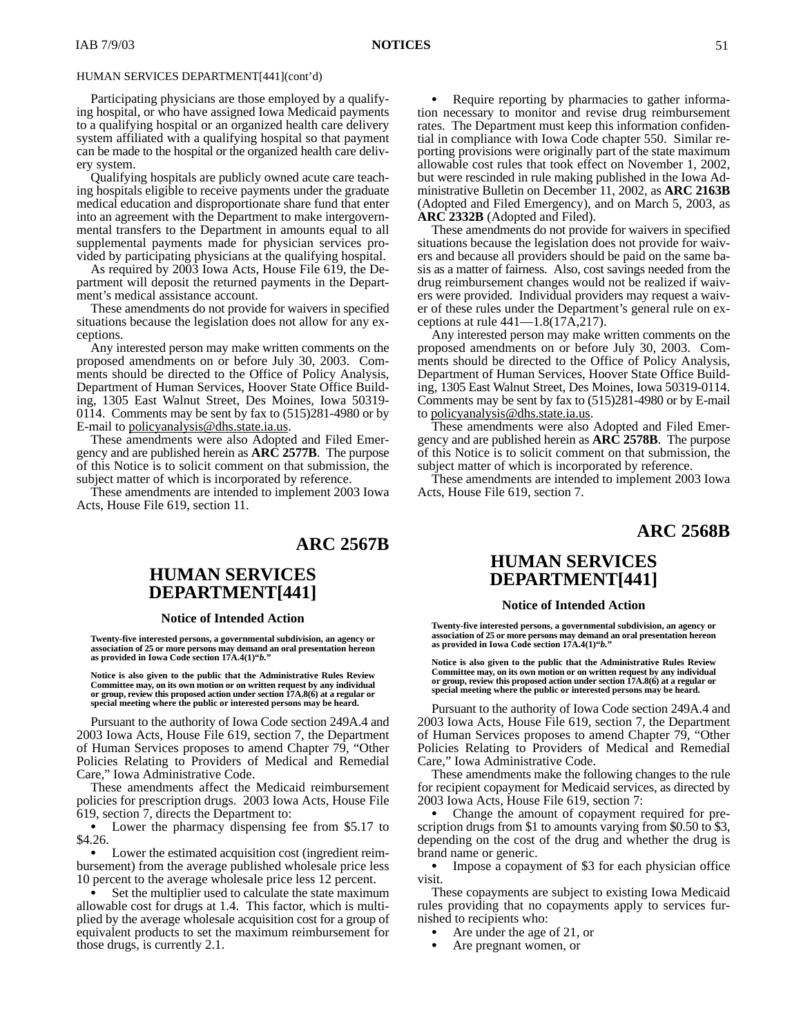Participating physicians are those employed by a qualifying hospital, or who have assigned Iowa Medicaid payments to a qualifying hospital or an organized health care delivery system affiliated with a qualifying hospital so that payment can be made to the hospital or the organized health care delivery system.

Qualifying hospitals are publicly owned acute care teaching hospitals eligible to receive payments under the graduate medical education and disproportionate share fund that enter into an agreement with the Department to make intergovernmental transfers to the Department in amounts equal to all supplemental payments made for physician services provided by participating physicians at the qualifying hospital.

As required by 2003 Iowa Acts, House File 619, the Department will deposit the returned payments in the Department's medical assistance account.

These amendments do not provide for waivers in specified situations because the legislation does not allow for any exceptions.

Any interested person may make written comments on the proposed amendments on or before July 30, 2003. Comments should be directed to the Office of Policy Analysis, Department of Human Services, Hoover State Office Building, 1305 East Walnut Street, Des Moines, Iowa 50319- 0114. Comments may be sent by fax to (515)281-4980 or by E-mail to policyanalysis@dhs.state.ia.us.

These amendments were also Adopted and Filed Emergency and are published herein as **ARC 2577B**. The purpose of this Notice is to solicit comment on that submission, the subject matter of which is incorporated by reference.

These amendments are intended to implement 2003 Iowa Acts, House File 619, section 11.

### **ARC 2567B**

# **HUMAN SERVICES DEPARTMENT[441]**

### **Notice of Intended Action**

**Twenty-five interested persons, a governmental subdivision, an agency or association of 25 or more persons may demand an oral presentation hereon as provided in Iowa Code section 17A.4(1)"***b.***"**

**Notice is also given to the public that the Administrative Rules Review Committee may, on its own motion or on written request by any individual or group, review this proposed action under section 17A.8(6) at a regular or special meeting where the public or interested persons may be heard.**

Pursuant to the authority of Iowa Code section 249A.4 and 2003 Iowa Acts, House File 619, section 7, the Department of Human Services proposes to amend Chapter 79, "Other Policies Relating to Providers of Medical and Remedial Care," Iowa Administrative Code.

These amendments affect the Medicaid reimbursement policies for prescription drugs. 2003 Iowa Acts, House File 619, section 7, directs the Department to:

 Lower the pharmacy dispensing fee from \$5.17 to \$4.26.

 Lower the estimated acquisition cost (ingredient reimbursement) from the average published wholesale price less 10 percent to the average wholesale price less 12 percent.

 Set the multiplier used to calculate the state maximum allowable cost for drugs at 1.4. This factor, which is multiplied by the average wholesale acquisition cost for a group of equivalent products to set the maximum reimbursement for those drugs, is currently 2.1.

 $\bullet$  Require reporting by pharmacies to gather information necessary to monitor and revise drug reimbursement rates. The Department must keep this information confidential in compliance with Iowa Code chapter 550. Similar reporting provisions were originally part of the state maximum allowable cost rules that took effect on November 1, 2002, but were rescinded in rule making published in the Iowa Administrative Bulletin on December 11, 2002, as **ARC 2163B** (Adopted and Filed Emergency), and on March 5, 2003, as **ARC 2332B** (Adopted and Filed).

These amendments do not provide for waivers in specified situations because the legislation does not provide for waivers and because all providers should be paid on the same basis as a matter of fairness. Also, cost savings needed from the drug reimbursement changes would not be realized if waivers were provided. Individual providers may request a waiver of these rules under the Department's general rule on exceptions at rule  $441-1.8(17\overline{A},217)$ .

Any interested person may make written comments on the proposed amendments on or before July 30, 2003. Comments should be directed to the Office of Policy Analysis, Department of Human Services, Hoover State Office Building, 1305 East Walnut Street, Des Moines, Iowa 50319-0114. Comments may be sent by fax to (515)281-4980 or by E-mail to policyanalysis@dhs.state.ia.us.

These amendments were also Adopted and Filed Emergency and are published herein as **ARC 2578B**. The purpose of this Notice is to solicit comment on that submission, the subject matter of which is incorporated by reference.

These amendments are intended to implement 2003 Iowa Acts, House File 619, section 7.

### **ARC 2568B**

# **HUMAN SERVICES DEPARTMENT[441]**

#### **Notice of Intended Action**

Twenty-five interested persons, a governmental subdivision, an agency or<br>association of 25 or more persons may demand an oral presentation hereon<br>as provided in Iowa Code section 17A.4(1)''b.''

**Notice is also given to the public that the Administrative Rules Review** Committee may, on its own motion or on written request by any individual<br>or group, review this proposed action under section 17A.8(6) at a regular or<br>special meeting where the public or interested persons may be heard.

Pursuant to the authority of Iowa Code section 249A.4 and 2003 Iowa Acts, House File 619, section 7, the Department of Human Services proposes to amend Chapter 79, "Other Policies Relating to Providers of Medical and Remedial Care," Iowa Administrative Code.

These amendments make the following changes to the rule for recipient copayment for Medicaid services, as directed by 2003 Iowa Acts, House File 619, section 7:

 Change the amount of copayment required for prescription drugs from \$1 to amounts varying from \$0.50 to \$3, depending on the cost of the drug and whether the drug is brand name or generic.

 Impose a copayment of \$3 for each physician office visit.

These copayments are subject to existing Iowa Medicaid rules providing that no copayments apply to services furnished to recipients who:

 Are under the age of 21, or  $\bullet$ 

Are pregnant women, or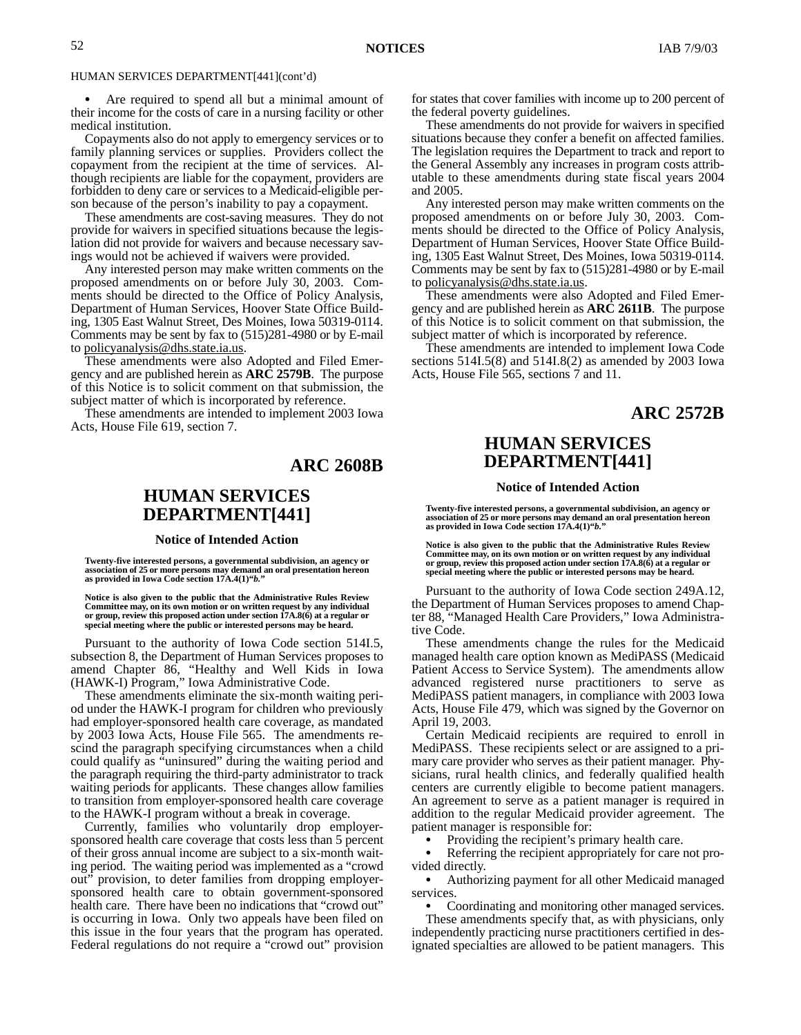Are required to spend all but a minimal amount of their income for the costs of care in a nursing facility or other medical institution.

Copayments also do not apply to emergency services or to family planning services or supplies. Providers collect the copayment from the recipient at the time of services. Although recipients are liable for the copayment, providers are forbidden to deny care or services to a Medicaid-eligible person because of the person's inability to pay a copayment.

These amendments are cost-saving measures. They do not provide for waivers in specified situations because the legislation did not provide for waivers and because necessary savings would not be achieved if waivers were provided.

Any interested person may make written comments on the proposed amendments on or before July 30, 2003. Comments should be directed to the Office of Policy Analysis, Department of Human Services, Hoover State Office Building, 1305 East Walnut Street, Des Moines, Iowa 50319-0114. Comments may be sent by fax to (515)281-4980 or by E-mail to policyanalysis@dhs.state.ia.us.

These amendments were also Adopted and Filed Emergency and are published herein as **ARC 2579B**. The purpose of this Notice is to solicit comment on that submission, the subject matter of which is incorporated by reference.

These amendments are intended to implement 2003 Iowa Acts, House File 619, section 7.

### **ARC 2608B**

# **HUMAN SERVICES DEPARTMENT[441]**

#### **Notice of Intended Action**

**Twenty-five interested persons, a governmental subdivision, an agency or association of 25 or more persons may demand an oral presentation hereon as provided in Iowa Code section 17A.4(1)"***b.***"**

Notice is also given to the public that the Administrative Rules Review<br>Committee may, on its own motion or on written request by any individual<br>or group, review this proposed action under section 17A.8(6) at a regular or **special meeting where the public or interested persons may be heard.**

Pursuant to the authority of Iowa Code section 514I.5, subsection 8, the Department of Human Services proposes to amend Chapter 86, "Healthy and Well Kids in Iowa (HAWK-I) Program," Iowa Administrative Code.

These amendments eliminate the six-month waiting period under the HAWK-I program for children who previously had employer-sponsored health care coverage, as mandated by 2003 Iowa Acts, House File 565. The amendments rescind the paragraph specifying circumstances when a child could qualify as "uninsured" during the waiting period and the paragraph requiring the third-party administrator to track waiting periods for applicants. These changes allow families to transition from employer-sponsored health care coverage to the HAWK-I program without a break in coverage.

Currently, families who voluntarily drop employersponsored health care coverage that costs less than 5 percent of their gross annual income are subject to a six-month waiting period. The waiting period was implemented as a "crowd out" provision, to deter families from dropping employersponsored health care to obtain government-sponsored health care. There have been no indications that "crowd out" is occurring in Iowa. Only two appeals have been filed on this issue in the four years that the program has operated. Federal regulations do not require a "crowd out" provision for states that cover families with income up to 200 percent of the federal poverty guidelines.

These amendments do not provide for waivers in specified situations because they confer a benefit on affected families. The legislation requires the Department to track and report to the General Assembly any increases in program costs attributable to these amendments during state fiscal years 2004 and 2005.

Any interested person may make written comments on the proposed amendments on or before July 30, 2003. Comments should be directed to the Office of Policy Analysis, Department of Human Services, Hoover State Office Building, 1305 East Walnut Street, Des Moines, Iowa 50319-0114. Comments may be sent by fax to (515)281-4980 or by E-mail to policyanalysis@dhs.state.ia.us.

These amendments were also Adopted and Filed Emergency and are published herein as **ARC 2611B**. The purpose of this Notice is to solicit comment on that submission, the subject matter of which is incorporated by reference.

These amendments are intended to implement Iowa Code sections 514I.5(8) and 514I.8(2) as amended by 2003 Iowa Acts, House File 565, sections 7 and 11.

### **ARC 2572B**

# **HUMAN SERVICES DEPARTMENT[441]**

#### **Notice of Intended Action**

**Twenty-five interested persons, a governmental subdivision, an agency or association of 25 or more persons may demand an oral presentation hereon as provided in Iowa Code section 17A.4(1)"***b.***"**

**Notice is also given to the public that the Administrative Rules Review Committee may, on its own motion or on written request by any individual or group, review this proposed action under section 17A.8(6) at a regular or special meeting where the public or interested persons may be heard.**

Pursuant to the authority of Iowa Code section 249A.12, the Department of Human Services proposes to amend Chapter 88, "Managed Health Care Providers," Iowa Administrative Code.

These amendments change the rules for the Medicaid managed health care option known as MediPASS (Medicaid Patient Access to Service System). The amendments allow advanced registered nurse practitioners to serve as MediPASS patient managers, in compliance with 2003 Iowa Acts, House File 479, which was signed by the Governor on April 19, 2003.

Certain Medicaid recipients are required to enroll in MediPASS. These recipients select or are assigned to a primary care provider who serves as their patient manager. Physicians, rural health clinics, and federally qualified health centers are currently eligible to become patient managers. An agreement to serve as a patient manager is required in addition to the regular Medicaid provider agreement. The patient manager is responsible for:

 Providing the recipient's primary health care.  $\bullet$ 

 Referring the recipient appropriately for care not provided directly.

 Authorizing payment for all other Medicaid managed services.

Coordinating and monitoring other managed services.

These amendments specify that, as with physicians, only independently practicing nurse practitioners certified in designated specialties are allowed to be patient managers. This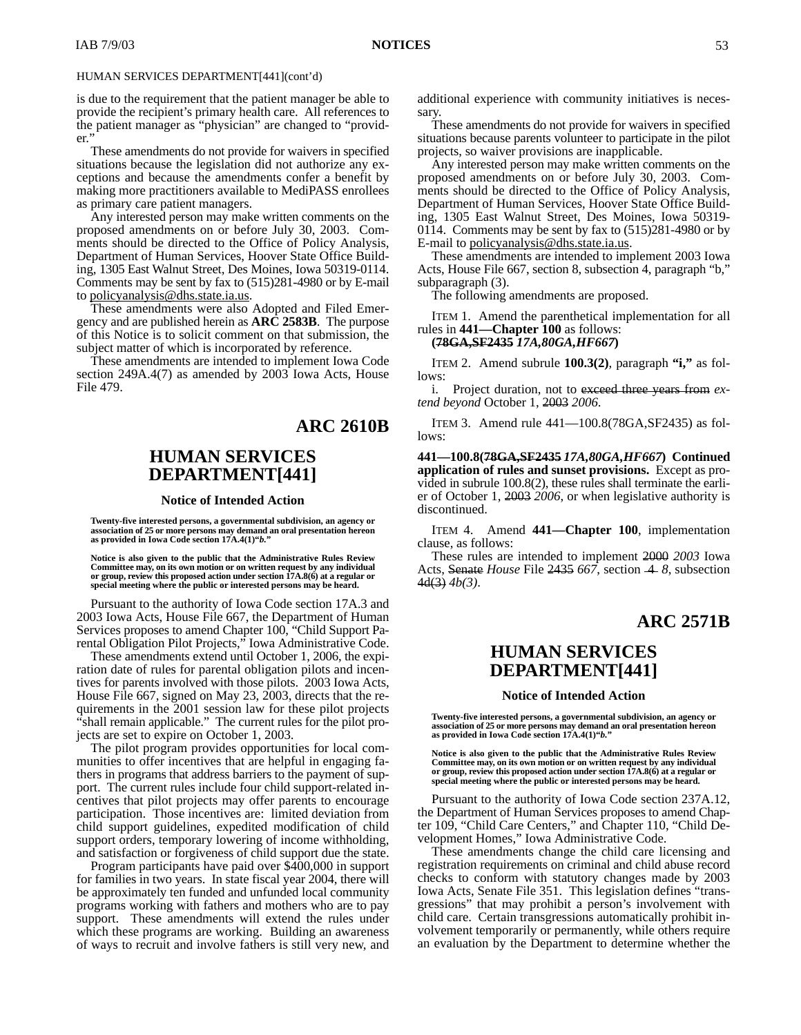is due to the requirement that the patient manager be able to provide the recipient's primary health care. All references to the patient manager as "physician" are changed to "provider."

These amendments do not provide for waivers in specified situations because the legislation did not authorize any exceptions and because the amendments confer a benefit by making more practitioners available to MediPASS enrollees as primary care patient managers.

Any interested person may make written comments on the proposed amendments on or before July 30, 2003. Comments should be directed to the Office of Policy Analysis, Department of Human Services, Hoover State Office Building, 1305 East Walnut Street, Des Moines, Iowa 50319-0114. Comments may be sent by fax to (515)281-4980 or by E-mail to policyanalysis@dhs.state.ia.us.

These amendments were also Adopted and Filed Emergency and are published herein as **ARC 2583B**. The purpose of this Notice is to solicit comment on that submission, the subject matter of which is incorporated by reference.

These amendments are intended to implement Iowa Code section 249A.4(7) as amended by 2003 Iowa Acts, House File 479.

# **ARC 2610B**

### **HUMAN SERVICES DEPARTMENT[441]**

#### **Notice of Intended Action**

**Twenty-five interested persons, a governmental subdivision, an agency or association of 25 or more persons may demand an oral presentation hereon as provided in Iowa Code section 17A.4(1)"***b.***"**

**Notice is also given to the public that the Administrative Rules Review Committee may, on its own motion or on written request by any individual or group, review this proposed action under section 17A.8(6) at a regular or special meeting where the public or interested persons may be heard.**

Pursuant to the authority of Iowa Code section 17A.3 and 2003 Iowa Acts, House File 667, the Department of Human Services proposes to amend Chapter 100, "Child Support Parental Obligation Pilot Projects," Iowa Administrative Code.

These amendments extend until October 1, 2006, the expiration date of rules for parental obligation pilots and incentives for parents involved with those pilots. 2003 Iowa Acts, House File 667, signed on May 23, 2003, directs that the requirements in the 2001 session law for these pilot projects "shall remain applicable." The current rules for the pilot projects are set to expire on October 1, 2003.

The pilot program provides opportunities for local communities to offer incentives that are helpful in engaging fathers in programs that address barriers to the payment of support. The current rules include four child support-related incentives that pilot projects may offer parents to encourage participation. Those incentives are: limited deviation from child support guidelines, expedited modification of child support orders, temporary lowering of income withholding, and satisfaction or forgiveness of child support due the state.

Program participants have paid over \$400,000 in support for families in two years. In state fiscal year 2004, there will be approximately ten funded and unfunded local community programs working with fathers and mothers who are to pay support. These amendments will extend the rules under which these programs are working. Building an awareness of ways to recruit and involve fathers is still very new, and

additional experience with community initiatives is necessary.

These amendments do not provide for waivers in specified situations because parents volunteer to participate in the pilot projects, so waiver provisions are inapplicable.

Any interested person may make written comments on the proposed amendments on or before July 30, 2003. Comments should be directed to the Office of Policy Analysis, Department of Human Services, Hoover State Office Building, 1305 East Walnut Street, Des Moines, Iowa 50319- 0114. Comments may be sent by fax to (515)281-4980 or by E-mail to policyanalysis@dhs.state.ia.us.

These amendments are intended to implement 2003 Iowa Acts, House File 667, section 8, subsection 4, paragraph "b," subparagraph (3).

The following amendments are proposed.

ITEM 1. Amend the parenthetical implementation for all rules in **441—Chapter 100** as follows:

### **(78GA,SF2435** *17A,80GA,HF667***)**

ITEM 2. Amend subrule **100.3(2)**, paragraph **"i,"** as follows:

i. Project duration, not to exceed three years from *extend beyond* October 1, 2003 *2006*.

ITEM 3. Amend rule 441—100.8(78GA,SF2435) as follows:

**441—100.8(78GA,SF2435** *17A,80GA,HF667***) Continued application of rules and sunset provisions.** Except as provided in subrule 100.8(2), these rules shall terminate the earlier of October 1, 2003 *2006*, or when legislative authority is discontinued.

ITEM 4. Amend **441—Chapter 100**, implementation clause, as follows:

These rules are intended to implement 2000 *2003* Iowa Acts, Senate *House* File 2435 667, section -4-8, subsection 4d(3) *4b(3)*.

# **ARC 2571B**

# **HUMAN SERVICES DEPARTMENT[441]**

#### **Notice of Intended Action**

**Twenty-five interested persons, a governmental subdivision, an agency or association of 25 or more persons may demand an oral presentation hereon as provided in Iowa Code section 17A.4(1)"***b.***"**

**Notice is also given to the public that the Administrative Rules Review Committee may, on its own motion or on written request by any individual or group, review this proposed action under section 17A.8(6) at a regular or special meeting where the public or interested persons may be heard.**

Pursuant to the authority of Iowa Code section 237A.12, the Department of Human Services proposes to amend Chapter 109, "Child Care Centers," and Chapter 110, "Child Development Homes," Iowa Administrative Code.

These amendments change the child care licensing and registration requirements on criminal and child abuse record checks to conform with statutory changes made by 2003 Iowa Acts, Senate File 351. This legislation defines "transgressions" that may prohibit a person's involvement with child care. Certain transgressions automatically prohibit involvement temporarily or permanently, while others require an evaluation by the Department to determine whether the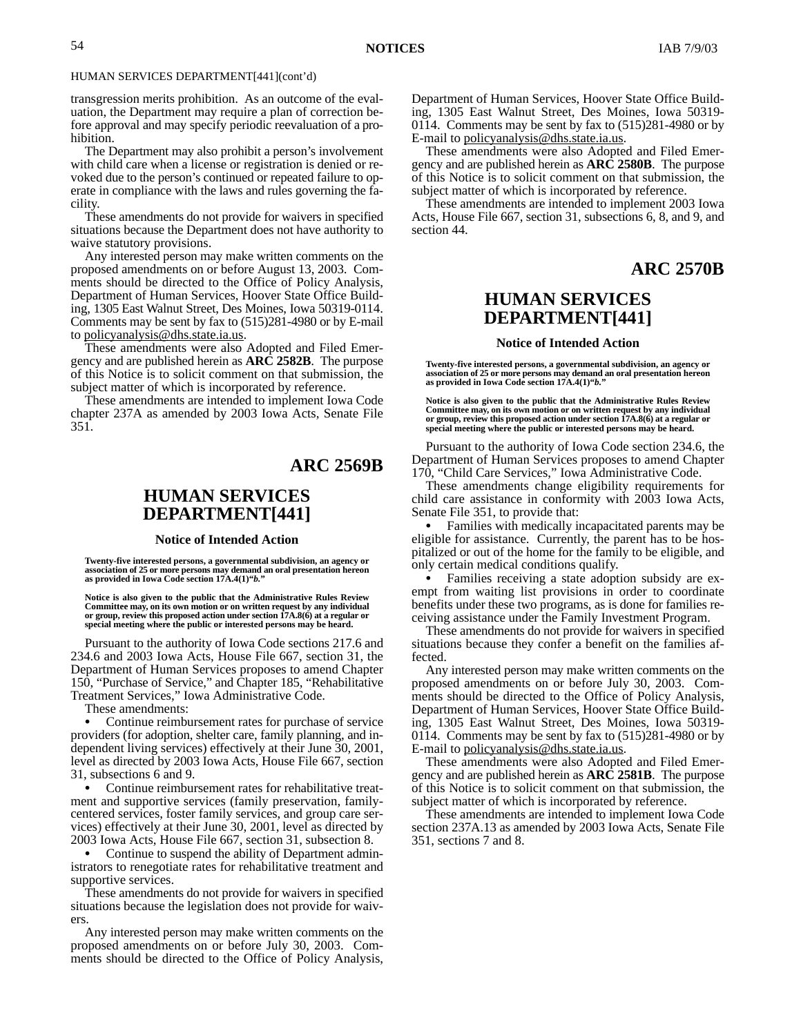transgression merits prohibition. As an outcome of the evaluation, the Department may require a plan of correction before approval and may specify periodic reevaluation of a prohibition.

The Department may also prohibit a person's involvement with child care when a license or registration is denied or revoked due to the person's continued or repeated failure to operate in compliance with the laws and rules governing the facility.

These amendments do not provide for waivers in specified situations because the Department does not have authority to waive statutory provisions.

Any interested person may make written comments on the proposed amendments on or before August 13, 2003. Comments should be directed to the Office of Policy Analysis, Department of Human Services, Hoover State Office Building, 1305 East Walnut Street, Des Moines, Iowa 50319-0114. Comments may be sent by fax to (515)281-4980 or by E-mail to policyanalysis@dhs.state.ia.us.

These amendments were also Adopted and Filed Emergency and are published herein as **ARC 2582B**. The purpose of this Notice is to solicit comment on that submission, the subject matter of which is incorporated by reference.

These amendments are intended to implement Iowa Code chapter 237A as amended by 2003 Iowa Acts, Senate File 351.

# **ARC 2569B**

# **HUMAN SERVICES DEPARTMENT[441]**

#### **Notice of Intended Action**

**Twenty-five interested persons, a governmental subdivision, an agency or association of 25 or more persons may demand an oral presentation hereon as provided in Iowa Code section 17A.4(1)"***b.***"**

Notice is also given to the public that the Administrative Rules Review<br>Committee may, on its own motion or on written request by any individual<br>or group, review this proposed action under section 17A.8(6) at a regular or **special meeting where the public or interested persons may be heard.**

Pursuant to the authority of Iowa Code sections 217.6 and 234.6 and 2003 Iowa Acts, House File 667, section 31, the Department of Human Services proposes to amend Chapter 150, "Purchase of Service," and Chapter 185, "Rehabilitative Treatment Services," Iowa Administrative Code.

These amendments:

 Continue reimbursement rates for purchase of service providers (for adoption, shelter care, family planning, and independent living services) effectively at their June 30, 2001, level as directed by 2003 Iowa Acts, House File 667, section 31, subsections 6 and 9.

 Continue reimbursement rates for rehabilitative treatment and supportive services (family preservation, familycentered services, foster family services, and group care services) effectively at their June 30, 2001, level as directed by 2003 Iowa Acts, House File 667, section 31, subsection 8.

• Continue to suspend the ability of Department administrators to renegotiate rates for rehabilitative treatment and supportive services.

These amendments do not provide for waivers in specified situations because the legislation does not provide for waivers.

Any interested person may make written comments on the proposed amendments on or before July 30, 2003. Comments should be directed to the Office of Policy Analysis,

Department of Human Services, Hoover State Office Building, 1305 East Walnut Street, Des Moines, Iowa 50319- 0114. Comments may be sent by fax to (515)281-4980 or by E-mail to policyanalysis@dhs.state.ia.us.

These amendments were also Adopted and Filed Emergency and are published herein as **ARC 2580B**. The purpose of this Notice is to solicit comment on that submission, the subject matter of which is incorporated by reference.

These amendments are intended to implement 2003 Iowa Acts, House File 667, section 31, subsections 6, 8, and 9, and section 44.

### **ARC 2570B**

### **HUMAN SERVICES DEPARTMENT[441]**

#### **Notice of Intended Action**

**Twenty-five interested persons, a governmental subdivision, an agency or association of 25 or more persons may demand an oral presentation hereon as provided in Iowa Code section 17A.4(1)"***b.***"**

**Notice is also given to the public that the Administrative Rules Review Committee may, on its own motion or on written request by any individual or group, review this proposed action under section 17A.8(6) at a regular or special meeting where the public or interested persons may be heard.**

Pursuant to the authority of Iowa Code section 234.6, the Department of Human Services proposes to amend Chapter 170, "Child Care Services," Iowa Administrative Code.

These amendments change eligibility requirements for child care assistance in conformity with 2003 Iowa Acts, Senate File 351, to provide that:

 Families with medically incapacitated parents may be eligible for assistance. Currently, the parent has to be hospitalized or out of the home for the family to be eligible, and only certain medical conditions qualify.

 Families receiving a state adoption subsidy are exempt from waiting list provisions in order to coordinate benefits under these two programs, as is done for families receiving assistance under the Family Investment Program.

These amendments do not provide for waivers in specified situations because they confer a benefit on the families affected.

Any interested person may make written comments on the proposed amendments on or before July 30, 2003. Comments should be directed to the Office of Policy Analysis, Department of Human Services, Hoover State Office Building, 1305 East Walnut Street, Des Moines, Iowa 50319- 0114. Comments may be sent by fax to (515)281-4980 or by E-mail to policyanalysis@dhs.state.ia.us.

These amendments were also Adopted and Filed Emergency and are published herein as **ARC 2581B**. The purpose of this Notice is to solicit comment on that submission, the subject matter of which is incorporated by reference.

These amendments are intended to implement Iowa Code section 237A.13 as amended by 2003 Iowa Acts, Senate File 351, sections 7 and 8.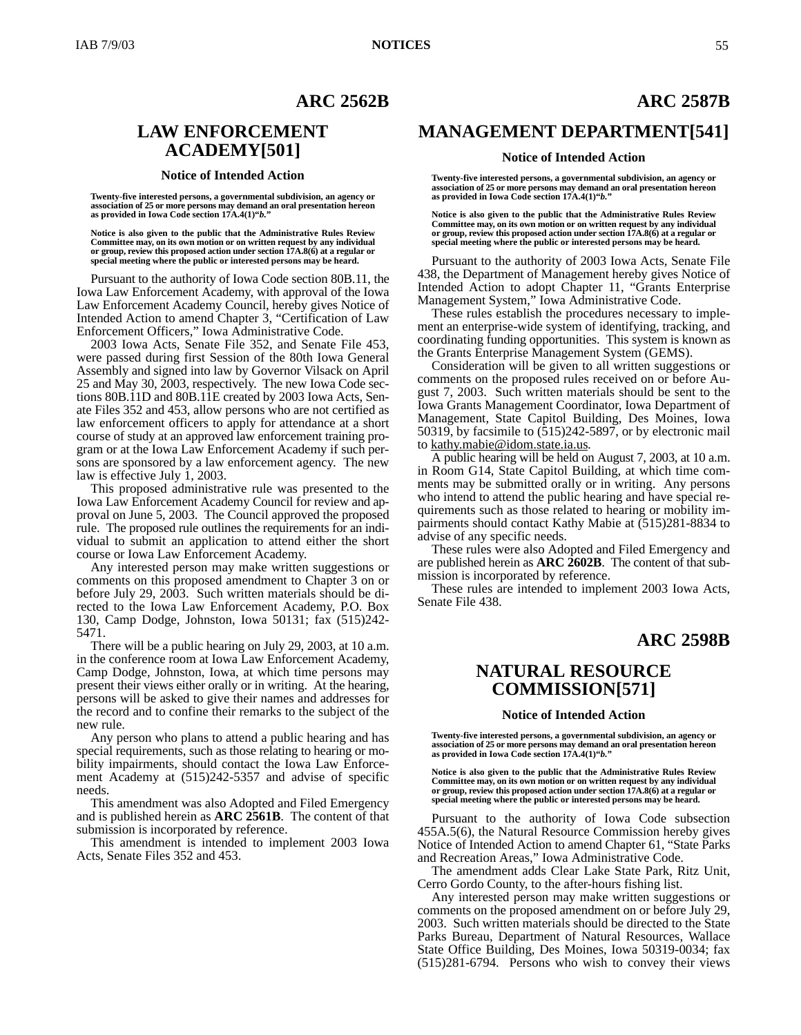### **ARC 2562B**

### **LAW ENFORCEMENT ACADEMY[501]**

#### **Notice of Intended Action**

**Twenty-five interested persons, a governmental subdivision, an agency or association of 25 or more persons may demand an oral presentation hereon as provided in Iowa Code section 17A.4(1)"***b.***"**

**Notice is also given to the public that the Administrative Rules Review Committee may, on its own motion or on written request by any individual or group, review this proposed action under section 17A.8(6) at a regular or special meeting where the public or interested persons may be heard.**

Pursuant to the authority of Iowa Code section 80B.11, the Iowa Law Enforcement Academy, with approval of the Iowa Law Enforcement Academy Council, hereby gives Notice of Intended Action to amend Chapter 3, "Certification of Law Enforcement Officers," Iowa Administrative Code.

2003 Iowa Acts, Senate File 352, and Senate File 453, were passed during first Session of the 80th Iowa General Assembly and signed into law by Governor Vilsack on April 25 and May 30, 2003, respectively. The new Iowa Code sections 80B.11D and 80B.11E created by 2003 Iowa Acts, Senate Files 352 and 453, allow persons who are not certified as law enforcement officers to apply for attendance at a short course of study at an approved law enforcement training program or at the Iowa Law Enforcement Academy if such persons are sponsored by a law enforcement agency. The new law is effective July 1, 2003.

This proposed administrative rule was presented to the Iowa Law Enforcement Academy Council for review and approval on June 5, 2003. The Council approved the proposed rule. The proposed rule outlines the requirements for an individual to submit an application to attend either the short course or Iowa Law Enforcement Academy.

Any interested person may make written suggestions or comments on this proposed amendment to Chapter 3 on or before July 29, 2003. Such written materials should be directed to the Iowa Law Enforcement Academy, P.O. Box 130, Camp Dodge, Johnston, Iowa 50131; fax (515)242- 5471.

There will be a public hearing on July 29, 2003, at 10 a.m. in the conference room at Iowa Law Enforcement Academy, Camp Dodge, Johnston, Iowa, at which time persons may present their views either orally or in writing. At the hearing, persons will be asked to give their names and addresses for the record and to confine their remarks to the subject of the new rule.

Any person who plans to attend a public hearing and has special requirements, such as those relating to hearing or mobility impairments, should contact the Iowa Law Enforcement Academy at (515)242-5357 and advise of specific needs.

This amendment was also Adopted and Filed Emergency and is published herein as **ARC 2561B**. The content of that submission is incorporated by reference.

This amendment is intended to implement 2003 Iowa Acts, Senate Files 352 and 453.

# **ARC 2587B**

### **MANAGEMENT DEPARTMENT[541]**

#### **Notice of Intended Action**

**Twenty-five interested persons, a governmental subdivision, an agency or association of 25 or more persons may demand an oral presentation hereon as provided in Iowa Code section 17A.4(1)"***b.***"**

**Notice is also given to the public that the Administrative Rules Review Committee may, on its own motion or on written request by any individual or group, review this proposed action under section 17A.8(6) at a regular or special meeting where the public or interested persons may be heard.**

Pursuant to the authority of 2003 Iowa Acts, Senate File 438, the Department of Management hereby gives Notice of Intended Action to adopt Chapter 11, "Grants Enterprise Management System," Iowa Administrative Code.

These rules establish the procedures necessary to implement an enterprise-wide system of identifying, tracking, and coordinating funding opportunities. This system is known as the Grants Enterprise Management System (GEMS).

Consideration will be given to all written suggestions or comments on the proposed rules received on or before August 7, 2003. Such written materials should be sent to the Iowa Grants Management Coordinator, Iowa Department of Management, State Capitol Building, Des Moines, Iowa 50319, by facsimile to  $(515)242-5897$ , or by electronic mail to kathy.mabie@idom.state.ia.us.

A public hearing will be held on August 7, 2003, at 10 a.m. in Room G14, State Capitol Building, at which time comments may be submitted orally or in writing. Any persons who intend to attend the public hearing and have special requirements such as those related to hearing or mobility impairments should contact Kathy Mabie at (515)281-8834 to advise of any specific needs.

These rules were also Adopted and Filed Emergency and are published herein as **ARC 2602B**. The content of that submission is incorporated by reference.

These rules are intended to implement 2003 Iowa Acts, Senate File 438.

# **ARC 2598B**

## **NATURAL RESOURCE COMMISSION[571]**

#### **Notice of Intended Action**

**Twenty-five interested persons, a governmental subdivision, an agency or association of 25 or more persons may demand an oral presentation hereon as provided in Iowa Code section 17A.4(1)"***b.***"**

**Notice is also given to the public that the Administrative Rules Review Committee may, on its own motion or on written request by any individual or group, review this proposed action under section 17A.8(6) at a regular or special meeting where the public or interested persons may be heard.**

Pursuant to the authority of Iowa Code subsection 455A.5(6), the Natural Resource Commission hereby gives Notice of Intended Action to amend Chapter 61, "State Parks and Recreation Areas," Iowa Administrative Code.

The amendment adds Clear Lake State Park, Ritz Unit, Cerro Gordo County, to the after-hours fishing list.

Any interested person may make written suggestions or comments on the proposed amendment on or before July 29, 2003. Such written materials should be directed to the State Parks Bureau, Department of Natural Resources, Wallace State Office Building, Des Moines, Iowa 50319-0034; fax (515)281-6794. Persons who wish to convey their views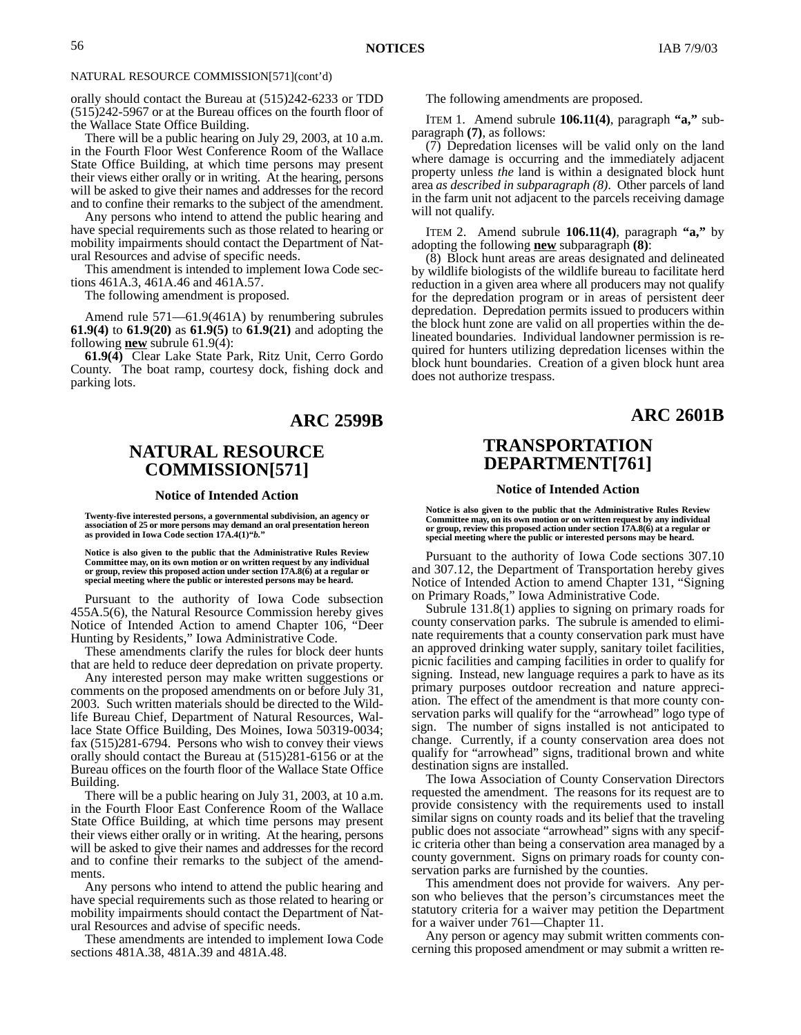### NATURAL RESOURCE COMMISSION[571](cont'd)

orally should contact the Bureau at (515)242-6233 or TDD (515)242-5967 or at the Bureau offices on the fourth floor of the Wallace State Office Building.

There will be a public hearing on July 29, 2003, at 10 a.m. in the Fourth Floor West Conference Room of the Wallace State Office Building, at which time persons may present their views either orally or in writing. At the hearing, persons will be asked to give their names and addresses for the record and to confine their remarks to the subject of the amendment.

Any persons who intend to attend the public hearing and have special requirements such as those related to hearing or mobility impairments should contact the Department of Natural Resources and advise of specific needs.

This amendment is intended to implement Iowa Code sections 461A.3, 461A.46 and 461A.57.

The following amendment is proposed.

Amend rule 571—61.9(461A) by renumbering subrules **61.9(4)** to **61.9(20)** as **61.9(5)** to **61.9(21)** and adopting the following **new** subrule 61.9(4):

**61.9(4)** Clear Lake State Park, Ritz Unit, Cerro Gordo County. The boat ramp, courtesy dock, fishing dock and parking lots.

### **ARC 2599B**

# **NATURAL RESOURCE COMMISSION[571]**

#### **Notice of Intended Action**

Twenty-five interested persons, a governmental subdivision, an agency or<br>association of 25 or more persons may demand an oral presentation hereon<br>as provided in Iowa Code section 17A.4(1)"b."

**Notice is also given to the public that the Administrative Rules Review Committee may, on its own motion or on written request by any individual or group, review this proposed action under section 17A.8(6) at a regular or special meeting where the public or interested persons may be heard.**

Pursuant to the authority of Iowa Code subsection 455A.5(6), the Natural Resource Commission hereby gives Notice of Intended Action to amend Chapter 106, "Deer Hunting by Residents," Iowa Administrative Code.

These amendments clarify the rules for block deer hunts that are held to reduce deer depredation on private property.

Any interested person may make written suggestions or comments on the proposed amendments on or before July 31, 2003. Such written materials should be directed to the Wildlife Bureau Chief, Department of Natural Resources, Wallace State Office Building, Des Moines, Iowa 50319-0034; fax (515)281-6794. Persons who wish to convey their views orally should contact the Bureau at (515)281-6156 or at the Bureau offices on the fourth floor of the Wallace State Office Building.

There will be a public hearing on July 31, 2003, at 10 a.m. in the Fourth Floor East Conference Room of the Wallace State Office Building, at which time persons may present their views either orally or in writing. At the hearing, persons will be asked to give their names and addresses for the record and to confine their remarks to the subject of the amendments.

Any persons who intend to attend the public hearing and have special requirements such as those related to hearing or mobility impairments should contact the Department of Natural Resources and advise of specific needs.

These amendments are intended to implement Iowa Code sections 481A.38, 481A.39 and 481A.48.

The following amendments are proposed.

ITEM 1. Amend subrule **106.11(4)**, paragraph **"a,"** subparagraph **(7)**, as follows:

(7) Depredation licenses will be valid only on the land where damage is occurring and the immediately adjacent property unless *the* land is within a designated block hunt area *as described in subparagraph (8)*. Other parcels of land in the farm unit not adjacent to the parcels receiving damage will not qualify.

ITEM 2. Amend subrule **106.11(4)**, paragraph **"a,"** by adopting the following **new** subparagraph **(8)**:

(8) Block hunt areas are areas designated and delineated by wildlife biologists of the wildlife bureau to facilitate herd reduction in a given area where all producers may not qualify for the depredation program or in areas of persistent deer depredation. Depredation permits issued to producers within the block hunt zone are valid on all properties within the delineated boundaries. Individual landowner permission is required for hunters utilizing depredation licenses within the block hunt boundaries. Creation of a given block hunt area does not authorize trespass.

### **ARC 2601B**

### **TRANSPORTATION DEPARTMENT[761]**

### **Notice of Intended Action**

**Notice is also given to the public that the Administrative Rules Review Committee may, on its own motion or on written request by any individual or group, review this proposed action under section 17A.8(6) at a regular or special meeting where the public or interested persons may be heard.**

Pursuant to the authority of Iowa Code sections 307.10 and 307.12, the Department of Transportation hereby gives Notice of Intended Action to amend Chapter 131, "Signing on Primary Roads," Iowa Administrative Code.

Subrule 131.8(1) applies to signing on primary roads for county conservation parks. The subrule is amended to eliminate requirements that a county conservation park must have an approved drinking water supply, sanitary toilet facilities, picnic facilities and camping facilities in order to qualify for signing. Instead, new language requires a park to have as its primary purposes outdoor recreation and nature appreciation. The effect of the amendment is that more county conservation parks will qualify for the "arrowhead" logo type of sign. The number of signs installed is not anticipated to change. Currently, if a county conservation area does not qualify for "arrowhead" signs, traditional brown and white destination signs are installed.

The Iowa Association of County Conservation Directors requested the amendment. The reasons for its request are to provide consistency with the requirements used to install similar signs on county roads and its belief that the traveling public does not associate "arrowhead" signs with any specific criteria other than being a conservation area managed by a county government. Signs on primary roads for county conservation parks are furnished by the counties.

This amendment does not provide for waivers. Any person who believes that the person's circumstances meet the statutory criteria for a waiver may petition the Department for a waiver under 761—Chapter 11.

Any person or agency may submit written comments concerning this proposed amendment or may submit a written re-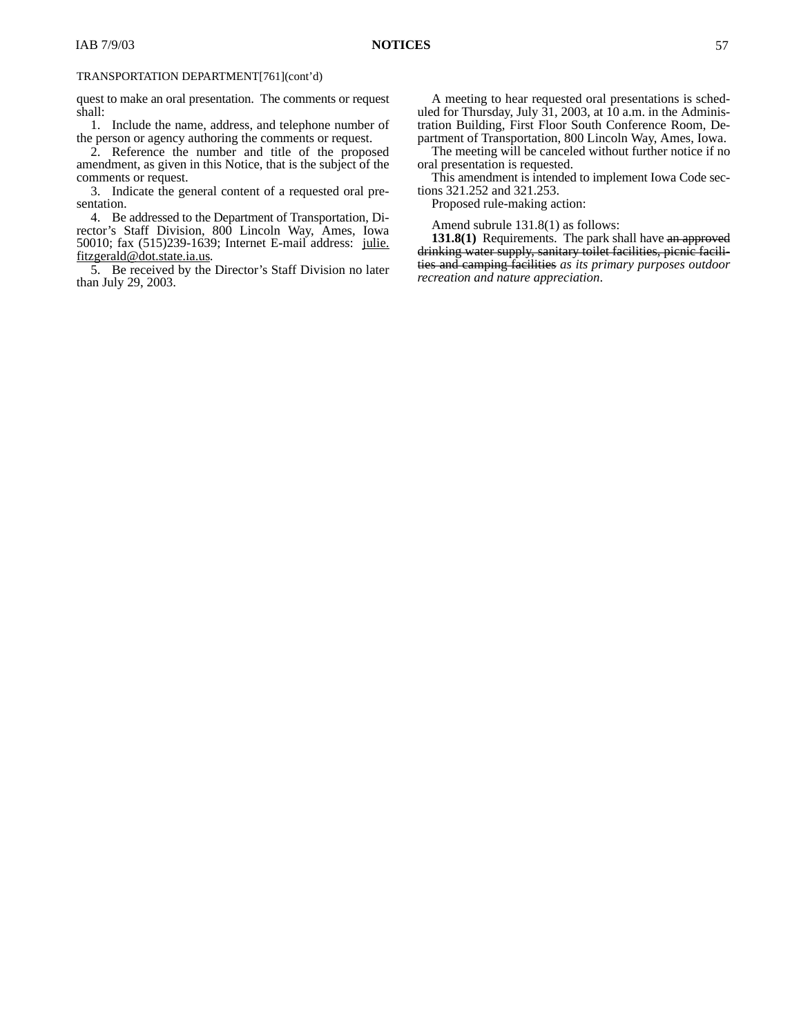### TRANSPORTATION DEPARTMENT[761](cont'd)

quest to make an oral presentation. The comments or request shall:

1. Include the name, address, and telephone number of the person or agency authoring the comments or request.

2. Reference the number and title of the proposed amendment, as given in this Notice, that is the subject of the comments or request.

3. Indicate the general content of a requested oral presentation.

4. Be addressed to the Department of Transportation, Director's Staff Division, 800 Lincoln Way, Ames, Iowa 50010; fax (515)239-1639; Internet E-mail address: julie. fitzgerald@dot.state.ia.us.

5. Be received by the Director's Staff Division no later than July 29, 2003.

The meeting will be canceled without further notice if no oral presentation is requested.

This amendment is intended to implement Iowa Code sections 321.252 and 321.253.

Proposed rule-making action:

Amend subrule 131.8(1) as follows:

**131.8(1)** Requirements. The park shall have an approved drinking water supply, sanitary toilet facilities, picnic facilities and camping facilities *as its primary purposes outdoor recreation and nature appreciation*.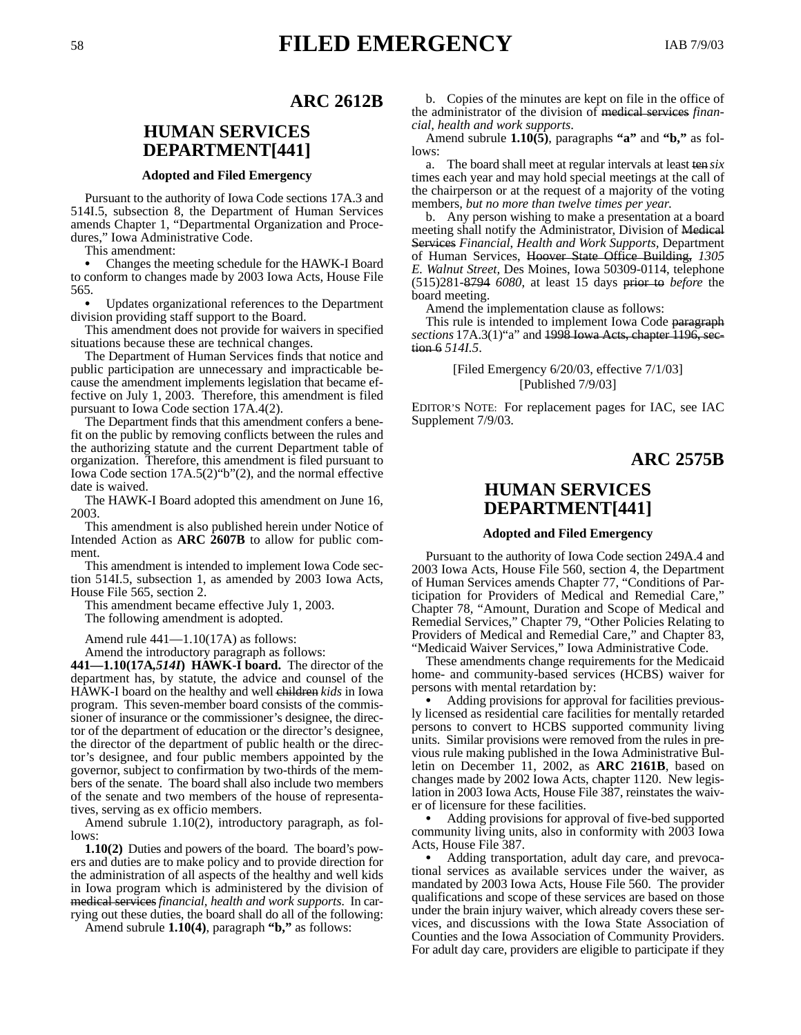# <sup>58</sup> **FILED EMERGENCY** IAB 7/9/03

### **ARC 2612B**

# **HUMAN SERVICES DEPARTMENT[441]**

### **Adopted and Filed Emergency**

Pursuant to the authority of Iowa Code sections 17A.3 and 514I.5, subsection 8, the Department of Human Services amends Chapter 1, "Departmental Organization and Procedures," Iowa Administrative Code.

This amendment:

 Changes the meeting schedule for the HAWK-I Board to conform to changes made by 2003 Iowa Acts, House File 565.

 Updates organizational references to the Department division providing staff support to the Board.

This amendment does not provide for waivers in specified situations because these are technical changes.

The Department of Human Services finds that notice and public participation are unnecessary and impracticable because the amendment implements legislation that became effective on July 1, 2003. Therefore, this amendment is filed pursuant to Iowa Code section 17A.4(2).

The Department finds that this amendment confers a benefit on the public by removing conflicts between the rules and the authorizing statute and the current Department table of organization. Therefore, this amendment is filed pursuant to Iowa Code section 17A.5(2)"b"(2), and the normal effective date is waived.

The HAWK-I Board adopted this amendment on June 16, 2003.

This amendment is also published herein under Notice of Intended Action as **ARC 2607B** to allow for public comment.

This amendment is intended to implement Iowa Code section 514I.5, subsection 1, as amended by 2003 Iowa Acts, House File 565, section 2.

This amendment became effective July 1, 2003. The following amendment is adopted.

Amend rule 441—1.10(17A) as follows:

Amend the introductory paragraph as follows:

**441—1.10(17A***,514I***) HAWK-I board.** The director of the department has, by statute, the advice and counsel of the HAWK-I board on the healthy and well children *kids* in Iowa program. This seven-member board consists of the commissioner of insurance or the commissioner's designee, the director of the department of education or the director's designee, the director of the department of public health or the director's designee, and four public members appointed by the governor, subject to confirmation by two-thirds of the members of the senate. The board shall also include two members of the senate and two members of the house of representatives, serving as ex officio members.

Amend subrule 1.10(2), introductory paragraph, as follows:

**1.10(2)** Duties and powers of the board. The board's powers and duties are to make policy and to provide direction for the administration of all aspects of the healthy and well kids in Iowa program which is administered by the division of medical services*financial, health and work supports*. In carrying out these duties, the board shall do all of the following:

Amend subrule **1.10(4)**, paragraph **"b,"** as follows:

b. Copies of the minutes are kept on file in the office of the administrator of the division of medical services *financial, health and work supports*.

Amend subrule **1.10(5)**, paragraphs **"a"** and **"b,"** as follows:

a. The board shall meet at regular intervals at least ten *six* times each year and may hold special meetings at the call of the chairperson or at the request of a majority of the voting members*, but no more than twelve times per year*.

b. Any person wishing to make a presentation at a board meeting shall notify the Administrator, Division of Medical Services *Financial*, *Health and Work Supports,* Department of Human Services, Hoover State Office Building, *1305 E. Walnut Street,* Des Moines, Iowa 50309-0114, telephone (515)281-8794 *6080*, at least 15 days prior to *before* the board meeting.

Amend the implementation clause as follows:

This rule is intended to implement Iowa Code paragraph *sections* 17A.3(1)"a" and 1998 Iowa Acts, chapter 1196, section 6 *514I.5*.

> [Filed Emergency 6/20/03, effective 7/1/03] [Published 7/9/03]

EDITOR'S NOTE: For replacement pages for IAC, see IAC Supplement 7/9/03.

### **ARC 2575B**

## **HUMAN SERVICES DEPARTMENT[441]**

#### **Adopted and Filed Emergency**

Pursuant to the authority of Iowa Code section 249A.4 and 2003 Iowa Acts, House File 560, section 4, the Department of Human Services amends Chapter 77, "Conditions of Participation for Providers of Medical and Remedial Care," Chapter 78, "Amount, Duration and Scope of Medical and Remedial Services," Chapter 79, "Other Policies Relating to Providers of Medical and Remedial Care," and Chapter 83, "Medicaid Waiver Services," Iowa Administrative Code.

These amendments change requirements for the Medicaid home- and community-based services (HCBS) waiver for persons with mental retardation by:

 Adding provisions for approval for facilities previously licensed as residential care facilities for mentally retarded persons to convert to HCBS supported community living units. Similar provisions were removed from the rules in previous rule making published in the Iowa Administrative Bulletin on December 11, 2002, as **ARC 2161B**, based on changes made by 2002 Iowa Acts, chapter 1120. New legislation in 2003 Iowa Acts, House File 387, reinstates the waiver of licensure for these facilities.

 Adding provisions for approval of five-bed supported community living units, also in conformity with 2003 Iowa Acts, House File 387.

 Adding transportation, adult day care, and prevocational services as available services under the waiver, as mandated by 2003 Iowa Acts, House File 560. The provider qualifications and scope of these services are based on those under the brain injury waiver, which already covers these services, and discussions with the Iowa State Association of Counties and the Iowa Association of Community Providers. For adult day care, providers are eligible to participate if they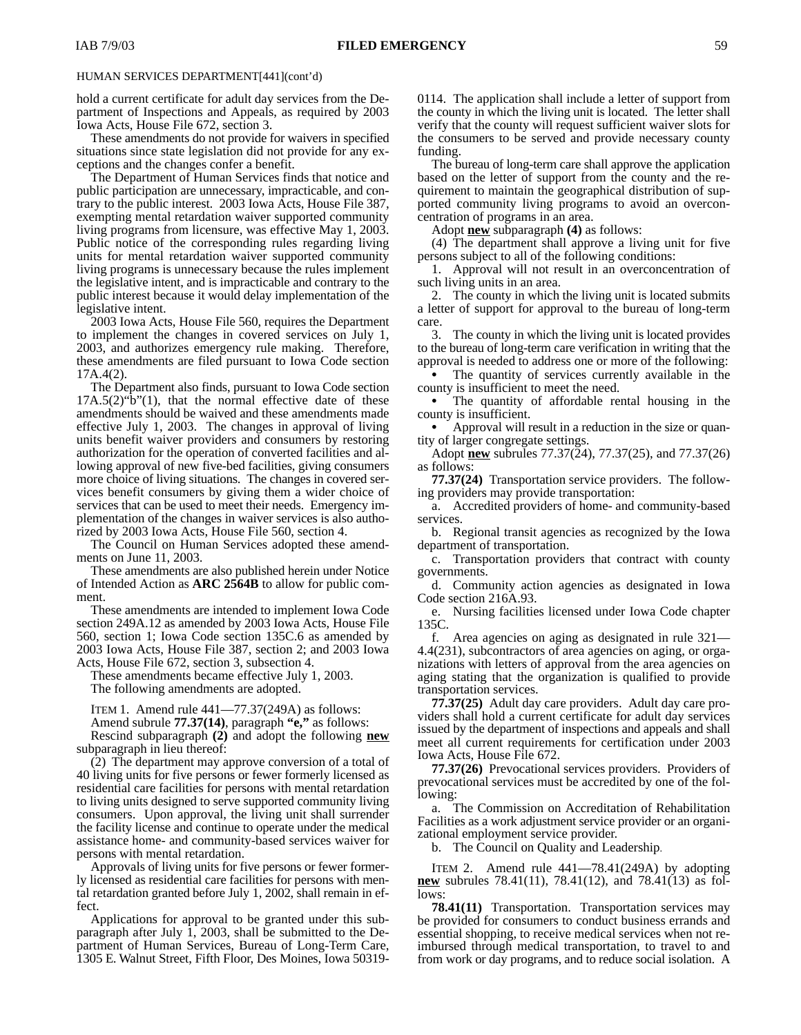hold a current certificate for adult day services from the Department of Inspections and Appeals, as required by 2003 Iowa Acts, House File 672, section 3.

These amendments do not provide for waivers in specified situations since state legislation did not provide for any exceptions and the changes confer a benefit.

The Department of Human Services finds that notice and public participation are unnecessary, impracticable, and contrary to the public interest. 2003 Iowa Acts, House File 387, exempting mental retardation waiver supported community living programs from licensure, was effective May 1, 2003. Public notice of the corresponding rules regarding living units for mental retardation waiver supported community living programs is unnecessary because the rules implement the legislative intent, and is impracticable and contrary to the public interest because it would delay implementation of the legislative intent.

2003 Iowa Acts, House File 560, requires the Department to implement the changes in covered services on July 1, 2003, and authorizes emergency rule making. Therefore, these amendments are filed pursuant to Iowa Code section 17A.4(2).

The Department also finds, pursuant to Iowa Code section  $17A.5(2)$ "b" $(1)$ , that the normal effective date of these amendments should be waived and these amendments made effective July 1, 2003. The changes in approval of living units benefit waiver providers and consumers by restoring authorization for the operation of converted facilities and allowing approval of new five-bed facilities, giving consumers more choice of living situations. The changes in covered services benefit consumers by giving them a wider choice of services that can be used to meet their needs. Emergency implementation of the changes in waiver services is also authorized by 2003 Iowa Acts, House File 560, section 4.

The Council on Human Services adopted these amendments on June 11, 2003.

These amendments are also published herein under Notice of Intended Action as **ARC 2564B** to allow for public comment.

These amendments are intended to implement Iowa Code section 249A.12 as amended by 2003 Iowa Acts, House File 560, section 1; Iowa Code section 135C.6 as amended by 2003 Iowa Acts, House File 387, section 2; and 2003 Iowa Acts, House File 672, section 3, subsection 4.

These amendments became effective July 1, 2003.

The following amendments are adopted.

ITEM 1. Amend rule 441—77.37(249A) as follows:

Amend subrule **77.37(14)**, paragraph **"e,"** as follows:

Rescind subparagraph **(2)** and adopt the following **new** subparagraph in lieu thereof:

(2) The department may approve conversion of a total of 40 living units for five persons or fewer formerly licensed as residential care facilities for persons with mental retardation to living units designed to serve supported community living consumers. Upon approval, the living unit shall surrender the facility license and continue to operate under the medical assistance home- and community-based services waiver for persons with mental retardation.

Approvals of living units for five persons or fewer formerly licensed as residential care facilities for persons with mental retardation granted before July 1, 2002, shall remain in effect.

Applications for approval to be granted under this subparagraph after July 1, 2003, shall be submitted to the Department of Human Services, Bureau of Long-Term Care, 1305 E. Walnut Street, Fifth Floor, Des Moines, Iowa 503190114. The application shall include a letter of support from the county in which the living unit is located. The letter shall verify that the county will request sufficient waiver slots for the consumers to be served and provide necessary county funding.

The bureau of long-term care shall approve the application based on the letter of support from the county and the requirement to maintain the geographical distribution of supported community living programs to avoid an overconcentration of programs in an area.

Adopt **new** subparagraph **(4)** as follows:

(4) The department shall approve a living unit for five persons subject to all of the following conditions:

1. Approval will not result in an overconcentration of such living units in an area.

2. The county in which the living unit is located submits a letter of support for approval to the bureau of long-term care.

3. The county in which the living unit is located provides to the bureau of long-term care verification in writing that the approval is needed to address one or more of the following:

 The quantity of services currently available in the county is insufficient to meet the need.

 The quantity of affordable rental housing in the county is insufficient.

 Approval will result in a reduction in the size or quantity of larger congregate settings.

Adopt **new** subrules 77.37(24), 77.37(25), and 77.37(26) as follows:

**77.37(24)** Transportation service providers.The following providers may provide transportation:

a. Accredited providers of home- and community-based services.

b. Regional transit agencies as recognized by the Iowa department of transportation.

c. Transportation providers that contract with county governments.

d. Community action agencies as designated in Iowa Code section 216A.93.

e. Nursing facilities licensed under Iowa Code chapter 135C.

f. Area agencies on aging as designated in rule 321— 4.4(231), subcontractors of area agencies on aging, or organizations with letters of approval from the area agencies on aging stating that the organization is qualified to provide transportation services.

**77.37(25)** Adult day care providers.Adult day care providers shall hold a current certificate for adult day services issued by the department of inspections and appeals and shall meet all current requirements for certification under 2003 Iowa Acts, House File 672.

**77.37(26)** Prevocational services providers. Providers of prevocational services must be accredited by one of the following:

The Commission on Accreditation of Rehabilitation Facilities as a work adjustment service provider or an organizational employment service provider.

b. The Council on Quality and Leadership.

ITEM 2. Amend rule 441—78.41(249A) by adopting **new** subrules 78.41(11), 78.41(12), and 78.41(13) as follows:

**78.41(11)** Transportation.Transportation services may be provided for consumers to conduct business errands and essential shopping, to receive medical services when not reimbursed through medical transportation, to travel to and from work or day programs, and to reduce social isolation. A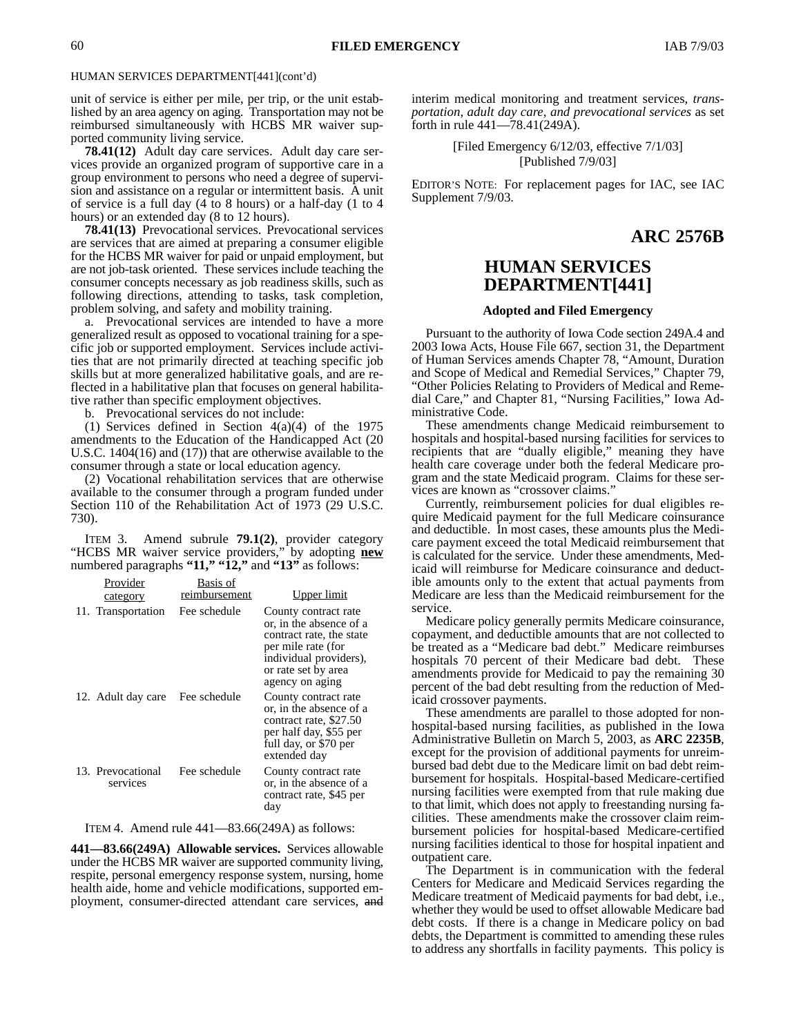unit of service is either per mile, per trip, or the unit established by an area agency on aging. Transportation may not be reimbursed simultaneously with HCBS MR waiver supported community living service.

**78.41(12)** Adult day care services. Adult day care services provide an organized program of supportive care in a group environment to persons who need a degree of supervision and assistance on a regular or intermittent basis. A unit of service is a full day (4 to 8 hours) or a half-day (1 to 4 hours) or an extended day (8 to 12 hours).

**78.41(13)** Prevocational services.Prevocational services are services that are aimed at preparing a consumer eligible for the HCBS MR waiver for paid or unpaid employment, but are not job-task oriented. These services include teaching the consumer concepts necessary as job readiness skills, such as following directions, attending to tasks, task completion, problem solving, and safety and mobility training.

a. Prevocational services are intended to have a more generalized result as opposed to vocational training for a specific job or supported employment. Services include activities that are not primarily directed at teaching specific job skills but at more generalized habilitative goals, and are reflected in a habilitative plan that focuses on general habilitative rather than specific employment objectives.

b. Prevocational services do not include:

(1) Services defined in Section 4(a)(4) of the 1975 amendments to the Education of the Handicapped Act (20 U.S.C. 1404(16) and (17)) that are otherwise available to the consumer through a state or local education agency.

(2) Vocational rehabilitation services that are otherwise available to the consumer through a program funded under Section 110 of the Rehabilitation Act of 1973 (29 U.S.C. 730).

ITEM 3. Amend subrule **79.1(2)**, provider category "HCBS MR waiver service providers," by adopting **new** numbered paragraphs **"11," "12,"** and **"13"** as follows:

| Provider<br>category          | Basis of<br>reimbursement | Upper limit                                                                                                                                                           |
|-------------------------------|---------------------------|-----------------------------------------------------------------------------------------------------------------------------------------------------------------------|
| 11. Transportation            | Fee schedule              | County contract rate<br>or, in the absence of a<br>contract rate, the state<br>per mile rate (for<br>individual providers),<br>or rate set by area<br>agency on aging |
| 12. Adult day care            | Fee schedule              | County contract rate<br>or, in the absence of a<br>contract rate, \$27.50<br>per half day, \$55 per<br>full day, or \$70 per<br>extended day                          |
| 13. Prevocational<br>services | Fee schedule              | County contract rate<br>or, in the absence of a<br>contract rate, \$45 per<br>day                                                                                     |

ITEM 4. Amend rule 441—83.66(249A) as follows:

**441—83.66(249A) Allowable services.** Services allowable under the HCBS MR waiver are supported community living, respite, personal emergency response system, nursing, home health aide, home and vehicle modifications, supported employment, consumer-directed attendant care services, and interim medical monitoring and treatment services*, transportation, adult day care, and prevocational services* as set forth in rule 441—78.41(249A).

> [Filed Emergency 6/12/03, effective 7/1/03] [Published 7/9/03]

EDITOR'S NOTE: For replacement pages for IAC, see IAC Supplement 7/9/03.

### **ARC 2576B**

# **HUMAN SERVICES DEPARTMENT[441]**

### **Adopted and Filed Emergency**

Pursuant to the authority of Iowa Code section 249A.4 and 2003 Iowa Acts, House File 667, section 31, the Department of Human Services amends Chapter 78, "Amount, Duration and Scope of Medical and Remedial Services," Chapter 79, "Other Policies Relating to Providers of Medical and Remedial Care," and Chapter 81, "Nursing Facilities," Iowa Administrative Code.

These amendments change Medicaid reimbursement to hospitals and hospital-based nursing facilities for services to recipients that are "dually eligible," meaning they have health care coverage under both the federal Medicare program and the state Medicaid program. Claims for these services are known as "crossover claims."

Currently, reimbursement policies for dual eligibles require Medicaid payment for the full Medicare coinsurance and deductible. In most cases, these amounts plus the Medicare payment exceed the total Medicaid reimbursement that is calculated for the service. Under these amendments, Medicaid will reimburse for Medicare coinsurance and deductible amounts only to the extent that actual payments from Medicare are less than the Medicaid reimbursement for the service.

Medicare policy generally permits Medicare coinsurance, copayment, and deductible amounts that are not collected to be treated as a "Medicare bad debt." Medicare reimburses hospitals 70 percent of their Medicare bad debt. These amendments provide for Medicaid to pay the remaining 30 percent of the bad debt resulting from the reduction of Medicaid crossover payments.

These amendments are parallel to those adopted for nonhospital-based nursing facilities, as published in the Iowa Administrative Bulletin on March 5, 2003, as **ARC 2235B**, except for the provision of additional payments for unreimbursed bad debt due to the Medicare limit on bad debt reimbursement for hospitals. Hospital-based Medicare-certified nursing facilities were exempted from that rule making due to that limit, which does not apply to freestanding nursing facilities. These amendments make the crossover claim reimbursement policies for hospital-based Medicare-certified nursing facilities identical to those for hospital inpatient and outpatient care.

The Department is in communication with the federal Centers for Medicare and Medicaid Services regarding the Medicare treatment of Medicaid payments for bad debt, i.e., whether they would be used to offset allowable Medicare bad debt costs. If there is a change in Medicare policy on bad debts, the Department is committed to amending these rules to address any shortfalls in facility payments. This policy is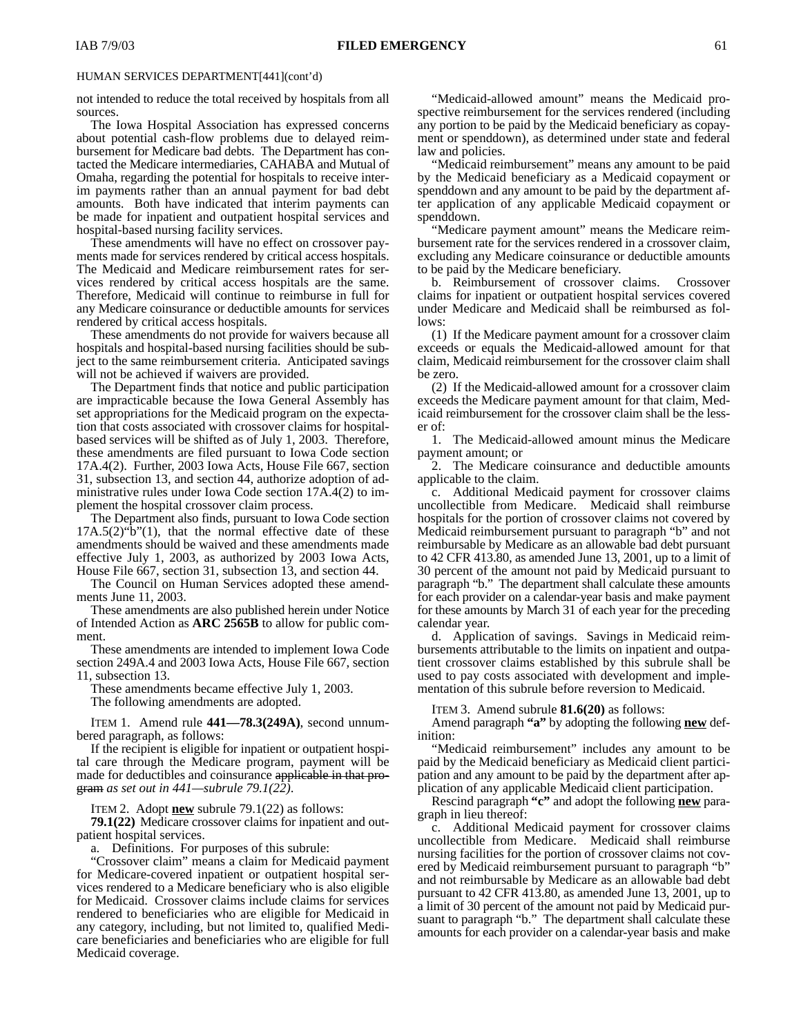not intended to reduce the total received by hospitals from all sources.

The Iowa Hospital Association has expressed concerns about potential cash-flow problems due to delayed reimbursement for Medicare bad debts. The Department has contacted the Medicare intermediaries, CAHABA and Mutual of Omaha, regarding the potential for hospitals to receive interim payments rather than an annual payment for bad debt amounts. Both have indicated that interim payments can be made for inpatient and outpatient hospital services and hospital-based nursing facility services.

These amendments will have no effect on crossover payments made for services rendered by critical access hospitals. The Medicaid and Medicare reimbursement rates for services rendered by critical access hospitals are the same. Therefore, Medicaid will continue to reimburse in full for any Medicare coinsurance or deductible amounts for services rendered by critical access hospitals.

These amendments do not provide for waivers because all hospitals and hospital-based nursing facilities should be subject to the same reimbursement criteria. Anticipated savings will not be achieved if waivers are provided.

The Department finds that notice and public participation are impracticable because the Iowa General Assembly has set appropriations for the Medicaid program on the expectation that costs associated with crossover claims for hospitalbased services will be shifted as of July 1, 2003. Therefore, these amendments are filed pursuant to Iowa Code section 17A.4(2). Further, 2003 Iowa Acts, House File 667, section 31, subsection 13, and section 44, authorize adoption of administrative rules under Iowa Code section 17A.4(2) to implement the hospital crossover claim process.

The Department also finds, pursuant to Iowa Code section  $17A.5(2)$ "b" $(1)$ , that the normal effective date of these amendments should be waived and these amendments made effective July 1, 2003, as authorized by 2003 Iowa Acts, House File 667, section 31, subsection 13, and section 44.

The Council on Human Services adopted these amendments June 11, 2003.

These amendments are also published herein under Notice of Intended Action as **ARC 2565B** to allow for public comment.

These amendments are intended to implement Iowa Code section 249A.4 and 2003 Iowa Acts, House File 667, section 11, subsection 13.

These amendments became effective July 1, 2003.

The following amendments are adopted.

ITEM 1. Amend rule **441—78.3(249A)**, second unnumbered paragraph, as follows:

If the recipient is eligible for inpatient or outpatient hospital care through the Medicare program, payment will be made for deductibles and coinsurance applicable in that program *as set out in 441—subrule 79.1(22)*.

ITEM 2. Adopt **new** subrule 79.1(22) as follows:

**79.1(22)** Medicare crossover claims for inpatient and outpatient hospital services.

a. Definitions. For purposes of this subrule:

"Crossover claim" means a claim for Medicaid payment for Medicare-covered inpatient or outpatient hospital services rendered to a Medicare beneficiary who is also eligible for Medicaid. Crossover claims include claims for services rendered to beneficiaries who are eligible for Medicaid in any category, including, but not limited to, qualified Medicare beneficiaries and beneficiaries who are eligible for full Medicaid coverage.

"Medicaid-allowed amount" means the Medicaid prospective reimbursement for the services rendered (including any portion to be paid by the Medicaid beneficiary as copayment or spenddown), as determined under state and federal law and policies.

"Medicaid reimbursement" means any amount to be paid by the Medicaid beneficiary as a Medicaid copayment or spenddown and any amount to be paid by the department after application of any applicable Medicaid copayment or spenddown.

"Medicare payment amount" means the Medicare reimbursement rate for the services rendered in a crossover claim, excluding any Medicare coinsurance or deductible amounts to be paid by the Medicare beneficiary.

b. Reimbursement of crossover claims. Crossover claims for inpatient or outpatient hospital services covered under Medicare and Medicaid shall be reimbursed as follows:

(1) If the Medicare payment amount for a crossover claim exceeds or equals the Medicaid-allowed amount for that claim, Medicaid reimbursement for the crossover claim shall be zero.

(2) If the Medicaid-allowed amount for a crossover claim exceeds the Medicare payment amount for that claim, Medicaid reimbursement for the crossover claim shall be the lesser of:

1. The Medicaid-allowed amount minus the Medicare payment amount; or

2. The Medicare coinsurance and deductible amounts applicable to the claim.

c. Additional Medicaid payment for crossover claims uncollectible from Medicare. Medicaid shall reimburse hospitals for the portion of crossover claims not covered by Medicaid reimbursement pursuant to paragraph "b" and not reimbursable by Medicare as an allowable bad debt pursuant to 42 CFR 413.80, as amended June 13, 2001, up to a limit of 30 percent of the amount not paid by Medicaid pursuant to paragraph "b." The department shall calculate these amounts for each provider on a calendar-year basis and make payment for these amounts by March 31 of each year for the preceding calendar year.

d. Application of savings. Savings in Medicaid reimbursements attributable to the limits on inpatient and outpatient crossover claims established by this subrule shall be used to pay costs associated with development and implementation of this subrule before reversion to Medicaid.

ITEM 3. Amend subrule **81.6(20)** as follows:

Amend paragraph **"a"** by adopting the following **new** definition:

"Medicaid reimbursement" includes any amount to be paid by the Medicaid beneficiary as Medicaid client participation and any amount to be paid by the department after application of any applicable Medicaid client participation.

Rescind paragraph **"c"** and adopt the following **new** paragraph in lieu thereof:

c. Additional Medicaid payment for crossover claims uncollectible from Medicare. Medicaid shall reimburse nursing facilities for the portion of crossover claims not covered by Medicaid reimbursement pursuant to paragraph "b" and not reimbursable by Medicare as an allowable bad debt pursuant to 42 CFR 413.80, as amended June 13, 2001, up to a limit of 30 percent of the amount not paid by Medicaid pursuant to paragraph "b." The department shall calculate these amounts for each provider on a calendar-year basis and make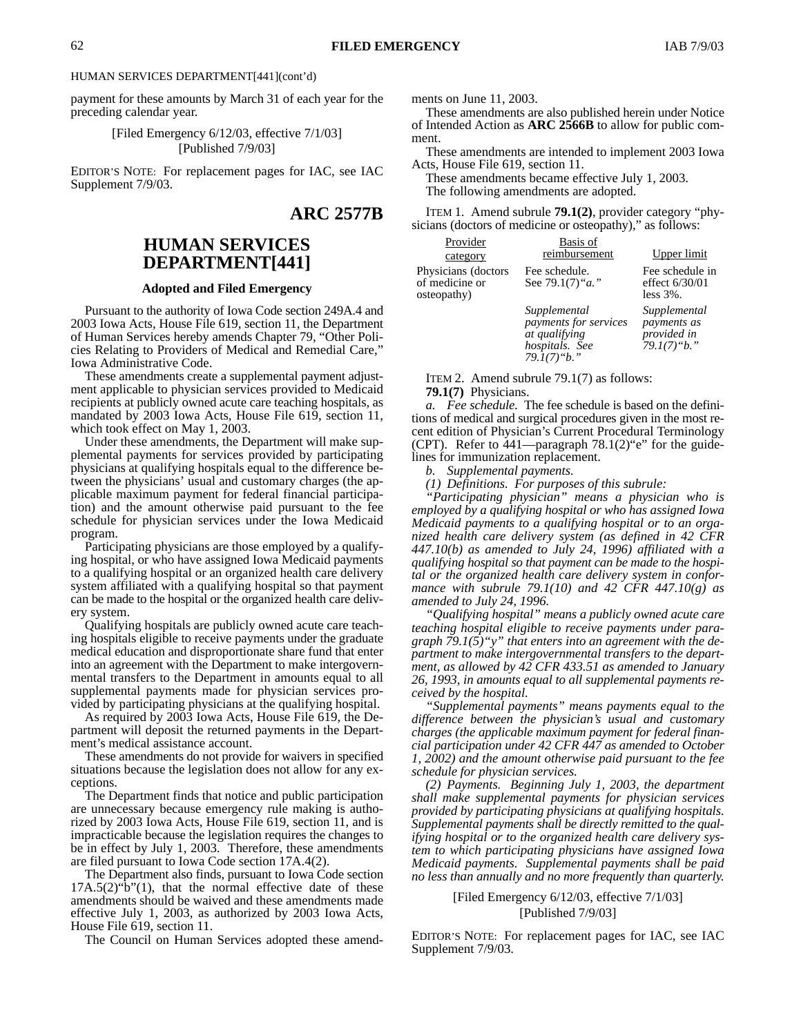payment for these amounts by March 31 of each year for the preceding calendar year.

> [Filed Emergency 6/12/03, effective 7/1/03] [Published 7/9/03]

EDITOR'S NOTE: For replacement pages for IAC, see IAC Supplement 7/9/03.

**ARC 2577B**

# **HUMAN SERVICES DEPARTMENT[441]**

#### **Adopted and Filed Emergency**

Pursuant to the authority of Iowa Code section 249A.4 and 2003 Iowa Acts, House File 619, section 11, the Department of Human Services hereby amends Chapter 79, "Other Policies Relating to Providers of Medical and Remedial Care," Iowa Administrative Code.

These amendments create a supplemental payment adjustment applicable to physician services provided to Medicaid recipients at publicly owned acute care teaching hospitals, as mandated by 2003 Iowa Acts, House File 619, section 11, which took effect on May 1, 2003.

Under these amendments, the Department will make supplemental payments for services provided by participating physicians at qualifying hospitals equal to the difference between the physicians' usual and customary charges (the applicable maximum payment for federal financial participation) and the amount otherwise paid pursuant to the fee schedule for physician services under the Iowa Medicaid program.

Participating physicians are those employed by a qualifying hospital, or who have assigned Iowa Medicaid payments to a qualifying hospital or an organized health care delivery system affiliated with a qualifying hospital so that payment can be made to the hospital or the organized health care delivery system.

Qualifying hospitals are publicly owned acute care teaching hospitals eligible to receive payments under the graduate medical education and disproportionate share fund that enter into an agreement with the Department to make intergovernmental transfers to the Department in amounts equal to all supplemental payments made for physician services provided by participating physicians at the qualifying hospital.

As required by 2003 Iowa Acts, House File 619, the Department will deposit the returned payments in the Department's medical assistance account.

These amendments do not provide for waivers in specified situations because the legislation does not allow for any exceptions.

The Department finds that notice and public participation are unnecessary because emergency rule making is authorized by 2003 Iowa Acts, House File 619, section 11, and is impracticable because the legislation requires the changes to be in effect by July 1, 2003. Therefore, these amendments are filed pursuant to Iowa Code section 17A.4(2).

The Department also finds, pursuant to Iowa Code section  $17A.5(2)$ "b"(1), that the normal effective date of these amendments should be waived and these amendments made effective July 1, 2003, as authorized by 2003 Iowa Acts, House File 619, section 11.

The Council on Human Services adopted these amend-

ments on June 11, 2003.

These amendments are also published herein under Notice of Intended Action as **ARC 2566B** to allow for public comment.

These amendments are intended to implement 2003 Iowa Acts, House File 619, section 11.

These amendments became effective July 1, 2003. The following amendments are adopted.

ITEM 1. Amend subrule **79.1(2)**, provider category "physicians (doctors of medicine or osteopathy)," as follows:

| Provider                                             | Basis of                                                                                |                                                              |
|------------------------------------------------------|-----------------------------------------------------------------------------------------|--------------------------------------------------------------|
| category                                             | reimbursement                                                                           | Upper limit                                                  |
| Physicians (doctors<br>of medicine or<br>osteopathy) | Fee schedule.<br>See 79.1(7) " <i>a.</i> "                                              | Fee schedule in<br>effect 6/30/01<br>$less 3\%$ .            |
|                                                      | Supplemental<br>payments for services<br>at qualifying<br>hospitals. See<br>79.1(7)"b." | Supplemental<br>payments as<br>provided in<br>$79.1(7)$ "b." |

ITEM 2. Amend subrule 79.1(7) as follows: **79.1(7)** Physicians.

*a. Fee schedule.* The fee schedule is based on the definitions of medical and surgical procedures given in the most recent edition of Physician's Current Procedural Terminology (CPT). Refer to 441—paragraph 78.1(2)"e" for the guidelines for immunization replacement.

*b. Supplemental payments.*

*(1) Definitions. For purposes of this subrule:*

*"Participating physician" means a physician who is employed by a qualifying hospital or who has assigned Iowa Medicaid payments to a qualifying hospital or to an organized health care delivery system (as defined in 42 CFR 447.10(b) as amended to July 24, 1996) affiliated with a qualifying hospital so that payment can be made to the hospital or the organized health care delivery system in conformance with subrule 79.1(10) and 42 CFR 447.10(g) as amended to July 24, 1996.*

*"Qualifying hospital" means a publicly owned acute care teaching hospital eligible to receive payments under paragraph 79.1(5)"y" that enters into an agreement with the department to make intergovernmental transfers to the department, as allowed by 42 CFR 433.51 as amended to January 26, 1993, in amounts equal to all supplemental payments received by the hospital.*

*"Supplemental payments" means payments equal to the difference between the physician's usual and customary charges (the applicable maximum payment for federal financial participation under 42 CFR 447 as amended to October 1, 2002) and the amount otherwise paid pursuant to the fee schedule for physician services.*

*(2) Payments. Beginning July 1, 2003, the department shall make supplemental payments for physician services provided by participating physicians at qualifying hospitals. Supplemental payments shall be directly remitted to the qualifying hospital or to the organized health care delivery system to which participating physicians have assigned Iowa Medicaid payments. Supplemental payments shall be paid no less than annually and no more frequently than quarterly.*

> [Filed Emergency 6/12/03, effective 7/1/03] [Published 7/9/03]

EDITOR'S NOTE: For replacement pages for IAC, see IAC Supplement 7/9/03.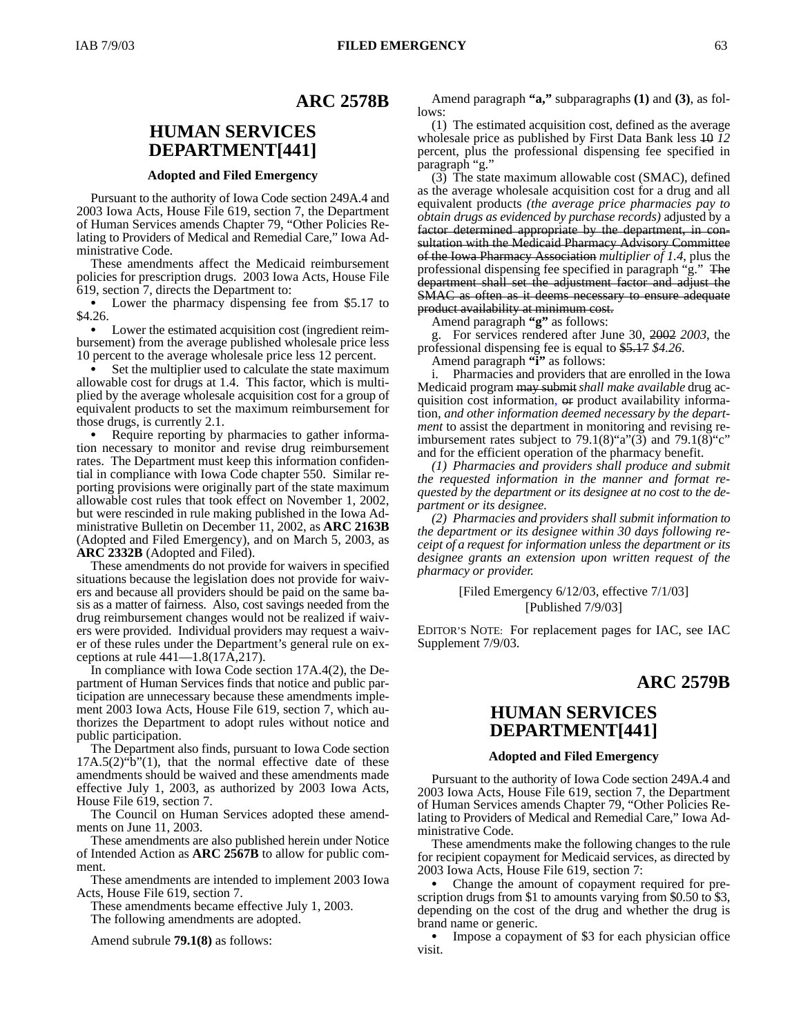### **ARC 2578B**

# **HUMAN SERVICES DEPARTMENT[441]**

### **Adopted and Filed Emergency**

Pursuant to the authority of Iowa Code section 249A.4 and 2003 Iowa Acts, House File 619, section 7, the Department of Human Services amends Chapter 79, "Other Policies Relating to Providers of Medical and Remedial Care," Iowa Administrative Code.

These amendments affect the Medicaid reimbursement policies for prescription drugs. 2003 Iowa Acts, House File 619, section 7, directs the Department to:

 Lower the pharmacy dispensing fee from \$5.17 to \$4.26.

 Lower the estimated acquisition cost (ingredient reimbursement) from the average published wholesale price less 10 percent to the average wholesale price less 12 percent.

 Set the multiplier used to calculate the state maximum allowable cost for drugs at 1.4. This factor, which is multiplied by the average wholesale acquisition cost for a group of equivalent products to set the maximum reimbursement for those drugs, is currently 2.1.

 Require reporting by pharmacies to gather information necessary to monitor and revise drug reimbursement rates. The Department must keep this information confidential in compliance with Iowa Code chapter 550. Similar reporting provisions were originally part of the state maximum allowable cost rules that took effect on November 1, 2002, but were rescinded in rule making published in the Iowa Administrative Bulletin on December 11, 2002, as **ARC 2163B** (Adopted and Filed Emergency), and on March 5, 2003, as **ARC 2332B** (Adopted and Filed).

These amendments do not provide for waivers in specified situations because the legislation does not provide for waivers and because all providers should be paid on the same basis as a matter of fairness. Also, cost savings needed from the drug reimbursement changes would not be realized if waivers were provided. Individual providers may request a waiver of these rules under the Department's general rule on exceptions at rule 441—1.8(17A,217).

In compliance with Iowa Code section 17A.4(2), the Department of Human Services finds that notice and public participation are unnecessary because these amendments implement 2003 Iowa Acts, House File 619, section 7, which authorizes the Department to adopt rules without notice and public participation.

The Department also finds, pursuant to Iowa Code section  $17A.5(2)$ "b" $(1)$ , that the normal effective date of these amendments should be waived and these amendments made effective July 1, 2003, as authorized by 2003 Iowa Acts, House File 619, section 7.

The Council on Human Services adopted these amendments on June 11, 2003.

These amendments are also published herein under Notice of Intended Action as **ARC 2567B** to allow for public comment.

These amendments are intended to implement 2003 Iowa Acts, House File 619, section 7.

These amendments became effective July 1, 2003. The following amendments are adopted.

Amend subrule **79.1(8)** as follows:

Amend paragraph **"a,"** subparagraphs **(1)** and **(3)**, as follows:

(1) The estimated acquisition cost, defined as the average wholesale price as published by First Data Bank less 10 *12* percent, plus the professional dispensing fee specified in paragraph "g."

(3) The state maximum allowable cost (SMAC), defined as the average wholesale acquisition cost for a drug and all equivalent products *(the average price pharmacies pay to obtain drugs as evidenced by purchase records)* adjusted by a factor determined appropriate by the department, in consultation with the Medicaid Pharmacy Advisory Committee of the Iowa Pharmacy Association *multiplier of 1.4*, plus the professional dispensing fee specified in paragraph "g."The department shall set the adjustment factor and adjust the SMAC as often as it deems necessary to ensure adequate product availability at minimum cost.

Amend paragraph **"g"** as follows:

g. For services rendered after June 30, 2002 *2003*, the professional dispensing fee is equal to \$5.17 *\$4.26*.

Amend paragraph **"i"** as follows:

i. Pharmacies and providers that are enrolled in the Iowa Medicaid program may submit*shall make available* drug acquisition cost information*,* or product availability information*, and other information deemed necessary by the department* to assist the department in monitoring and revising reimbursement rates subject to  $79.1(8)$ "a" $(3)$  and  $79.1(8)$ "c" and for the efficient operation of the pharmacy benefit.

*(1) Pharmacies and providers shall produce and submit the requested information in the manner and format requested by the department or its designee at no cost to the department or its designee.*

*(2) Pharmacies and providers shall submit information to the department or its designee within 30 days following receipt of a request for information unless the department or its designee grants an extension upon written request of the pharmacy or provider.*

### [Filed Emergency 6/12/03, effective 7/1/03] [Published 7/9/03]

EDITOR'S NOTE: For replacement pages for IAC, see IAC Supplement 7/9/03.

### **ARC 2579B**

# **HUMAN SERVICES DEPARTMENT[441]**

### **Adopted and Filed Emergency**

Pursuant to the authority of Iowa Code section 249A.4 and 2003 Iowa Acts, House File 619, section 7, the Department of Human Services amends Chapter 79, "Other Policies Relating to Providers of Medical and Remedial Care," Iowa Administrative Code.

These amendments make the following changes to the rule for recipient copayment for Medicaid services, as directed by 2003 Iowa Acts, House File 619, section 7:

 Change the amount of copayment required for prescription drugs from \$1 to amounts varying from \$0.50 to \$3, depending on the cost of the drug and whether the drug is brand name or generic.

• Impose a copayment of \$3 for each physician office visit.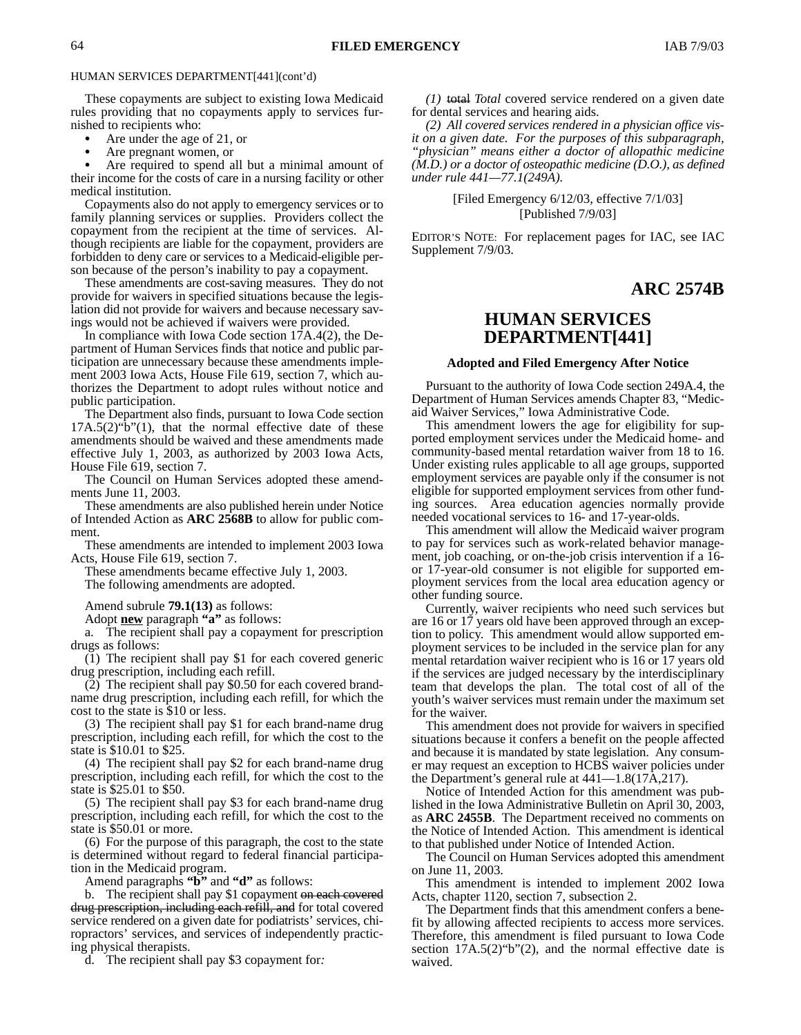These copayments are subject to existing Iowa Medicaid rules providing that no copayments apply to services furnished to recipients who:

 Are under the age of 21, or  $\bullet$ 

 Are pregnant women, or  $\bullet$ 

 Are required to spend all but a minimal amount of their income for the costs of care in a nursing facility or other medical institution.

Copayments also do not apply to emergency services or to family planning services or supplies. Providers collect the copayment from the recipient at the time of services. Although recipients are liable for the copayment, providers are forbidden to deny care or services to a Medicaid-eligible person because of the person's inability to pay a copayment.

These amendments are cost-saving measures. They do not provide for waivers in specified situations because the legislation did not provide for waivers and because necessary savings would not be achieved if waivers were provided.

In compliance with Iowa Code section 17A.4(2), the Department of Human Services finds that notice and public participation are unnecessary because these amendments implement 2003 Iowa Acts, House File 619, section 7, which authorizes the Department to adopt rules without notice and public participation.

The Department also finds, pursuant to Iowa Code section  $17A.5(2)$ "b" $(1)$ , that the normal effective date of these amendments should be waived and these amendments made effective July 1, 2003, as authorized by 2003 Iowa Acts, House File 619, section 7.

The Council on Human Services adopted these amendments June 11, 2003.

These amendments are also published herein under Notice of Intended Action as **ARC 2568B** to allow for public comment.

These amendments are intended to implement 2003 Iowa Acts, House File 619, section 7.

These amendments became effective July 1, 2003. The following amendments are adopted.

Amend subrule **79.1(13)** as follows:

Adopt **new** paragraph **"a"** as follows:

a. The recipient shall pay a copayment for prescription drugs as follows:

(1) The recipient shall pay \$1 for each covered generic drug prescription, including each refill.

(2) The recipient shall pay \$0.50 for each covered brandname drug prescription, including each refill, for which the cost to the state is \$10 or less.

(3) The recipient shall pay \$1 for each brand-name drug prescription, including each refill, for which the cost to the state is \$10.01 to \$25.

(4) The recipient shall pay \$2 for each brand-name drug prescription, including each refill, for which the cost to the state is \$25.01 to \$50.

(5) The recipient shall pay \$3 for each brand-name drug prescription, including each refill, for which the cost to the state is \$50.01 or more.

(6) For the purpose of this paragraph, the cost to the state is determined without regard to federal financial participation in the Medicaid program.

Amend paragraphs **"b"** and **"d"** as follows:

b. The recipient shall pay \$1 copayment on each covered drug prescription, including each refill, and for total covered service rendered on a given date for podiatrists' services, chiropractors' services, and services of independently practicing physical therapists.

d. The recipient shall pay \$3 copayment for*:*

*(1)* total *Total* covered service rendered on a given date for dental services and hearing aids.

*(2) All covered services rendered in a physician office visit on a given date. For the purposes of this subparagraph, "physician" means either a doctor of allopathic medicine (M.D.) or a doctor of osteopathic medicine (D.O.), as defined under rule 441—77.1(249A).*

> [Filed Emergency 6/12/03, effective 7/1/03] [Published 7/9/03]

EDITOR'S NOTE: For replacement pages for IAC, see IAC Supplement 7/9/03.

# **ARC 2574B**

### **HUMAN SERVICES DEPARTMENT[441]**

#### **Adopted and Filed Emergency After Notice**

Pursuant to the authority of Iowa Code section 249A.4, the Department of Human Services amends Chapter 83, "Medicaid Waiver Services," Iowa Administrative Code.

This amendment lowers the age for eligibility for supported employment services under the Medicaid home- and community-based mental retardation waiver from 18 to 16. Under existing rules applicable to all age groups, supported employment services are payable only if the consumer is not eligible for supported employment services from other funding sources. Area education agencies normally provide needed vocational services to 16- and 17-year-olds.

This amendment will allow the Medicaid waiver program to pay for services such as work-related behavior management, job coaching, or on-the-job crisis intervention if a 16 or 17-year-old consumer is not eligible for supported employment services from the local area education agency or other funding source.

Currently, waiver recipients who need such services but are 16 or 17 years old have been approved through an exception to policy. This amendment would allow supported employment services to be included in the service plan for any mental retardation waiver recipient who is 16 or 17 years old if the services are judged necessary by the interdisciplinary team that develops the plan. The total cost of all of the youth's waiver services must remain under the maximum set for the waiver.

This amendment does not provide for waivers in specified situations because it confers a benefit on the people affected and because it is mandated by state legislation. Any consumer may request an exception to HCBS waiver policies under the Department's general rule at 441—1.8(17A,217).

Notice of Intended Action for this amendment was published in the Iowa Administrative Bulletin on April 30, 2003, as **ARC 2455B**. The Department received no comments on the Notice of Intended Action. This amendment is identical to that published under Notice of Intended Action.

The Council on Human Services adopted this amendment on June 11, 2003.

This amendment is intended to implement 2002 Iowa Acts, chapter 1120, section 7, subsection 2.

The Department finds that this amendment confers a benefit by allowing affected recipients to access more services. Therefore, this amendment is filed pursuant to Iowa Code section  $17A.5(2)$  "b"(2), and the normal effective date is waived.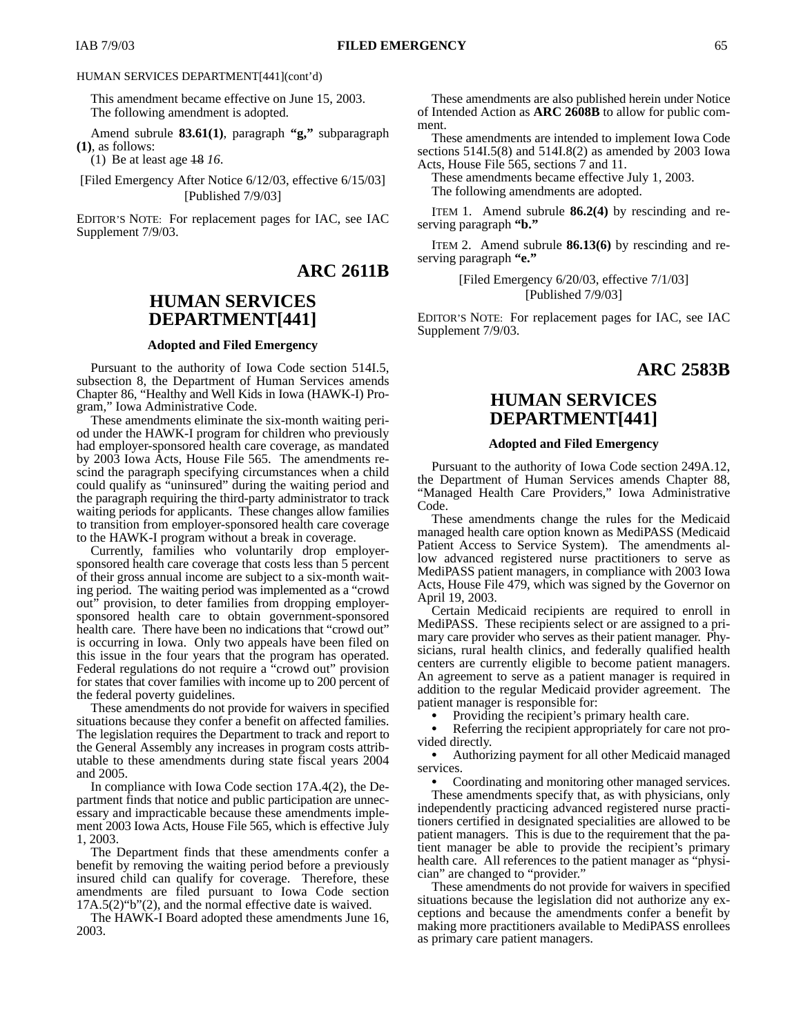This amendment became effective on June 15, 2003. The following amendment is adopted.

Amend subrule **83.61(1)**, paragraph **"g,"** subparagraph **(1)**, as follows:

(1) Be at least age 18 *16*.

[Filed Emergency After Notice 6/12/03, effective 6/15/03] [Published 7/9/03]

EDITOR'S NOTE: For replacement pages for IAC, see IAC Supplement 7/9/03.

### **ARC 2611B**

# **HUMAN SERVICES DEPARTMENT[441]**

### **Adopted and Filed Emergency**

Pursuant to the authority of Iowa Code section 514I.5, subsection 8, the Department of Human Services amends Chapter 86, "Healthy and Well Kids in Iowa (HAWK-I) Program," Iowa Administrative Code.

These amendments eliminate the six-month waiting period under the HAWK-I program for children who previously had employer-sponsored health care coverage, as mandated by 2003 Iowa Acts, House File 565. The amendments rescind the paragraph specifying circumstances when a child could qualify as "uninsured" during the waiting period and the paragraph requiring the third-party administrator to track waiting periods for applicants. These changes allow families to transition from employer-sponsored health care coverage to the HAWK-I program without a break in coverage.

Currently, families who voluntarily drop employersponsored health care coverage that costs less than 5 percent of their gross annual income are subject to a six-month waiting period. The waiting period was implemented as a "crowd out" provision, to deter families from dropping employersponsored health care to obtain government-sponsored health care. There have been no indications that "crowd out" is occurring in Iowa. Only two appeals have been filed on this issue in the four years that the program has operated. Federal regulations do not require a "crowd out" provision for states that cover families with income up to 200 percent of the federal poverty guidelines.

These amendments do not provide for waivers in specified situations because they confer a benefit on affected families. The legislation requires the Department to track and report to the General Assembly any increases in program costs attributable to these amendments during state fiscal years 2004 and 2005.

In compliance with Iowa Code section 17A.4(2), the Department finds that notice and public participation are unnecessary and impracticable because these amendments implement 2003 Iowa Acts, House File 565, which is effective July 1, 2003.

The Department finds that these amendments confer a benefit by removing the waiting period before a previously insured child can qualify for coverage. Therefore, these amendments are filed pursuant to Iowa Code section 17A.5(2)"b"(2), and the normal effective date is waived.

The HAWK-I Board adopted these amendments June 16, 2003.

These amendments are also published herein under Notice of Intended Action as **ARC 2608B** to allow for public comment.

These amendments are intended to implement Iowa Code sections 514I.5(8) and 514I.8(2) as amended by 2003 Iowa Acts, House File 565, sections 7 and 11.

These amendments became effective July 1, 2003. The following amendments are adopted.

ITEM 1. Amend subrule **86.2(4)** by rescinding and reserving paragraph **"b."**

ITEM 2. Amend subrule **86.13(6)** by rescinding and reserving paragraph **"e."**

> [Filed Emergency 6/20/03, effective 7/1/03] [Published 7/9/03]

EDITOR'S NOTE: For replacement pages for IAC, see IAC Supplement 7/9/03.

### **ARC 2583B**

# **HUMAN SERVICES DEPARTMENT[441]**

#### **Adopted and Filed Emergency**

Pursuant to the authority of Iowa Code section 249A.12, the Department of Human Services amends Chapter 88, "Managed Health Care Providers," Iowa Administrative Code.

These amendments change the rules for the Medicaid managed health care option known as MediPASS (Medicaid Patient Access to Service System). The amendments allow advanced registered nurse practitioners to serve as MediPASS patient managers, in compliance with 2003 Iowa Acts, House File 479, which was signed by the Governor on April 19, 2003.

Certain Medicaid recipients are required to enroll in MediPASS. These recipients select or are assigned to a primary care provider who serves as their patient manager. Physicians, rural health clinics, and federally qualified health centers are currently eligible to become patient managers. An agreement to serve as a patient manager is required in addition to the regular Medicaid provider agreement. The patient manager is responsible for:

 Providing the recipient's primary health care.  $\bullet$ 

 Referring the recipient appropriately for care not provided directly.

 Authorizing payment for all other Medicaid managed services.

Coordinating and monitoring other managed services.

These amendments specify that, as with physicians, only independently practicing advanced registered nurse practitioners certified in designated specialities are allowed to be patient managers. This is due to the requirement that the patient manager be able to provide the recipient's primary health care. All references to the patient manager as "physician" are changed to "provider."

These amendments do not provide for waivers in specified situations because the legislation did not authorize any exceptions and because the amendments confer a benefit by making more practitioners available to MediPASS enrollees as primary care patient managers.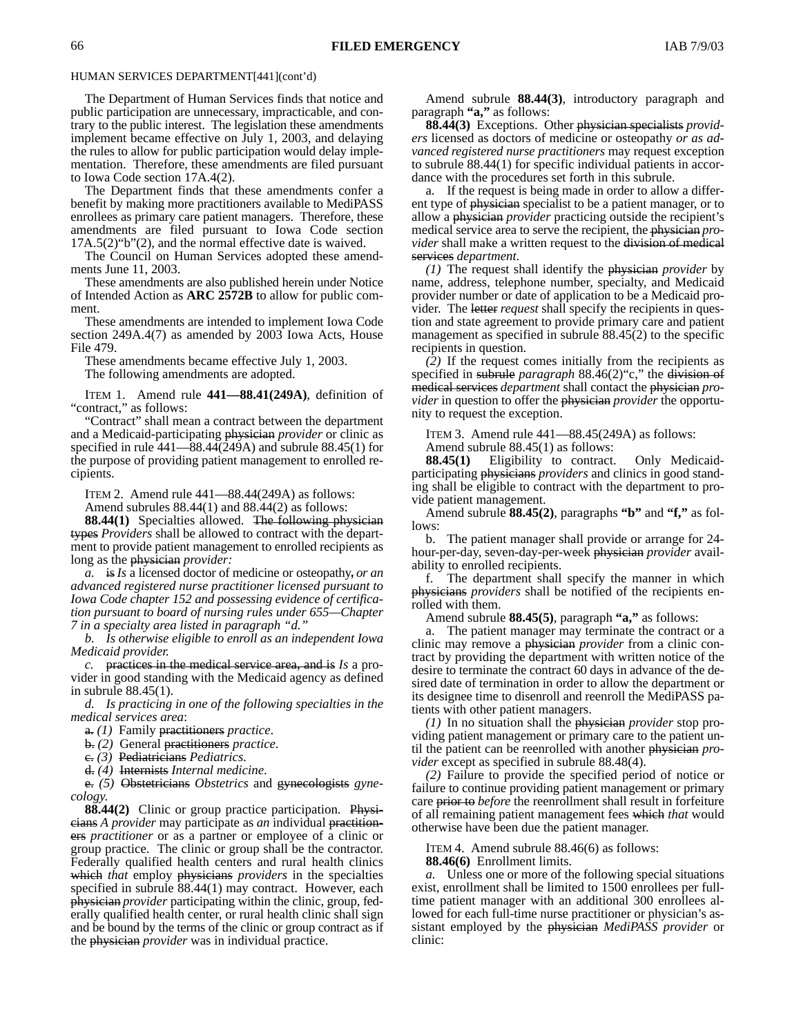The Department of Human Services finds that notice and public participation are unnecessary, impracticable, and contrary to the public interest. The legislation these amendments implement became effective on July 1, 2003, and delaying the rules to allow for public participation would delay implementation. Therefore, these amendments are filed pursuant to Iowa Code section 17A.4(2).

The Department finds that these amendments confer a benefit by making more practitioners available to MediPASS enrollees as primary care patient managers. Therefore, these amendments are filed pursuant to Iowa Code section 17A.5(2)"b"(2), and the normal effective date is waived.

The Council on Human Services adopted these amendments June 11, 2003.

These amendments are also published herein under Notice of Intended Action as **ARC 2572B** to allow for public comment.

These amendments are intended to implement Iowa Code section 249A.4(7) as amended by 2003 Iowa Acts, House File 479.

These amendments became effective July 1, 2003.

The following amendments are adopted.

ITEM 1. Amend rule **441—88.41(249A)**, definition of "contract," as follows:

"Contract" shall mean a contract between the department and a Medicaid-participating physician *provider* or clinic as specified in rule  $441-\overline{88.44(249)}$  and subrule  $88.45(1)$  for the purpose of providing patient management to enrolled recipients.

ITEM 2. Amend rule 441—88.44(249A) as follows:

Amend subrules 88.44(1) and 88.44(2) as follows:

**88.44(1)** Specialties allowed. The following physician types *Providers* shall be allowed to contract with the department to provide patient management to enrolled recipients as long as the physician *provider:*

*a.* is*Is* a licensed doctor of medicine or osteopathy, *or an advanced registered nurse practitioner licensed pursuant to Iowa Code chapter 152 and possessing evidence of certification pursuant to board of nursing rules under 655—Chapter 7 in a specialty area listed in paragraph "d."*

*b. Is otherwise eligible to enroll as an independent Iowa Medicaid provider.*

*c.* practices in the medical service area, and is *Is* a provider in good standing with the Medicaid agency as defined in subrule 88.45(1).

*d. Is practicing in one of the following specialties in the medical services area*:

a. *(1)* Family practitioners *practice*.

b. *(2)* General practitioners *practice*.

c. *(3)* Pediatricians *Pediatrics*.

d. *(4)* Internists *Internal medicine*.

e. *(5)* Obstetricians *Obstetrics* and gynecologists *gynecology*.

**88.44(2)** Clinic or group practice participation. Physicians *A provider* may participate as *an* individual practitioners *practitioner* or as a partner or employee of a clinic or group practice. The clinic or group shall be the contractor. Federally qualified health centers and rural health clinics which *that* employ physicians *providers* in the specialties specified in subrule 88.44(1) may contract. However, each physician *provider* participating within the clinic, group, federally qualified health center, or rural health clinic shall sign and be bound by the terms of the clinic or group contract as if the physician *provider* was in individual practice.

Amend subrule **88.44(3)**, introductory paragraph and paragraph **"a,"** as follows:

**88.44(3)** Exceptions. Other physician specialists *providers* licensed as doctors of medicine or osteopathy *or as advanced registered nurse practitioners* may request exception to subrule 88.44(1) for specific individual patients in accordance with the procedures set forth in this subrule.

a. If the request is being made in order to allow a different type of physician specialist to be a patient manager, or to allow a physician *provider* practicing outside the recipient's medical service area to serve the recipient, the physician *provider* shall make a written request to the division of medical services *department*.

*(1)* The request shall identify the physician *provider* by name, address, telephone number, specialty, and Medicaid provider number or date of application to be a Medicaid provider. The letter *request* shall specify the recipients in question and state agreement to provide primary care and patient management as specified in subrule 88.45(2) to the specific recipients in question.

*(2)* If the request comes initially from the recipients as specified in subrule *paragraph* 88.46(2)"c," the division of medical services *department* shall contact the physician *provider* in question to offer the physician *provider* the opportunity to request the exception.

ITEM 3. Amend rule 441—88.45(249A) as follows:

Amend subrule 88.45(1) as follows:

**88.45(1)** Eligibility to contract. Only Medicaidparticipating physicians *providers* and clinics in good standing shall be eligible to contract with the department to provide patient management.

Amend subrule **88.45(2)**, paragraphs **"b"** and **"f,"** as follows:

b. The patient manager shall provide or arrange for 24 hour-per-day, seven-day-per-week physician *provider* availability to enrolled recipients.

f. The department shall specify the manner in which physicians *providers* shall be notified of the recipients enrolled with them.

Amend subrule **88.45(5)**, paragraph **"a,"** as follows:

a. The patient manager may terminate the contract or a clinic may remove a physician *provider* from a clinic contract by providing the department with written notice of the desire to terminate the contract 60 days in advance of the desired date of termination in order to allow the department or its designee time to disenroll and reenroll the MediPASS patients with other patient managers.

*(1)* In no situation shall the physician *provider* stop providing patient management or primary care to the patient until the patient can be reenrolled with another physician *provider* except as specified in subrule 88.48(4).

*(2)* Failure to provide the specified period of notice or failure to continue providing patient management or primary care prior to *before* the reenrollment shall result in forfeiture of all remaining patient management fees which *that* would otherwise have been due the patient manager.

ITEM 4. Amend subrule 88.46(6) as follows:

**88.46(6)** Enrollment limits.

*a.* Unless one or more of the following special situations exist, enrollment shall be limited to 1500 enrollees per fulltime patient manager with an additional 300 enrollees allowed for each full-time nurse practitioner or physician's assistant employed by the physician *MediPASS provider* or clinic: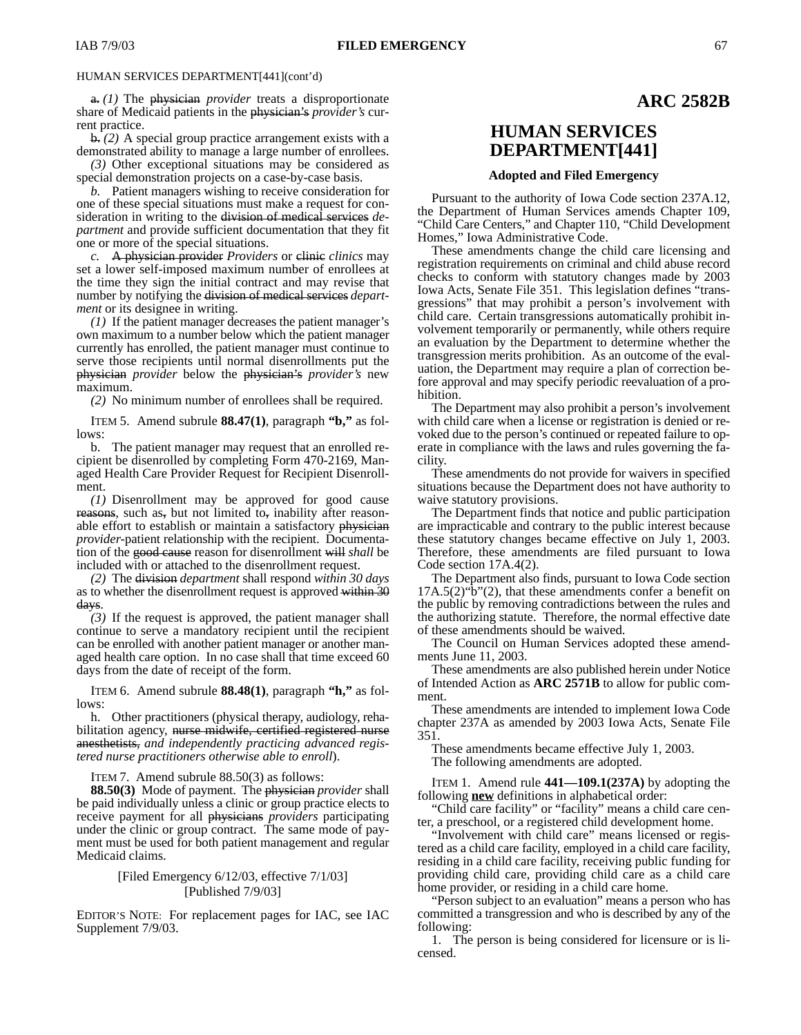a. *(1)* The physician *provider* treats a disproportionate share of Medicaid patients in the physician's *provider's* current practice.

b. *(2)* A special group practice arrangement exists with a demonstrated ability to manage a large number of enrollees.

*(3)* Other exceptional situations may be considered as special demonstration projects on a case-by-case basis.

*b.* Patient managers wishing to receive consideration for one of these special situations must make a request for consideration in writing to the division of medical services *department* and provide sufficient documentation that they fit one or more of the special situations.

*c.* A physician provider *Providers* or clinic *clinics* may set a lower self-imposed maximum number of enrollees at the time they sign the initial contract and may revise that number by notifying the division of medical services *department* or its designee in writing.

*(1)* If the patient manager decreases the patient manager's own maximum to a number below which the patient manager currently has enrolled, the patient manager must continue to serve those recipients until normal disenrollments put the physician *provider* below the physician's *provider's* new maximum.

*(2)* No minimum number of enrollees shall be required.

ITEM 5. Amend subrule **88.47(1)**, paragraph **"b,"** as follows:

b. The patient manager may request that an enrolled recipient be disenrolled by completing Form 470-2169, Managed Health Care Provider Request for Recipient Disenrollment.

*(1)* Disenrollment may be approved for good cause reasons, such as, but not limited to, inability after reasonable effort to establish or maintain a satisfactory physician *provider*-patient relationship with the recipient. Documentation of the good cause reason for disenrollment will *shall* be included with or attached to the disenrollment request.

*(2)* The division *department* shall respond *within 30 days* as to whether the disenrollment request is approved within 30 days.

*(3)* If the request is approved, the patient manager shall continue to serve a mandatory recipient until the recipient can be enrolled with another patient manager or another managed health care option. In no case shall that time exceed 60 days from the date of receipt of the form.

ITEM 6. Amend subrule **88.48(1)**, paragraph **"h,"** as follows:

h. Other practitioners (physical therapy, audiology, rehabilitation agency, nurse midwife, certified registered nurse anesthetists, *and independently practicing advanced registered nurse practitioners otherwise able to enroll*).

ITEM 7. Amend subrule 88.50(3) as follows:

**88.50(3)** Mode of payment.The physician *provider* shall be paid individually unless a clinic or group practice elects to receive payment for all physicians *providers* participating under the clinic or group contract. The same mode of payment must be used for both patient management and regular Medicaid claims.

### [Filed Emergency 6/12/03, effective 7/1/03] [Published 7/9/03]

EDITOR'S NOTE: For replacement pages for IAC, see IAC Supplement 7/9/03.

### **ARC 2582B**

# **HUMAN SERVICES DEPARTMENT[441]**

### **Adopted and Filed Emergency**

Pursuant to the authority of Iowa Code section 237A.12, the Department of Human Services amends Chapter 109, "Child Care Centers," and Chapter 110, "Child Development Homes," Iowa Administrative Code.

These amendments change the child care licensing and registration requirements on criminal and child abuse record checks to conform with statutory changes made by 2003 Iowa Acts, Senate File 351. This legislation defines "transgressions" that may prohibit a person's involvement with child care. Certain transgressions automatically prohibit involvement temporarily or permanently, while others require an evaluation by the Department to determine whether the transgression merits prohibition. As an outcome of the evaluation, the Department may require a plan of correction before approval and may specify periodic reevaluation of a prohibition.

The Department may also prohibit a person's involvement with child care when a license or registration is denied or revoked due to the person's continued or repeated failure to operate in compliance with the laws and rules governing the facility.

These amendments do not provide for waivers in specified situations because the Department does not have authority to waive statutory provisions.

The Department finds that notice and public participation are impracticable and contrary to the public interest because these statutory changes became effective on July 1, 2003. Therefore, these amendments are filed pursuant to Iowa Code section 17A.4(2).

The Department also finds, pursuant to Iowa Code section 17A.5(2)"b"(2), that these amendments confer a benefit on the public by removing contradictions between the rules and the authorizing statute. Therefore, the normal effective date of these amendments should be waived.

The Council on Human Services adopted these amendments June 11, 2003.

These amendments are also published herein under Notice of Intended Action as **ARC 2571B** to allow for public comment.

These amendments are intended to implement Iowa Code chapter 237A as amended by 2003 Iowa Acts, Senate File 351.

These amendments became effective July 1, 2003.

The following amendments are adopted.

ITEM 1. Amend rule **441—109.1(237A)** by adopting the following **new** definitions in alphabetical order:

"Child care facility" or "facility" means a child care center, a preschool, or a registered child development home.

"Involvement with child care" means licensed or registered as a child care facility, employed in a child care facility, residing in a child care facility, receiving public funding for providing child care, providing child care as a child care home provider, or residing in a child care home.

"Person subject to an evaluation" means a person who has committed a transgression and who is described by any of the following:

1. The person is being considered for licensure or is licensed.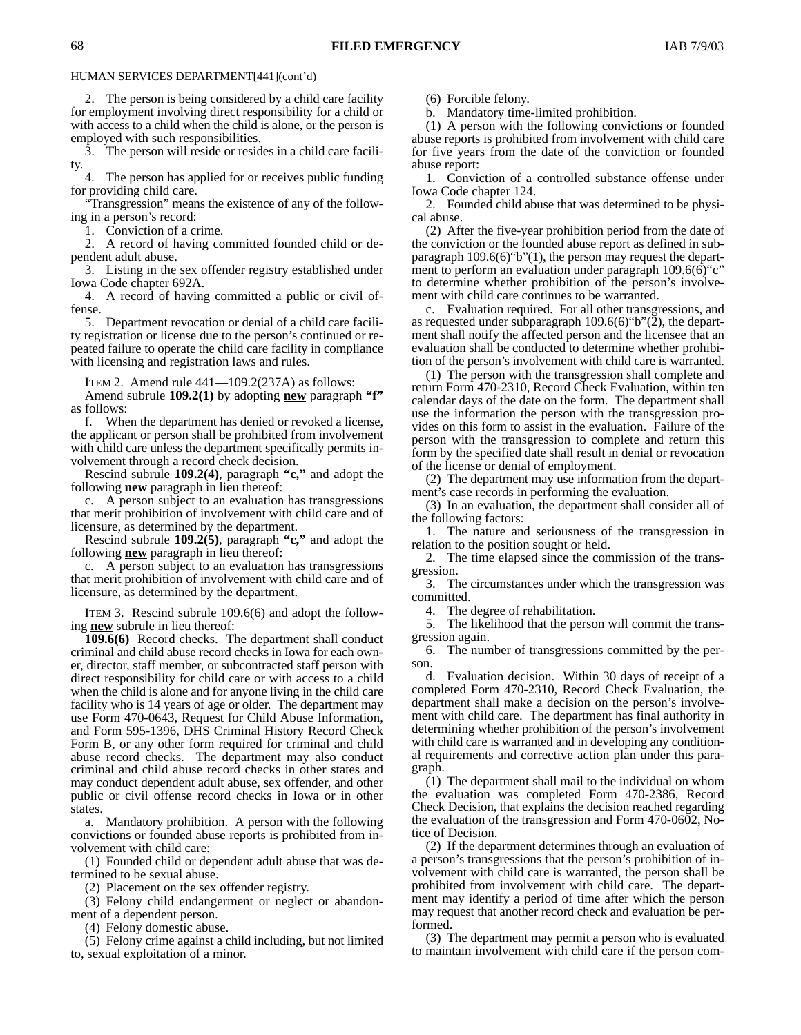2. The person is being considered by a child care facility for employment involving direct responsibility for a child or with access to a child when the child is alone, or the person is employed with such responsibilities.

3. The person will reside or resides in a child care facility.

4. The person has applied for or receives public funding for providing child care.

"Transgression" means the existence of any of the following in a person's record:

1. Conviction of a crime.

2. A record of having committed founded child or dependent adult abuse.

3. Listing in the sex offender registry established under Iowa Code chapter 692A.

4. A record of having committed a public or civil offense.

5. Department revocation or denial of a child care facility registration or license due to the person's continued or repeated failure to operate the child care facility in compliance with licensing and registration laws and rules.

ITEM 2. Amend rule 441—109.2(237A) as follows:

Amend subrule **109.2(1)** by adopting **new** paragraph **"f"** as follows:

f. When the department has denied or revoked a license, the applicant or person shall be prohibited from involvement with child care unless the department specifically permits involvement through a record check decision.

Rescind subrule **109.2(4)**, paragraph **"c,"** and adopt the following **new** paragraph in lieu thereof:

c. A person subject to an evaluation has transgressions that merit prohibition of involvement with child care and of licensure, as determined by the department.

Rescind subrule **109.2(5)**, paragraph **"c,"** and adopt the following **new** paragraph in lieu thereof:

c. A person subject to an evaluation has transgressions that merit prohibition of involvement with child care and of licensure, as determined by the department.

ITEM 3. Rescind subrule 109.6(6) and adopt the following **new** subrule in lieu thereof:

**109.6(6)** Record checks. The department shall conduct criminal and child abuse record checks in Iowa for each owner, director, staff member, or subcontracted staff person with direct responsibility for child care or with access to a child when the child is alone and for anyone living in the child care facility who is 14 years of age or older. The department may use Form 470-0643, Request for Child Abuse Information, and Form 595-1396, DHS Criminal History Record Check Form B, or any other form required for criminal and child abuse record checks. The department may also conduct criminal and child abuse record checks in other states and may conduct dependent adult abuse, sex offender, and other public or civil offense record checks in Iowa or in other states.

a. Mandatory prohibition. A person with the following convictions or founded abuse reports is prohibited from involvement with child care:

(1) Founded child or dependent adult abuse that was determined to be sexual abuse.

(2) Placement on the sex offender registry.

(3) Felony child endangerment or neglect or abandonment of a dependent person.

(4) Felony domestic abuse.

(5) Felony crime against a child including, but not limited to, sexual exploitation of a minor.

(6) Forcible felony.

b. Mandatory time-limited prohibition.

(1) A person with the following convictions or founded abuse reports is prohibited from involvement with child care for five years from the date of the conviction or founded abuse report:

1. Conviction of a controlled substance offense under Iowa Code chapter 124.

2. Founded child abuse that was determined to be physical abuse.

(2) After the five-year prohibition period from the date of the conviction or the founded abuse report as defined in subparagraph 109.6(6)"b"(1), the person may request the department to perform an evaluation under paragraph 109.6(6) "c" to determine whether prohibition of the person's involvement with child care continues to be warranted.

c. Evaluation required. For all other transgressions, and as requested under subparagraph 109.6(6)"b"(2), the department shall notify the affected person and the licensee that an evaluation shall be conducted to determine whether prohibition of the person's involvement with child care is warranted.

(1) The person with the transgression shall complete and return Form 470-2310, Record Check Evaluation, within ten calendar days of the date on the form. The department shall use the information the person with the transgression provides on this form to assist in the evaluation. Failure of the person with the transgression to complete and return this form by the specified date shall result in denial or revocation of the license or denial of employment.

(2) The department may use information from the department's case records in performing the evaluation.

(3) In an evaluation, the department shall consider all of the following factors:

1. The nature and seriousness of the transgression in relation to the position sought or held.

2. The time elapsed since the commission of the transgression.

3. The circumstances under which the transgression was committed.

4. The degree of rehabilitation.

5. The likelihood that the person will commit the transgression again.

6. The number of transgressions committed by the person.

d. Evaluation decision. Within 30 days of receipt of a completed Form 470-2310, Record Check Evaluation, the department shall make a decision on the person's involvement with child care. The department has final authority in determining whether prohibition of the person's involvement with child care is warranted and in developing any conditional requirements and corrective action plan under this paragraph.

(1) The department shall mail to the individual on whom the evaluation was completed Form 470-2386, Record Check Decision, that explains the decision reached regarding the evaluation of the transgression and Form 470-0602, Notice of Decision.

(2) If the department determines through an evaluation of a person's transgressions that the person's prohibition of involvement with child care is warranted, the person shall be prohibited from involvement with child care. The department may identify a period of time after which the person may request that another record check and evaluation be performed.

(3) The department may permit a person who is evaluated to maintain involvement with child care if the person com-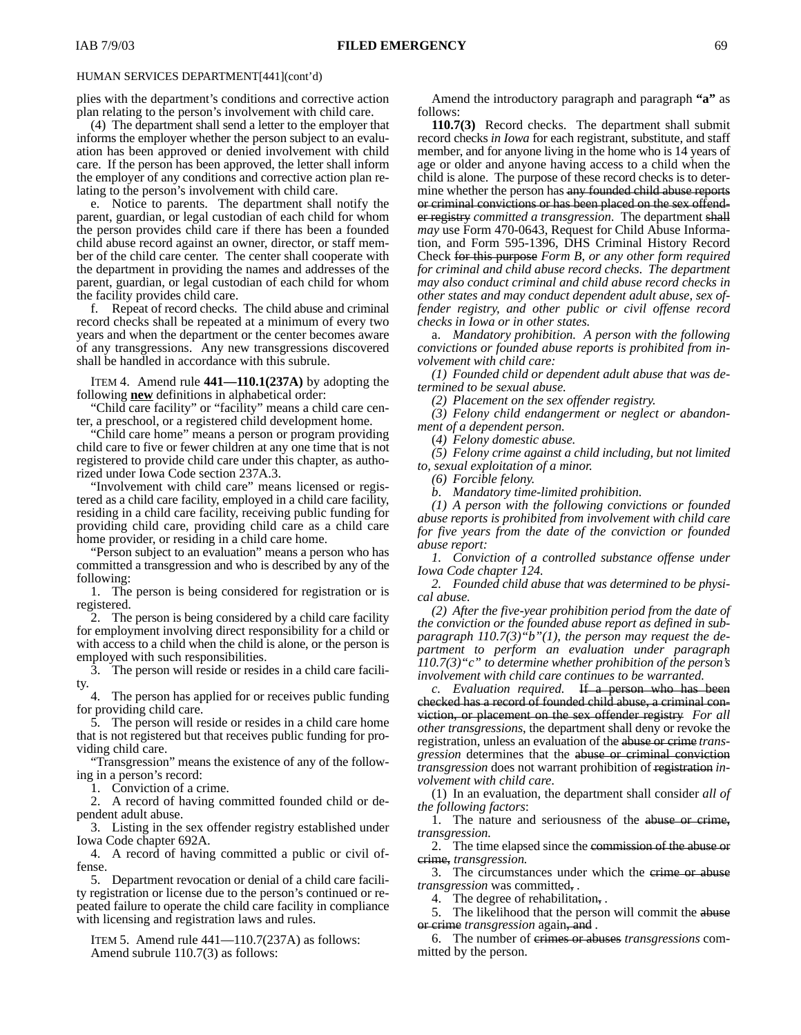plies with the department's conditions and corrective action plan relating to the person's involvement with child care.

(4) The department shall send a letter to the employer that informs the employer whether the person subject to an evaluation has been approved or denied involvement with child care. If the person has been approved, the letter shall inform the employer of any conditions and corrective action plan relating to the person's involvement with child care.

e. Notice to parents. The department shall notify the parent, guardian, or legal custodian of each child for whom the person provides child care if there has been a founded child abuse record against an owner, director, or staff member of the child care center. The center shall cooperate with the department in providing the names and addresses of the parent, guardian, or legal custodian of each child for whom the facility provides child care.

f. Repeat of record checks. The child abuse and criminal record checks shall be repeated at a minimum of every two years and when the department or the center becomes aware of any transgressions. Any new transgressions discovered shall be handled in accordance with this subrule.

ITEM 4. Amend rule **441—110.1(237A)** by adopting the following **new** definitions in alphabetical order:

"Child care facility" or "facility" means a child care center, a preschool, or a registered child development home.

"Child care home" means a person or program providing child care to five or fewer children at any one time that is not registered to provide child care under this chapter, as authorized under Iowa Code section 237A.3.

"Involvement with child care" means licensed or registered as a child care facility, employed in a child care facility, residing in a child care facility, receiving public funding for providing child care, providing child care as a child care home provider, or residing in a child care home.

"Person subject to an evaluation" means a person who has committed a transgression and who is described by any of the following:

1. The person is being considered for registration or is registered.

2. The person is being considered by a child care facility for employment involving direct responsibility for a child or with access to a child when the child is alone, or the person is employed with such responsibilities.

3. The person will reside or resides in a child care facility.

4. The person has applied for or receives public funding for providing child care.

5. The person will reside or resides in a child care home that is not registered but that receives public funding for providing child care.

"Transgression" means the existence of any of the following in a person's record:

1. Conviction of a crime.

2. A record of having committed founded child or dependent adult abuse.

3. Listing in the sex offender registry established under Iowa Code chapter 692A.

4. A record of having committed a public or civil offense.

5. Department revocation or denial of a child care facility registration or license due to the person's continued or repeated failure to operate the child care facility in compliance with licensing and registration laws and rules.

ITEM 5. Amend rule  $441-110.7(237A)$  as follows: Amend subrule 110.7(3) as follows:

Amend the introductory paragraph and paragraph **"a"** as follows:

**110.7(3)** Record checks. The department shall submit record checks *in Iowa* for each registrant, substitute, and staff member, and for anyone living in the home who is 14 years of age or older and anyone having access to a child when the child is alone. The purpose of these record checks is to determine whether the person has any founded child abuse reports or criminal convictions or has been placed on the sex offender registry *committed a transgression*. The department shall *may* use Form 470-0643, Request for Child Abuse Information, and Form 595-1396, DHS Criminal History Record Check for this purpose *Form B*, *or any other form required for criminal and child abuse record checks*. *The department may also conduct criminal and child abuse record checks in other states and may conduct dependent adult abuse, sex offender registry, and other public or civil offense record checks in Iowa or in other states.*

a. *Mandatory prohibition. A person with the following convictions or founded abuse reports is prohibited from involvement with child care:*

*(1) Founded child or dependent adult abuse that was determined to be sexual abuse.*

*(2) Placement on the sex offender registry.*

*(3) Felony child endangerment or neglect or abandonment of a dependent person.*

(*4) Felony domestic abuse.*

*(5) Felony crime against a child including, but not limited to, sexual exploitation of a minor.*

*(6) Forcible felony.*

*b*. *Mandatory time-limited prohibition.*

*(1) A person with the following convictions or founded abuse reports is prohibited from involvement with child care for five years from the date of the conviction or founded abuse report:*

*1. Conviction of a controlled substance offense under Iowa Code chapter 124.*

*2. Founded child abuse that was determined to be physical abuse.*

*(2) After the five-year prohibition period from the date of the conviction or the founded abuse report as defined in subparagraph 110.7(3)"b"(1), the person may request the department to perform an evaluation under paragraph 110.7(3)"c" to determine whether prohibition of the person's involvement with child care continues to be warranted.*

*c. Evaluation required.* If a person who has been checked has a record of founded child abuse, a criminal conviction, or placement on the sex offender registry *For all other transgressions*, the department shall deny or revoke the registration, unless an evaluation of the abuse or crime *transgression* determines that the abuse or criminal conviction *transgression* does not warrant prohibition of registration *involvement with child care*.

(1) In an evaluation, the department shall consider *all of the following factors*:

1. The nature and seriousness of the abuse or crime, *transgression.*

2. The time elapsed since the commission of the abuse or crime, *transgression.*

3. The circumstances under which the erime or abuse *transgression* was committed, *.*

4. The degree of rehabilitation, *.*

5. The likelihood that the person will commit the abuse or crime *transgression* again, and *.*

6. The number of crimes or abuses *transgressions* committed by the person.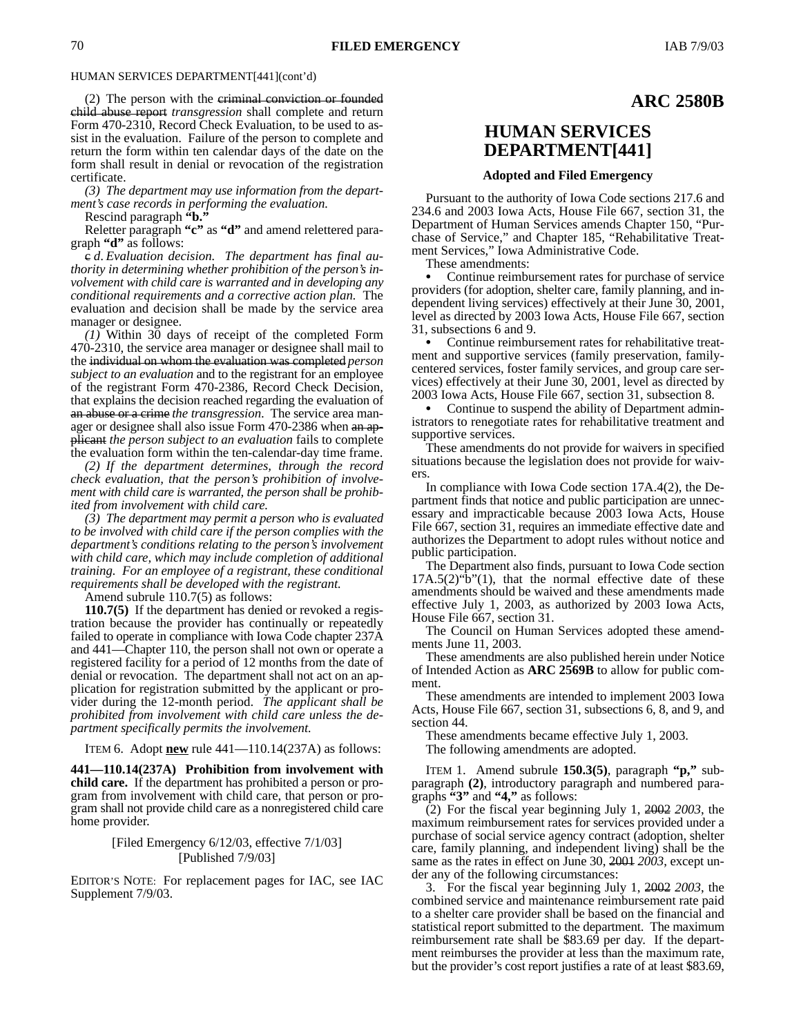(2) The person with the criminal conviction or founded child abuse report *transgression* shall complete and return Form 470-2310, Record Check Evaluation, to be used to assist in the evaluation. Failure of the person to complete and return the form within ten calendar days of the date on the form shall result in denial or revocation of the registration certificate.

*(3) The department may use information from the department's case records in performing the evaluation.*

Rescind paragraph **"b."**

Reletter paragraph **"c"** as **"d"** and amend relettered paragraph **"d"** as follows:

c *d*. *Evaluation decision. The department has final authority in determining whether prohibition of the person's involvement with child care is warranted and in developing any conditional requirements and a corrective action plan.* The evaluation and decision shall be made by the service area manager or designee.

*(1)* Within 30 days of receipt of the completed Form 470-2310, the service area manager or designee shall mail to the individual on whom the evaluation was completed *person subject to an evaluation* and to the registrant for an employee of the registrant Form 470-2386, Record Check Decision, that explains the decision reached regarding the evaluation of an abuse or a crime *the transgression*. The service area manager or designee shall also issue Form 470-2386 when an applicant *the person subject to an evaluation* fails to complete the evaluation form within the ten-calendar-day time frame.

*(2) If the department determines, through the record check evaluation, that the person's prohibition of involvement with child care is warranted, the person shall be prohibited from involvement with child care.*

*(3) The department may permit a person who is evaluated to be involved with child care if the person complies with the department's conditions relating to the person's involvement with child care, which may include completion of additional training. For an employee of a registrant, these conditional requirements shall be developed with the registrant.*

Amend subrule 110.7(5) as follows:

**110.7(5)** If the department has denied or revoked a registration because the provider has continually or repeatedly failed to operate in compliance with Iowa Code chapter 237A and 441—Chapter 110, the person shall not own or operate a registered facility for a period of 12 months from the date of denial or revocation. The department shall not act on an application for registration submitted by the applicant or provider during the 12-month period. *The applicant shall be prohibited from involvement with child care unless the department specifically permits the involvement.*

ITEM 6. Adopt **new** rule 441—110.14(237A) as follows:

**441—110.14(237A) Prohibition from involvement with child care.** If the department has prohibited a person or program from involvement with child care, that person or program shall not provide child care as a nonregistered child care home provider.

### [Filed Emergency 6/12/03, effective 7/1/03] [Published 7/9/03]

EDITOR'S NOTE: For replacement pages for IAC, see IAC Supplement 7/9/03.

### **ARC 2580B**

# **HUMAN SERVICES DEPARTMENT[441]**

#### **Adopted and Filed Emergency**

Pursuant to the authority of Iowa Code sections 217.6 and 234.6 and 2003 Iowa Acts, House File 667, section 31, the Department of Human Services amends Chapter 150, "Purchase of Service," and Chapter 185, "Rehabilitative Treatment Services," Iowa Administrative Code.

These amendments:

 Continue reimbursement rates for purchase of service providers (for adoption, shelter care, family planning, and independent living services) effectively at their June 30, 2001, level as directed by 2003 Iowa Acts, House File 667, section 31, subsections 6 and 9.

 Continue reimbursement rates for rehabilitative treatment and supportive services (family preservation, familycentered services, foster family services, and group care services) effectively at their June 30, 2001, level as directed by 2003 Iowa Acts, House File 667, section 31, subsection 8.

 Continue to suspend the ability of Department administrators to renegotiate rates for rehabilitative treatment and supportive services.

These amendments do not provide for waivers in specified situations because the legislation does not provide for waivers.

In compliance with Iowa Code section 17A.4(2), the Department finds that notice and public participation are unnecessary and impracticable because 2003 Iowa Acts, House File 667, section 31, requires an immediate effective date and authorizes the Department to adopt rules without notice and public participation.

The Department also finds, pursuant to Iowa Code section  $17A.5(2)$ "b" $(1)$ , that the normal effective date of these amendments should be waived and these amendments made effective July 1, 2003, as authorized by 2003 Iowa Acts, House File 667, section 31.

The Council on Human Services adopted these amendments June 11, 2003.

These amendments are also published herein under Notice of Intended Action as **ARC 2569B** to allow for public comment.

These amendments are intended to implement 2003 Iowa Acts, House File 667, section 31, subsections 6, 8, and 9, and section 44.

These amendments became effective July 1, 2003.

The following amendments are adopted.

ITEM 1. Amend subrule **150.3(5)**, paragraph **"p,"** subparagraph **(2)**, introductory paragraph and numbered paragraphs **"3"** and **"4,"** as follows:

(2) For the fiscal year beginning July 1, 2002 *2003*, the maximum reimbursement rates for services provided under a purchase of social service agency contract (adoption, shelter care, family planning, and independent living) shall be the same as the rates in effect on June 30, 2001 *2003*, except under any of the following circumstances:

3. For the fiscal year beginning July 1, 2002 *2003*, the combined service and maintenance reimbursement rate paid to a shelter care provider shall be based on the financial and statistical report submitted to the department. The maximum reimbursement rate shall be \$83.69 per day. If the department reimburses the provider at less than the maximum rate, but the provider's cost report justifies a rate of at least \$83.69,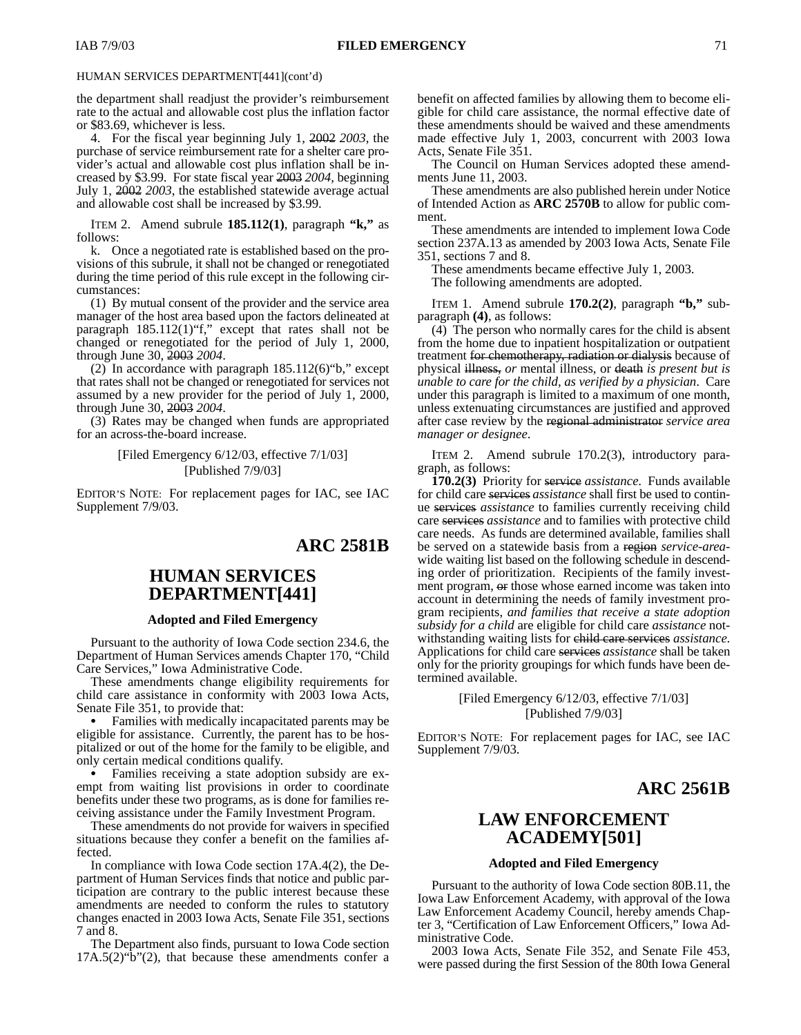the department shall readjust the provider's reimbursement rate to the actual and allowable cost plus the inflation factor or \$83.69, whichever is less.

4. For the fiscal year beginning July 1, 2002 *2003*, the purchase of service reimbursement rate for a shelter care provider's actual and allowable cost plus inflation shall be increased by \$3.99. For state fiscal year 2003 *2004*, beginning July 1, 2002 *2003*, the established statewide average actual and allowable cost shall be increased by \$3.99.

ITEM 2. Amend subrule **185.112(1)**, paragraph **"k,"** as follows:

k. Once a negotiated rate is established based on the provisions of this subrule, it shall not be changed or renegotiated during the time period of this rule except in the following circumstances:

(1) By mutual consent of the provider and the service area manager of the host area based upon the factors delineated at paragraph 185.112(1)"f," except that rates shall not be changed or renegotiated for the period of July 1, 2000, through June 30, 2003 *2004*.

(2) In accordance with paragraph  $185.112(6)$  "b," except that rates shall not be changed or renegotiated for services not assumed by a new provider for the period of July 1, 2000, through June 30, 2003 *2004*.

(3) Rates may be changed when funds are appropriated for an across-the-board increase.

> [Filed Emergency 6/12/03, effective 7/1/03] [Published 7/9/03]

EDITOR'S NOTE: For replacement pages for IAC, see IAC Supplement 7/9/03.

### **ARC 2581B**

# **HUMAN SERVICES DEPARTMENT[441]**

#### **Adopted and Filed Emergency**

Pursuant to the authority of Iowa Code section 234.6, the Department of Human Services amends Chapter 170, "Child Care Services," Iowa Administrative Code.

These amendments change eligibility requirements for child care assistance in conformity with 2003 Iowa Acts, Senate File 351, to provide that:

 Families with medically incapacitated parents may be eligible for assistance. Currently, the parent has to be hospitalized or out of the home for the family to be eligible, and only certain medical conditions qualify.

 Families receiving a state adoption subsidy are exempt from waiting list provisions in order to coordinate benefits under these two programs, as is done for families receiving assistance under the Family Investment Program.

These amendments do not provide for waivers in specified situations because they confer a benefit on the families affected.

In compliance with Iowa Code section 17A.4(2), the Department of Human Services finds that notice and public participation are contrary to the public interest because these amendments are needed to conform the rules to statutory changes enacted in 2003 Iowa Acts, Senate File 351, sections 7 and 8.

The Department also finds, pursuant to Iowa Code section  $17A.5(2)$ "b" $(2)$ , that because these amendments confer a benefit on affected families by allowing them to become eligible for child care assistance, the normal effective date of these amendments should be waived and these amendments made effective July 1, 2003, concurrent with 2003 Iowa Acts, Senate File 351.

The Council on Human Services adopted these amendments June 11, 2003.

These amendments are also published herein under Notice of Intended Action as **ARC 2570B** to allow for public comment.

These amendments are intended to implement Iowa Code section 237A.13 as amended by 2003 Iowa Acts, Senate File 351, sections 7 and 8.

These amendments became effective July 1, 2003. The following amendments are adopted.

ITEM 1. Amend subrule **170.2(2)**, paragraph **"b,"** subparagraph **(4)**, as follows:

(4) The person who normally cares for the child is absent from the home due to inpatient hospitalization or outpatient treatment for chemotherapy, radiation or dialysis because of physical illness, *or* mental illness, or death *is present but is unable to care for the child, as verified by a physician*. Care under this paragraph is limited to a maximum of one month, unless extenuating circumstances are justified and approved after case review by the regional administrator *service area manager or designee*.

ITEM 2. Amend subrule 170.2(3), introductory paragraph, as follows:

**170.2(3)** Priority for service *assistance*. Funds available for child care services *assistance* shall first be used to continue services *assistance* to families currently receiving child care services *assistance* and to families with protective child care needs. As funds are determined available, families shall be served on a statewide basis from a region *service-area*wide waiting list based on the following schedule in descending order of prioritization. Recipients of the family investment program, or those whose earned income was taken into account in determining the needs of family investment program recipients, *and families that receive a state adoption subsidy for a child* are eligible for child care *assistance* notwithstanding waiting lists for child care services *assistance*. Applications for child care services *assistance* shall be taken only for the priority groupings for which funds have been determined available.

> [Filed Emergency 6/12/03, effective 7/1/03] [Published 7/9/03]

EDITOR'S NOTE: For replacement pages for IAC, see IAC Supplement 7/9/03.

**ARC 2561B**

# **LAW ENFORCEMENT ACADEMY[501]**

### **Adopted and Filed Emergency**

Pursuant to the authority of Iowa Code section 80B.11, the Iowa Law Enforcement Academy, with approval of the Iowa Law Enforcement Academy Council, hereby amends Chapter 3, "Certification of Law Enforcement Officers," Iowa Administrative Code.

2003 Iowa Acts, Senate File 352, and Senate File 453, were passed during the first Session of the 80th Iowa General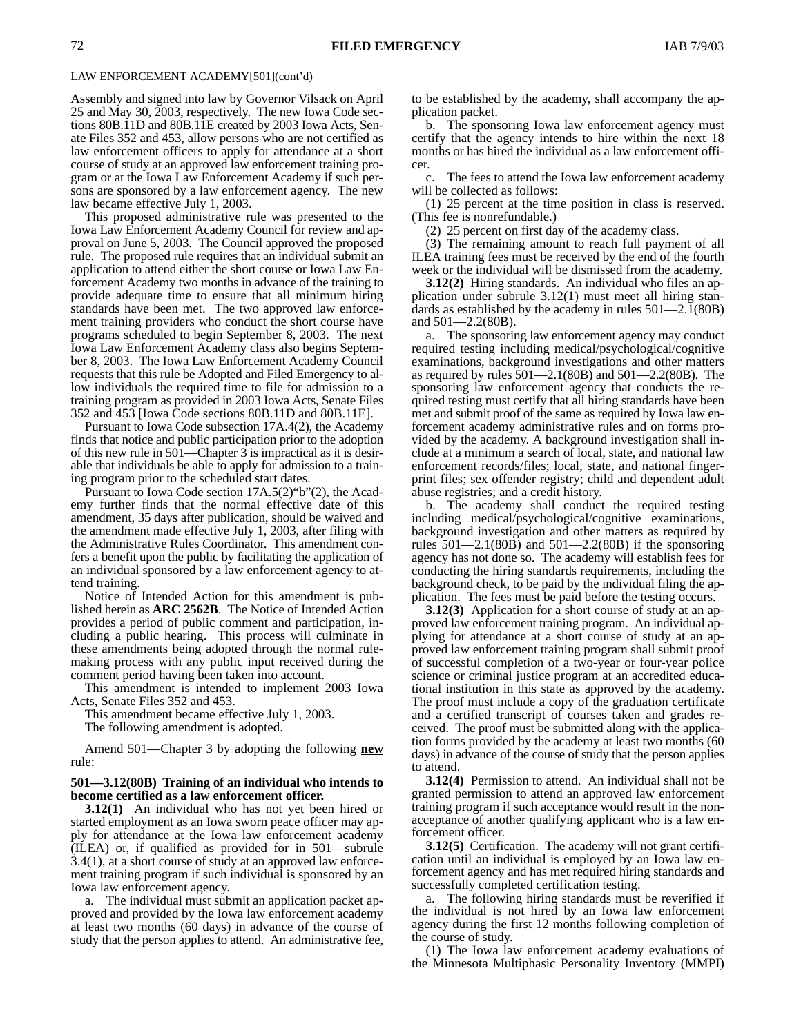### LAW ENFORCEMENT ACADEMY[501](cont'd)

Assembly and signed into law by Governor Vilsack on April 25 and May 30, 2003, respectively. The new Iowa Code sections 80B.11D and 80B.11E created by 2003 Iowa Acts, Senate Files 352 and 453, allow persons who are not certified as law enforcement officers to apply for attendance at a short course of study at an approved law enforcement training program or at the Iowa Law Enforcement Academy if such persons are sponsored by a law enforcement agency. The new law became effective July 1, 2003.

This proposed administrative rule was presented to the Iowa Law Enforcement Academy Council for review and approval on June 5, 2003. The Council approved the proposed rule. The proposed rule requires that an individual submit an application to attend either the short course or Iowa Law Enforcement Academy two months in advance of the training to provide adequate time to ensure that all minimum hiring standards have been met. The two approved law enforcement training providers who conduct the short course have programs scheduled to begin September 8, 2003. The next Iowa Law Enforcement Academy class also begins September 8, 2003. The Iowa Law Enforcement Academy Council requests that this rule be Adopted and Filed Emergency to allow individuals the required time to file for admission to a training program as provided in 2003 Iowa Acts, Senate Files 352 and 453 [Iowa Code sections 80B.11D and 80B.11E].

Pursuant to Iowa Code subsection 17A.4(2), the Academy finds that notice and public participation prior to the adoption of this new rule in 501—Chapter 3 is impractical as it is desirable that individuals be able to apply for admission to a training program prior to the scheduled start dates.

Pursuant to Iowa Code section 17A.5(2)"b"(2), the Academy further finds that the normal effective date of this amendment, 35 days after publication, should be waived and the amendment made effective July 1, 2003, after filing with the Administrative Rules Coordinator. This amendment confers a benefit upon the public by facilitating the application of an individual sponsored by a law enforcement agency to attend training.

Notice of Intended Action for this amendment is published herein as **ARC 2562B**. The Notice of Intended Action provides a period of public comment and participation, including a public hearing. This process will culminate in these amendments being adopted through the normal rulemaking process with any public input received during the comment period having been taken into account.

This amendment is intended to implement 2003 Iowa Acts, Senate Files 352 and 453.

This amendment became effective July 1, 2003.

The following amendment is adopted.

Amend 501—Chapter 3 by adopting the following **new** rule:

### **501—3.12(80B) Training of an individual who intends to become certified as a law enforcement officer.**

**3.12(1)** An individual who has not yet been hired or started employment as an Iowa sworn peace officer may apply for attendance at the Iowa law enforcement academy (ILEA) or, if qualified as provided for in 501—subrule 3.4(1), at a short course of study at an approved law enforcement training program if such individual is sponsored by an Iowa law enforcement agency.

a. The individual must submit an application packet approved and provided by the Iowa law enforcement academy at least two months (60 days) in advance of the course of study that the person applies to attend. An administrative fee, to be established by the academy, shall accompany the application packet.

b. The sponsoring Iowa law enforcement agency must certify that the agency intends to hire within the next 18 months or has hired the individual as a law enforcement officer.

c. The fees to attend the Iowa law enforcement academy will be collected as follows:

(1) 25 percent at the time position in class is reserved. (This fee is nonrefundable.)

(2) 25 percent on first day of the academy class.

(3) The remaining amount to reach full payment of all ILEA training fees must be received by the end of the fourth week or the individual will be dismissed from the academy.

**3.12(2)** Hiring standards. An individual who files an application under subrule 3.12(1) must meet all hiring standards as established by the academy in rules 501—2.1(80B) and 501—2.2(80B).

a. The sponsoring law enforcement agency may conduct required testing including medical/psychological/cognitive examinations, background investigations and other matters as required by rules 501—2.1(80B) and 501—2.2(80B). The sponsoring law enforcement agency that conducts the required testing must certify that all hiring standards have been met and submit proof of the same as required by Iowa law enforcement academy administrative rules and on forms provided by the academy. A background investigation shall include at a minimum a search of local, state, and national law enforcement records/files; local, state, and national fingerprint files; sex offender registry; child and dependent adult abuse registries; and a credit history.

b. The academy shall conduct the required testing including medical/psychological/cognitive examinations, background investigation and other matters as required by rules  $501 - 2.1(80B)$  and  $501 - 2.2(80B)$  if the sponsoring agency has not done so. The academy will establish fees for conducting the hiring standards requirements, including the background check, to be paid by the individual filing the application. The fees must be paid before the testing occurs.

**3.12(3)** Application for a short course of study at an approved law enforcement training program. An individual applying for attendance at a short course of study at an approved law enforcement training program shall submit proof of successful completion of a two-year or four-year police science or criminal justice program at an accredited educational institution in this state as approved by the academy. The proof must include a copy of the graduation certificate and a certified transcript of courses taken and grades received. The proof must be submitted along with the application forms provided by the academy at least two months (60 days) in advance of the course of study that the person applies to attend.

**3.12(4)** Permission to attend. An individual shall not be granted permission to attend an approved law enforcement training program if such acceptance would result in the nonacceptance of another qualifying applicant who is a law enforcement officer.

**3.12(5)** Certification. The academy will not grant certification until an individual is employed by an Iowa law enforcement agency and has met required hiring standards and successfully completed certification testing.

a. The following hiring standards must be reverified if the individual is not hired by an Iowa law enforcement agency during the first 12 months following completion of the course of study.

(1) The Iowa law enforcement academy evaluations of the Minnesota Multiphasic Personality Inventory (MMPI)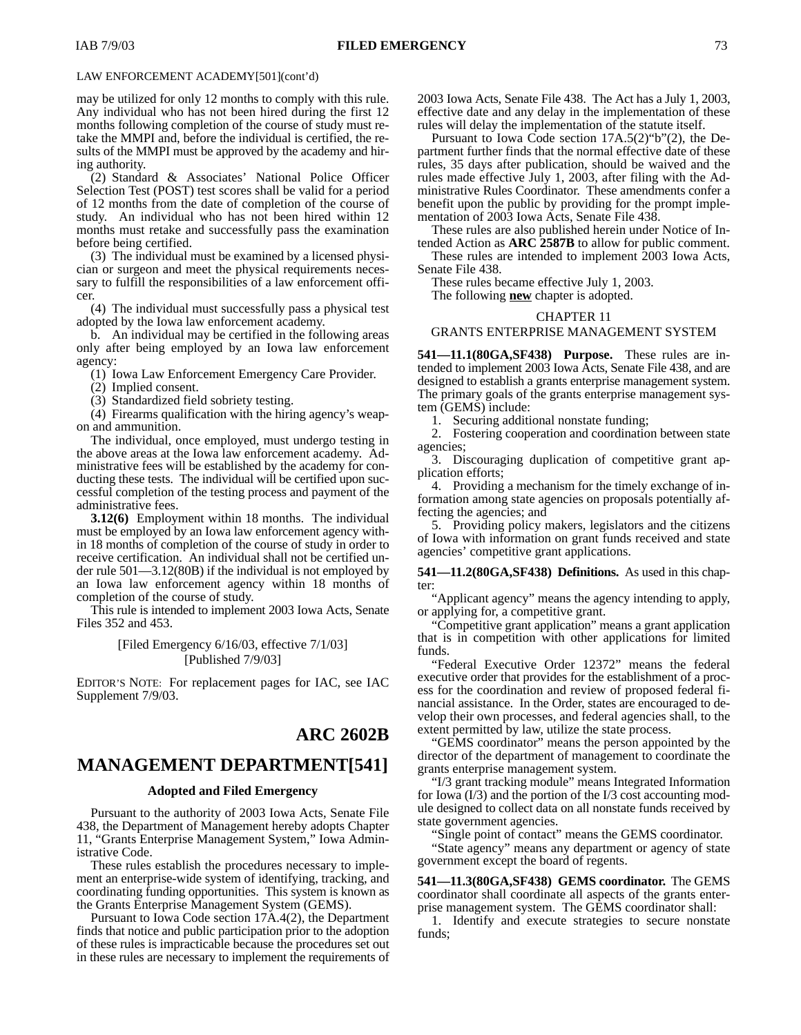### LAW ENFORCEMENT ACADEMY[501](cont'd)

may be utilized for only 12 months to comply with this rule. Any individual who has not been hired during the first 12 months following completion of the course of study must retake the MMPI and, before the individual is certified, the results of the MMPI must be approved by the academy and hiring authority.

(2) Standard & Associates' National Police Officer Selection Test (POST) test scores shall be valid for a period of 12 months from the date of completion of the course of study. An individual who has not been hired within 12 months must retake and successfully pass the examination before being certified.

(3) The individual must be examined by a licensed physician or surgeon and meet the physical requirements necessary to fulfill the responsibilities of a law enforcement officer.

(4) The individual must successfully pass a physical test adopted by the Iowa law enforcement academy.

b. An individual may be certified in the following areas only after being employed by an Iowa law enforcement agency:

(1) Iowa Law Enforcement Emergency Care Provider.

(2) Implied consent.

(3) Standardized field sobriety testing.

(4) Firearms qualification with the hiring agency's weapon and ammunition.

The individual, once employed, must undergo testing in the above areas at the Iowa law enforcement academy. Administrative fees will be established by the academy for conducting these tests. The individual will be certified upon successful completion of the testing process and payment of the administrative fees.

**3.12(6)** Employment within 18 months. The individual must be employed by an Iowa law enforcement agency within 18 months of completion of the course of study in order to receive certification. An individual shall not be certified under rule 501—3.12(80B) if the individual is not employed by an Iowa law enforcement agency within 18 months of completion of the course of study.

This rule is intended to implement 2003 Iowa Acts, Senate Files 352 and 453.

## [Filed Emergency 6/16/03, effective 7/1/03] [Published 7/9/03]

EDITOR'S NOTE: For replacement pages for IAC, see IAC Supplement 7/9/03.

## **ARC 2602B**

# **MANAGEMENT DEPARTMENT[541]**

### **Adopted and Filed Emergency**

Pursuant to the authority of 2003 Iowa Acts, Senate File 438, the Department of Management hereby adopts Chapter 11, "Grants Enterprise Management System," Iowa Administrative Code.

These rules establish the procedures necessary to implement an enterprise-wide system of identifying, tracking, and coordinating funding opportunities. This system is known as the Grants Enterprise Management System (GEMS).

Pursuant to Iowa Code section 17A.4(2), the Department finds that notice and public participation prior to the adoption of these rules is impracticable because the procedures set out in these rules are necessary to implement the requirements of 2003 Iowa Acts, Senate File 438. The Act has a July 1, 2003, effective date and any delay in the implementation of these rules will delay the implementation of the statute itself.

Pursuant to Iowa Code section 17A.5(2)"b"(2), the Department further finds that the normal effective date of these rules, 35 days after publication, should be waived and the rules made effective July 1, 2003, after filing with the Administrative Rules Coordinator. These amendments confer a benefit upon the public by providing for the prompt implementation of 2003 Iowa Acts, Senate File 438.

These rules are also published herein under Notice of Intended Action as **ARC 2587B** to allow for public comment.

These rules are intended to implement 2003 Iowa Acts, Senate File 438.

These rules became effective July 1, 2003.

The following **new** chapter is adopted.

#### CHAPTER 11

### GRANTS ENTERPRISE MANAGEMENT SYSTEM

**541—11.1(80GA,SF438) Purpose.** These rules are intended to implement 2003 Iowa Acts, Senate File 438, and are designed to establish a grants enterprise management system. The primary goals of the grants enterprise management system (GEMS) include:

1. Securing additional nonstate funding;

2. Fostering cooperation and coordination between state agencies;

3. Discouraging duplication of competitive grant application efforts;

4. Providing a mechanism for the timely exchange of information among state agencies on proposals potentially affecting the agencies; and

5. Providing policy makers, legislators and the citizens of Iowa with information on grant funds received and state agencies' competitive grant applications.

**541—11.2(80GA,SF438) Definitions.** As used in this chapter:

"Applicant agency" means the agency intending to apply, or applying for, a competitive grant.

"Competitive grant application" means a grant application that is in competition with other applications for limited funds.

"Federal Executive Order 12372" means the federal executive order that provides for the establishment of a process for the coordination and review of proposed federal financial assistance. In the Order, states are encouraged to develop their own processes, and federal agencies shall, to the extent permitted by law, utilize the state process.

"GEMS coordinator" means the person appointed by the director of the department of management to coordinate the grants enterprise management system.

"I/3 grant tracking module" means Integrated Information for Iowa (I/3) and the portion of the I/3 cost accounting module designed to collect data on all nonstate funds received by state government agencies.

Single point of contact" means the GEMS coordinator.

"State agency" means any department or agency of state government except the board of regents.

**541—11.3(80GA,SF438) GEMS coordinator.** The GEMS coordinator shall coordinate all aspects of the grants enterprise management system. The GEMS coordinator shall:

1. Identify and execute strategies to secure nonstate funds;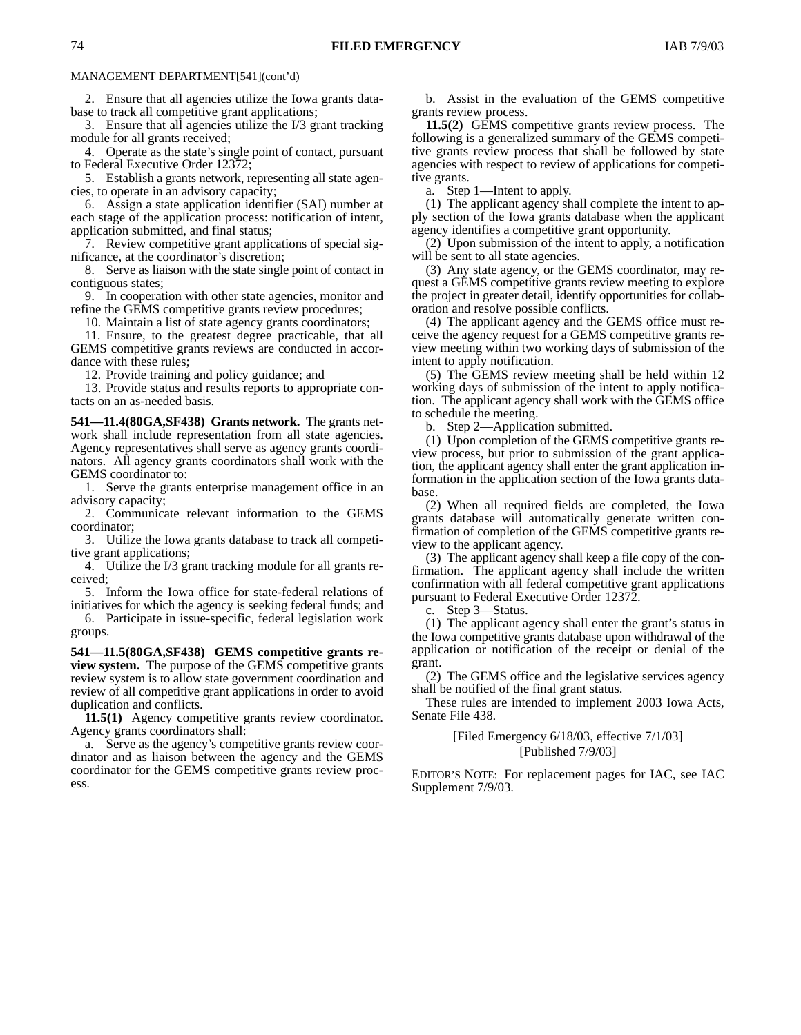### MANAGEMENT DEPARTMENT[541](cont'd)

2. Ensure that all agencies utilize the Iowa grants database to track all competitive grant applications;

3. Ensure that all agencies utilize the I/3 grant tracking module for all grants received;

4. Operate as the state's single point of contact, pursuant to Federal Executive Order 12372;

5. Establish a grants network, representing all state agencies, to operate in an advisory capacity;

6. Assign a state application identifier (SAI) number at each stage of the application process: notification of intent, application submitted, and final status;

7. Review competitive grant applications of special significance, at the coordinator's discretion;

8. Serve as liaison with the state single point of contact in contiguous states;

9. In cooperation with other state agencies, monitor and refine the GEMS competitive grants review procedures;

10. Maintain a list of state agency grants coordinators;

11. Ensure, to the greatest degree practicable, that all GEMS competitive grants reviews are conducted in accordance with these rules;

12. Provide training and policy guidance; and

13. Provide status and results reports to appropriate contacts on an as-needed basis.

**541—11.4(80GA,SF438) Grants network.** The grants network shall include representation from all state agencies. Agency representatives shall serve as agency grants coordinators. All agency grants coordinators shall work with the GEMS coordinator to:

1. Serve the grants enterprise management office in an advisory capacity;

2. Communicate relevant information to the GEMS coordinator;

3. Utilize the Iowa grants database to track all competitive grant applications;

4. Utilize the I/3 grant tracking module for all grants received;

5. Inform the Iowa office for state-federal relations of initiatives for which the agency is seeking federal funds; and

6. Participate in issue-specific, federal legislation work groups.

**541—11.5(80GA,SF438) GEMS competitive grants review system.** The purpose of the GEMS competitive grants review system is to allow state government coordination and review of all competitive grant applications in order to avoid duplication and conflicts.

**11.5(1)** Agency competitive grants review coordinator. Agency grants coordinators shall:

a. Serve as the agency's competitive grants review coordinator and as liaison between the agency and the GEMS coordinator for the GEMS competitive grants review process.

b. Assist in the evaluation of the GEMS competitive grants review process.

**11.5(2)** GEMS competitive grants review process. The following is a generalized summary of the GEMS competitive grants review process that shall be followed by state agencies with respect to review of applications for competitive grants.

a. Step 1—Intent to apply.

(1) The applicant agency shall complete the intent to apply section of the Iowa grants database when the applicant agency identifies a competitive grant opportunity.

(2) Upon submission of the intent to apply, a notification will be sent to all state agencies.

(3) Any state agency, or the GEMS coordinator, may request a GEMS competitive grants review meeting to explore the project in greater detail, identify opportunities for collaboration and resolve possible conflicts.

(4) The applicant agency and the GEMS office must receive the agency request for a GEMS competitive grants review meeting within two working days of submission of the intent to apply notification.

(5) The GEMS review meeting shall be held within 12 working days of submission of the intent to apply notification. The applicant agency shall work with the GEMS office to schedule the meeting.

b. Step 2—Application submitted.

(1) Upon completion of the GEMS competitive grants review process, but prior to submission of the grant application, the applicant agency shall enter the grant application information in the application section of the Iowa grants database.

(2) When all required fields are completed, the Iowa grants database will automatically generate written confirmation of completion of the GEMS competitive grants review to the applicant agency.

(3) The applicant agency shall keep a file copy of the confirmation. The applicant agency shall include the written confirmation with all federal competitive grant applications pursuant to Federal Executive Order 12372.

c. Step 3—Status.

(1) The applicant agency shall enter the grant's status in the Iowa competitive grants database upon withdrawal of the application or notification of the receipt or denial of the grant.

(2) The GEMS office and the legislative services agency shall be notified of the final grant status.

These rules are intended to implement 2003 Iowa Acts, Senate File 438.

### [Filed Emergency 6/18/03, effective 7/1/03] [Published 7/9/03]

EDITOR'S NOTE: For replacement pages for IAC, see IAC Supplement 7/9/03.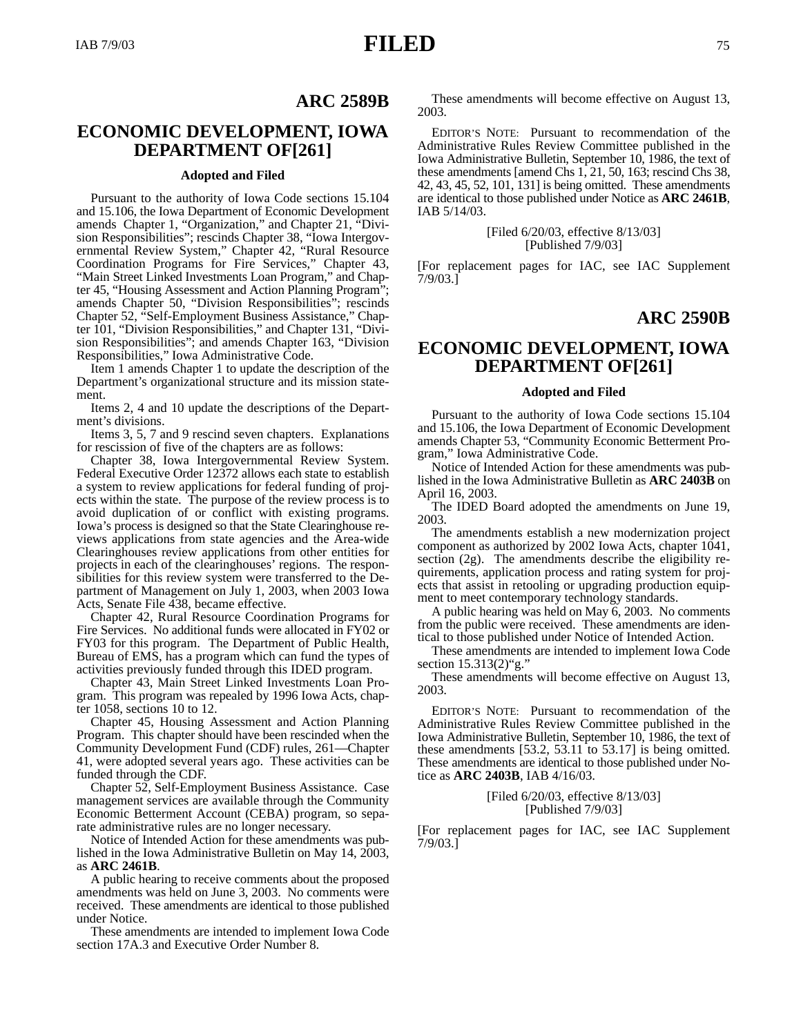## **ARC 2589B**

# **ECONOMIC DEVELOPMENT, IOWA DEPARTMENT OF[261]**

### **Adopted and Filed**

Pursuant to the authority of Iowa Code sections 15.104 and 15.106, the Iowa Department of Economic Development amends Chapter 1, "Organization," and Chapter 21, "Division Responsibilities"; rescinds Chapter 38, "Iowa Intergovernmental Review System," Chapter 42, "Rural Resource Coordination Programs for Fire Services," Chapter 43, "Main Street Linked Investments Loan Program," and Chapter 45, "Housing Assessment and Action Planning Program"; amends Chapter 50, "Division Responsibilities"; rescinds Chapter 52, "Self-Employment Business Assistance," Chapter 101, "Division Responsibilities," and Chapter 131, "Division Responsibilities"; and amends Chapter 163, "Division Responsibilities," Iowa Administrative Code.

Item 1 amends Chapter 1 to update the description of the Department's organizational structure and its mission statement.

Items 2, 4 and 10 update the descriptions of the Department's divisions.

Items 3, 5, 7 and 9 rescind seven chapters. Explanations for rescission of five of the chapters are as follows:

Chapter 38, Iowa Intergovernmental Review System. Federal Executive Order 12372 allows each state to establish a system to review applications for federal funding of projects within the state. The purpose of the review process is to avoid duplication of or conflict with existing programs. Iowa's process is designed so that the State Clearinghouse reviews applications from state agencies and the Area-wide Clearinghouses review applications from other entities for projects in each of the clearinghouses' regions. The responsibilities for this review system were transferred to the Department of Management on July 1, 2003, when 2003 Iowa Acts, Senate File 438, became effective.

Chapter 42, Rural Resource Coordination Programs for Fire Services. No additional funds were allocated in FY02 or FY03 for this program. The Department of Public Health, Bureau of EMS, has a program which can fund the types of activities previously funded through this IDED program.

Chapter 43, Main Street Linked Investments Loan Program. This program was repealed by 1996 Iowa Acts, chapter 1058, sections 10 to 12.

Chapter 45, Housing Assessment and Action Planning Program. This chapter should have been rescinded when the Community Development Fund (CDF) rules, 261—Chapter 41, were adopted several years ago. These activities can be funded through the CDF.

Chapter 52, Self-Employment Business Assistance. Case management services are available through the Community Economic Betterment Account (CEBA) program, so separate administrative rules are no longer necessary.

Notice of Intended Action for these amendments was published in the Iowa Administrative Bulletin on May 14, 2003, as **ARC 2461B**.

A public hearing to receive comments about the proposed amendments was held on June 3, 2003. No comments were received. These amendments are identical to those published under Notice.

These amendments are intended to implement Iowa Code section 17A.3 and Executive Order Number 8.

These amendments will become effective on August 13, 2003.

EDITOR'S NOTE: Pursuant to recommendation of the Administrative Rules Review Committee published in the Iowa Administrative Bulletin, September 10, 1986, the text of these amendments [amend Chs 1, 21, 50, 163; rescind Chs 38, 42, 43, 45, 52, 101, 131] is being omitted. These amendments are identical to those published under Notice as **ARC 2461B**, IAB 5/14/03.

### [Filed 6/20/03, effective 8/13/03] [Published 7/9/03]

[For replacement pages for IAC, see IAC Supplement 7/9/03.]

# **ARC 2590B**

# **ECONOMIC DEVELOPMENT, IOWA DEPARTMENT OF[261]**

#### **Adopted and Filed**

Pursuant to the authority of Iowa Code sections 15.104 and 15.106, the Iowa Department of Economic Development amends Chapter 53, "Community Economic Betterment Program," Iowa Administrative Code.

Notice of Intended Action for these amendments was published in the Iowa Administrative Bulletin as **ARC 2403B** on April 16, 2003.

The IDED Board adopted the amendments on June 19, 2003.

The amendments establish a new modernization project component as authorized by 2002 Iowa Acts, chapter 1041, section (2g). The amendments describe the eligibility requirements, application process and rating system for projects that assist in retooling or upgrading production equipment to meet contemporary technology standards.

A public hearing was held on May 6, 2003. No comments from the public were received. These amendments are identical to those published under Notice of Intended Action.

These amendments are intended to implement Iowa Code section 15.313(2)"g."

These amendments will become effective on August 13, 2003.

EDITOR'S NOTE: Pursuant to recommendation of the Administrative Rules Review Committee published in the Iowa Administrative Bulletin, September 10, 1986, the text of these amendments [53.2, 53.11 to 53.17] is being omitted. These amendments are identical to those published under Notice as **ARC 2403B**, IAB 4/16/03.

### [Filed 6/20/03, effective 8/13/03] [Published 7/9/03]

[For replacement pages for IAC, see IAC Supplement 7/9/03.]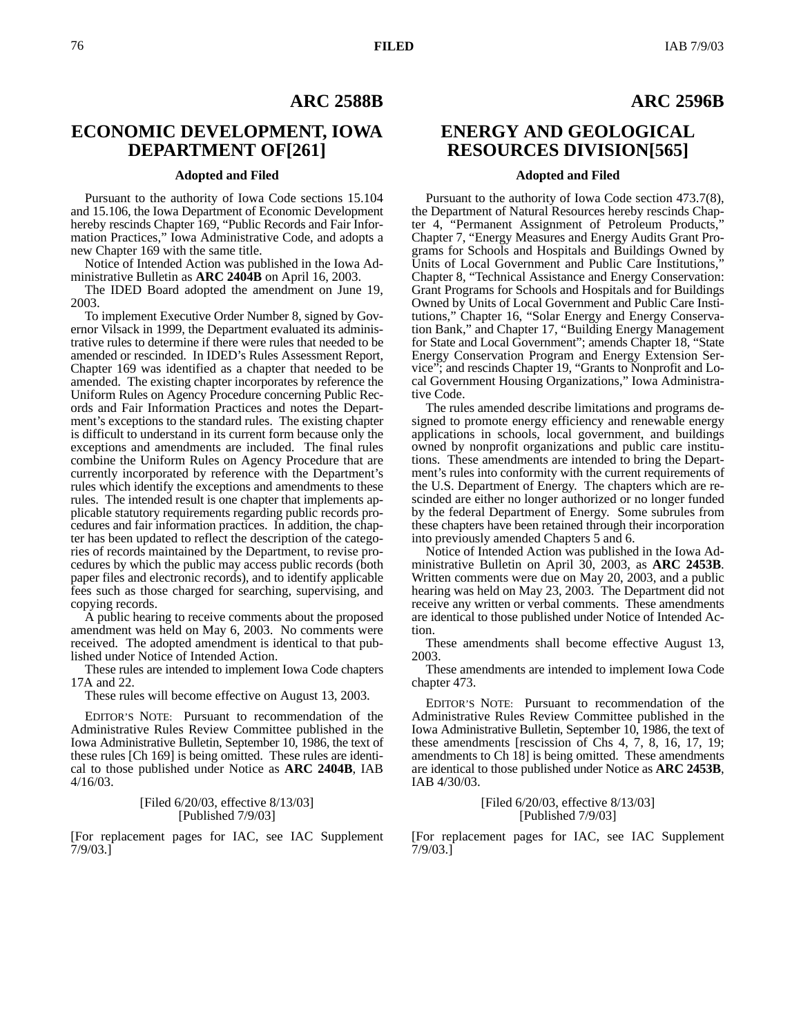# **ARC 2588B**

# **ECONOMIC DEVELOPMENT, IOWA DEPARTMENT OF[261]**

## **Adopted and Filed**

Pursuant to the authority of Iowa Code sections 15.104 and 15.106, the Iowa Department of Economic Development hereby rescinds Chapter 169, "Public Records and Fair Information Practices," Iowa Administrative Code, and adopts a new Chapter 169 with the same title.

Notice of Intended Action was published in the Iowa Administrative Bulletin as **ARC 2404B** on April 16, 2003.

The IDED Board adopted the amendment on June 19, 2003.

To implement Executive Order Number 8, signed by Governor Vilsack in 1999, the Department evaluated its administrative rules to determine if there were rules that needed to be amended or rescinded. In IDED's Rules Assessment Report, Chapter 169 was identified as a chapter that needed to be amended. The existing chapter incorporates by reference the Uniform Rules on Agency Procedure concerning Public Records and Fair Information Practices and notes the Department's exceptions to the standard rules. The existing chapter is difficult to understand in its current form because only the exceptions and amendments are included. The final rules combine the Uniform Rules on Agency Procedure that are currently incorporated by reference with the Department's rules which identify the exceptions and amendments to these rules. The intended result is one chapter that implements applicable statutory requirements regarding public records procedures and fair information practices. In addition, the chapter has been updated to reflect the description of the categories of records maintained by the Department, to revise procedures by which the public may access public records (both paper files and electronic records), and to identify applicable fees such as those charged for searching, supervising, and copying records.

A public hearing to receive comments about the proposed amendment was held on May 6, 2003. No comments were received. The adopted amendment is identical to that published under Notice of Intended Action.

These rules are intended to implement Iowa Code chapters 17A and 22.

These rules will become effective on August 13, 2003.

EDITOR'S NOTE: Pursuant to recommendation of the Administrative Rules Review Committee published in the Iowa Administrative Bulletin, September 10, 1986, the text of these rules [Ch 169] is being omitted. These rules are identical to those published under Notice as **ARC 2404B**, IAB 4/16/03.

### [Filed 6/20/03, effective 8/13/03] [Published 7/9/03]

[For replacement pages for IAC, see IAC Supplement  $7/9/03.$ ]

# **ARC 2596B**

# **ENERGY AND GEOLOGICAL RESOURCES DIVISION[565]**

### **Adopted and Filed**

Pursuant to the authority of Iowa Code section 473.7(8), the Department of Natural Resources hereby rescinds Chapter 4, "Permanent Assignment of Petroleum Products," Chapter 7, "Energy Measures and Energy Audits Grant Programs for Schools and Hospitals and Buildings Owned by Units of Local Government and Public Care Institutions, Chapter 8, "Technical Assistance and Energy Conservation: Grant Programs for Schools and Hospitals and for Buildings Owned by Units of Local Government and Public Care Institutions," Chapter 16, "Solar Energy and Energy Conservation Bank," and Chapter 17, "Building Energy Management for State and Local Government"; amends Chapter 18, "State Energy Conservation Program and Energy Extension Service"; and rescinds Chapter 19, "Grants to Nonprofit and Local Government Housing Organizations," Iowa Administrative Code.

The rules amended describe limitations and programs designed to promote energy efficiency and renewable energy applications in schools, local government, and buildings owned by nonprofit organizations and public care institutions. These amendments are intended to bring the Department's rules into conformity with the current requirements of the U.S. Department of Energy. The chapters which are rescinded are either no longer authorized or no longer funded by the federal Department of Energy. Some subrules from these chapters have been retained through their incorporation into previously amended Chapters 5 and 6.

Notice of Intended Action was published in the Iowa Administrative Bulletin on April 30, 2003, as **ARC 2453B**. Written comments were due on May 20, 2003, and a public hearing was held on May 23, 2003. The Department did not receive any written or verbal comments. These amendments are identical to those published under Notice of Intended Action.

These amendments shall become effective August 13, 2003.

These amendments are intended to implement Iowa Code chapter 473.

EDITOR'S NOTE: Pursuant to recommendation of the Administrative Rules Review Committee published in the Iowa Administrative Bulletin, September 10, 1986, the text of these amendments [rescission of Chs 4, 7, 8, 16, 17, 19; amendments to Ch 18] is being omitted. These amendments are identical to those published under Notice as **ARC 2453B**, IAB 4/30/03.

> [Filed 6/20/03, effective 8/13/03] [Published 7/9/03]

[For replacement pages for IAC, see IAC Supplement 7/9/03.]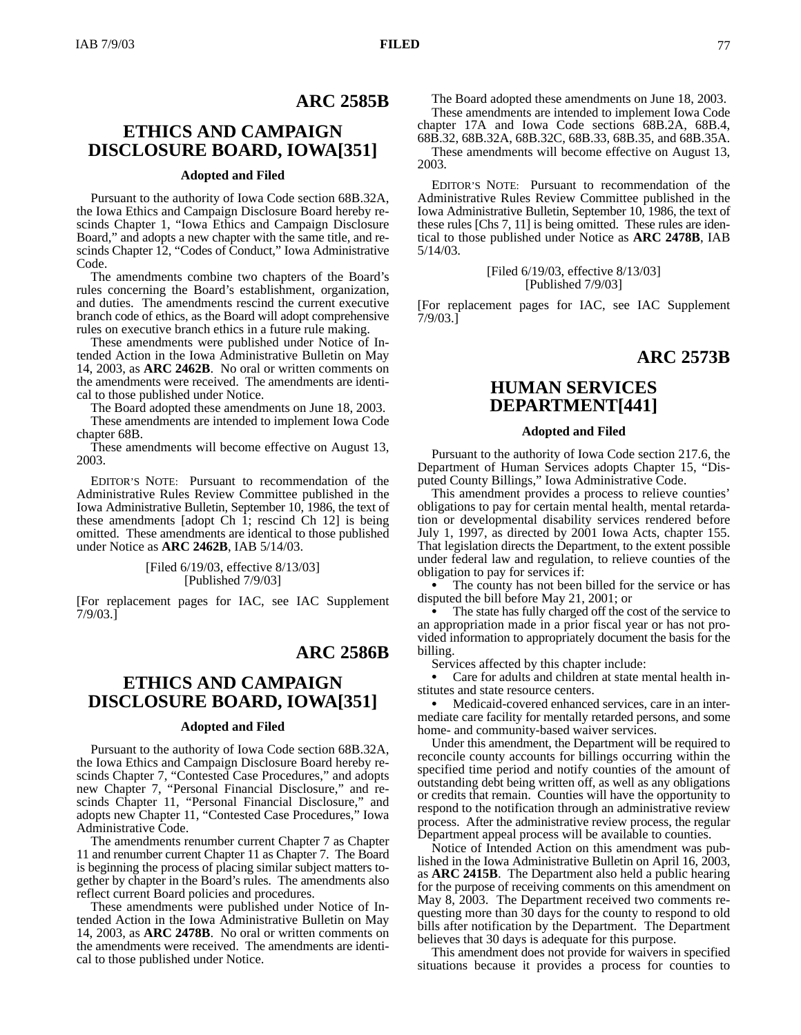# **ARC 2585B**

# **ETHICS AND CAMPAIGN DISCLOSURE BOARD, IOWA[351]**

### **Adopted and Filed**

Pursuant to the authority of Iowa Code section 68B.32A, the Iowa Ethics and Campaign Disclosure Board hereby rescinds Chapter 1, "Iowa Ethics and Campaign Disclosure Board," and adopts a new chapter with the same title, and rescinds Chapter 12, "Codes of Conduct," Iowa Administrative Code.

The amendments combine two chapters of the Board's rules concerning the Board's establishment, organization, and duties. The amendments rescind the current executive branch code of ethics, as the Board will adopt comprehensive rules on executive branch ethics in a future rule making.

These amendments were published under Notice of Intended Action in the Iowa Administrative Bulletin on May 14, 2003, as **ARC 2462B**. No oral or written comments on the amendments were received. The amendments are identical to those published under Notice.

The Board adopted these amendments on June 18, 2003.

These amendments are intended to implement Iowa Code chapter 68B.

These amendments will become effective on August 13, 2003.

EDITOR'S NOTE: Pursuant to recommendation of the Administrative Rules Review Committee published in the Iowa Administrative Bulletin, September 10, 1986, the text of these amendments [adopt Ch 1; rescind Ch 12] is being omitted. These amendments are identical to those published under Notice as **ARC 2462B**, IAB 5/14/03.

### [Filed 6/19/03, effective 8/13/03] [Published 7/9/03]

[For replacement pages for IAC, see IAC Supplement 7/9/03.]

# **ARC 2586B**

# **ETHICS AND CAMPAIGN DISCLOSURE BOARD, IOWA[351]**

#### **Adopted and Filed**

Pursuant to the authority of Iowa Code section 68B.32A, the Iowa Ethics and Campaign Disclosure Board hereby rescinds Chapter 7, "Contested Case Procedures," and adopts new Chapter 7, "Personal Financial Disclosure," and rescinds Chapter 11, "Personal Financial Disclosure," and adopts new Chapter 11, "Contested Case Procedures," Iowa Administrative Code.

The amendments renumber current Chapter 7 as Chapter 11 and renumber current Chapter 11 as Chapter 7. The Board is beginning the process of placing similar subject matters together by chapter in the Board's rules. The amendments also reflect current Board policies and procedures.

These amendments were published under Notice of Intended Action in the Iowa Administrative Bulletin on May 14, 2003, as **ARC 2478B**. No oral or written comments on the amendments were received. The amendments are identical to those published under Notice.

The Board adopted these amendments on June 18, 2003. These amendments are intended to implement Iowa Code chapter 17A and Iowa Code sections 68B.2A, 68B.4, 68B.32, 68B.32A, 68B.32C, 68B.33, 68B.35, and 68B.35A. These amendments will become effective on August 13,

2003.

EDITOR'S NOTE: Pursuant to recommendation of the Administrative Rules Review Committee published in the Iowa Administrative Bulletin, September 10, 1986, the text of these rules [Chs 7, 11] is being omitted. These rules are identical to those published under Notice as **ARC 2478B**, IAB 5/14/03.

> [Filed 6/19/03, effective 8/13/03] [Published 7/9/03]

[For replacement pages for IAC, see IAC Supplement 7/9/03.]

# **ARC 2573B**

# **HUMAN SERVICES DEPARTMENT[441]**

### **Adopted and Filed**

Pursuant to the authority of Iowa Code section 217.6, the Department of Human Services adopts Chapter 15, "Disputed County Billings," Iowa Administrative Code.

This amendment provides a process to relieve counties' obligations to pay for certain mental health, mental retardation or developmental disability services rendered before July 1, 1997, as directed by 2001 Iowa Acts, chapter 155. That legislation directs the Department, to the extent possible under federal law and regulation, to relieve counties of the obligation to pay for services if:

• The county has not been billed for the service or has disputed the bill before May 21, 2001; or

 The state has fully charged off the cost of the service to an appropriation made in a prior fiscal year or has not provided information to appropriately document the basis for the billing.

Services affected by this chapter include:

 Care for adults and children at state mental health institutes and state resource centers.

 Medicaid-covered enhanced services, care in an intermediate care facility for mentally retarded persons, and some home- and community-based waiver services.

Under this amendment, the Department will be required to reconcile county accounts for billings occurring within the specified time period and notify counties of the amount of outstanding debt being written off, as well as any obligations or credits that remain. Counties will have the opportunity to respond to the notification through an administrative review process. After the administrative review process, the regular Department appeal process will be available to counties.

Notice of Intended Action on this amendment was published in the Iowa Administrative Bulletin on April 16, 2003, as **ARC 2415B**. The Department also held a public hearing for the purpose of receiving comments on this amendment on May 8, 2003. The Department received two comments requesting more than 30 days for the county to respond to old bills after notification by the Department. The Department believes that 30 days is adequate for this purpose.

This amendment does not provide for waivers in specified situations because it provides a process for counties to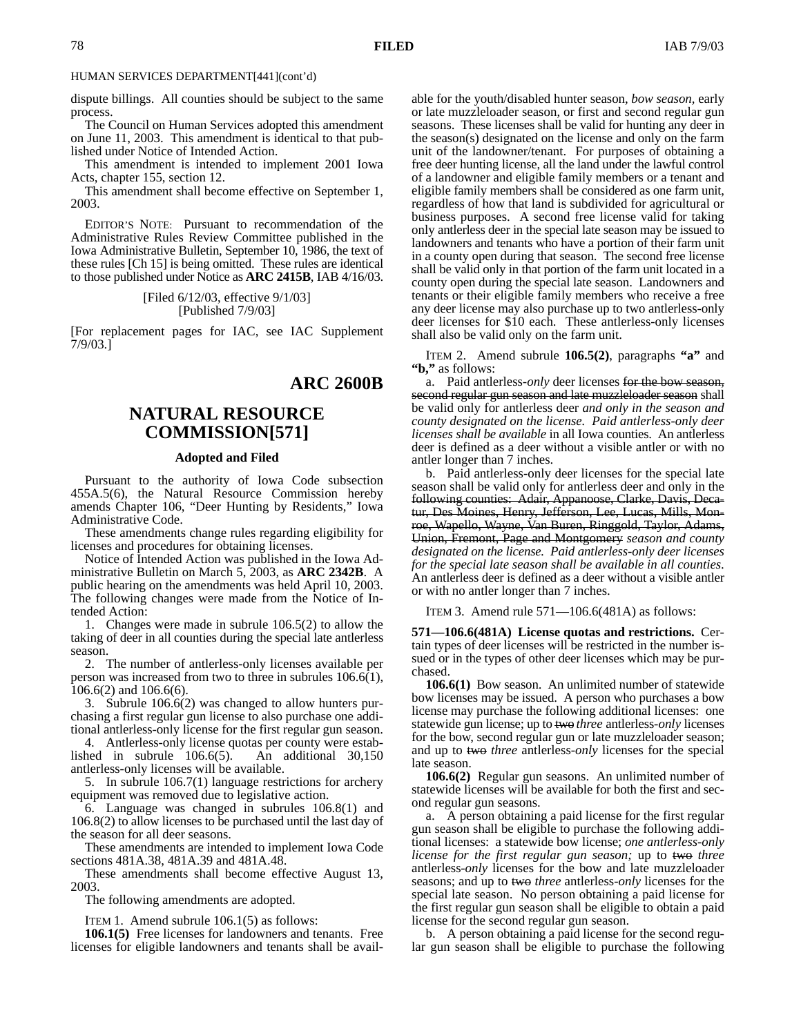### HUMAN SERVICES DEPARTMENT[441](cont'd)

dispute billings. All counties should be subject to the same process.

The Council on Human Services adopted this amendment on June 11, 2003. This amendment is identical to that published under Notice of Intended Action.

This amendment is intended to implement 2001 Iowa Acts, chapter 155, section 12.

This amendment shall become effective on September 1, 2003.

EDITOR'S NOTE: Pursuant to recommendation of the Administrative Rules Review Committee published in the Iowa Administrative Bulletin, September 10, 1986, the text of these rules [Ch 15] is being omitted. These rules are identical to those published under Notice as **ARC 2415B**, IAB 4/16/03.

> [Filed 6/12/03, effective 9/1/03] [Published 7/9/03]

[For replacement pages for IAC, see IAC Supplement 7/9/03.]

# **ARC 2600B**

# **NATURAL RESOURCE COMMISSION[571]**

#### **Adopted and Filed**

Pursuant to the authority of Iowa Code subsection 455A.5(6), the Natural Resource Commission hereby amends Chapter 106, "Deer Hunting by Residents," Iowa Administrative Code.

These amendments change rules regarding eligibility for licenses and procedures for obtaining licenses.

Notice of Intended Action was published in the Iowa Administrative Bulletin on March 5, 2003, as **ARC 2342B**. A public hearing on the amendments was held April 10, 2003. The following changes were made from the Notice of Intended Action:

1. Changes were made in subrule 106.5(2) to allow the taking of deer in all counties during the special late antlerless season.

2. The number of antlerless-only licenses available per person was increased from two to three in subrules 106.6(1), 106.6(2) and 106.6(6).

3. Subrule 106.6(2) was changed to allow hunters purchasing a first regular gun license to also purchase one additional antlerless-only license for the first regular gun season.

4. Antlerless-only license quotas per county were established in subrule 106.6(5). An additional 30,150 antlerless-only licenses will be available.

5. In subrule 106.7(1) language restrictions for archery equipment was removed due to legislative action.

6. Language was changed in subrules 106.8(1) and 106.8(2) to allow licenses to be purchased until the last day of the season for all deer seasons.

These amendments are intended to implement Iowa Code sections 481A.38, 481A.39 and 481A.48.

These amendments shall become effective August 13, 2003.

The following amendments are adopted.

ITEM 1. Amend subrule 106.1(5) as follows:

**106.1(5)** Free licenses for landowners and tenants. Free licenses for eligible landowners and tenants shall be available for the youth/disabled hunter season, *bow season,* early or late muzzleloader season, or first and second regular gun seasons. These licenses shall be valid for hunting any deer in the season(s) designated on the license and only on the farm unit of the landowner/tenant. For purposes of obtaining a free deer hunting license, all the land under the lawful control of a landowner and eligible family members or a tenant and eligible family members shall be considered as one farm unit, regardless of how that land is subdivided for agricultural or business purposes. A second free license valid for taking only antlerless deer in the special late season may be issued to landowners and tenants who have a portion of their farm unit in a county open during that season. The second free license shall be valid only in that portion of the farm unit located in a county open during the special late season. Landowners and tenants or their eligible family members who receive a free any deer license may also purchase up to two antlerless-only deer licenses for \$10 each. These antlerless-only licenses shall also be valid only on the farm unit.

ITEM 2. Amend subrule **106.5(2)**, paragraphs **"a"** and **"b,"** as follows:

a. Paid antlerless*-only* deer licenses for the bow season, second regular gun season and late muzzleloader season shall be valid only for antlerless deer *and only in the season and county designated on the license. Paid antlerless-only deer licenses shall be available* in all Iowa counties. An antlerless deer is defined as a deer without a visible antler or with no antler longer than 7 inches.

b. Paid antlerless-only deer licenses for the special late season shall be valid only for antlerless deer and only in the following counties: Adair, Appanoose, Clarke, Davis, Decatur, Des Moines, Henry, Jefferson, Lee, Lucas, Mills, Monroe, Wapello, Wayne, Van Buren, Ringgold, Taylor, Adams, Union, Fremont, Page and Montgomery *season and county designated on the license. Paid antlerless-only deer licenses for the special late season shall be available in all counties*. An antlerless deer is defined as a deer without a visible antler or with no antler longer than 7 inches.

ITEM 3. Amend rule 571—106.6(481A) as follows:

**571—106.6(481A) License quotas and restrictions.** Certain types of deer licenses will be restricted in the number issued or in the types of other deer licenses which may be purchased.

**106.6(1)** Bow season. An unlimited number of statewide bow licenses may be issued. A person who purchases a bow license may purchase the following additional licenses: one statewide gun license; up to two *three* antlerless*-only* licenses for the bow, second regular gun or late muzzleloader season; and up to two *three* antlerless*-only* licenses for the special late season.

**106.6(2)** Regular gun seasons. An unlimited number of statewide licenses will be available for both the first and second regular gun seasons.

a. A person obtaining a paid license for the first regular gun season shall be eligible to purchase the following additional licenses: a statewide bow license; *one antlerless-only license for the first regular gun season;* up to two *three* antlerless*-only* licenses for the bow and late muzzleloader seasons; and up to two *three* antlerless*-only* licenses for the special late season. No person obtaining a paid license for the first regular gun season shall be eligible to obtain a paid license for the second regular gun season.

b. A person obtaining a paid license for the second regular gun season shall be eligible to purchase the following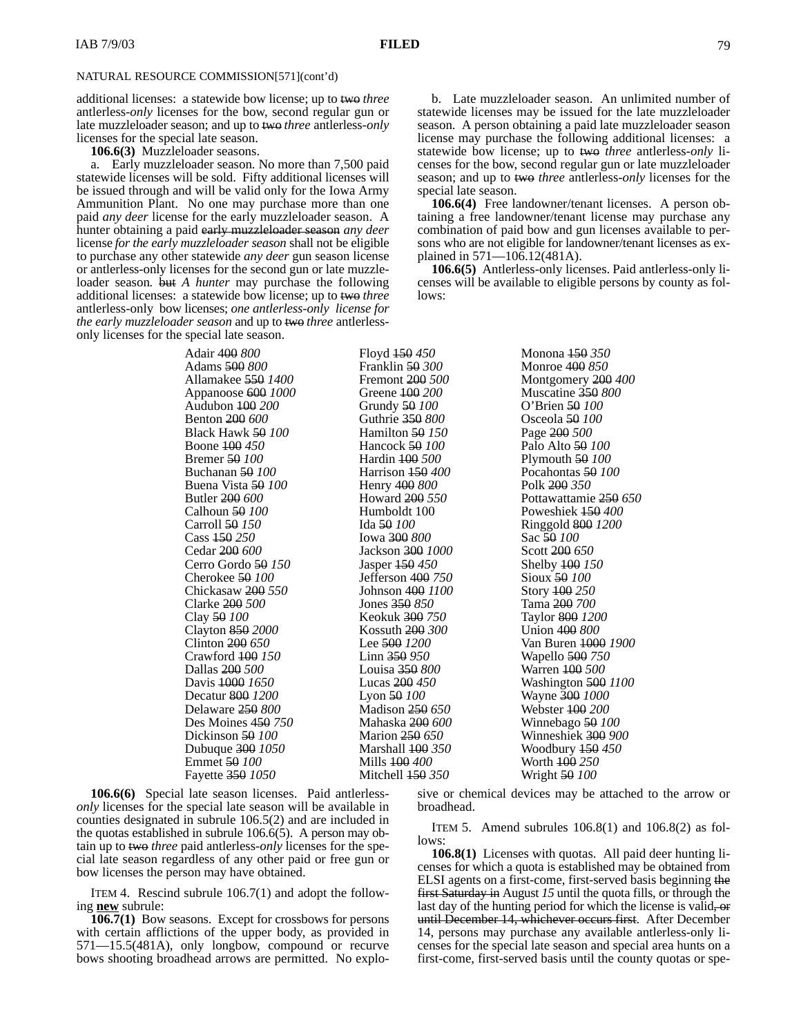## NATURAL RESOURCE COMMISSION[571](cont'd)

additional licenses: a statewide bow license; up to two *three* antlerless*-only* licenses for the bow, second regular gun or late muzzleloader season; and up to two *three* antlerless*-only* licenses for the special late season.

**106.6(3)** Muzzleloader seasons.

a. Early muzzleloader season. No more than 7,500 paid statewide licenses will be sold. Fifty additional licenses will be issued through and will be valid only for the Iowa Army Ammunition Plant. No one may purchase more than one paid *any deer* license for the early muzzleloader season. A hunter obtaining a paid early muzzleloader season *any deer* license *for the early muzzleloader season* shall not be eligible to purchase any other statewide *any deer* gun season license or antlerless-only licenses for the second gun or late muzzleloader season*.* but *A hunter* may purchase the following additional licenses: a statewide bow license; up to two *three* antlerless-only bow licenses; *one antlerless-only license for the early muzzleloader season* and up to two *three* antlerlessonly licenses for the special late season.

b. Late muzzleloader season. An unlimited number of statewide licenses may be issued for the late muzzleloader season. A person obtaining a paid late muzzleloader season license may purchase the following additional licenses: a statewide bow license; up to two *three* antlerless*-only* licenses for the bow, second regular gun or late muzzleloader season; and up to two *three* antlerless*-only* licenses for the special late season.

**106.6(4)** Free landowner/tenant licenses. A person obtaining a free landowner/tenant license may purchase any combination of paid bow and gun licenses available to persons who are not eligible for landowner/tenant licenses as explained in 571—106.12(481A).

**106.6(5)** Antlerless-only licenses. Paid antlerless-only licenses will be available to eligible persons by county as follows:

| Adair 400 800                 | Floyd 450 450                | Monona <del>150</del> 350 |
|-------------------------------|------------------------------|---------------------------|
| Adams 500 800                 | Franklin 50 300              | Monroe 400 850            |
| Allamakee <del>550</del> 1400 | Fremont 200 500              | Montgomery 200 400        |
| Appanoose 600 1000            | Greene 100 200               | Muscatine 350 800         |
| Audubon 400 200               | Grundy 50 100                | O'Brien 50 100            |
| Benton 200 600                | Guthrie 350 800              | Osceola <del>50</del> 100 |
| Black Hawk <del>50</del> 100  | Hamilton $50150$             | Page 200 500              |
| Boone 100 450                 | Hancock 50 100               | Palo Alto 50 100          |
| <b>Bremer</b> 50 100          | Hardin 100 500               | Plymouth $50100$          |
| Buchanan 50 100               | Harrison 450 400             | Pocahontas 50 100         |
| Buena Vista <del>50</del> 100 | Henry 400 800                | Polk 200 350              |
| Butler 200 600                | Howard 200 550               | Pottawattamie 250 650     |
| Calhoun <del>50</del> 100     | Humboldt 100                 | Poweshiek 450 400         |
| Carroll 50 150                | Ida <del>50</del> 100        | Ringgold 800 1200         |
| Cass <del>150</del> 250       | Iowa <del>300</del> 800      | Sac 50 100                |
| Cedar 200 600                 | Jackson <del>300</del> 1000  | Scott 200 650             |
| Cerro Gordo <del>50</del> 150 | Jasper $150450$              | Shelby 400 150            |
| Cherokee 50 100               | Jefferson 400 750            | Sioux 50 100              |
| Chickasaw 200 550             | Johnson 4 <del>00</del> 1100 | Story 100 250             |
| Clarke 200 500                | Jones $350,850$              | Tama 200 700              |
| Clay 50 100                   | Keokuk <del>300</del> 750    | Taylor 800 1200           |
| Clayton 850 2000              | Kossuth 200 300              | Union 400 800             |
| Clinton $200\,650$            | Lee 500 1200                 | Van Buren 1000 1900       |
| Crawford 400 150              | $Linn$ 350 950               | Wapello 500 750           |
| Dallas 200 500                | Louisa <del>350</del> 800    | Warren <del>100</del> 500 |
| Davis 1000 1650               | Lucas $200$ 450              | Washington 500 1100       |
| Decatur 800 1200              | Lyon $50100$                 | Wayne 300 1000            |
| Delaware 250 800              | Madison 250 650              | Webster 100 200           |
| Des Moines 450 750            | Mahaska <del>200</del> 600   | Winnebago 50 100          |
| Dickinson 50 100              | Marion 250 650               | Winneshiek 300 900        |
| Dubuque 300 1050              | Marshall 400 350             | Woodbury $150450$         |
| Emmet <del>50</del> 100       | Mills <del>100</del> 400     | Worth 100 250             |
| Fayette 350 1050              | Mitchell 450 350             | Wright <del>50</del> 100  |

**106.6(6)** Special late season licenses. Paid antlerless*- only* licenses for the special late season will be available in counties designated in subrule 106.5(2) and are included in the quotas established in subrule 106.6(5). A person may obtain up to two *three* paid antlerless*-only* licenses for the special late season regardless of any other paid or free gun or bow licenses the person may have obtained.

ITEM 4. Rescind subrule 106.7(1) and adopt the following **new** subrule:

**106.7(1)** Bow seasons. Except for crossbows for persons with certain afflictions of the upper body, as provided in 571—15.5(481A), only longbow, compound or recurve bows shooting broadhead arrows are permitted. No explosive or chemical devices may be attached to the arrow or broadhead.

ITEM 5. Amend subrules  $106.8(1)$  and  $106.8(2)$  as follows:

**106.8(1)** Licenses with quotas. All paid deer hunting licenses for which a quota is established may be obtained from ELSI agents on a first-come, first-served basis beginning the first Saturday in August *15* until the quota fills, or through the last day of the hunting period for which the license is valid, or until December 14, whichever occurs first. After December 14, persons may purchase any available antlerless-only licenses for the special late season and special area hunts on a first-come, first-served basis until the county quotas or spe-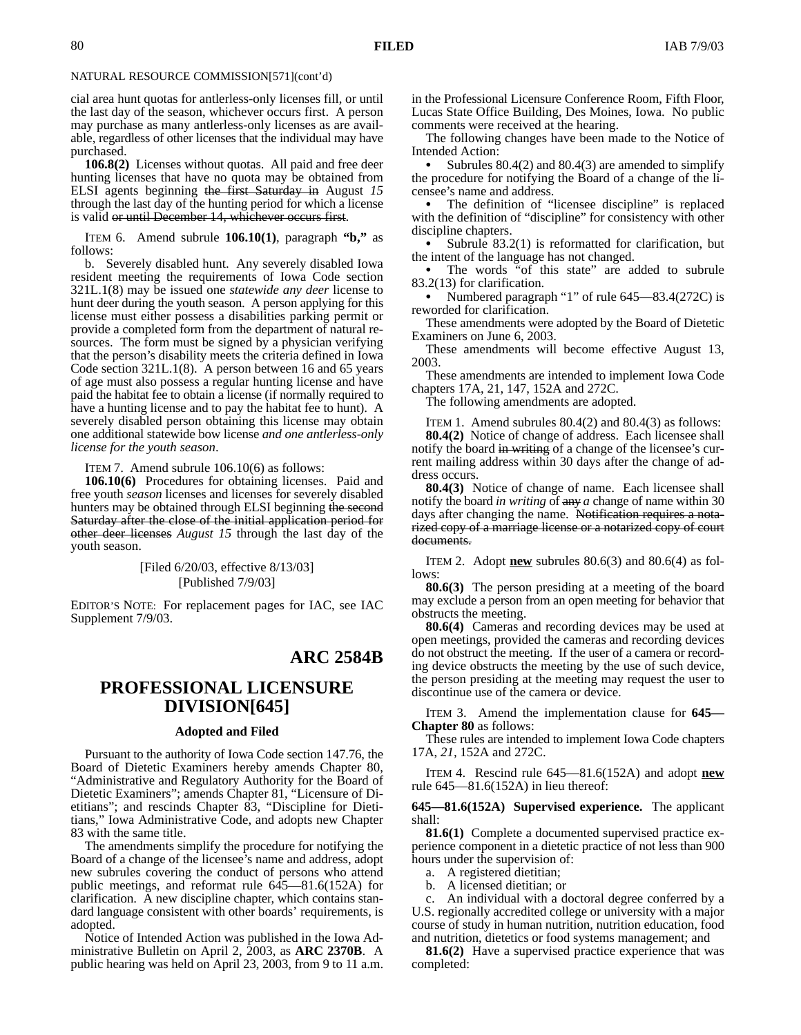### NATURAL RESOURCE COMMISSION[571](cont'd)

cial area hunt quotas for antlerless-only licenses fill, or until the last day of the season, whichever occurs first. A person may purchase as many antlerless-only licenses as are available, regardless of other licenses that the individual may have purchased.

**106.8(2)** Licenses without quotas. All paid and free deer hunting licenses that have no quota may be obtained from ELSI agents beginning the first Saturday in August *15* through the last day of the hunting period for which a license is valid or until December 14, whichever occurs first.

ITEM 6. Amend subrule **106.10(1)**, paragraph **"b,"** as follows:

b. Severely disabled hunt. Any severely disabled Iowa resident meeting the requirements of Iowa Code section 321L.1(8) may be issued one *statewide any deer* license to hunt deer during the youth season. A person applying for this license must either possess a disabilities parking permit or provide a completed form from the department of natural resources. The form must be signed by a physician verifying that the person's disability meets the criteria defined in Iowa Code section 321L.1(8). A person between 16 and 65 years of age must also possess a regular hunting license and have paid the habitat fee to obtain a license (if normally required to have a hunting license and to pay the habitat fee to hunt). A severely disabled person obtaining this license may obtain one additional statewide bow license *and one antlerless-only license for the youth season*.

ITEM 7. Amend subrule 106.10(6) as follows:

**106.10(6)** Procedures for obtaining licenses. Paid and free youth *season* licenses and licenses for severely disabled hunters may be obtained through ELSI beginning the second Saturday after the close of the initial application period for other deer licenses *August 15* through the last day of the youth season.

> [Filed 6/20/03, effective 8/13/03] [Published 7/9/03]

EDITOR'S NOTE: For replacement pages for IAC, see IAC Supplement 7/9/03.

# **ARC 2584B**

# **PROFESSIONAL LICENSURE DIVISION[645]**

### **Adopted and Filed**

Pursuant to the authority of Iowa Code section 147.76, the Board of Dietetic Examiners hereby amends Chapter 80, "Administrative and Regulatory Authority for the Board of Dietetic Examiners"; amends Chapter 81, "Licensure of Dietitians"; and rescinds Chapter 83, "Discipline for Dietitians," Iowa Administrative Code, and adopts new Chapter 83 with the same title.

The amendments simplify the procedure for notifying the Board of a change of the licensee's name and address, adopt new subrules covering the conduct of persons who attend public meetings, and reformat rule 645—81.6(152A) for clarification. A new discipline chapter, which contains standard language consistent with other boards' requirements, is adopted.

Notice of Intended Action was published in the Iowa Administrative Bulletin on April 2, 2003, as **ARC 2370B**.A public hearing was held on April 23, 2003, from 9 to 11 a.m.

in the Professional Licensure Conference Room, Fifth Floor, Lucas State Office Building, Des Moines, Iowa. No public comments were received at the hearing.

The following changes have been made to the Notice of Intended Action:

 Subrules 80.4(2) and 80.4(3) are amended to simplify the procedure for notifying the Board of a change of the licensee's name and address.

 The definition of "licensee discipline" is replaced with the definition of "discipline" for consistency with other discipline chapters.

 Subrule 83.2(1) is reformatted for clarification, but the intent of the language has not changed.

 The words "of this state" are added to subrule 83.2(13) for clarification.

 Numbered paragraph "1" of rule 645—83.4(272C) is reworded for clarification.

These amendments were adopted by the Board of Dietetic Examiners on June 6, 2003.

These amendments will become effective August 13, 2003.

These amendments are intended to implement Iowa Code chapters 17A, 21, 147, 152A and 272C.

The following amendments are adopted.

ITEM 1. Amend subrules 80.4(2) and 80.4(3) as follows:

**80.4(2)** Notice of change of address. Each licensee shall notify the board in writing of a change of the licensee's current mailing address within 30 days after the change of address occurs.

**80.4(3)** Notice of change of name. Each licensee shall notify the board *in writing* of any *a* change of name within 30 days after changing the name. Notification requires a notarized copy of a marriage license or a notarized copy of court documents.

ITEM 2. Adopt  $\underline{\text{new}}$  subrules 80.6(3) and 80.6(4) as follows:

**80.6(3)** The person presiding at a meeting of the board may exclude a person from an open meeting for behavior that obstructs the meeting.

**80.6(4)** Cameras and recording devices may be used at open meetings, provided the cameras and recording devices do not obstruct the meeting. If the user of a camera or recording device obstructs the meeting by the use of such device, the person presiding at the meeting may request the user to discontinue use of the camera or device.

ITEM 3. Amend the implementation clause for **645— Chapter 80** as follows:

These rules are intended to implement Iowa Code chapters 17A, *21,* 152A and 272C.

ITEM 4. Rescind rule 645—81.6(152A) and adopt **new** rule  $645-81.6(152A)$  in lieu thereof:

#### **645—81.6(152A) Supervised experience.** The applicant shall:

**81.6(1)** Complete a documented supervised practice experience component in a dietetic practice of not less than 900 hours under the supervision of:

a. A registered dietitian;

b. A licensed dietitian; or

c. An individual with a doctoral degree conferred by a U.S. regionally accredited college or university with a major course of study in human nutrition, nutrition education, food and nutrition, dietetics or food systems management; and

**81.6(2)** Have a supervised practice experience that was completed: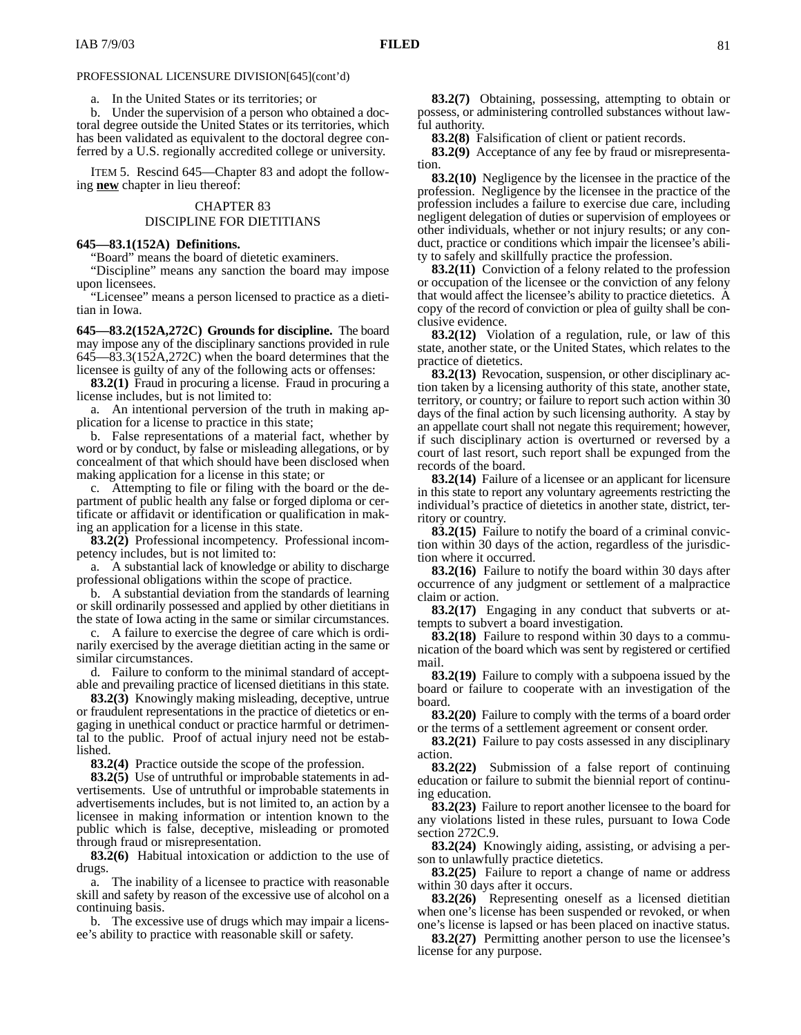### PROFESSIONAL LICENSURE DIVISION[645](cont'd)

a. In the United States or its territories; or

b. Under the supervision of a person who obtained a doctoral degree outside the United States or its territories, which has been validated as equivalent to the doctoral degree conferred by a U.S. regionally accredited college or university.

ITEM 5. Rescind 645—Chapter 83 and adopt the following **new** chapter in lieu thereof:

### CHAPTER 83

## DISCIPLINE FOR DIETITIANS

#### **645—83.1(152A) Definitions.**

"Board" means the board of dietetic examiners.

"Discipline" means any sanction the board may impose upon licensees.

"Licensee" means a person licensed to practice as a dietitian in Iowa.

**645—83.2(152A,272C) Grounds for discipline.** The board may impose any of the disciplinary sanctions provided in rule 645—83.3(152A,272C) when the board determines that the licensee is guilty of any of the following acts or offenses:

**83.2(1)** Fraud in procuring a license. Fraud in procuring a license includes, but is not limited to:

a. An intentional perversion of the truth in making application for a license to practice in this state;

b. False representations of a material fact, whether by word or by conduct, by false or misleading allegations, or by concealment of that which should have been disclosed when making application for a license in this state; or

c. Attempting to file or filing with the board or the department of public health any false or forged diploma or certificate or affidavit or identification or qualification in making an application for a license in this state.

**83.2(2)** Professional incompetency. Professional incompetency includes, but is not limited to:

a. A substantial lack of knowledge or ability to discharge professional obligations within the scope of practice.

b. A substantial deviation from the standards of learning or skill ordinarily possessed and applied by other dietitians in the state of Iowa acting in the same or similar circumstances.

c. A failure to exercise the degree of care which is ordinarily exercised by the average dietitian acting in the same or similar circumstances.

d. Failure to conform to the minimal standard of acceptable and prevailing practice of licensed dietitians in this state.

**83.2(3)** Knowingly making misleading, deceptive, untrue or fraudulent representations in the practice of dietetics or engaging in unethical conduct or practice harmful or detrimental to the public. Proof of actual injury need not be established.

**83.2(4)** Practice outside the scope of the profession.

**83.2(5)** Use of untruthful or improbable statements in advertisements. Use of untruthful or improbable statements in advertisements includes, but is not limited to, an action by a licensee in making information or intention known to the public which is false, deceptive, misleading or promoted through fraud or misrepresentation.

**83.2(6)** Habitual intoxication or addiction to the use of drugs.

a. The inability of a licensee to practice with reasonable skill and safety by reason of the excessive use of alcohol on a continuing basis.

b. The excessive use of drugs which may impair a licensee's ability to practice with reasonable skill or safety.

**83.2(7)** Obtaining, possessing, attempting to obtain or possess, or administering controlled substances without lawful authority.

**83.2(8)** Falsification of client or patient records.

**83.2(9)** Acceptance of any fee by fraud or misrepresentation.

**83.2(10)** Negligence by the licensee in the practice of the profession. Negligence by the licensee in the practice of the profession includes a failure to exercise due care, including negligent delegation of duties or supervision of employees or other individuals, whether or not injury results; or any conduct, practice or conditions which impair the licensee's ability to safely and skillfully practice the profession.

**83.2(11)** Conviction of a felony related to the profession or occupation of the licensee or the conviction of any felony that would affect the licensee's ability to practice dietetics. A copy of the record of conviction or plea of guilty shall be conclusive evidence.

**83.2(12)** Violation of a regulation, rule, or law of this state, another state, or the United States, which relates to the practice of dietetics.

**83.2(13)** Revocation, suspension, or other disciplinary action taken by a licensing authority of this state, another state, territory, or country; or failure to report such action within 30 days of the final action by such licensing authority. A stay by an appellate court shall not negate this requirement; however, if such disciplinary action is overturned or reversed by a court of last resort, such report shall be expunged from the records of the board.

**83.2(14)** Failure of a licensee or an applicant for licensure in this state to report any voluntary agreements restricting the individual's practice of dietetics in another state, district, territory or country.

**83.2(15)** Failure to notify the board of a criminal conviction within 30 days of the action, regardless of the jurisdiction where it occurred.

**83.2(16)** Failure to notify the board within 30 days after occurrence of any judgment or settlement of a malpractice claim or action.

**83.2(17)** Engaging in any conduct that subverts or attempts to subvert a board investigation.

**83.2(18)** Failure to respond within 30 days to a communication of the board which was sent by registered or certified mail.

**83.2(19)** Failure to comply with a subpoena issued by the board or failure to cooperate with an investigation of the board.

**83.2(20)** Failure to comply with the terms of a board order or the terms of a settlement agreement or consent order.

**83.2(21)** Failure to pay costs assessed in any disciplinary action.

**83.2(22)** Submission of a false report of continuing education or failure to submit the biennial report of continuing education.

**83.2(23)** Failure to report another licensee to the board for any violations listed in these rules, pursuant to Iowa Code section 272C.9.

**83.2(24)** Knowingly aiding, assisting, or advising a person to unlawfully practice dietetics.

**83.2(25)** Failure to report a change of name or address within 30 days after it occurs.

**83.2(26)** Representing oneself as a licensed dietitian when one's license has been suspended or revoked, or when one's license is lapsed or has been placed on inactive status.

**83.2(27)** Permitting another person to use the licensee's license for any purpose.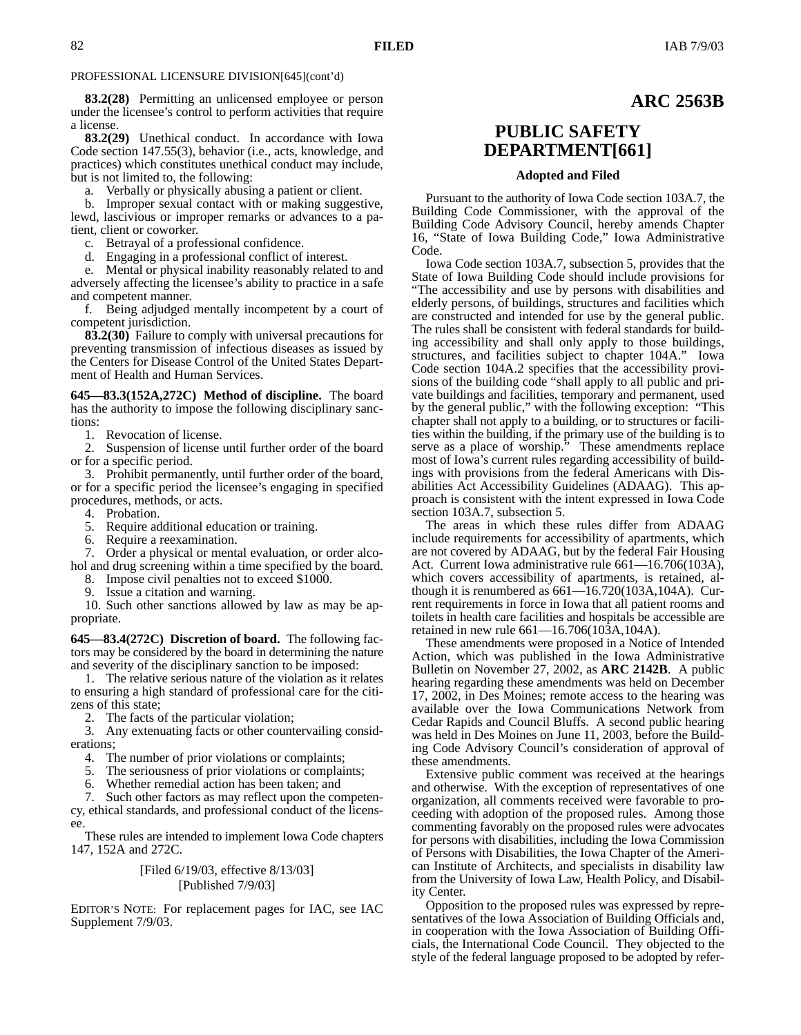## PROFESSIONAL LICENSURE DIVISION[645](cont'd)

**83.2(28)** Permitting an unlicensed employee or person under the licensee's control to perform activities that require a license.

**83.2(29)** Unethical conduct.In accordance with Iowa Code section 147.55(3), behavior (i.e., acts, knowledge, and practices) which constitutes unethical conduct may include, but is not limited to, the following:

a. Verbally or physically abusing a patient or client.

b. Improper sexual contact with or making suggestive, lewd, lascivious or improper remarks or advances to a patient, client or coworker.

c. Betrayal of a professional confidence.

d. Engaging in a professional conflict of interest.

e. Mental or physical inability reasonably related to and adversely affecting the licensee's ability to practice in a safe and competent manner.

f. Being adjudged mentally incompetent by a court of competent jurisdiction.

**83.2(30)** Failure to comply with universal precautions for preventing transmission of infectious diseases as issued by the Centers for Disease Control of the United States Department of Health and Human Services.

**645—83.3(152A,272C) Method of discipline.** The board has the authority to impose the following disciplinary sanctions:

1. Revocation of license.

2. Suspension of license until further order of the board or for a specific period.

3. Prohibit permanently, until further order of the board, or for a specific period the licensee's engaging in specified procedures, methods, or acts.

4. Probation.

5. Require additional education or training.

6. Require a reexamination.

7. Order a physical or mental evaluation, or order alcohol and drug screening within a time specified by the board.

8. Impose civil penalties not to exceed \$1000.

Issue a citation and warning.

10. Such other sanctions allowed by law as may be appropriate.

**645—83.4(272C) Discretion of board.** The following factors may be considered by the board in determining the nature and severity of the disciplinary sanction to be imposed:

1. The relative serious nature of the violation as it relates to ensuring a high standard of professional care for the citizens of this state;

2. The facts of the particular violation;

3. Any extenuating facts or other countervailing considerations;

4. The number of prior violations or complaints;

5. The seriousness of prior violations or complaints;

6. Whether remedial action has been taken; and

7. Such other factors as may reflect upon the competency, ethical standards, and professional conduct of the licensee.

These rules are intended to implement Iowa Code chapters 147, 152A and 272C.

## [Filed 6/19/03, effective 8/13/03] [Published 7/9/03]

EDITOR'S NOTE: For replacement pages for IAC, see IAC Supplement 7/9/03.

# **PUBLIC SAFETY DEPARTMENT[661]**

### **Adopted and Filed**

Pursuant to the authority of Iowa Code section 103A.7, the Building Code Commissioner, with the approval of the Building Code Advisory Council, hereby amends Chapter 16, "State of Iowa Building Code," Iowa Administrative Code.

Iowa Code section 103A.7, subsection 5, provides that the State of Iowa Building Code should include provisions for "The accessibility and use by persons with disabilities and elderly persons, of buildings, structures and facilities which are constructed and intended for use by the general public. The rules shall be consistent with federal standards for building accessibility and shall only apply to those buildings, structures, and facilities subject to chapter 104A." Iowa Code section 104A.2 specifies that the accessibility provisions of the building code "shall apply to all public and private buildings and facilities, temporary and permanent, used by the general public," with the following exception: "This chapter shall not apply to a building, or to structures or facilities within the building, if the primary use of the building is to serve as a place of worship." These amendments replace most of Iowa's current rules regarding accessibility of buildings with provisions from the federal Americans with Disabilities Act Accessibility Guidelines (ADAAG). This approach is consistent with the intent expressed in Iowa Code section 103A.7, subsection 5.

The areas in which these rules differ from ADAAG include requirements for accessibility of apartments, which are not covered by ADAAG, but by the federal Fair Housing Act. Current Iowa administrative rule 661—16.706(103A), which covers accessibility of apartments, is retained, although it is renumbered as  $661 - 16.720(103A, 104A)$ . Current requirements in force in Iowa that all patient rooms and toilets in health care facilities and hospitals be accessible are retained in new rule 661—16.706(103A,104A).

These amendments were proposed in a Notice of Intended Action, which was published in the Iowa Administrative Bulletin on November 27, 2002, as **ARC 2142B**. A public hearing regarding these amendments was held on December 17, 2002, in Des Moines; remote access to the hearing was available over the Iowa Communications Network from Cedar Rapids and Council Bluffs. A second public hearing was held in Des Moines on June 11, 2003, before the Building Code Advisory Council's consideration of approval of these amendments.

Extensive public comment was received at the hearings and otherwise. With the exception of representatives of one organization, all comments received were favorable to proceeding with adoption of the proposed rules. Among those commenting favorably on the proposed rules were advocates for persons with disabilities, including the Iowa Commission of Persons with Disabilities, the Iowa Chapter of the American Institute of Architects, and specialists in disability law from the University of Iowa Law, Health Policy, and Disability Center.

Opposition to the proposed rules was expressed by representatives of the Iowa Association of Building Officials and, in cooperation with the Iowa Association of Building Officials, the International Code Council. They objected to the style of the federal language proposed to be adopted by refer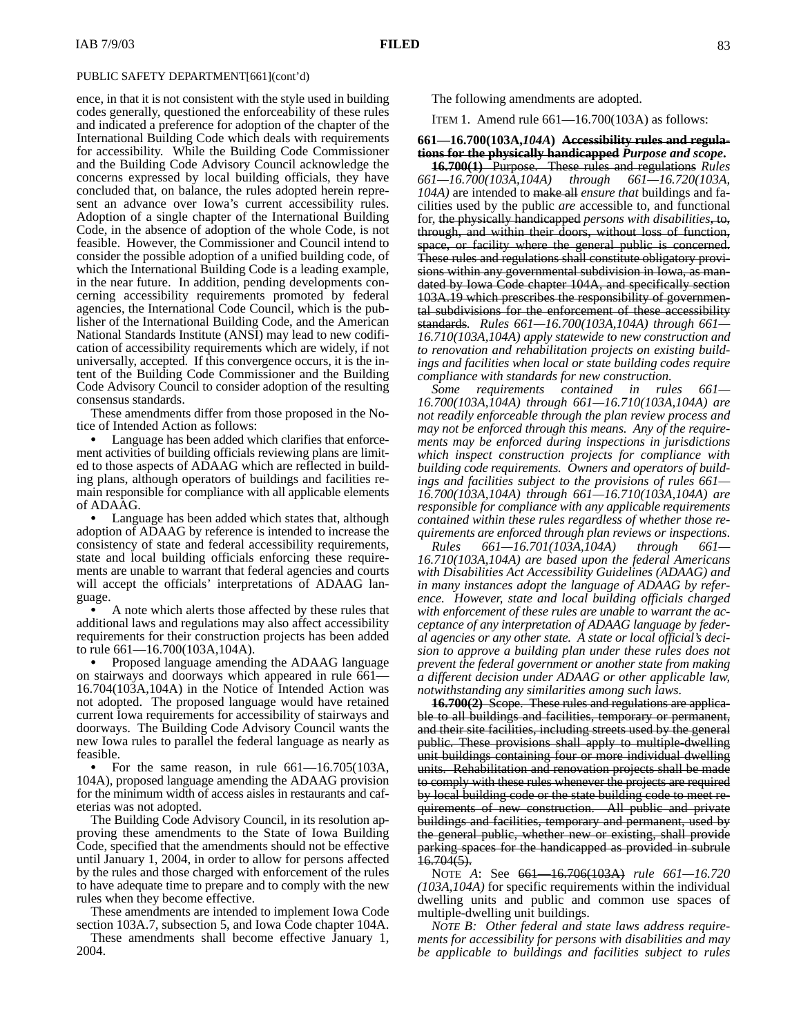ence, in that it is not consistent with the style used in building codes generally, questioned the enforceability of these rules and indicated a preference for adoption of the chapter of the International Building Code which deals with requirements for accessibility. While the Building Code Commissioner and the Building Code Advisory Council acknowledge the concerns expressed by local building officials, they have concluded that, on balance, the rules adopted herein represent an advance over Iowa's current accessibility rules. Adoption of a single chapter of the International Building Code, in the absence of adoption of the whole Code, is not feasible. However, the Commissioner and Council intend to consider the possible adoption of a unified building code, of which the International Building Code is a leading example, in the near future. In addition, pending developments concerning accessibility requirements promoted by federal agencies, the International Code Council, which is the publisher of the International Building Code, and the American National Standards Institute (ANSI) may lead to new codification of accessibility requirements which are widely, if not universally, accepted. If this convergence occurs, it is the intent of the Building Code Commissioner and the Building Code Advisory Council to consider adoption of the resulting consensus standards.

These amendments differ from those proposed in the Notice of Intended Action as follows:

 Language has been added which clarifies that enforcement activities of building officials reviewing plans are limited to those aspects of ADAAG which are reflected in building plans, although operators of buildings and facilities remain responsible for compliance with all applicable elements of ADAAG.

 Language has been added which states that, although adoption of ADAAG by reference is intended to increase the consistency of state and federal accessibility requirements, state and local building officials enforcing these requirements are unable to warrant that federal agencies and courts will accept the officials' interpretations of ADAAG language.  $\mathbf{a}$ 

 A note which alerts those affected by these rules that additional laws and regulations may also affect accessibility requirements for their construction projects has been added to rule 661—16.700(103A,104A).

 Proposed language amending the ADAAG language on stairways and doorways which appeared in rule 661— 16.704(103A,104A) in the Notice of Intended Action was not adopted. The proposed language would have retained current Iowa requirements for accessibility of stairways and doorways. The Building Code Advisory Council wants the new Iowa rules to parallel the federal language as nearly as feasible.

 For the same reason, in rule 661—16.705(103A, 104A), proposed language amending the ADAAG provision for the minimum width of access aisles in restaurants and cafeterias was not adopted.

The Building Code Advisory Council, in its resolution approving these amendments to the State of Iowa Building Code, specified that the amendments should not be effective until January 1, 2004, in order to allow for persons affected by the rules and those charged with enforcement of the rules to have adequate time to prepare and to comply with the new rules when they become effective.

These amendments are intended to implement Iowa Code section 103A.7, subsection 5, and Iowa Code chapter 104A.

These amendments shall become effective January 1, 2004.

The following amendments are adopted.

ITEM 1. Amend rule 661—16.700(103A) as follows:

## **661—16.700(103A,***104A***) Accessibility rules and regulations for the physically handicapped** *Purpose and scope***.**

**16.700(1)** Purpose. These rules and regulations *Rules 661—16.700(103A,104A) through 661—16.720(103A, 104A)* are intended to make all *ensure that* buildings and facilities used by the public *are* accessible to, and functional for, the physically handicapped *persons with disabilities*, to, through, and within their doors, without loss of function, space, or facility where the general public is concerned. These rules and regulations shall constitute obligatory provisions within any governmental subdivision in Iowa, as mandated by Iowa Code chapter 104A, and specifically section 103A.19 which prescribes the responsibility of governmental subdivisions for the enforcement of these accessibility standards. *Rules 661—16.700(103A,104A) through 661— 16.710(103A,104A) apply statewide to new construction and to renovation and rehabilitation projects on existing buildings and facilities when local or state building codes require compliance with standards for new construction.*

*Some requirements contained in rules 661— 16.700(103A,104A) through 661—16.710(103A,104A) are not readily enforceable through the plan review process and may not be enforced through this means. Any of the requirements may be enforced during inspections in jurisdictions which inspect construction projects for compliance with building code requirements. Owners and operators of buildings and facilities subject to the provisions of rules 661— 16.700(103A,104A) through 661—16.710(103A,104A) are responsible for compliance with any applicable requirements contained within these rules regardless of whether those requirements are enforced through plan reviews or inspections*.

*Rules 661—16.701(103A,104A) through 661— 16.710(103A,104A) are based upon the federal Americans with Disabilities Act Accessibility Guidelines (ADAAG) and in many instances adopt the language of ADAAG by reference. However, state and local building officials charged with enforcement of these rules are unable to warrant the acceptance of any interpretation of ADAAG language by federal agencies or any other state. A state or local official's decision to approve a building plan under these rules does not prevent the federal government or another state from making a different decision under ADAAG or other applicable law, notwithstanding any similarities among such laws.*

**16.700(2)** Scope. These rules and regulations are applicable to all buildings and facilities, temporary or permanent, and their site facilities, including streets used by the general public. These provisions shall apply to multiple-dwelling unit buildings containing four or more individual dwelling units. Rehabilitation and renovation projects shall be made to comply with these rules whenever the projects are required by local building code or the state building code to meet requirements of new construction. All public and private buildings and facilities, temporary and permanent, used by the general public, whether new or existing, shall provide parking spaces for the handicapped as provided in subrule  $16.704(5)$ .

NOTE *A*: See 661—16.706(103A) *rule 661—16.720 (103A,104A)* for specific requirements within the individual dwelling units and public and common use spaces of multiple-dwelling unit buildings.

*NOTE B: Other federal and state laws address requirements for accessibility for persons with disabilities and may be applicable to buildings and facilities subject to rules*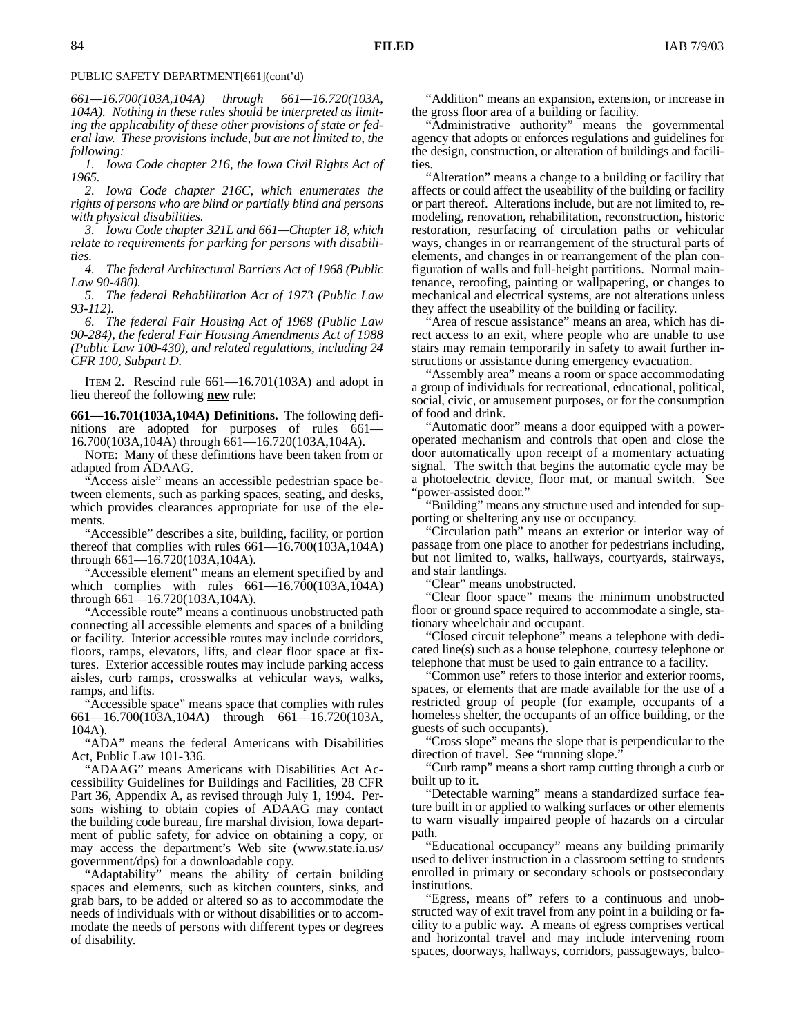#### PUBLIC SAFETY DEPARTMENT[661](cont'd)

*661—16.700(103A,104A) through 661—16.720(103A, 104A). Nothing in these rules should be interpreted as limiting the applicability of these other provisions of state or federal law. These provisions include, but are not limited to, the following:*

*1. Iowa Code chapter 216, the Iowa Civil Rights Act of 1965.*

*2. Iowa Code chapter 216C, which enumerates the rights of persons who are blind or partially blind and persons with physical disabilities.*

*3. Iowa Code chapter 321L and 661—Chapter 18, which relate to requirements for parking for persons with disabilities.*

*4. The federal Architectural Barriers Act of 1968 (Public Law 90-480).*

*5. The federal Rehabilitation Act of 1973 (Public Law 93-112).*

*6. The federal Fair Housing Act of 1968 (Public Law 90-284), the federal Fair Housing Amendments Act of 1988 (Public Law 100-430), and related regulations, including 24 CFR 100, Subpart D.*

ITEM 2. Rescind rule  $661 - 16.701(103)$  and adopt in lieu thereof the following **new** rule:

**661—16.701(103A,104A) Definitions.** The following definitions are adopted for purposes of rules 661— 16.700(103A,104A) through 661—16.720(103A,104A).

NOTE: Many of these definitions have been taken from or adapted from ADAAG.

"Access aisle" means an accessible pedestrian space between elements, such as parking spaces, seating, and desks, which provides clearances appropriate for use of the elements.

"Accessible" describes a site, building, facility, or portion thereof that complies with rules 661—16.700(103A,104A) through 661—16.720(103A,104A).

"Accessible element" means an element specified by and which complies with rules 661—16.700(103A,104A) through 661—16.720(103A,104A).

"Accessible route" means a continuous unobstructed path connecting all accessible elements and spaces of a building or facility. Interior accessible routes may include corridors, floors, ramps, elevators, lifts, and clear floor space at fixtures. Exterior accessible routes may include parking access aisles, curb ramps, crosswalks at vehicular ways, walks, ramps, and lifts.

"Accessible space" means space that complies with rules 661—16.700(103A,104A) through 661—16.720(103A, 104A).

"ADA" means the federal Americans with Disabilities Act, Public Law 101-336.

"ADAAG" means Americans with Disabilities Act Accessibility Guidelines for Buildings and Facilities, 28 CFR Part 36, Appendix A, as revised through July 1, 1994. Persons wishing to obtain copies of ADAAG may contact the building code bureau, fire marshal division, Iowa department of public safety, for advice on obtaining a copy, or may access the department's Web site (www.state.ia.us/ government/dps) for a downloadable copy.

"Adaptability" means the ability of certain building spaces and elements, such as kitchen counters, sinks, and grab bars, to be added or altered so as to accommodate the needs of individuals with or without disabilities or to accommodate the needs of persons with different types or degrees of disability.

"Addition" means an expansion, extension, or increase in the gross floor area of a building or facility.

"Administrative authority" means the governmental agency that adopts or enforces regulations and guidelines for the design, construction, or alteration of buildings and facilities.

"Alteration" means a change to a building or facility that affects or could affect the useability of the building or facility or part thereof. Alterations include, but are not limited to, remodeling, renovation, rehabilitation, reconstruction, historic restoration, resurfacing of circulation paths or vehicular ways, changes in or rearrangement of the structural parts of elements, and changes in or rearrangement of the plan configuration of walls and full-height partitions. Normal maintenance, reroofing, painting or wallpapering, or changes to mechanical and electrical systems, are not alterations unless they affect the useability of the building or facility.

"Area of rescue assistance" means an area, which has direct access to an exit, where people who are unable to use stairs may remain temporarily in safety to await further instructions or assistance during emergency evacuation.

"Assembly area" means a room or space accommodating a group of individuals for recreational, educational, political, social, civic, or amusement purposes, or for the consumption of food and drink.

"Automatic door" means a door equipped with a poweroperated mechanism and controls that open and close the door automatically upon receipt of a momentary actuating signal. The switch that begins the automatic cycle may be a photoelectric device, floor mat, or manual switch. See "power-assisted door."

"Building" means any structure used and intended for supporting or sheltering any use or occupancy.

"Circulation path" means an exterior or interior way of passage from one place to another for pedestrians including, but not limited to, walks, hallways, courtyards, stairways, and stair landings.

"Clear" means unobstructed.

"Clear floor space" means the minimum unobstructed floor or ground space required to accommodate a single, stationary wheelchair and occupant.

"Closed circuit telephone" means a telephone with dedicated line(s) such as a house telephone, courtesy telephone or telephone that must be used to gain entrance to a facility.

"Common use" refers to those interior and exterior rooms, spaces, or elements that are made available for the use of a restricted group of people (for example, occupants of a homeless shelter, the occupants of an office building, or the guests of such occupants).

"Cross slope" means the slope that is perpendicular to the direction of travel. See "running slope."

"Curb ramp" means a short ramp cutting through a curb or built up to it.

"Detectable warning" means a standardized surface feature built in or applied to walking surfaces or other elements to warn visually impaired people of hazards on a circular path.

"Educational occupancy" means any building primarily used to deliver instruction in a classroom setting to students enrolled in primary or secondary schools or postsecondary institutions.

"Egress, means of" refers to a continuous and unobstructed way of exit travel from any point in a building or facility to a public way. A means of egress comprises vertical and horizontal travel and may include intervening room spaces, doorways, hallways, corridors, passageways, balco-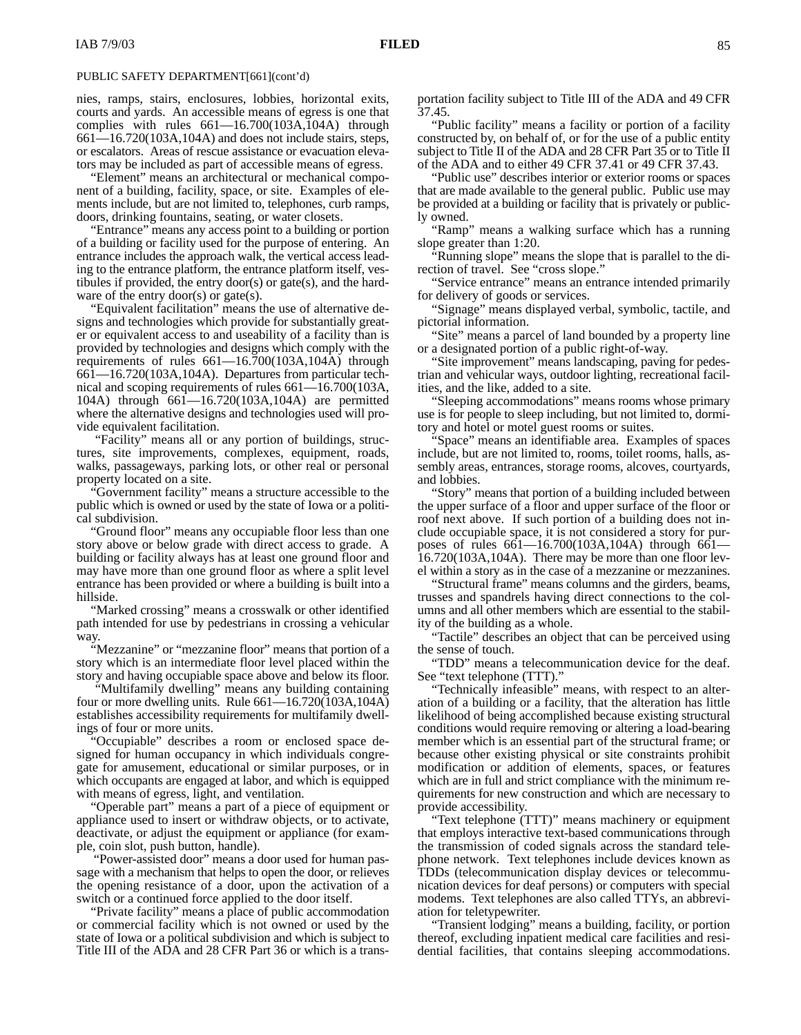### PUBLIC SAFETY DEPARTMENT[661](cont'd)

nies, ramps, stairs, enclosures, lobbies, horizontal exits, courts and yards. An accessible means of egress is one that complies with rules  $661-16.700(103A,104A)$  through 661—16.720(103A,104A) and does not include stairs, steps, or escalators. Areas of rescue assistance or evacuation elevators may be included as part of accessible means of egress.

"Element" means an architectural or mechanical component of a building, facility, space, or site. Examples of elements include, but are not limited to, telephones, curb ramps, doors, drinking fountains, seating, or water closets.

"Entrance" means any access point to a building or portion of a building or facility used for the purpose of entering. An entrance includes the approach walk, the vertical access leading to the entrance platform, the entrance platform itself, vestibules if provided, the entry door(s) or gate(s), and the hardware of the entry door(s) or gate(s).

"Equivalent facilitation" means the use of alternative designs and technologies which provide for substantially greater or equivalent access to and useability of a facility than is provided by technologies and designs which comply with the requirements of rules  $661-16.700(103A,104A)$  through 661—16.720(103A,104A). Departures from particular technical and scoping requirements of rules 661—16.700(103A, 104A) through 661—16.720(103A,104A) are permitted where the alternative designs and technologies used will provide equivalent facilitation.

 "Facility" means all or any portion of buildings, structures, site improvements, complexes, equipment, roads, walks, passageways, parking lots, or other real or personal property located on a site.

"Government facility" means a structure accessible to the public which is owned or used by the state of Iowa or a political subdivision.

"Ground floor" means any occupiable floor less than one story above or below grade with direct access to grade. A building or facility always has at least one ground floor and may have more than one ground floor as where a split level entrance has been provided or where a building is built into a hillside.

"Marked crossing" means a crosswalk or other identified path intended for use by pedestrians in crossing a vehicular way

"Mezzanine" or "mezzanine floor" means that portion of a story which is an intermediate floor level placed within the story and having occupiable space above and below its floor.

 "Multifamily dwelling" means any building containing four or more dwelling units. Rule 661—16.720(103A,104A) establishes accessibility requirements for multifamily dwellings of four or more units.

"Occupiable" describes a room or enclosed space designed for human occupancy in which individuals congregate for amusement, educational or similar purposes, or in which occupants are engaged at labor, and which is equipped with means of egress, light, and ventilation.

"Operable part" means a part of a piece of equipment or appliance used to insert or withdraw objects, or to activate, deactivate, or adjust the equipment or appliance (for example, coin slot, push button, handle).

 "Power-assisted door" means a door used for human passage with a mechanism that helps to open the door, or relieves the opening resistance of a door, upon the activation of a switch or a continued force applied to the door itself.

"Private facility" means a place of public accommodation or commercial facility which is not owned or used by the state of Iowa or a political subdivision and which is subject to Title III of the ADA and 28 CFR Part 36 or which is a transportation facility subject to Title III of the ADA and 49 CFR 37.45.

"Public facility" means a facility or portion of a facility constructed by, on behalf of, or for the use of a public entity subject to Title II of the ADA and 28 CFR Part 35 or to Title II of the ADA and to either 49 CFR 37.41 or 49 CFR 37.43.

"Public use" describes interior or exterior rooms or spaces that are made available to the general public. Public use may be provided at a building or facility that is privately or publicly owned.

"Ramp" means a walking surface which has a running slope greater than 1:20.

"Running slope" means the slope that is parallel to the direction of travel. See "cross slope."

"Service entrance" means an entrance intended primarily for delivery of goods or services.

"Signage" means displayed verbal, symbolic, tactile, and pictorial information.

"Site" means a parcel of land bounded by a property line or a designated portion of a public right-of-way.

"Site improvement" means landscaping, paving for pedestrian and vehicular ways, outdoor lighting, recreational facilities, and the like, added to a site.

"Sleeping accommodations" means rooms whose primary use is for people to sleep including, but not limited to, dormitory and hotel or motel guest rooms or suites.

"Space" means an identifiable area. Examples of spaces include, but are not limited to, rooms, toilet rooms, halls, assembly areas, entrances, storage rooms, alcoves, courtyards, and lobbies.

"Story" means that portion of a building included between the upper surface of a floor and upper surface of the floor or roof next above. If such portion of a building does not include occupiable space, it is not considered a story for purposes of rules 661—16.700(103A,104A) through 661— 16.720(103A,104A). There may be more than one floor level within a story as in the case of a mezzanine or mezzanines.

"Structural frame" means columns and the girders, beams, trusses and spandrels having direct connections to the columns and all other members which are essential to the stability of the building as a whole.

"Tactile" describes an object that can be perceived using the sense of touch.

"TDD" means a telecommunication device for the deaf. See "text telephone (TTT)."

"Technically infeasible" means, with respect to an alteration of a building or a facility, that the alteration has little likelihood of being accomplished because existing structural conditions would require removing or altering a load-bearing member which is an essential part of the structural frame; or because other existing physical or site constraints prohibit modification or addition of elements, spaces, or features which are in full and strict compliance with the minimum requirements for new construction and which are necessary to provide accessibility.

"Text telephone (TTT)" means machinery or equipment that employs interactive text-based communications through the transmission of coded signals across the standard telephone network. Text telephones include devices known as TDDs (telecommunication display devices or telecommunication devices for deaf persons) or computers with special modems. Text telephones are also called TTYs, an abbreviation for teletypewriter.

"Transient lodging" means a building, facility, or portion thereof, excluding inpatient medical care facilities and residential facilities, that contains sleeping accommodations.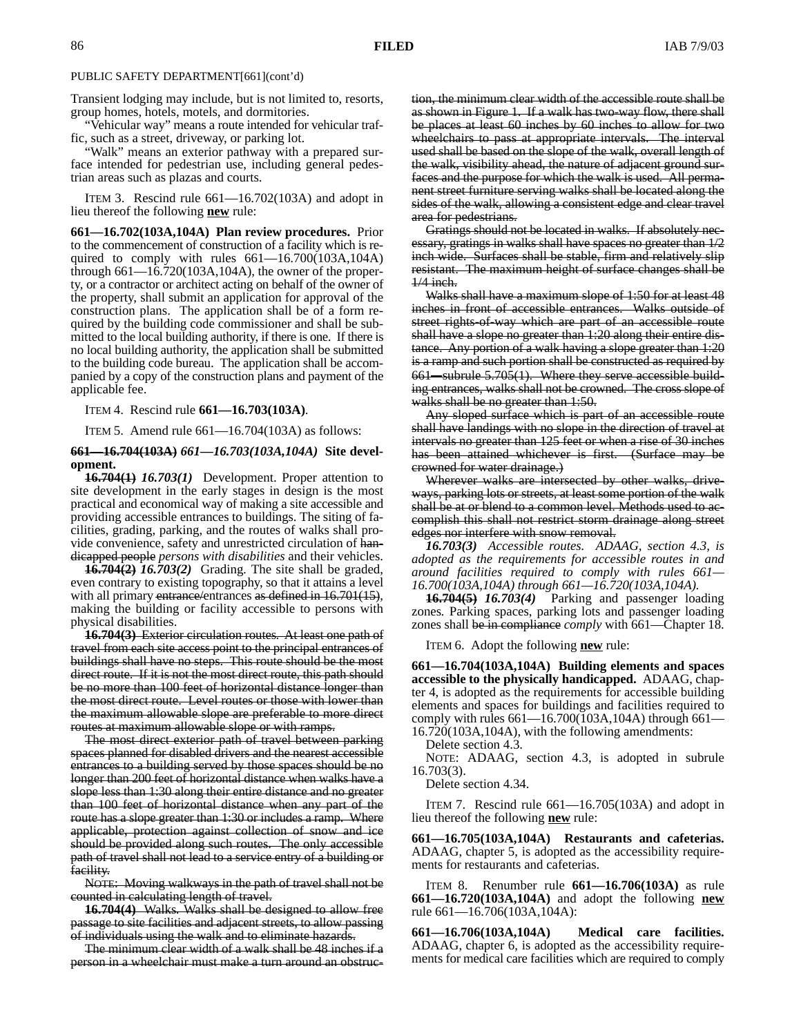#### PUBLIC SAFETY DEPARTMENT[661](cont'd)

Transient lodging may include, but is not limited to, resorts, group homes, hotels, motels, and dormitories.

"Vehicular way" means a route intended for vehicular traffic, such as a street, driveway, or parking lot.

"Walk" means an exterior pathway with a prepared surface intended for pedestrian use, including general pedestrian areas such as plazas and courts.

ITEM 3. Rescind rule 661—16.702(103A) and adopt in lieu thereof the following **new** rule:

**661—16.702(103A,104A) Plan review procedures.** Prior to the commencement of construction of a facility which is required to comply with rules  $661 - 16.700(103A, 104A)$ through  $661 - 16.720(103A, 104A)$ , the owner of the property, or a contractor or architect acting on behalf of the owner of the property, shall submit an application for approval of the construction plans. The application shall be of a form required by the building code commissioner and shall be submitted to the local building authority, if there is one. If there is no local building authority, the application shall be submitted to the building code bureau. The application shall be accompanied by a copy of the construction plans and payment of the applicable fee.

ITEM 4. Rescind rule **661—16.703(103A)**.

ITEM 5. Amend rule 661—16.704(103A) as follows:

### **661—16.704(103A)** *661—16.703(103A,104A)* **Site development.**

**16.704(1)** *16.703(1)* Development. Proper attention to site development in the early stages in design is the most practical and economical way of making a site accessible and providing accessible entrances to buildings. The siting of facilities, grading, parking, and the routes of walks shall provide convenience, safety and unrestricted circulation of handicapped people *persons with disabilities* and their vehicles.

**16.704(2)** *16.703(2)* Grading*.* The site shall be graded, even contrary to existing topography, so that it attains a level with all primary entrance/entrances as defined in 16.701(15), making the building or facility accessible to persons with physical disabilities.

**16.704(3)** Exterior circulation routes*.* At least one path of travel from each site access point to the principal entrances of buildings shall have no steps. This route should be the most direct route. If it is not the most direct route, this path should be no more than 100 feet of horizontal distance longer than the most direct route. Level routes or those with lower than the maximum allowable slope are preferable to more direct routes at maximum allowable slope or with ramps.

The most direct exterior path of travel between parking spaces planned for disabled drivers and the nearest accessible entrances to a building served by those spaces should be no longer than 200 feet of horizontal distance when walks have a slope less than 1:30 along their entire distance and no greater than 100 feet of horizontal distance when any part of the route has a slope greater than 1:30 or includes a ramp. Where applicable, protection against collection of snow and ice should be provided along such routes. The only accessible path of travel shall not lead to a service entry of a building or facility.

NOTE: Moving walkways in the path of travel shall not be counted in calculating length of travel.

**16.704(4)** Walks*.* Walks shall be designed to allow free passage to site facilities and adjacent streets, to allow passing of individuals using the walk and to eliminate hazards.

The minimum clear width of a walk shall be 48 inches if a person in a wheelchair must make a turn around an obstruction, the minimum clear width of the accessible route shall be as shown in Figure 1. If a walk has two-way flow, there shall be places at least 60 inches by 60 inches to allow for two wheelchairs to pass at appropriate intervals. The interval used shall be based on the slope of the walk, overall length of the walk, visibility ahead, the nature of adjacent ground surfaces and the purpose for which the walk is used. All permanent street furniture serving walks shall be located along the sides of the walk, allowing a consistent edge and clear travel area for pedestrians.

Gratings should not be located in walks. If absolutely necessary, gratings in walks shall have spaces no greater than 1/2 inch wide. Surfaces shall be stable, firm and relatively slip resistant. The maximum height of surface changes shall be 1/4 inch.

Walks shall have a maximum slope of 1:50 for at least 48 inches in front of accessible entrances. Walks outside of street rights-of-way which are part of an accessible route shall have a slope no greater than 1:20 along their entire distance. Any portion of a walk having a slope greater than 1:20 is a ramp and such portion shall be constructed as required by subrule 5.705(1). Where they serve accessible building entrances, walks shall not be crowned. The cross slope of walks shall be no greater than 1:50.

Any sloped surface which is part of an accessible route shall have landings with no slope in the direction of travel at intervals no greater than 125 feet or when a rise of 30 inches has been attained whichever is first. (Surface may be crowned for water drainage.)

Wherever walks are intersected by other walks, driveways, parking lots or streets, at least some portion of the walk shall be at or blend to a common level. Methods used to accomplish this shall not restrict storm drainage along street edges nor interfere with snow removal.

*16.703(3) Accessible routes. ADAAG, section 4.3, is adopted as the requirements for accessible routes in and around facilities required to comply with rules 661— 16.700(103A,104A) through 661—16.720(103A,104A).*

**16.704(5)** *16.703(4)* Parking and passenger loading zones*.* Parking spaces, parking lots and passenger loading zones shall be in compliance *comply* with 661—Chapter 18.

ITEM 6. Adopt the following **new** rule:

**661—16.704(103A,104A) Building elements and spaces accessible to the physically handicapped.** ADAAG, chapter 4, is adopted as the requirements for accessible building elements and spaces for buildings and facilities required to comply with rules 661—16.700(103A,104A) through 661— 16.720(103A,104A), with the following amendments:

Delete section 4.3.

NOTE: ADAAG, section 4.3, is adopted in subrule 16.703(3).

Delete section 4.34.

ITEM 7. Rescind rule 661—16.705(103A) and adopt in lieu thereof the following **new** rule:

**661—16.705(103A,104A) Restaurants and cafeterias.** ADAAG, chapter 5, is adopted as the accessibility requirements for restaurants and cafeterias.

ITEM 8. Renumber rule **661—16.706(103A)** as rule **661—16.720(103A,104A)** and adopt the following **new** rule 661—16.706(103A,104A):

**661—16.706(103A,104A) Medical care facilities.** ADAAG, chapter 6, is adopted as the accessibility requirements for medical care facilities which are required to comply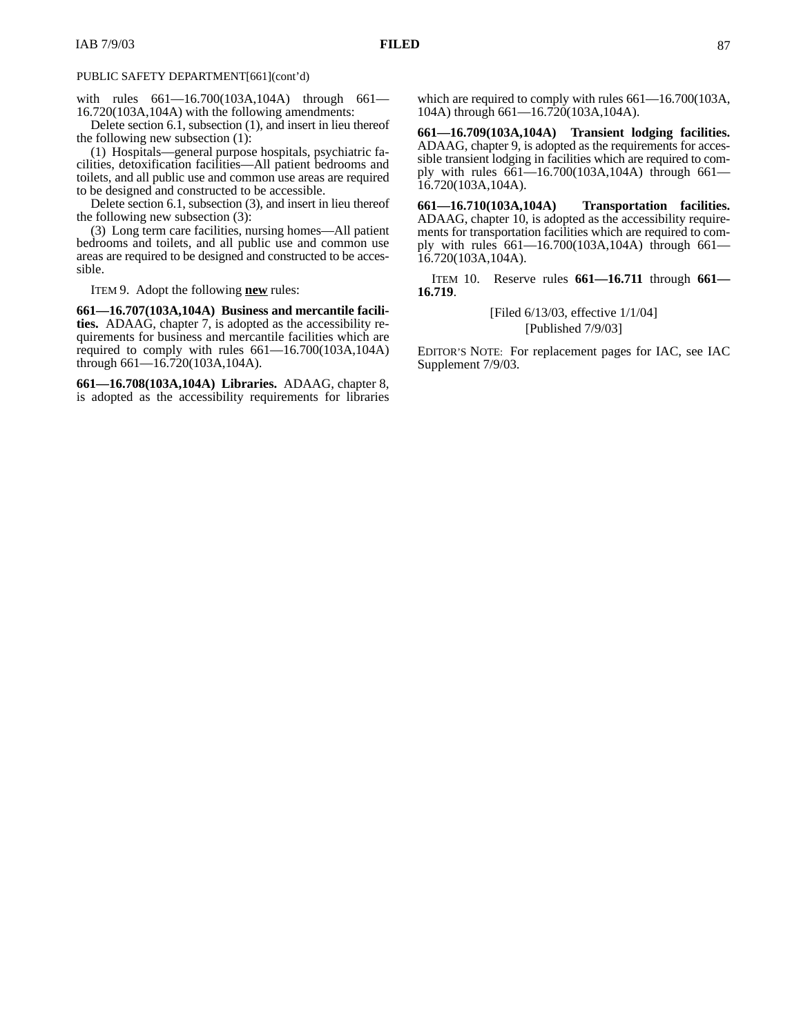with rules 661—16.700(103A,104A) through 661— 16.720(103A,104A) with the following amendments:

Delete section 6.1, subsection (1), and insert in lieu thereof the following new subsection (1):

(1) Hospitals—general purpose hospitals, psychiatric facilities, detoxification facilities—All patient bedrooms and toilets, and all public use and common use areas are required to be designed and constructed to be accessible.

Delete section 6.1, subsection (3), and insert in lieu thereof the following new subsection (3):

(3) Long term care facilities, nursing homes—All patient bedrooms and toilets, and all public use and common use areas are required to be designed and constructed to be accessible.

ITEM 9. Adopt the following **new** rules:

**661—16.707(103A,104A) Business and mercantile facilities.** ADAAG, chapter 7, is adopted as the accessibility requirements for business and mercantile facilities which are required to comply with rules 661—16.700(103A,104A) through 661—16.720(103A,104A).

**661—16.708(103A,104A) Libraries.** ADAAG, chapter 8, is adopted as the accessibility requirements for libraries which are required to comply with rules 661—16.700(103A, 104A) through 661—16.720(103A,104A).

**661—16.709(103A,104A) Transient lodging facilities.** ADAAG, chapter 9, is adopted as the requirements for accessible transient lodging in facilities which are required to comply with rules 661—16.700(103A,104A) through 661— 16.720(103A,104A).

**661—16.710(103A,104A) Transportation facilities.** ADAAG, chapter 10, is adopted as the accessibility requirements for transportation facilities which are required to comply with rules 661—16.700(103A,104A) through 661— 16.720(103A,104A).

ITEM 10. Reserve rules **661—16.711** through **661— 16.719**.

> [Filed 6/13/03, effective 1/1/04] [Published 7/9/03]

EDITOR'S NOTE: For replacement pages for IAC, see IAC Supplement 7/9/03.